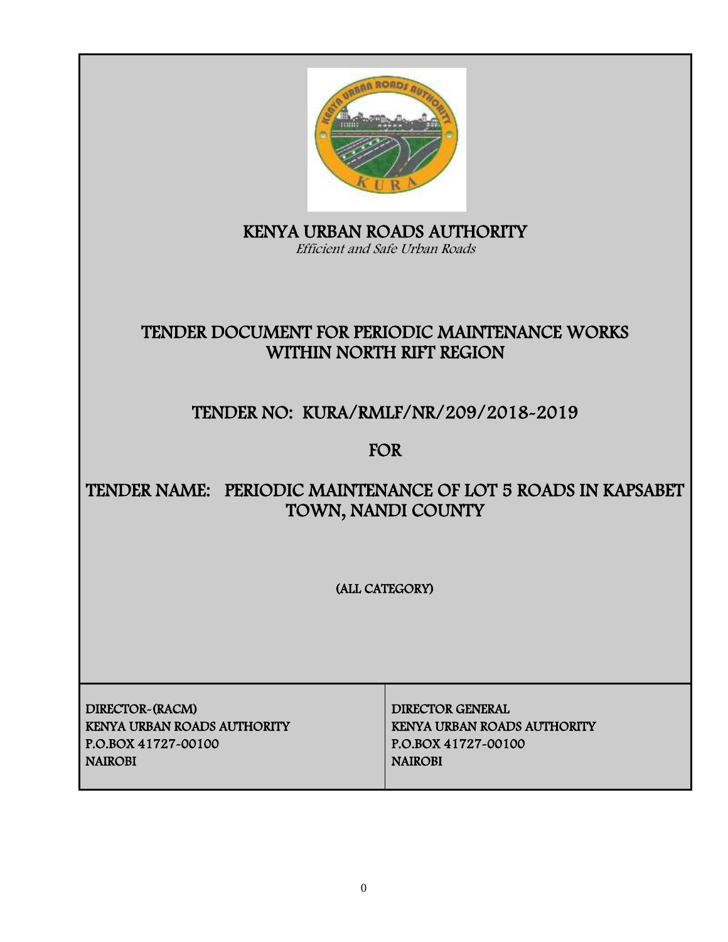

KENYA URBAN ROADS AUTHORITY Efficient and Safe Urban Roads

# TENDER DOCUMENT FOR PERIODIC MAINTENANCE WORKS WITHIN NORTH RIFT REGION

# TENDER NO: KURA/RMLF/NR/209/2018-2019

FOR

# TENDER NAME: PERIODIC MAINTENANCE OF LOT 5 ROADS IN KAPSABET TOWN, NANDI COUNTY

(ALL CATEGORY)

DIRECTOR-(RACM) DIRECTOR GENERAL KENYA URBAN ROADS AUTHORITY KENYA URBAN ROADS AUTHORITY P.O.BOX 41727-00100 P.O.BOX 41727-00100 NAIROBI NAIROBI NAIROBI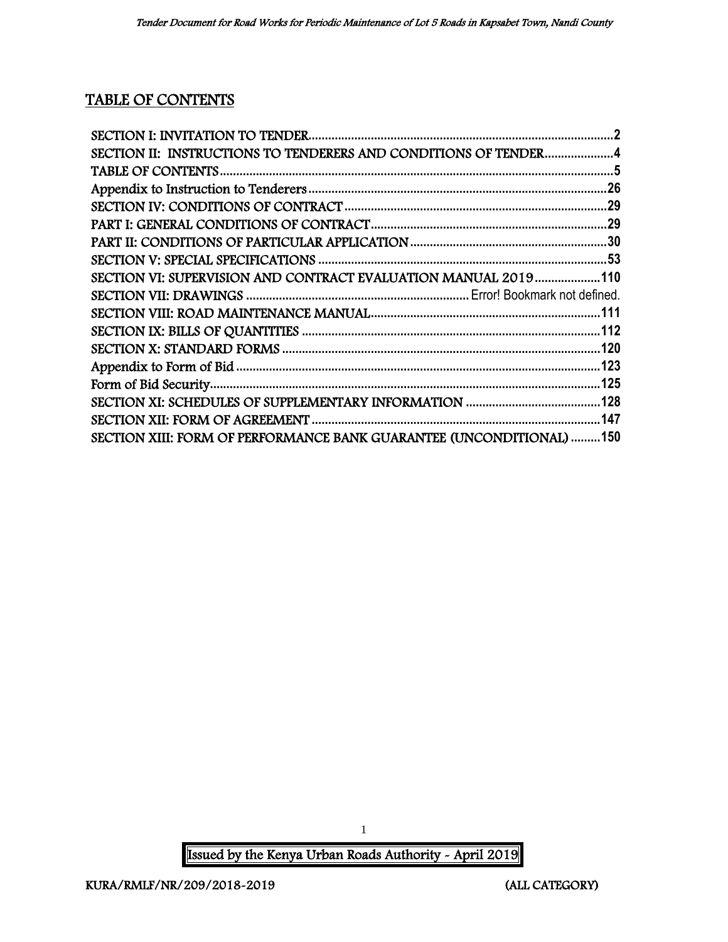# TABLE OF CONTENTS

| SECTION II: INSTRUCTIONS TO TENDERERS AND CONDITIONS OF TENDER4      |  |
|----------------------------------------------------------------------|--|
|                                                                      |  |
|                                                                      |  |
|                                                                      |  |
|                                                                      |  |
|                                                                      |  |
|                                                                      |  |
| SECTION VI: SUPERVISION AND CONTRACT EVALUATION MANUAL 2019110       |  |
|                                                                      |  |
|                                                                      |  |
|                                                                      |  |
|                                                                      |  |
|                                                                      |  |
|                                                                      |  |
|                                                                      |  |
|                                                                      |  |
| SECTION XIII: FORM OF PERFORMANCE BANK GUARANTEE (UNCONDITIONAL) 150 |  |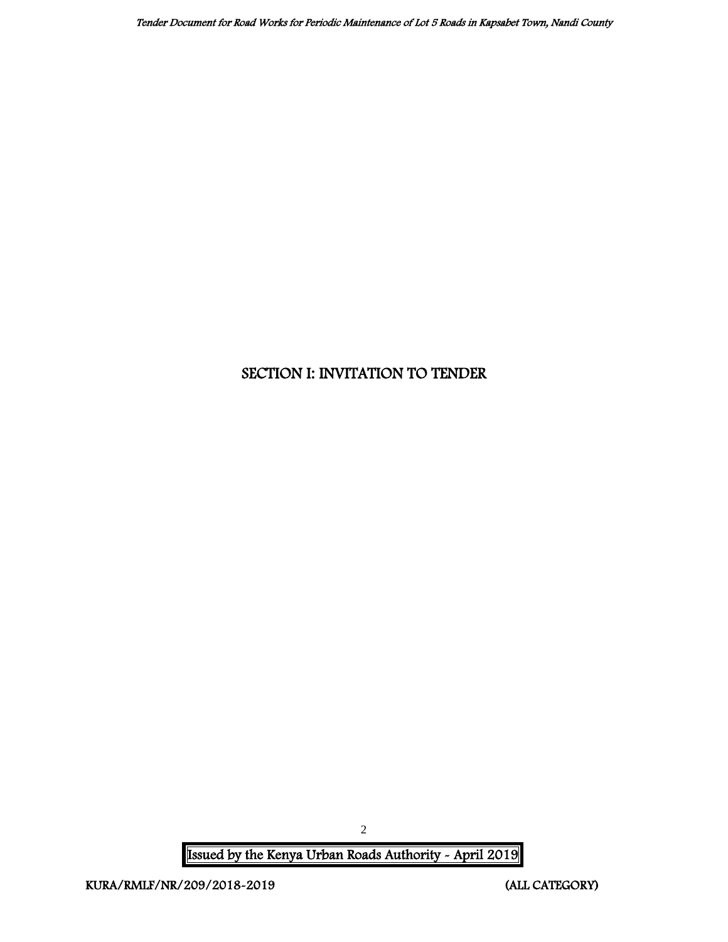# <span id="page-2-0"></span>SECTION I: INVITATION TO TENDER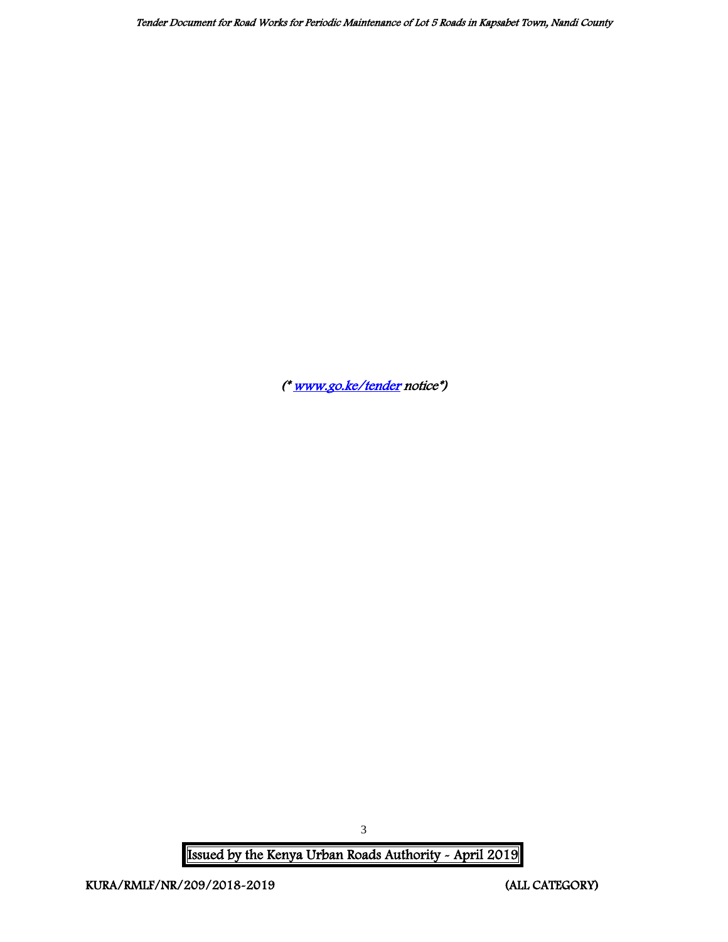([\\* www.go.ke/tender](http://www.go.ke/tender) notice\*)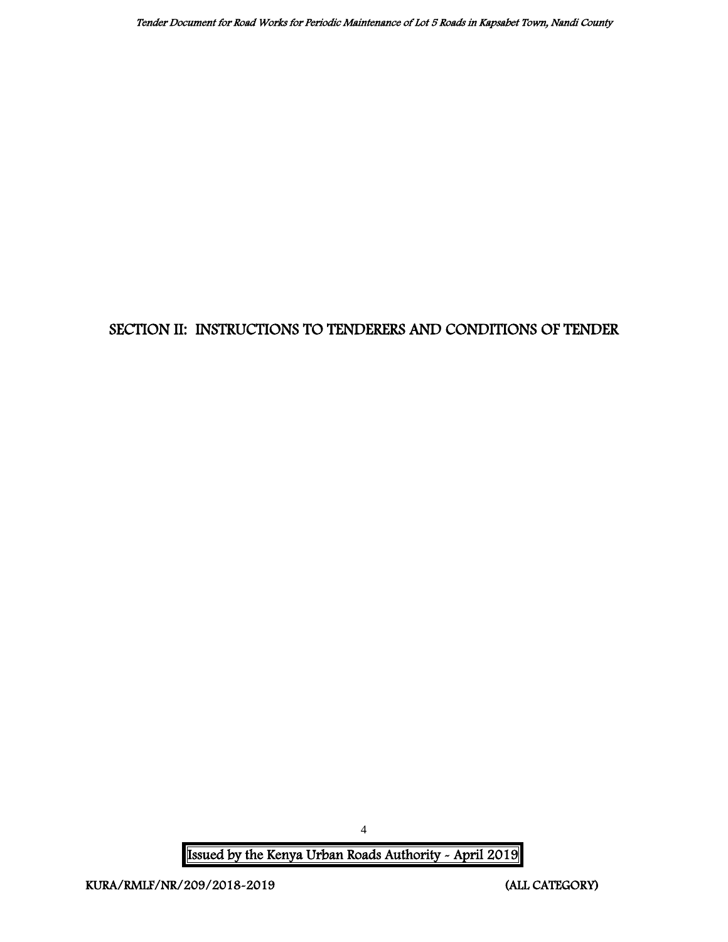# <span id="page-4-0"></span>SECTION II: INSTRUCTIONS TO TENDERERS AND CONDITIONS OF TENDER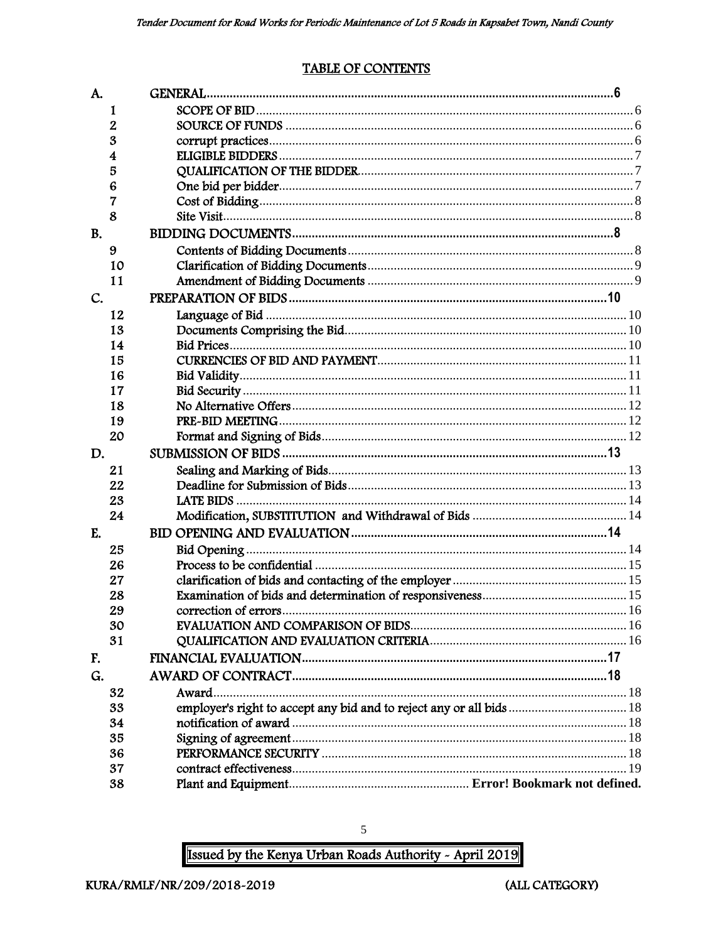## **TABLE OF CONTENTS**

<span id="page-5-0"></span>

| A.        |    |                                                                      |  |
|-----------|----|----------------------------------------------------------------------|--|
|           | 1  |                                                                      |  |
|           | 2  |                                                                      |  |
|           | 3  |                                                                      |  |
|           | 4  |                                                                      |  |
|           | 5  |                                                                      |  |
|           | 6  |                                                                      |  |
|           | 7  |                                                                      |  |
|           | 8  |                                                                      |  |
| <b>B.</b> |    |                                                                      |  |
|           | 9  |                                                                      |  |
|           | 10 |                                                                      |  |
|           | 11 |                                                                      |  |
| C.        |    |                                                                      |  |
|           | 12 |                                                                      |  |
|           | 13 |                                                                      |  |
|           | 14 |                                                                      |  |
|           | 15 |                                                                      |  |
|           | 16 |                                                                      |  |
|           | 17 |                                                                      |  |
|           | 18 |                                                                      |  |
|           | 19 |                                                                      |  |
|           | 20 |                                                                      |  |
| D.        |    |                                                                      |  |
|           | 21 |                                                                      |  |
|           | 22 |                                                                      |  |
|           | 23 |                                                                      |  |
|           | 24 |                                                                      |  |
| E.        |    |                                                                      |  |
|           | 25 |                                                                      |  |
|           | 26 |                                                                      |  |
|           | 27 |                                                                      |  |
|           | 28 |                                                                      |  |
|           | 29 |                                                                      |  |
|           | 30 |                                                                      |  |
|           | 31 |                                                                      |  |
| F.        |    |                                                                      |  |
| G.        |    |                                                                      |  |
|           | 32 | Award                                                                |  |
|           | 33 | employer's right to accept any bid and to reject any or all bids  18 |  |
|           | 34 |                                                                      |  |
|           | 35 |                                                                      |  |
|           | 36 |                                                                      |  |
|           | 37 |                                                                      |  |
|           | 38 |                                                                      |  |

Issued by the Kenya Urban Roads Authority - April 2019

 $\sqrt{5}$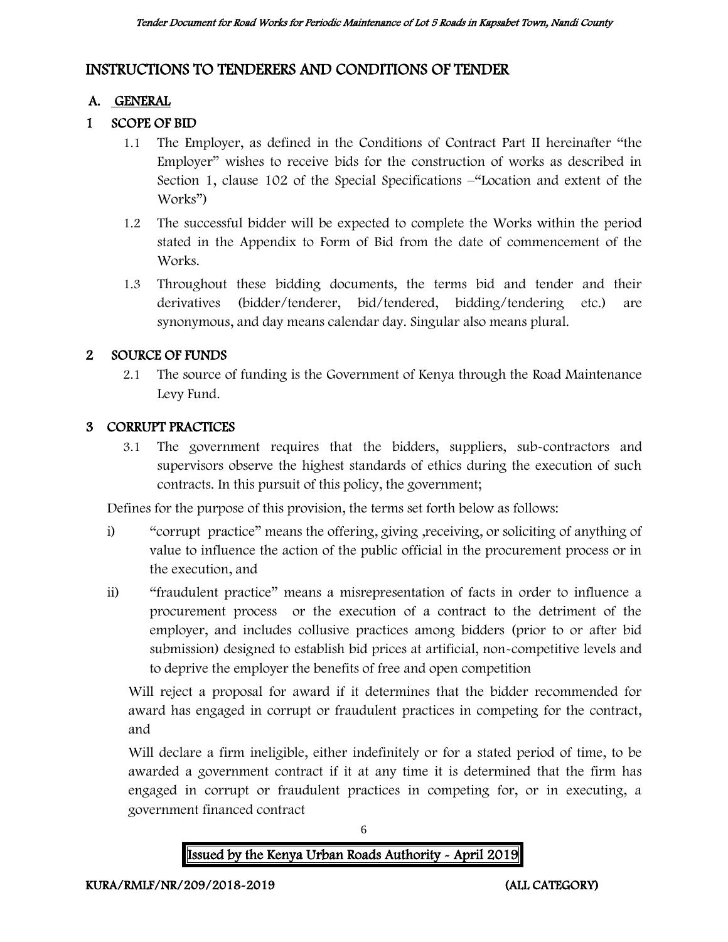# INSTRUCTIONS TO TENDERERS AND CONDITIONS OF TENDER

### A. GENERAL

## 1 SCOPE OF BID

- 1.1 The Employer, as defined in the Conditions of Contract Part II hereinafter "the Employer" wishes to receive bids for the construction of works as described in Section 1, clause 102 of the Special Specifications –"Location and extent of the Works")
- 1.2 The successful bidder will be expected to complete the Works within the period stated in the Appendix to Form of Bid from the date of commencement of the Works.
- 1.3 Throughout these bidding documents, the terms bid and tender and their derivatives (bidder/tenderer, bid/tendered, bidding/tendering etc.) are synonymous, and day means calendar day. Singular also means plural.

#### 2 SOURCE OF FUNDS

2.1 The source of funding is the Government of Kenya through the Road Maintenance Levy Fund.

#### 3 CORRUPT PRACTICES

3.1 The government requires that the bidders, suppliers, sub-contractors and supervisors observe the highest standards of ethics during the execution of such contracts. In this pursuit of this policy, the government;

Defines for the purpose of this provision, the terms set forth below as follows:

- i) "corrupt practice" means the offering, giving ,receiving, or soliciting of anything of value to influence the action of the public official in the procurement process or in the execution, and
- ii) "fraudulent practice" means a misrepresentation of facts in order to influence a procurement process or the execution of a contract to the detriment of the employer, and includes collusive practices among bidders (prior to or after bid submission) designed to establish bid prices at artificial, non-competitive levels and to deprive the employer the benefits of free and open competition

Will reject a proposal for award if it determines that the bidder recommended for award has engaged in corrupt or fraudulent practices in competing for the contract, and

Will declare a firm ineligible, either indefinitely or for a stated period of time, to be awarded a government contract if it at any time it is determined that the firm has engaged in corrupt or fraudulent practices in competing for, or in executing, a government financed contract



6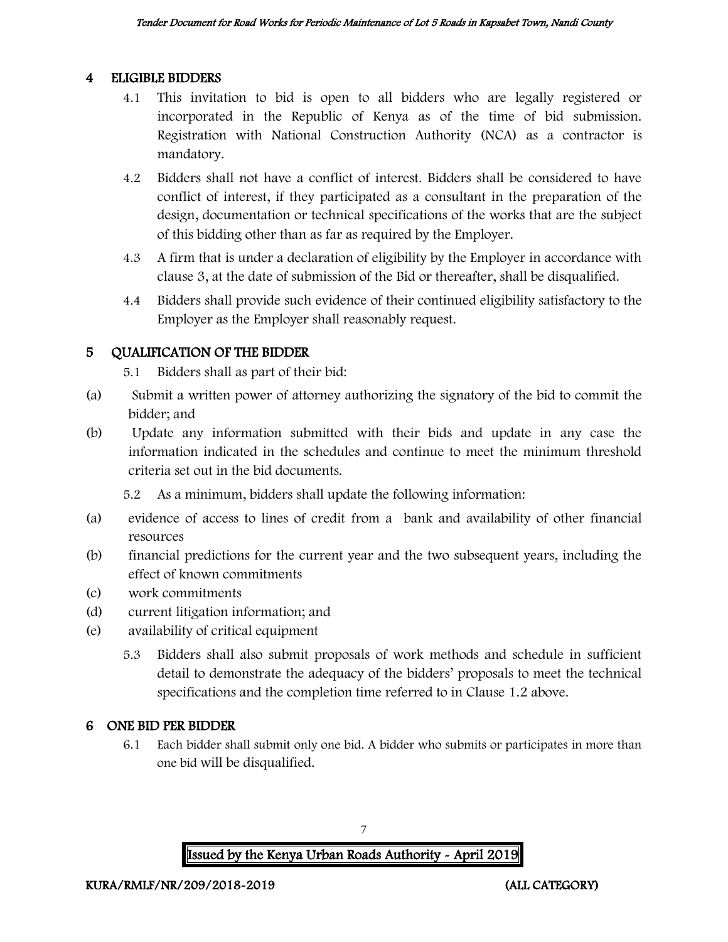#### 4 ELIGIBLE BIDDERS

- 4.1 This invitation to bid is open to all bidders who are legally registered or incorporated in the Republic of Kenya as of the time of bid submission. Registration with National Construction Authority (NCA) as a contractor is mandatory.
- 4.2 Bidders shall not have a conflict of interest. Bidders shall be considered to have conflict of interest, if they participated as a consultant in the preparation of the design, documentation or technical specifications of the works that are the subject of this bidding other than as far as required by the Employer.
- 4.3 A firm that is under a declaration of eligibility by the Employer in accordance with clause 3, at the date of submission of the Bid or thereafter, shall be disqualified.
- 4.4 Bidders shall provide such evidence of their continued eligibility satisfactory to the Employer as the Employer shall reasonably request.

#### 5 QUALIFICATION OF THE BIDDER

5.1 Bidders shall as part of their bid:

- (a) Submit a written power of attorney authorizing the signatory of the bid to commit the bidder; and
- (b) Update any information submitted with their bids and update in any case the information indicated in the schedules and continue to meet the minimum threshold criteria set out in the bid documents.

5.2 As a minimum, bidders shall update the following information:

- (a) evidence of access to lines of credit from a bank and availability of other financial resources
- (b) financial predictions for the current year and the two subsequent years, including the effect of known commitments
- (c) work commitments
- (d) current litigation information; and
- (e) availability of critical equipment
	- 5.3 Bidders shall also submit proposals of work methods and schedule in sufficient detail to demonstrate the adequacy of the bidders' proposals to meet the technical specifications and the completion time referred to in Clause 1.2 above.

## 6 ONE BID PER BIDDER

6.1 Each bidder shall submit only one bid. A bidder who submits or participates in more than one bid will be disqualified.



7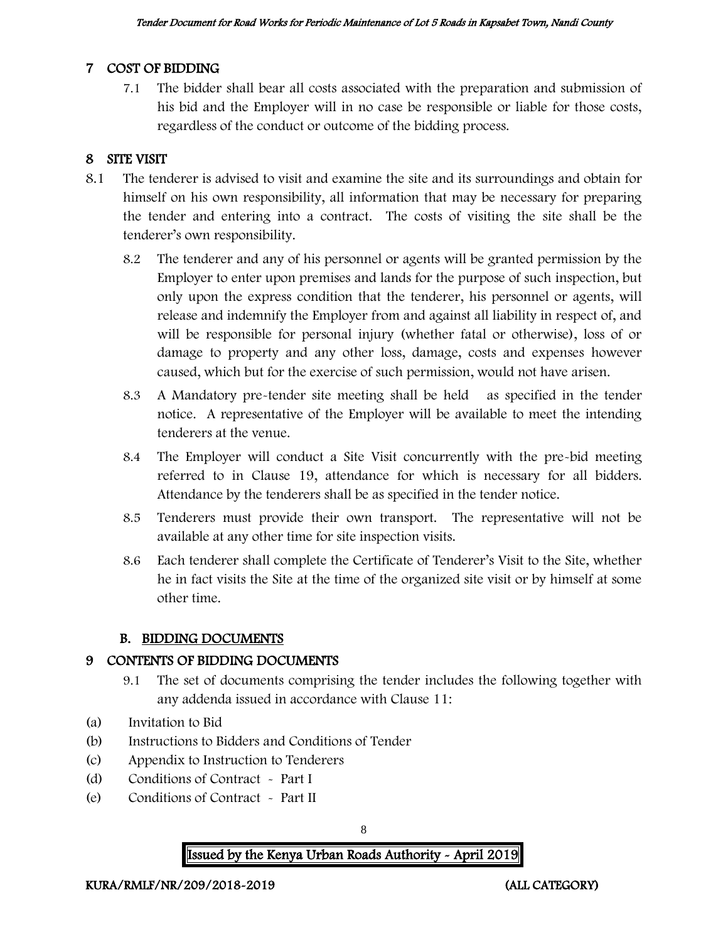#### 7 COST OF BIDDING

7.1 The bidder shall bear all costs associated with the preparation and submission of his bid and the Employer will in no case be responsible or liable for those costs, regardless of the conduct or outcome of the bidding process.

## 8 SITE VISIT

- 8.1 The tenderer is advised to visit and examine the site and its surroundings and obtain for himself on his own responsibility, all information that may be necessary for preparing the tender and entering into a contract. The costs of visiting the site shall be the tenderer's own responsibility.
	- 8.2 The tenderer and any of his personnel or agents will be granted permission by the Employer to enter upon premises and lands for the purpose of such inspection, but only upon the express condition that the tenderer, his personnel or agents, will release and indemnify the Employer from and against all liability in respect of, and will be responsible for personal injury (whether fatal or otherwise), loss of or damage to property and any other loss, damage, costs and expenses however caused, which but for the exercise of such permission, would not have arisen.
	- 8.3 A Mandatory pre-tender site meeting shall be held as specified in the tender notice. A representative of the Employer will be available to meet the intending tenderers at the venue.
	- 8.4 The Employer will conduct a Site Visit concurrently with the pre-bid meeting referred to in Clause 19, attendance for which is necessary for all bidders. Attendance by the tenderers shall be as specified in the tender notice.
	- 8.5 Tenderers must provide their own transport. The representative will not be available at any other time for site inspection visits.
	- 8.6 Each tenderer shall complete the Certificate of Tenderer's Visit to the Site, whether he in fact visits the Site at the time of the organized site visit or by himself at some other time.

#### B. BIDDING DOCUMENTS

#### 9 CONTENTS OF BIDDING DOCUMENTS

- 9.1 The set of documents comprising the tender includes the following together with any addenda issued in accordance with Clause 11:
- (a) Invitation to Bid
- (b) Instructions to Bidders and Conditions of Tender
- (c) Appendix to Instruction to Tenderers
- (d) Conditions of Contract Part I
- (e) Conditions of Contract Part II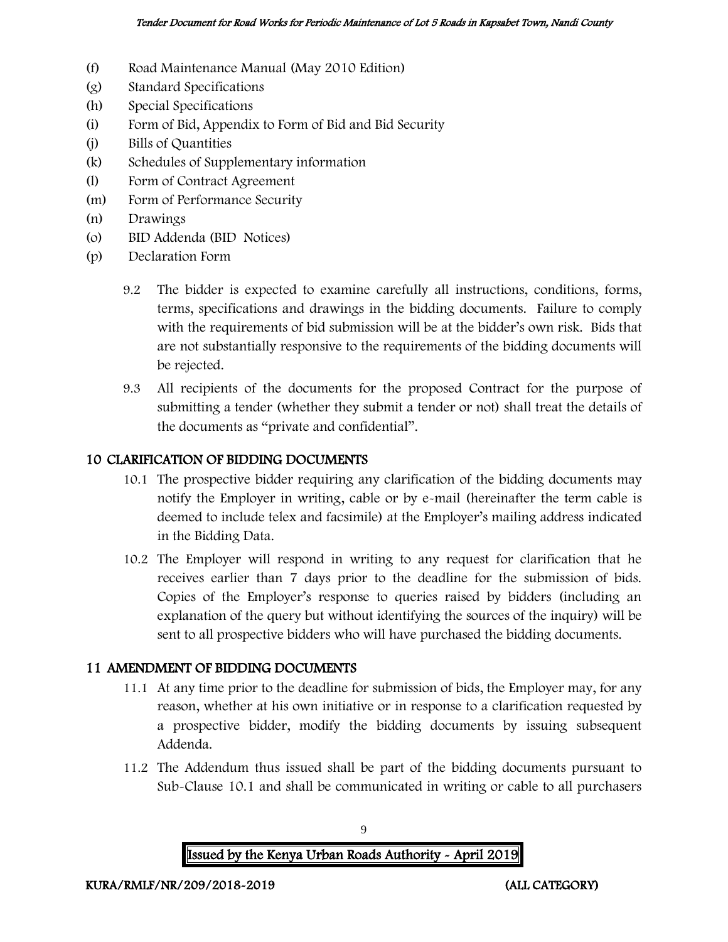- (f) Road Maintenance Manual (May 2010 Edition)
- (g) Standard Specifications
- (h) Special Specifications
- (i) Form of Bid, Appendix to Form of Bid and Bid Security
- (j) Bills of Quantities
- (k) Schedules of Supplementary information
- (l) Form of Contract Agreement
- (m) Form of Performance Security
- (n) Drawings
- (o) BID Addenda (BID Notices)
- (p) Declaration Form
	- 9.2 The bidder is expected to examine carefully all instructions, conditions, forms, terms, specifications and drawings in the bidding documents. Failure to comply with the requirements of bid submission will be at the bidder's own risk. Bids that are not substantially responsive to the requirements of the bidding documents will be rejected.
	- 9.3 All recipients of the documents for the proposed Contract for the purpose of submitting a tender (whether they submit a tender or not) shall treat the details of the documents as "private and confidential".

#### 10 CLARIFICATION OF BIDDING DOCUMENTS

- 10.1 The prospective bidder requiring any clarification of the bidding documents may notify the Employer in writing, cable or by e-mail (hereinafter the term cable is deemed to include telex and facsimile) at the Employer's mailing address indicated in the Bidding Data.
- 10.2 The Employer will respond in writing to any request for clarification that he receives earlier than 7 days prior to the deadline for the submission of bids. Copies of the Employer's response to queries raised by bidders (including an explanation of the query but without identifying the sources of the inquiry) will be sent to all prospective bidders who will have purchased the bidding documents.

#### 11 AMENDMENT OF BIDDING DOCUMENTS

- 11.1 At any time prior to the deadline for submission of bids, the Employer may, for any reason, whether at his own initiative or in response to a clarification requested by a prospective bidder, modify the bidding documents by issuing subsequent Addenda.
- 11.2 The Addendum thus issued shall be part of the bidding documents pursuant to Sub-Clause 10.1 and shall be communicated in writing or cable to all purchasers



9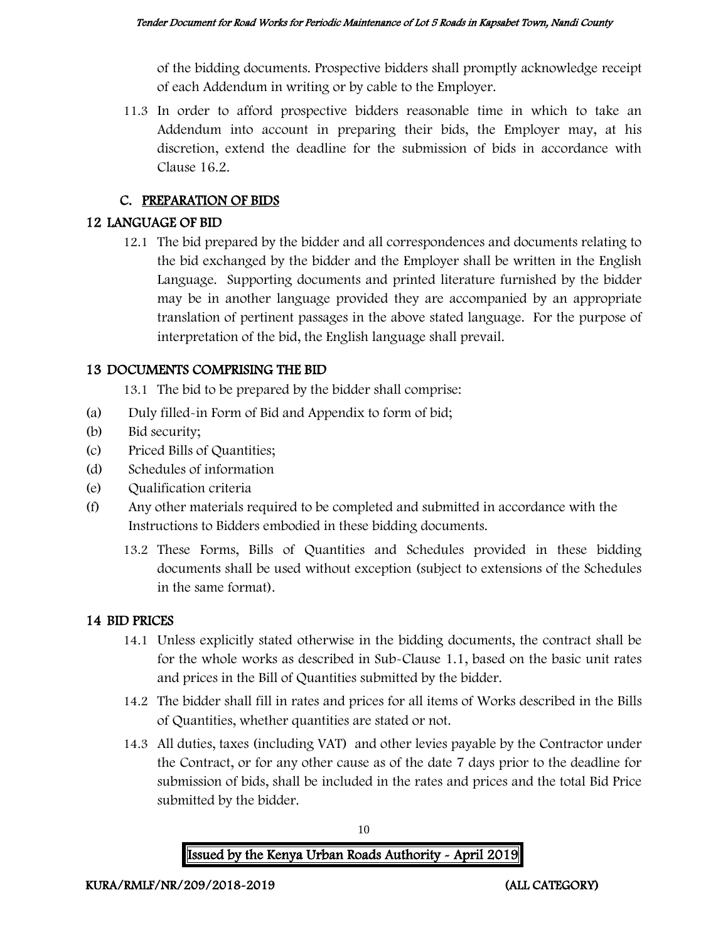of the bidding documents. Prospective bidders shall promptly acknowledge receipt of each Addendum in writing or by cable to the Employer.

11.3 In order to afford prospective bidders reasonable time in which to take an Addendum into account in preparing their bids, the Employer may, at his discretion, extend the deadline for the submission of bids in accordance with Clause 16.2.

## C. PREPARATION OF BIDS

### 12 LANGUAGE OF BID

12.1 The bid prepared by the bidder and all correspondences and documents relating to the bid exchanged by the bidder and the Employer shall be written in the English Language. Supporting documents and printed literature furnished by the bidder may be in another language provided they are accompanied by an appropriate translation of pertinent passages in the above stated language. For the purpose of interpretation of the bid, the English language shall prevail.

## 13 DOCUMENTS COMPRISING THE BID

13.1 The bid to be prepared by the bidder shall comprise:

- (a) Duly filled-in Form of Bid and Appendix to form of bid;
- (b) Bid security;
- (c) Priced Bills of Quantities;
- (d) Schedules of information
- (e) Qualification criteria
- (f) Any other materials required to be completed and submitted in accordance with the Instructions to Bidders embodied in these bidding documents.
	- 13.2 These Forms, Bills of Quantities and Schedules provided in these bidding documents shall be used without exception (subject to extensions of the Schedules in the same format).

#### 14 BID PRICES

- 14.1 Unless explicitly stated otherwise in the bidding documents, the contract shall be for the whole works as described in Sub-Clause 1.1, based on the basic unit rates and prices in the Bill of Quantities submitted by the bidder.
- 14.2 The bidder shall fill in rates and prices for all items of Works described in the Bills of Quantities, whether quantities are stated or not.
- 14.3 All duties, taxes (including VAT) and other levies payable by the Contractor under the Contract, or for any other cause as of the date 7 days prior to the deadline for submission of bids, shall be included in the rates and prices and the total Bid Price submitted by the bidder.

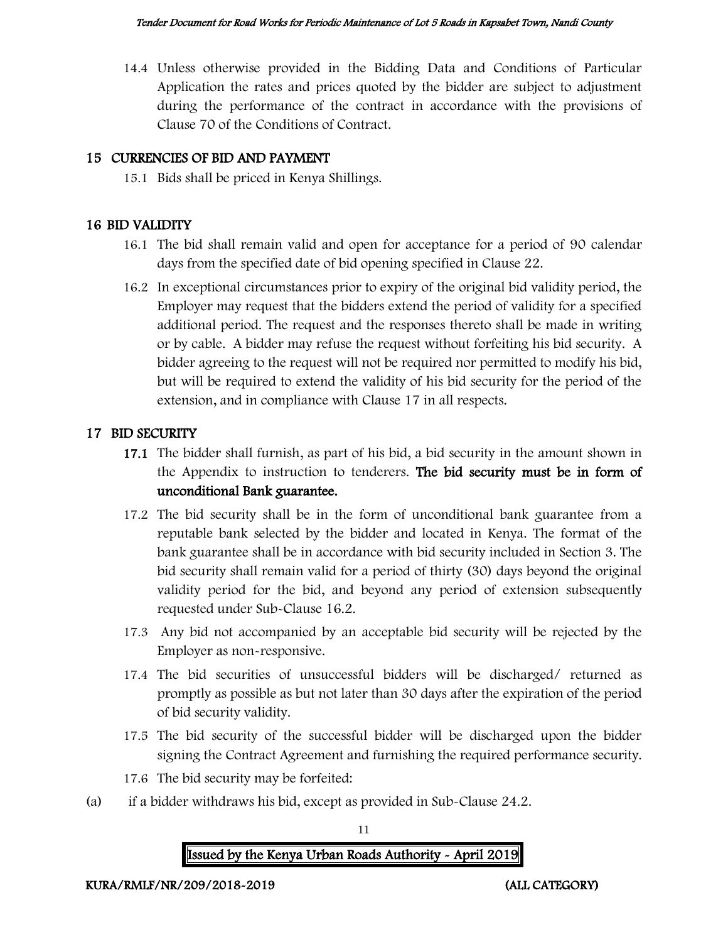14.4 Unless otherwise provided in the Bidding Data and Conditions of Particular Application the rates and prices quoted by the bidder are subject to adjustment during the performance of the contract in accordance with the provisions of Clause 70 of the Conditions of Contract.

### 15 CURRENCIES OF BID AND PAYMENT

15.1 Bids shall be priced in Kenya Shillings.

#### 16 BID VALIDITY

- 16.1 The bid shall remain valid and open for acceptance for a period of 90 calendar days from the specified date of bid opening specified in Clause 22.
- 16.2 In exceptional circumstances prior to expiry of the original bid validity period, the Employer may request that the bidders extend the period of validity for a specified additional period. The request and the responses thereto shall be made in writing or by cable. A bidder may refuse the request without forfeiting his bid security. A bidder agreeing to the request will not be required nor permitted to modify his bid, but will be required to extend the validity of his bid security for the period of the extension, and in compliance with Clause 17 in all respects.

#### 17 BID SECURITY

- 17.1 The bidder shall furnish, as part of his bid, a bid security in the amount shown in the Appendix to instruction to tenderers. The bid security must be in form of unconditional Bank guarantee.
- 17.2 The bid security shall be in the form of unconditional bank guarantee from a reputable bank selected by the bidder and located in Kenya. The format of the bank guarantee shall be in accordance with bid security included in Section 3. The bid security shall remain valid for a period of thirty (30) days beyond the original validity period for the bid, and beyond any period of extension subsequently requested under Sub-Clause 16.2.
- 17.3 Any bid not accompanied by an acceptable bid security will be rejected by the Employer as non-responsive.
- 17.4 The bid securities of unsuccessful bidders will be discharged/ returned as promptly as possible as but not later than 30 days after the expiration of the period of bid security validity.
- 17.5 The bid security of the successful bidder will be discharged upon the bidder signing the Contract Agreement and furnishing the required performance security.
- 17.6 The bid security may be forfeited:
- (a) if a bidder withdraws his bid, except as provided in Sub-Clause 24.2.

11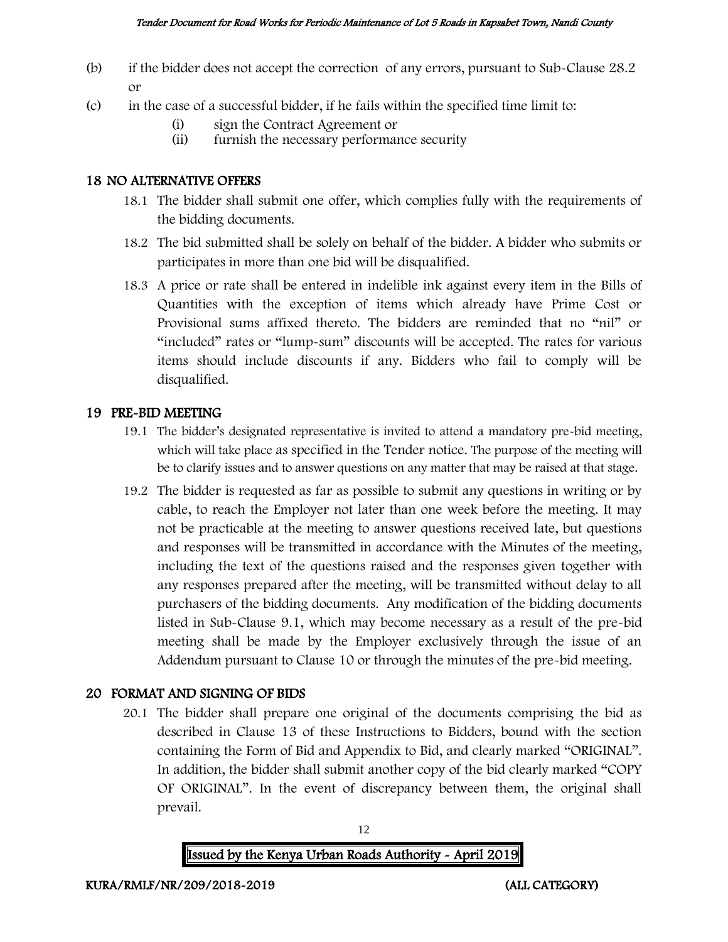- (b) if the bidder does not accept the correction of any errors, pursuant to Sub-Clause 28.2 or
- (c) in the case of a successful bidder, if he fails within the specified time limit to:
	- (i) sign the Contract Agreement or
	- (ii) furnish the necessary performance security

#### 18 NO ALTERNATIVE OFFERS

- 18.1 The bidder shall submit one offer, which complies fully with the requirements of the bidding documents.
- 18.2 The bid submitted shall be solely on behalf of the bidder. A bidder who submits or participates in more than one bid will be disqualified.
- 18.3 A price or rate shall be entered in indelible ink against every item in the Bills of Quantities with the exception of items which already have Prime Cost or Provisional sums affixed thereto. The bidders are reminded that no "nil" or "included" rates or "lump-sum" discounts will be accepted. The rates for various items should include discounts if any. Bidders who fail to comply will be disqualified.

#### 19 PRE-BID MEETING

- 19.1 The bidder's designated representative is invited to attend a mandatory pre-bid meeting, which will take place as specified in the Tender notice. The purpose of the meeting will be to clarify issues and to answer questions on any matter that may be raised at that stage.
- 19.2 The bidder is requested as far as possible to submit any questions in writing or by cable, to reach the Employer not later than one week before the meeting. It may not be practicable at the meeting to answer questions received late, but questions and responses will be transmitted in accordance with the Minutes of the meeting, including the text of the questions raised and the responses given together with any responses prepared after the meeting, will be transmitted without delay to all purchasers of the bidding documents. Any modification of the bidding documents listed in Sub-Clause 9.1, which may become necessary as a result of the pre-bid meeting shall be made by the Employer exclusively through the issue of an Addendum pursuant to Clause 10 or through the minutes of the pre-bid meeting.

## 20 FORMAT AND SIGNING OF BIDS

20.1 The bidder shall prepare one original of the documents comprising the bid as described in Clause 13 of these Instructions to Bidders, bound with the section containing the Form of Bid and Appendix to Bid, and clearly marked "ORIGINAL". In addition, the bidder shall submit another copy of the bid clearly marked "COPY OF ORIGINAL". In the event of discrepancy between them, the original shall prevail.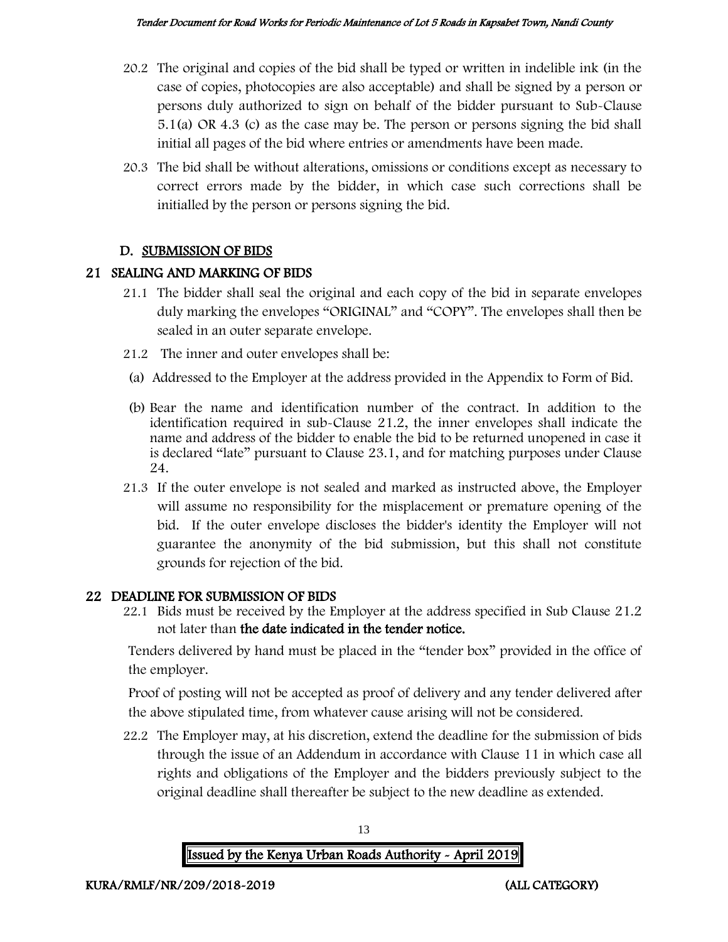- 20.2 The original and copies of the bid shall be typed or written in indelible ink (in the case of copies, photocopies are also acceptable) and shall be signed by a person or persons duly authorized to sign on behalf of the bidder pursuant to Sub-Clause 5.1(a) OR 4.3 (c) as the case may be. The person or persons signing the bid shall initial all pages of the bid where entries or amendments have been made.
- 20.3 The bid shall be without alterations, omissions or conditions except as necessary to correct errors made by the bidder, in which case such corrections shall be initialled by the person or persons signing the bid.

#### D. SUBMISSION OF BIDS

#### 21 SEALING AND MARKING OF BIDS

- 21.1 The bidder shall seal the original and each copy of the bid in separate envelopes duly marking the envelopes "ORIGINAL" and "COPY". The envelopes shall then be sealed in an outer separate envelope.
- 21.2 The inner and outer envelopes shall be:
- (a) Addressed to the Employer at the address provided in the Appendix to Form of Bid.
- (b) Bear the name and identification number of the contract. In addition to the identification required in sub-Clause 21.2, the inner envelopes shall indicate the name and address of the bidder to enable the bid to be returned unopened in case it is declared "late" pursuant to Clause 23.1, and for matching purposes under Clause 24.
- 21.3 If the outer envelope is not sealed and marked as instructed above, the Employer will assume no responsibility for the misplacement or premature opening of the bid. If the outer envelope discloses the bidder's identity the Employer will not guarantee the anonymity of the bid submission, but this shall not constitute grounds for rejection of the bid.

## 22 DEADLINE FOR SUBMISSION OF BIDS

22.1 Bids must be received by the Employer at the address specified in Sub Clause 21.2 not later than the date indicated in the tender notice.

Tenders delivered by hand must be placed in the "tender box" provided in the office of the employer.

Proof of posting will not be accepted as proof of delivery and any tender delivered after the above stipulated time, from whatever cause arising will not be considered.

22.2 The Employer may, at his discretion, extend the deadline for the submission of bids through the issue of an Addendum in accordance with Clause 11 in which case all rights and obligations of the Employer and the bidders previously subject to the original deadline shall thereafter be subject to the new deadline as extended.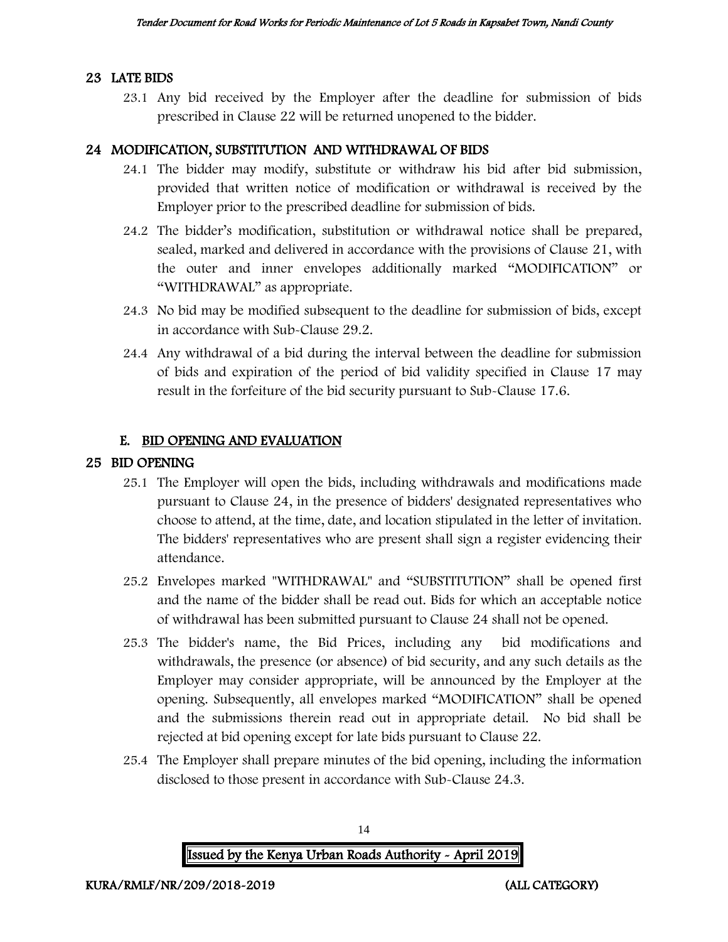#### 23 LATE BIDS

23.1 Any bid received by the Employer after the deadline for submission of bids prescribed in Clause 22 will be returned unopened to the bidder.

#### 24 MODIFICATION, SUBSTITUTION AND WITHDRAWAL OF BIDS

- 24.1 The bidder may modify, substitute or withdraw his bid after bid submission, provided that written notice of modification or withdrawal is received by the Employer prior to the prescribed deadline for submission of bids.
- 24.2 The bidder's modification, substitution or withdrawal notice shall be prepared, sealed, marked and delivered in accordance with the provisions of Clause 21, with the outer and inner envelopes additionally marked "MODIFICATION" or "WITHDRAWAL" as appropriate.
- 24.3 No bid may be modified subsequent to the deadline for submission of bids, except in accordance with Sub-Clause 29.2.
- 24.4 Any withdrawal of a bid during the interval between the deadline for submission of bids and expiration of the period of bid validity specified in Clause 17 may result in the forfeiture of the bid security pursuant to Sub-Clause 17.6.

#### E. BID OPENING AND EVALUATION

#### 25 BID OPENING

- 25.1 The Employer will open the bids, including withdrawals and modifications made pursuant to Clause 24, in the presence of bidders' designated representatives who choose to attend, at the time, date, and location stipulated in the letter of invitation. The bidders' representatives who are present shall sign a register evidencing their attendance.
- 25.2 Envelopes marked "WITHDRAWAL" and "SUBSTITUTION" shall be opened first and the name of the bidder shall be read out. Bids for which an acceptable notice of withdrawal has been submitted pursuant to Clause 24 shall not be opened.
- 25.3 The bidder's name, the Bid Prices, including any bid modifications and withdrawals, the presence (or absence) of bid security, and any such details as the Employer may consider appropriate, will be announced by the Employer at the opening. Subsequently, all envelopes marked "MODIFICATION" shall be opened and the submissions therein read out in appropriate detail. No bid shall be rejected at bid opening except for late bids pursuant to Clause 22.
- 25.4 The Employer shall prepare minutes of the bid opening, including the information disclosed to those present in accordance with Sub-Clause 24.3.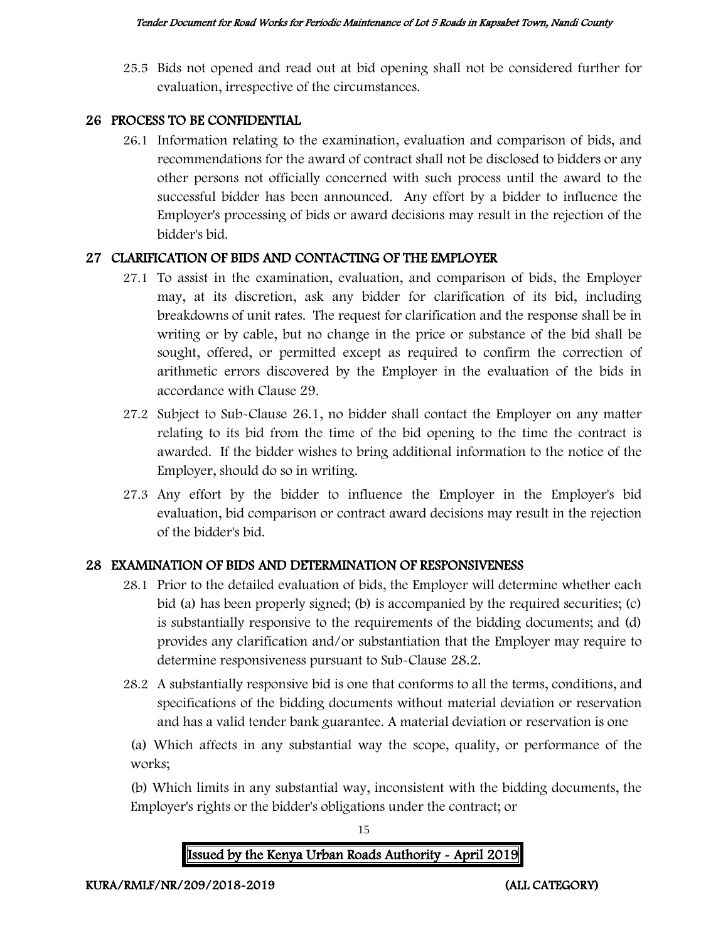25.5 Bids not opened and read out at bid opening shall not be considered further for evaluation, irrespective of the circumstances.

#### 26 PROCESS TO BE CONFIDENTIAL

26.1 Information relating to the examination, evaluation and comparison of bids, and recommendations for the award of contract shall not be disclosed to bidders or any other persons not officially concerned with such process until the award to the successful bidder has been announced. Any effort by a bidder to influence the Employer's processing of bids or award decisions may result in the rejection of the bidder's bid.

#### 27 CLARIFICATION OF BIDS AND CONTACTING OF THE EMPLOYER

- 27.1 To assist in the examination, evaluation, and comparison of bids, the Employer may, at its discretion, ask any bidder for clarification of its bid, including breakdowns of unit rates. The request for clarification and the response shall be in writing or by cable, but no change in the price or substance of the bid shall be sought, offered, or permitted except as required to confirm the correction of arithmetic errors discovered by the Employer in the evaluation of the bids in accordance with Clause 29.
- 27.2 Subject to Sub-Clause 26.1, no bidder shall contact the Employer on any matter relating to its bid from the time of the bid opening to the time the contract is awarded. If the bidder wishes to bring additional information to the notice of the Employer, should do so in writing.
- 27.3 Any effort by the bidder to influence the Employer in the Employer's bid evaluation, bid comparison or contract award decisions may result in the rejection of the bidder's bid.

## 28 EXAMINATION OF BIDS AND DETERMINATION OF RESPONSIVENESS

- 28.1 Prior to the detailed evaluation of bids, the Employer will determine whether each bid (a) has been properly signed; (b) is accompanied by the required securities; (c) is substantially responsive to the requirements of the bidding documents; and (d) provides any clarification and/or substantiation that the Employer may require to determine responsiveness pursuant to Sub-Clause 28.2.
- 28.2 A substantially responsive bid is one that conforms to all the terms, conditions, and specifications of the bidding documents without material deviation or reservation and has a valid tender bank guarantee. A material deviation or reservation is one

(a) Which affects in any substantial way the scope, quality, or performance of the works;

(b) Which limits in any substantial way, inconsistent with the bidding documents, the Employer's rights or the bidder's obligations under the contract; or



15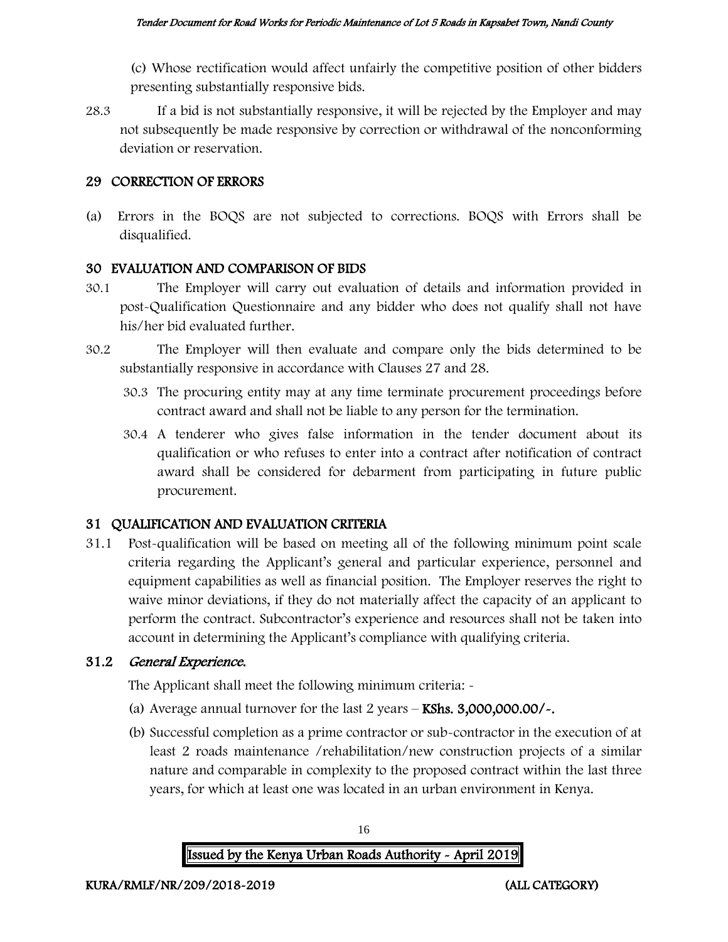(c) Whose rectification would affect unfairly the competitive position of other bidders presenting substantially responsive bids.

28.3 If a bid is not substantially responsive, it will be rejected by the Employer and may not subsequently be made responsive by correction or withdrawal of the nonconforming deviation or reservation.

#### 29 CORRECTION OF ERRORS

(a) Errors in the BOQS are not subjected to corrections. BOQS with Errors shall be disqualified.

#### 30 EVALUATION AND COMPARISON OF BIDS

- 30.1 The Employer will carry out evaluation of details and information provided in post-Qualification Questionnaire and any bidder who does not qualify shall not have his/her bid evaluated further.
- 30.2 The Employer will then evaluate and compare only the bids determined to be substantially responsive in accordance with Clauses 27 and 28.
	- 30.3 The procuring entity may at any time terminate procurement proceedings before contract award and shall not be liable to any person for the termination.
	- 30.4 A tenderer who gives false information in the tender document about its qualification or who refuses to enter into a contract after notification of contract award shall be considered for debarment from participating in future public procurement.

#### 31 QUALIFICATION AND EVALUATION CRITERIA

31.1 Post-qualification will be based on meeting all of the following minimum point scale criteria regarding the Applicant's general and particular experience, personnel and equipment capabilities as well as financial position. The Employer reserves the right to waive minor deviations, if they do not materially affect the capacity of an applicant to perform the contract. Subcontractor's experience and resources shall not be taken into account in determining the Applicant's compliance with qualifying criteria.

#### 31.2 General Experience.

The Applicant shall meet the following minimum criteria: -

- (a) Average annual turnover for the last  $2$  years  $-$  KShs.  $3,000,000.00/$ .
- (b) Successful completion as a prime contractor or sub-contractor in the execution of at least 2 roads maintenance /rehabilitation/new construction projects of a similar nature and comparable in complexity to the proposed contract within the last three years, for which at least one was located in an urban environment in Kenya.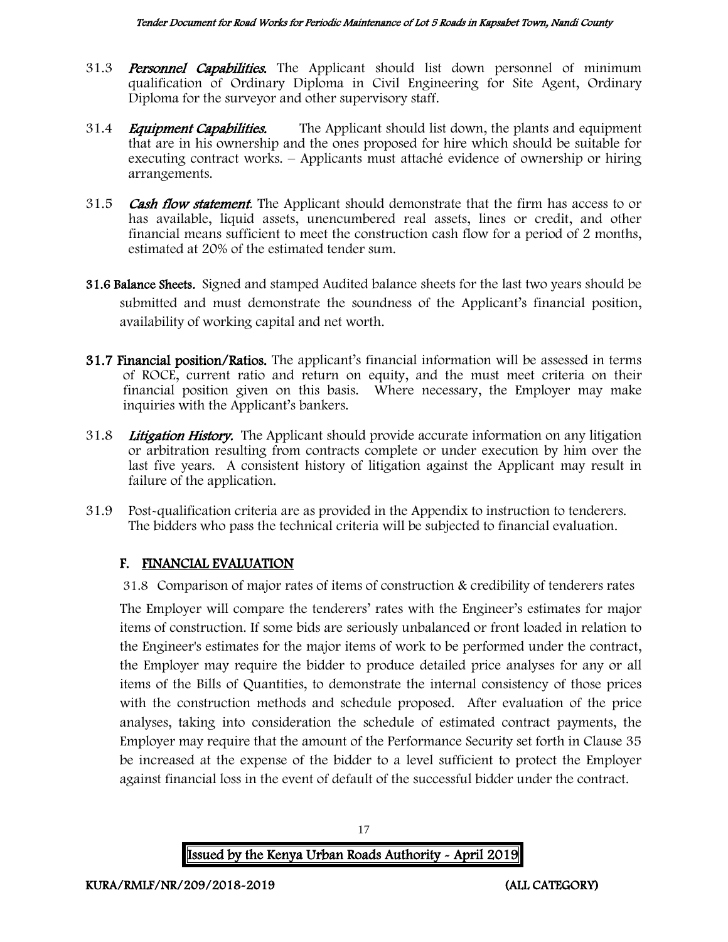- 31.3 **Personnel Capabilities.** The Applicant should list down personnel of minimum qualification of Ordinary Diploma in Civil Engineering for Site Agent, Ordinary Diploma for the surveyor and other supervisory staff.
- 31.4 *Equipment Capabilities.* The Applicant should list down, the plants and equipment that are in his ownership and the ones proposed for hire which should be suitable for executing contract works. – Applicants must attaché evidence of ownership or hiring arrangements.
- 31.5 **Cash flow statement**. The Applicant should demonstrate that the firm has access to or has available, liquid assets, unencumbered real assets, lines or credit, and other financial means sufficient to meet the construction cash flow for a period of 2 months, estimated at 20% of the estimated tender sum.
- 31.6 Balance Sheets. Signed and stamped Audited balance sheets for the last two years should be submitted and must demonstrate the soundness of the Applicant's financial position, availability of working capital and net worth.
- 31.7 Financial position/Ratios. The applicant's financial information will be assessed in terms of ROCE, current ratio and return on equity, and the must meet criteria on their financial position given on this basis. Where necessary, the Employer may make inquiries with the Applicant's bankers.
- 31.8 Litigation History. The Applicant should provide accurate information on any litigation or arbitration resulting from contracts complete or under execution by him over the last five years. A consistent history of litigation against the Applicant may result in failure of the application.
- 31.9 Post-qualification criteria are as provided in the Appendix to instruction to tenderers. The bidders who pass the technical criteria will be subjected to financial evaluation.

## F. FINANCIAL EVALUATION

31.8 Comparison of major rates of items of construction & credibility of tenderers rates

The Employer will compare the tenderers' rates with the Engineer's estimates for major items of construction. If some bids are seriously unbalanced or front loaded in relation to the Engineer's estimates for the major items of work to be performed under the contract, the Employer may require the bidder to produce detailed price analyses for any or all items of the Bills of Quantities, to demonstrate the internal consistency of those prices with the construction methods and schedule proposed. After evaluation of the price analyses, taking into consideration the schedule of estimated contract payments, the Employer may require that the amount of the Performance Security set forth in Clause 35 be increased at the expense of the bidder to a level sufficient to protect the Employer against financial loss in the event of default of the successful bidder under the contract.

Issued by the Kenya Urban Roads Authority - April 2019

17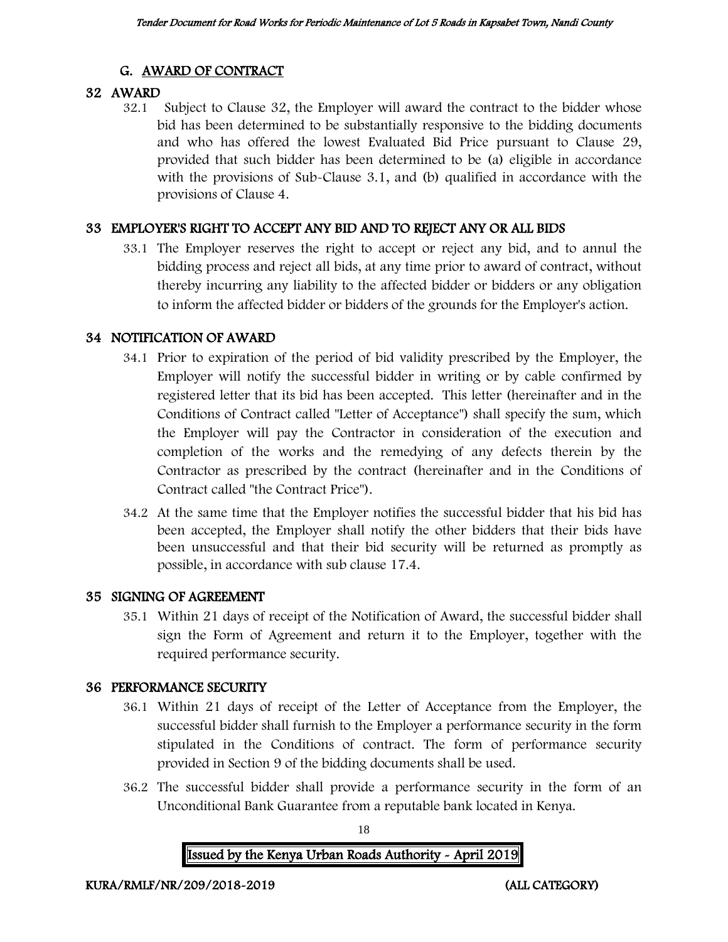## G. AWARD OF CONTRACT

### 32 AWARD

32.1 Subject to Clause 32, the Employer will award the contract to the bidder whose bid has been determined to be substantially responsive to the bidding documents and who has offered the lowest Evaluated Bid Price pursuant to Clause 29, provided that such bidder has been determined to be (a) eligible in accordance with the provisions of Sub-Clause 3.1, and (b) qualified in accordance with the provisions of Clause 4.

## 33 EMPLOYER'S RIGHT TO ACCEPT ANY BID AND TO REJECT ANY OR ALL BIDS

33.1 The Employer reserves the right to accept or reject any bid, and to annul the bidding process and reject all bids, at any time prior to award of contract, without thereby incurring any liability to the affected bidder or bidders or any obligation to inform the affected bidder or bidders of the grounds for the Employer's action.

## 34 NOTIFICATION OF AWARD

- 34.1 Prior to expiration of the period of bid validity prescribed by the Employer, the Employer will notify the successful bidder in writing or by cable confirmed by registered letter that its bid has been accepted. This letter (hereinafter and in the Conditions of Contract called "Letter of Acceptance") shall specify the sum, which the Employer will pay the Contractor in consideration of the execution and completion of the works and the remedying of any defects therein by the Contractor as prescribed by the contract (hereinafter and in the Conditions of Contract called "the Contract Price").
- 34.2 At the same time that the Employer notifies the successful bidder that his bid has been accepted, the Employer shall notify the other bidders that their bids have been unsuccessful and that their bid security will be returned as promptly as possible, in accordance with sub clause 17.4.

## 35 SIGNING OF AGREEMENT

35.1 Within 21 days of receipt of the Notification of Award, the successful bidder shall sign the Form of Agreement and return it to the Employer, together with the required performance security.

## 36 PERFORMANCE SECURITY

- 36.1 Within 21 days of receipt of the Letter of Acceptance from the Employer, the successful bidder shall furnish to the Employer a performance security in the form stipulated in the Conditions of contract. The form of performance security provided in Section 9 of the bidding documents shall be used.
- 36.2 The successful bidder shall provide a performance security in the form of an Unconditional Bank Guarantee from a reputable bank located in Kenya.

18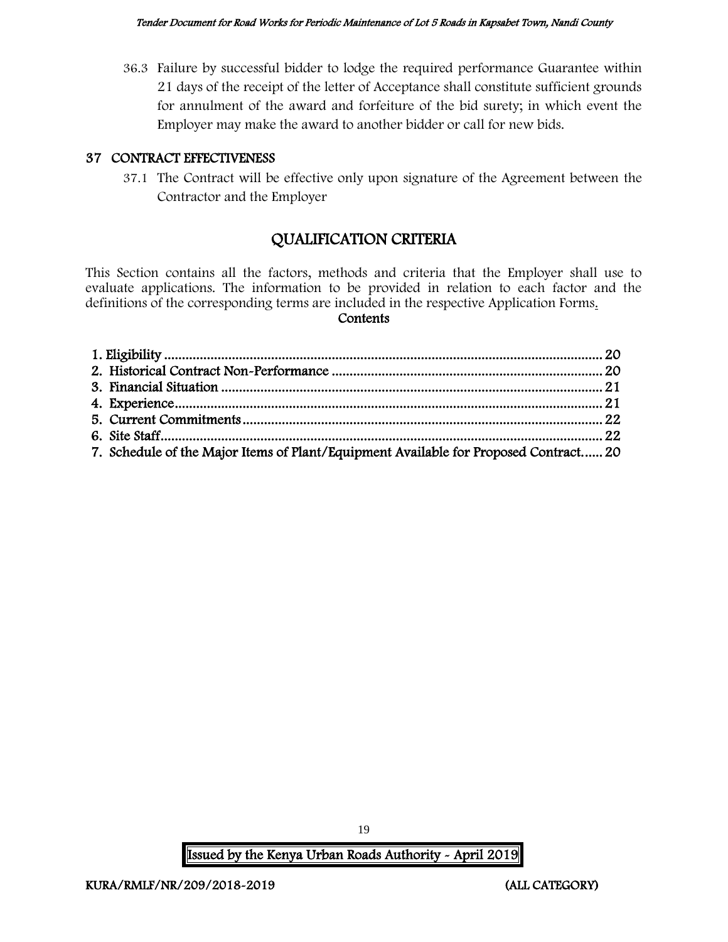36.3 Failure by successful bidder to lodge the required performance Guarantee within 21 days of the receipt of the letter of Acceptance shall constitute sufficient grounds for annulment of the award and forfeiture of the bid surety; in which event the Employer may make the award to another bidder or call for new bids.

#### 37 CONTRACT EFFECTIVENESS

37.1 The Contract will be effective only upon signature of the Agreement between the Contractor and the Employer

# QUALIFICATION CRITERIA

This Section contains all the factors, methods and criteria that the Employer shall use to evaluate applications. The information to be provided in relation to each factor and the definitions of the corresponding terms are included in the respective Application Forms.

#### **Contents**

| 7. Schedule of the Major Items of Plant/Equipment Available for Proposed Contract 20 |  |
|--------------------------------------------------------------------------------------|--|

19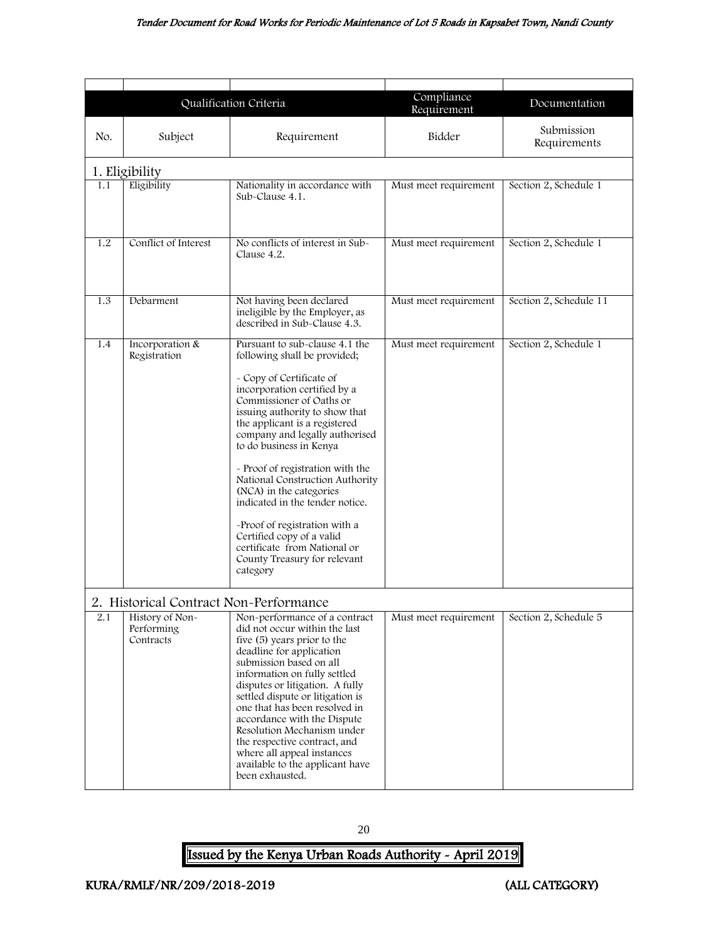#### Tender Document for Road Works for Periodic Maintenance of Lot 5 Roads in Kapsabet Town, Nandi County

<span id="page-20-2"></span><span id="page-20-0"></span>

|                                                                                             |                                 | Qualification Criteria                                                                                                                                                                                                                                                                                                                                                                                                                                                                                                                                                | Compliance<br>Requirement | Documentation              |
|---------------------------------------------------------------------------------------------|---------------------------------|-----------------------------------------------------------------------------------------------------------------------------------------------------------------------------------------------------------------------------------------------------------------------------------------------------------------------------------------------------------------------------------------------------------------------------------------------------------------------------------------------------------------------------------------------------------------------|---------------------------|----------------------------|
| No.                                                                                         | Subject                         | Requirement                                                                                                                                                                                                                                                                                                                                                                                                                                                                                                                                                           | Bidder                    | Submission<br>Requirements |
| 1. Eligibility                                                                              |                                 |                                                                                                                                                                                                                                                                                                                                                                                                                                                                                                                                                                       |                           |                            |
| 1.1                                                                                         | Eligibility                     | Nationality in accordance with<br>Sub-Clause 4.1.                                                                                                                                                                                                                                                                                                                                                                                                                                                                                                                     | Must meet requirement     | Section 2, Schedule 1      |
| 1.2                                                                                         | Conflict of Interest            | No conflicts of interest in Sub-<br>Clause 4.2.                                                                                                                                                                                                                                                                                                                                                                                                                                                                                                                       | Must meet requirement     | Section 2, Schedule 1      |
| 1.3                                                                                         | Debarment                       | Not having been declared<br>ineligible by the Employer, as<br>described in Sub-Clause 4.3.                                                                                                                                                                                                                                                                                                                                                                                                                                                                            | Must meet requirement     | Section 2, Schedule 11     |
| 1.4                                                                                         | Incorporation &<br>Registration | Pursuant to sub-clause 4.1 the<br>following shall be provided;<br>- Copy of Certificate of<br>incorporation certified by a<br>Commissioner of Oaths or<br>issuing authority to show that<br>the applicant is a registered<br>company and legally authorised<br>to do business in Kenya<br>- Proof of registration with the<br>National Construction Authority<br>(NCA) in the categories<br>indicated in the tender notice.<br>-Proof of registration with a<br>Certified copy of a valid<br>certificate from National or<br>County Treasury for relevant<br>category | Must meet requirement     | Section 2, Schedule 1      |
| 2. Historical Contract Non-Performance<br>2.1<br>History of Non-<br>Performing<br>Contracts |                                 | Non-performance of a contract<br>did not occur within the last<br>five (5) years prior to the<br>deadline for application<br>submission based on all<br>information on fully settled<br>disputes or litigation. A fully<br>settled dispute or litigation is<br>one that has been resolved in<br>accordance with the Dispute<br>Resolution Mechanism under<br>the respective contract, and<br>where all appeal instances<br>available to the applicant have<br>been exhausted.                                                                                         | Must meet requirement     | Section 2, Schedule 5      |

<span id="page-20-1"></span>20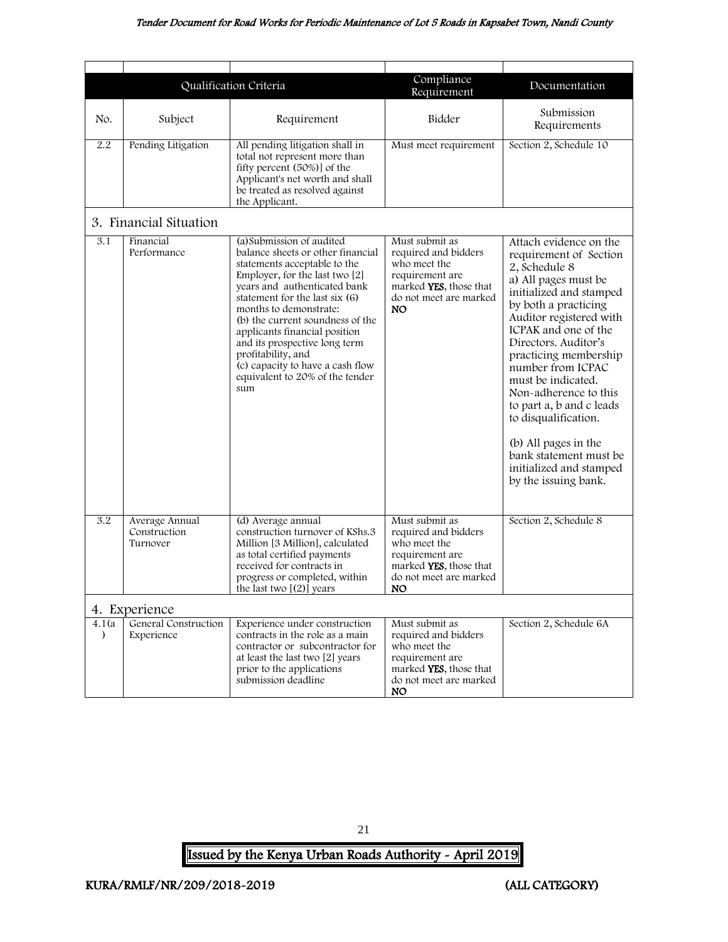<span id="page-21-0"></span>

|                     |                                            | Qualification Criteria                                                                                                                                                                                                                                                                                                                                                                                                                   | Compliance                                                                                                                           | Documentation                                                                                                                                                                                                                                                                                                                                                                                                                                                                 |
|---------------------|--------------------------------------------|------------------------------------------------------------------------------------------------------------------------------------------------------------------------------------------------------------------------------------------------------------------------------------------------------------------------------------------------------------------------------------------------------------------------------------------|--------------------------------------------------------------------------------------------------------------------------------------|-------------------------------------------------------------------------------------------------------------------------------------------------------------------------------------------------------------------------------------------------------------------------------------------------------------------------------------------------------------------------------------------------------------------------------------------------------------------------------|
|                     |                                            |                                                                                                                                                                                                                                                                                                                                                                                                                                          | Requirement                                                                                                                          |                                                                                                                                                                                                                                                                                                                                                                                                                                                                               |
| No.                 | Subject                                    | Requirement                                                                                                                                                                                                                                                                                                                                                                                                                              | Bidder                                                                                                                               | Submission<br>Requirements                                                                                                                                                                                                                                                                                                                                                                                                                                                    |
| 2.2                 | Pending Litigation                         | All pending litigation shall in<br>total not represent more than<br>fifty percent (50%)] of the<br>Applicant's net worth and shall<br>be treated as resolved against<br>the Applicant.                                                                                                                                                                                                                                                   | Must meet requirement                                                                                                                | Section 2, Schedule 10                                                                                                                                                                                                                                                                                                                                                                                                                                                        |
|                     | 3. Financial Situation                     |                                                                                                                                                                                                                                                                                                                                                                                                                                          |                                                                                                                                      |                                                                                                                                                                                                                                                                                                                                                                                                                                                                               |
| 3.1                 | Financial<br>Performance                   | (a) Submission of audited<br>balance sheets or other financial<br>statements acceptable to the<br>Employer, for the last two [2]<br>years and authenticated bank<br>statement for the last six $(6)$<br>months to demonstrate:<br>(b) the current soundness of the<br>applicants financial position<br>and its prospective long term<br>profitability, and<br>(c) capacity to have a cash flow<br>equivalent to 20% of the tender<br>sum | Must submit as<br>required and bidders<br>who meet the<br>requirement are<br>marked YES, those that<br>do not meet are marked<br>NO. | Attach evidence on the<br>requirement of Section<br>2, Schedule 8<br>a) All pages must be<br>initialized and stamped<br>by both a practicing<br>Auditor registered with<br>ICPAK and one of the<br>Directors. Auditor's<br>practicing membership<br>number from ICPAC<br>must be indicated.<br>Non-adherence to this<br>to part a, b and c leads<br>to disqualification.<br>(b) All pages in the<br>bank statement must be<br>initialized and stamped<br>by the issuing bank. |
| $\overline{3.2}$    | Average Annual<br>Construction<br>Turnover | (d) Average annual<br>construction turnover of KShs.3<br>Million [3 Million], calculated<br>as total certified payments<br>received for contracts in<br>progress or completed, within<br>the last two $[(2)]$ years                                                                                                                                                                                                                      | Must submit as<br>required and bidders<br>who meet the<br>requirement are<br>marked YES, those that<br>do not meet are marked<br>NO. | Section 2, Schedule 8                                                                                                                                                                                                                                                                                                                                                                                                                                                         |
|                     | 4. Experience                              |                                                                                                                                                                                                                                                                                                                                                                                                                                          |                                                                                                                                      |                                                                                                                                                                                                                                                                                                                                                                                                                                                                               |
| 4.1(a)<br>$\lambda$ | General Construction<br>Experience         | Experience under construction<br>contracts in the role as a main<br>contractor or subcontractor for<br>at least the last two [2] years<br>prior to the applications<br>submission deadline                                                                                                                                                                                                                                               | Must submit as<br>required and bidders<br>who meet the<br>requirement are<br>marked YES, those that<br>do not meet are marked<br>NO. | Section 2, Schedule 6A                                                                                                                                                                                                                                                                                                                                                                                                                                                        |

<span id="page-21-1"></span>21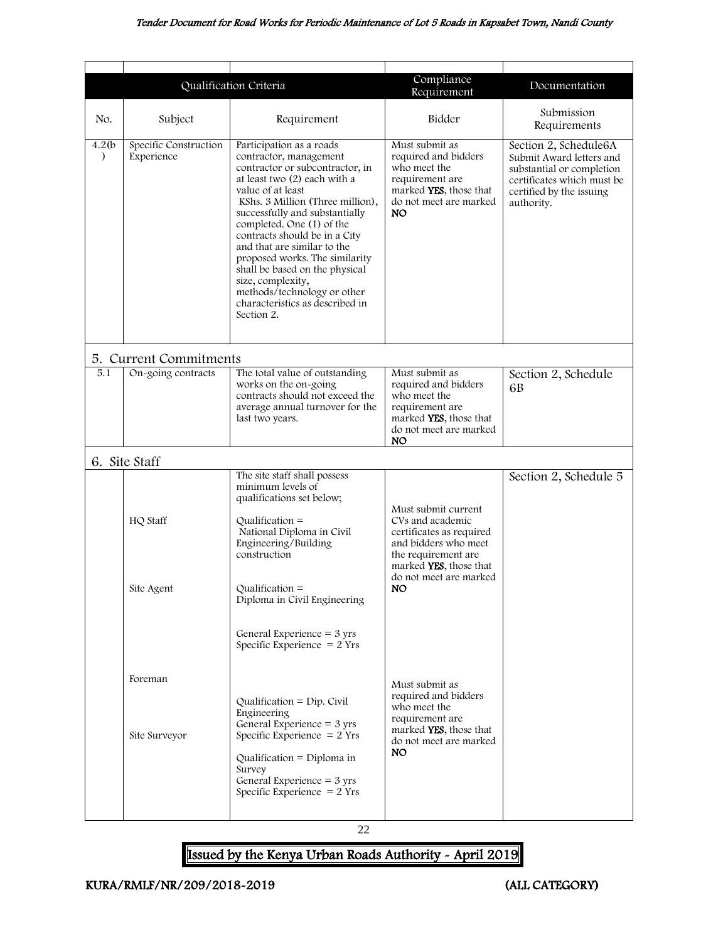<span id="page-22-1"></span><span id="page-22-0"></span>

|                     |                                     | Qualification Criteria                                                                                                                                                                                                                                                                                                                                                                                                                                                                 | Compliance<br>Requirement                                                                                                                    | Documentation                                                                                                                                          |
|---------------------|-------------------------------------|----------------------------------------------------------------------------------------------------------------------------------------------------------------------------------------------------------------------------------------------------------------------------------------------------------------------------------------------------------------------------------------------------------------------------------------------------------------------------------------|----------------------------------------------------------------------------------------------------------------------------------------------|--------------------------------------------------------------------------------------------------------------------------------------------------------|
| No.                 | Subject                             | Requirement                                                                                                                                                                                                                                                                                                                                                                                                                                                                            | Bidder                                                                                                                                       | Submission<br>Requirements                                                                                                                             |
| 4.2(b)<br>$\lambda$ | Specific Construction<br>Experience | Participation as a roads<br>contractor, management<br>contractor or subcontractor, in<br>at least two (2) each with a<br>value of at least<br>KShs. 3 Million (Three million),<br>successfully and substantially<br>completed. One (1) of the<br>contracts should be in a City<br>and that are similar to the<br>proposed works. The similarity<br>shall be based on the physical<br>size, complexity,<br>methods/technology or other<br>characteristics as described in<br>Section 2. | Must submit as<br>required and bidders<br>who meet the<br>requirement are<br>marked YES, those that<br>do not meet are marked<br>NO.         | Section 2, Schedule6A<br>Submit Award letters and<br>substantial or completion<br>certificates which must be<br>certified by the issuing<br>authority. |
|                     | 5. Current Commitments              |                                                                                                                                                                                                                                                                                                                                                                                                                                                                                        |                                                                                                                                              |                                                                                                                                                        |
| 5.1                 | On-going contracts                  | The total value of outstanding<br>works on the on-going<br>contracts should not exceed the<br>average annual turnover for the<br>last two years.                                                                                                                                                                                                                                                                                                                                       | Must submit as<br>required and bidders<br>who meet the<br>requirement are<br>marked YES, those that<br>do not meet are marked<br><b>NO</b>   | Section 2, Schedule<br>6 <sub>B</sub>                                                                                                                  |
|                     | 6. Site Staff                       |                                                                                                                                                                                                                                                                                                                                                                                                                                                                                        |                                                                                                                                              |                                                                                                                                                        |
|                     | HQ Staff                            | The site staff shall possess<br>minimum levels of<br>qualifications set below;<br>Qualification $=$<br>National Diploma in Civil<br>Engineering/Building<br>construction                                                                                                                                                                                                                                                                                                               | Must submit current<br>CVs and academic<br>certificates as required<br>and bidders who meet<br>the requirement are<br>marked YES, those that | Section 2, Schedule 5                                                                                                                                  |
|                     | Site Agent                          | $Qualification =$<br>Diploma in Civil Engineering<br>General Experience $=$ 3 yrs<br>Specific Experience $= 2$ Yrs                                                                                                                                                                                                                                                                                                                                                                     | do not meet are marked<br>NO.                                                                                                                |                                                                                                                                                        |
|                     | Foreman<br>Site Surveyor            | $Qualification = Dip. Civil$<br>Engineering<br>General Experience $=$ 3 yrs<br>Specific Experience $= 2$ Yrs<br>Qualification = Diploma in<br>Survey<br>General Experience $=$ 3 yrs<br>Specific Experience $= 2$ Yrs                                                                                                                                                                                                                                                                  | Must submit as<br>required and bidders<br>who meet the<br>requirement are<br>marked YES, those that<br>do not meet are marked<br>NO.         |                                                                                                                                                        |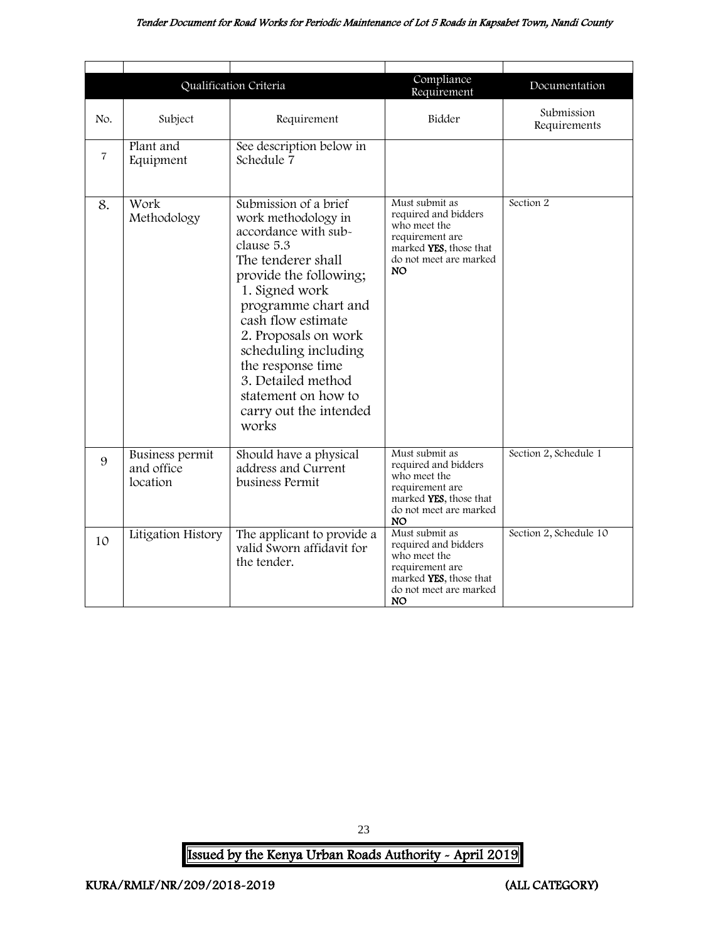#### Tender Document for Road Works for Periodic Maintenance of Lot 5 Roads in Kapsabet Town, Nandi County

|                |                                                  | Qualification Criteria                                                                                                                                                                                                                                                                                                                                 | Compliance<br>Requirement                                                                                                                  | Documentation              |
|----------------|--------------------------------------------------|--------------------------------------------------------------------------------------------------------------------------------------------------------------------------------------------------------------------------------------------------------------------------------------------------------------------------------------------------------|--------------------------------------------------------------------------------------------------------------------------------------------|----------------------------|
| No.            | Subject                                          | Requirement                                                                                                                                                                                                                                                                                                                                            | Bidder                                                                                                                                     | Submission<br>Requirements |
| $\overline{7}$ | Plant and<br>Equipment                           | See description below in<br>Schedule 7                                                                                                                                                                                                                                                                                                                 |                                                                                                                                            |                            |
| 8.             | Work<br>Methodology                              | Submission of a brief<br>work methodology in<br>accordance with sub-<br>clause 5.3<br>The tenderer shall<br>provide the following;<br>1. Signed work<br>programme chart and<br>cash flow estimate<br>2. Proposals on work<br>scheduling including<br>the response time<br>3. Detailed method<br>statement on how to<br>carry out the intended<br>works | Must submit as<br>required and bidders<br>who meet the<br>requirement are<br>marked YES, those that<br>do not meet are marked<br><b>NO</b> | Section 2                  |
| 9              | <b>Business permit</b><br>and office<br>location | Should have a physical<br>address and Current<br>business Permit                                                                                                                                                                                                                                                                                       | Must submit as<br>required and bidders<br>who meet the<br>requirement are<br>marked YES, those that<br>do not meet are marked<br>NO.       | Section 2, Schedule 1      |
| 10             | Litigation History                               | The applicant to provide a<br>valid Sworn affidavit for<br>the tender.                                                                                                                                                                                                                                                                                 | Must submit as<br>required and bidders<br>who meet the<br>requirement are<br>marked YES, those that<br>do not meet are marked<br>NO.       | Section 2, Schedule 10     |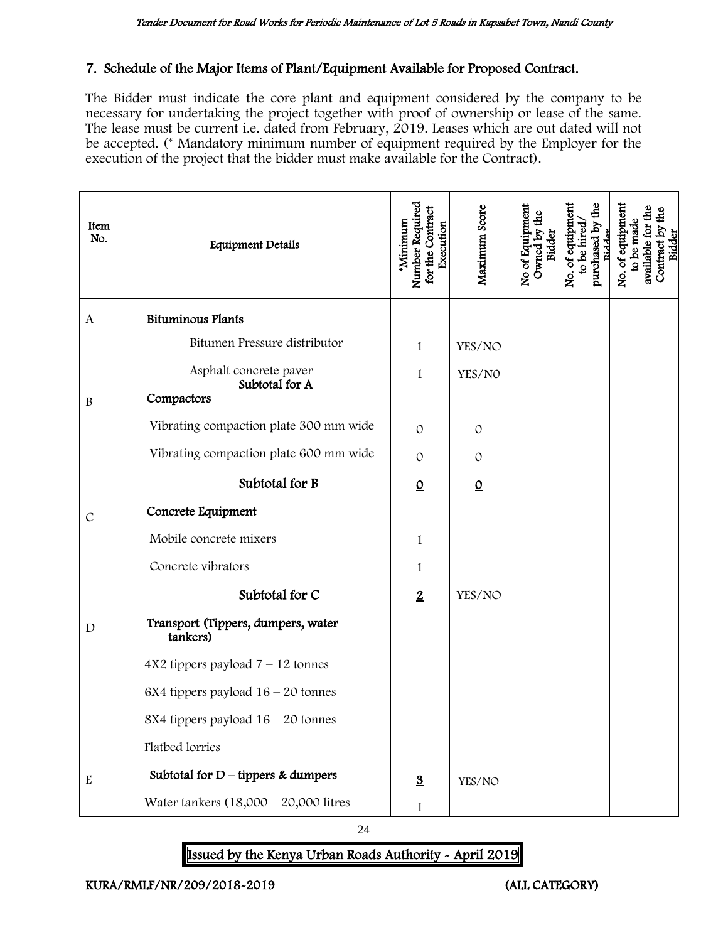#### 7. Schedule of the Major Items of Plant/Equipment Available for Proposed Contract.

The Bidder must indicate the core plant and equipment considered by the company to be necessary for undertaking the project together with proof of ownership or lease of the same. The lease must be current i.e. dated from February, 2019. Leases which are out dated will not be accepted. (\* Mandatory minimum number of equipment required by the Employer for the execution of the project that the bidder must make available for the Contract).

| Item<br>No.   | <b>Equipment Details</b>                       | Number Required<br>for the Contract<br>*Minimum<br>Execution | Maximum Score   | No of Equipment<br>Owned by the<br>Bidder | No. of equipment<br>purchased by the<br>to be hired<br>Ridder | No. of equipment<br>Contract by the<br>Bidder<br>available for th<br>to be made |
|---------------|------------------------------------------------|--------------------------------------------------------------|-----------------|-------------------------------------------|---------------------------------------------------------------|---------------------------------------------------------------------------------|
| $\mathbf{A}$  | <b>Bituminous Plants</b>                       |                                                              |                 |                                           |                                                               |                                                                                 |
|               | Bitumen Pressure distributor                   | 1                                                            | YES/NO          |                                           |                                                               |                                                                                 |
|               | Asphalt concrete paver<br>Subtotal for A       | 1                                                            | YES/NO          |                                           |                                                               |                                                                                 |
| $\, {\bf B}$  | Compactors                                     |                                                              |                 |                                           |                                                               |                                                                                 |
|               | Vibrating compaction plate 300 mm wide         | $\Omega$                                                     | $\Omega$        |                                           |                                                               |                                                                                 |
|               | Vibrating compaction plate 600 mm wide         | $\Omega$                                                     | $\Omega$        |                                           |                                                               |                                                                                 |
|               | Subtotal for B                                 | $\underline{0}$                                              | $\underline{0}$ |                                           |                                                               |                                                                                 |
| $\mathcal{C}$ | Concrete Equipment                             |                                                              |                 |                                           |                                                               |                                                                                 |
|               | Mobile concrete mixers                         | 1                                                            |                 |                                           |                                                               |                                                                                 |
|               | Concrete vibrators                             | 1                                                            |                 |                                           |                                                               |                                                                                 |
|               | Subtotal for C                                 | $\overline{2}$                                               | YES/NO          |                                           |                                                               |                                                                                 |
| $\mathbf D$   | Transport (Tippers, dumpers, water<br>tankers) |                                                              |                 |                                           |                                                               |                                                                                 |
|               | $4X2$ tippers payload $7 - 12$ tonnes          |                                                              |                 |                                           |                                                               |                                                                                 |
|               | 6X4 tippers payload $16 - 20$ tonnes           |                                                              |                 |                                           |                                                               |                                                                                 |
|               | 8X4 tippers payload 16 - 20 tonnes             |                                                              |                 |                                           |                                                               |                                                                                 |
|               | Flatbed lorries                                |                                                              |                 |                                           |                                                               |                                                                                 |
| ${\bf E}$     | Subtotal for $D$ – tippers & dumpers           | $\underline{3}$                                              | YES/NO          |                                           |                                                               |                                                                                 |
|               | Water tankers $(18,000 - 20,000)$ litres       | $\mathbf 1$                                                  |                 |                                           |                                                               |                                                                                 |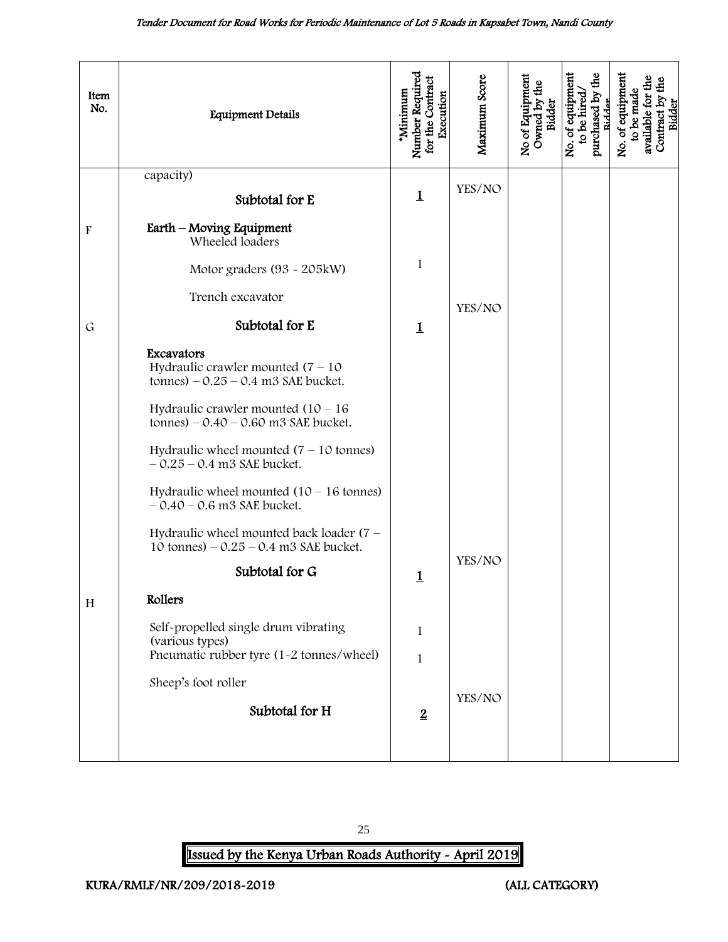<span id="page-25-0"></span>

| Item<br>No.               | <b>Equipment Details</b>                                                                   | Number Requirec<br>for the Contract<br><b>Minimum</b><br>Execution | Maximum Score | No of Equipment<br>Owned by the<br><b>Bidder</b> | purchased by the<br>No. of equipment<br>to be hired<br>Ridder | No. of equipment<br>Contract by the<br>Bidder<br>available for th<br>to be made |
|---------------------------|--------------------------------------------------------------------------------------------|--------------------------------------------------------------------|---------------|--------------------------------------------------|---------------------------------------------------------------|---------------------------------------------------------------------------------|
|                           | capacity)                                                                                  |                                                                    | YES/NO        |                                                  |                                                               |                                                                                 |
|                           | Subtotal for E                                                                             | $\mathbf 1$                                                        |               |                                                  |                                                               |                                                                                 |
| $\boldsymbol{\mathrm{F}}$ | Earth - Moving Equipment<br>Wheeled loaders                                                |                                                                    |               |                                                  |                                                               |                                                                                 |
|                           | Motor graders (93 - 205kW)                                                                 | $\mathbf{1}$                                                       |               |                                                  |                                                               |                                                                                 |
|                           | Trench excavator                                                                           |                                                                    | YES/NO        |                                                  |                                                               |                                                                                 |
| $\mathsf{G}$              | Subtotal for E                                                                             | $\mathbf 1$                                                        |               |                                                  |                                                               |                                                                                 |
|                           | Excavators<br>Hydraulic crawler mounted $(7 - 10)$<br>tonnes) $-0.25 - 0.4$ m3 SAE bucket. |                                                                    |               |                                                  |                                                               |                                                                                 |
|                           | Hydraulic crawler mounted $(10 - 16)$<br>tonnes) $-0.40 - 0.60$ m3 SAE bucket.             |                                                                    |               |                                                  |                                                               |                                                                                 |
|                           | Hydraulic wheel mounted $(7 - 10)$ tonnes)<br>$-0.25 - 0.4$ m3 SAE bucket.                 |                                                                    |               |                                                  |                                                               |                                                                                 |
|                           | Hydraulic wheel mounted $(10 - 16$ tonnes)<br>$-0.40 - 0.6$ m3 SAE bucket.                 |                                                                    |               |                                                  |                                                               |                                                                                 |
|                           | Hydraulic wheel mounted back loader $(7 -$<br>10 tonnes) $-0.25 - 0.4$ m3 SAE bucket.      |                                                                    |               |                                                  |                                                               |                                                                                 |
|                           | Subtotal for G                                                                             | $\mathbf 1$                                                        | YES/NO        |                                                  |                                                               |                                                                                 |
| H                         | Rollers                                                                                    |                                                                    |               |                                                  |                                                               |                                                                                 |
|                           | Self-propelled single drum vibrating<br>(various types)                                    | $\mathbf{1}$                                                       |               |                                                  |                                                               |                                                                                 |
|                           | Pneumatic rubber tyre (1-2 tonnes/wheel)                                                   | $\mathbbm{1}$                                                      |               |                                                  |                                                               |                                                                                 |
|                           | Sheep's foot roller                                                                        |                                                                    |               |                                                  |                                                               |                                                                                 |
|                           | Subtotal for H                                                                             | $\overline{2}$                                                     | YES/NO        |                                                  |                                                               |                                                                                 |
|                           |                                                                                            |                                                                    |               |                                                  |                                                               |                                                                                 |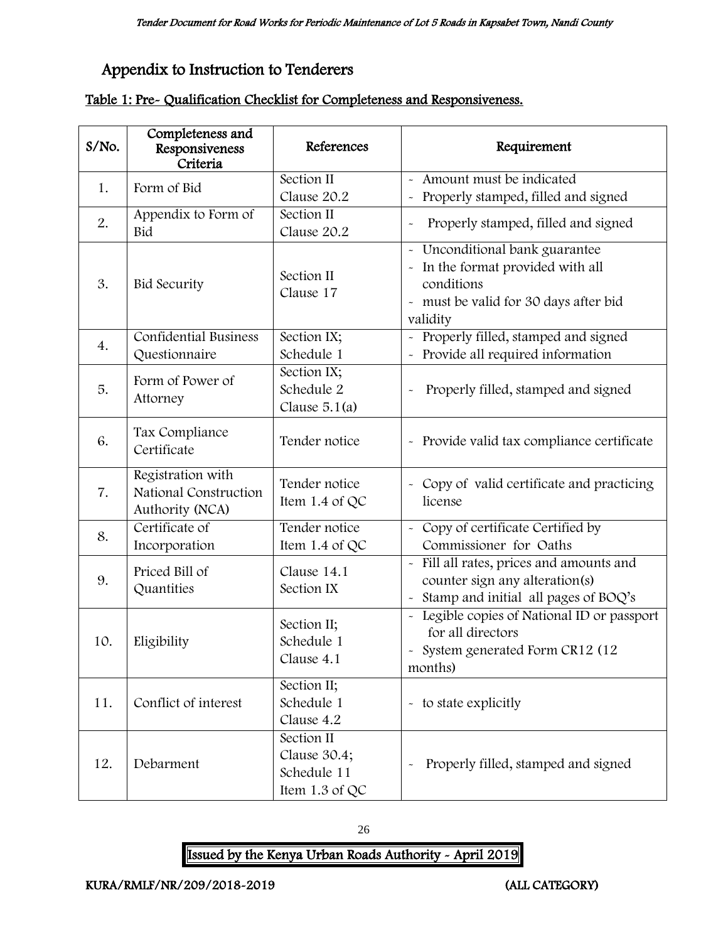# Appendix to Instruction to Tenderers

|  | Table 1: Pre- Qualification Checklist for Completeness and Responsiveness. |  |
|--|----------------------------------------------------------------------------|--|
|  |                                                                            |  |

| S/No. | Completeness and<br>Responsiveness<br>Criteria                | References                                                  | Requirement                                                                                                                            |
|-------|---------------------------------------------------------------|-------------------------------------------------------------|----------------------------------------------------------------------------------------------------------------------------------------|
| 1.    | Form of Bid                                                   | Section II<br>Clause 20.2                                   | - Amount must be indicated<br>Properly stamped, filled and signed                                                                      |
| 2.    | Appendix to Form of<br>Bid                                    | Section II<br>Clause 20.2                                   | Properly stamped, filled and signed<br>$\ddot{\phantom{0}}$                                                                            |
| 3.    | <b>Bid Security</b>                                           | Section II<br>Clause 17                                     | - Unconditional bank guarantee<br>- In the format provided with all<br>conditions<br>- must be valid for 30 days after bid<br>validity |
| 4.    | <b>Confidential Business</b><br>Questionnaire                 | Section IX;<br>Schedule 1                                   | - Properly filled, stamped and signed<br>Provide all required information                                                              |
| 5.    | Form of Power of<br>Attorney                                  | Section IX;<br>Schedule 2<br>Clause $5.1(a)$                | Properly filled, stamped and signed                                                                                                    |
| 6.    | Tax Compliance<br>Certificate                                 | Tender notice                                               | - Provide valid tax compliance certificate                                                                                             |
| 7.    | Registration with<br>National Construction<br>Authority (NCA) | Tender notice<br>Item 1.4 of QC                             | - Copy of valid certificate and practicing<br>license                                                                                  |
| 8.    | Certificate of<br>Incorporation                               | Tender notice<br>Item 1.4 of QC                             | - Copy of certificate Certified by<br>Commissioner for Oaths                                                                           |
| 9.    | Priced Bill of<br>Quantities                                  | Clause 14.1<br>Section IX                                   | Fill all rates, prices and amounts and<br>counter sign any alteration(s)<br>Stamp and initial all pages of BOQ's                       |
| 10.   | Eligibility                                                   | Section II;<br>Schedule 1<br>Clause 4.1                     | - Legible copies of National ID or passport<br>for all directors<br>- System generated Form CR12 (12<br>months)                        |
| 11.   | Conflict of interest                                          | Section II;<br>Schedule 1<br>Clause 4.2                     | - to state explicitly                                                                                                                  |
| 12.   | Debarment                                                     | Section II<br>Clause 30.4;<br>Schedule 11<br>Item 1.3 of QC | Properly filled, stamped and signed                                                                                                    |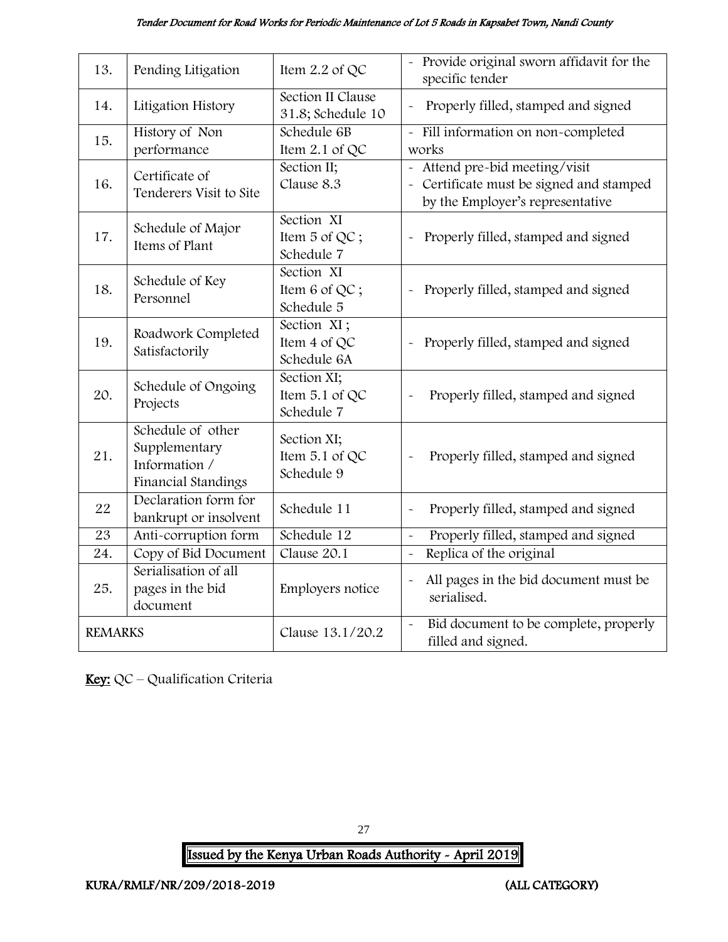#### Tender Document for Road Works for Periodic Maintenance of Lot 5 Roads in Kapsabet Town, Nandi County

| 13.             | Pending Litigation                                                         | Item 2.2 of QC                              | - Provide original sworn affidavit for the<br>specific tender                                                |
|-----------------|----------------------------------------------------------------------------|---------------------------------------------|--------------------------------------------------------------------------------------------------------------|
| 14.             | Litigation History                                                         | Section II Clause<br>31.8; Schedule 10      | Properly filled, stamped and signed                                                                          |
| 15.             | History of Non<br>performance                                              | Schedule 6B<br>Item 2.1 of QC               | - Fill information on non-completed<br>works                                                                 |
| 16.             | Certificate of<br>Tenderers Visit to Site                                  | Section II;<br>Clause 8.3                   | Attend pre-bid meeting/visit<br>- Certificate must be signed and stamped<br>by the Employer's representative |
| 17.             | Schedule of Major<br>Items of Plant                                        | Section XI<br>Item 5 of QC;<br>Schedule 7   | Properly filled, stamped and signed<br>$\ddot{\phantom{0}}$                                                  |
| 18.             | Schedule of Key<br>Personnel                                               | Section XI<br>Item 6 of QC;<br>Schedule 5   | Properly filled, stamped and signed                                                                          |
| 19.             | Roadwork Completed<br>Satisfactorily                                       | Section XI;<br>Item 4 of QC<br>Schedule 6A  | Properly filled, stamped and signed<br>$\ddot{\phantom{0}}$                                                  |
| 20.             | Schedule of Ongoing<br>Projects                                            | Section XI;<br>Item 5.1 of QC<br>Schedule 7 | Properly filled, stamped and signed                                                                          |
| 21.             | Schedule of other<br>Supplementary<br>Information /<br>Financial Standings | Section XI;<br>Item 5.1 of QC<br>Schedule 9 | Properly filled, stamped and signed                                                                          |
| 22              | Declaration form for<br>bankrupt or insolvent                              | Schedule 11                                 | Properly filled, stamped and signed<br>$\ddot{\phantom{0}}$                                                  |
| $\overline{23}$ | Anti-corruption form                                                       | Schedule 12                                 | Properly filled, stamped and signed<br>$\tilde{\phantom{a}}$                                                 |
| 24.             | Copy of Bid Document                                                       | Clause 20.1                                 | Replica of the original<br>$\tilde{\phantom{a}}$                                                             |
| 25.             | Serialisation of all<br>pages in the bid<br>document                       | Employers notice                            | All pages in the bid document must be<br>$\tilde{}$<br>serialised.                                           |
| <b>REMARKS</b>  |                                                                            | Clause 13.1/20.2                            | Bid document to be complete, properly<br>$\tilde{}$<br>filled and signed.                                    |

Key: QC - Qualification Criteria

27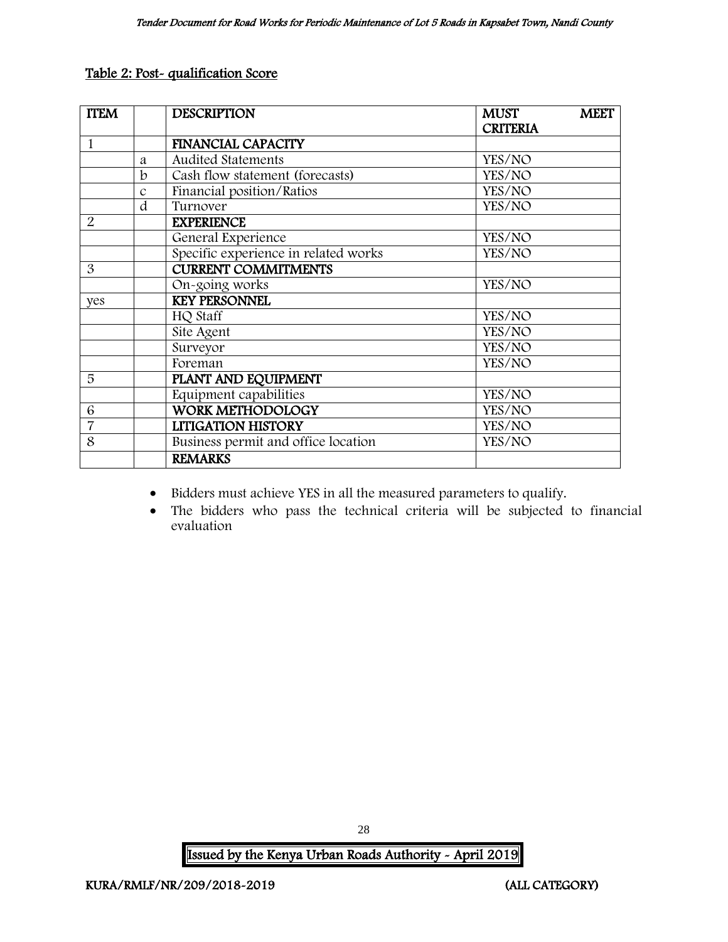#### Table 2: Post- qualification Score

| <b>ITEM</b>    |               | <b>DESCRIPTION</b>                   | <b>MUST</b>     | <b>MEET</b> |
|----------------|---------------|--------------------------------------|-----------------|-------------|
|                |               |                                      | <b>CRITERIA</b> |             |
| $\mathbf{1}$   |               | <b>FINANCIAL CAPACITY</b>            |                 |             |
|                | a             | <b>Audited Statements</b>            | YES/NO          |             |
|                | $\mathbf b$   | Cash flow statement (forecasts)      | YES/NO          |             |
|                | $\mathcal{C}$ | Financial position/Ratios            | YES/NO          |             |
|                | d             | Turnover                             | YES/NO          |             |
| $\overline{2}$ |               | <b>EXPERIENCE</b>                    |                 |             |
|                |               | General Experience                   | YES/NO          |             |
|                |               | Specific experience in related works | YES/NO          |             |
| 3              |               | <b>CURRENT COMMITMENTS</b>           |                 |             |
|                |               | On-going works                       | YES/NO          |             |
| yes            |               | <b>KEY PERSONNEL</b>                 |                 |             |
|                |               | HQ Staff                             | YES/NO          |             |
|                |               | Site Agent                           | YES/NO          |             |
|                |               | Surveyor                             | YES/NO          |             |
|                |               | Foreman                              | YES/NO          |             |
| 5              |               | PLANT AND EQUIPMENT                  |                 |             |
|                |               | Equipment capabilities               | YES/NO          |             |
| 6              |               | <b>WORK METHODOLOGY</b>              | YES/NO          |             |
| $\overline{7}$ |               | <b>LITIGATION HISTORY</b>            | YES/NO          |             |
| 8              |               | Business permit and office location  | YES/NO          |             |
|                |               | <b>REMARKS</b>                       |                 |             |

- Bidders must achieve YES in all the measured parameters to qualify.
- The bidders who pass the technical criteria will be subjected to financial evaluation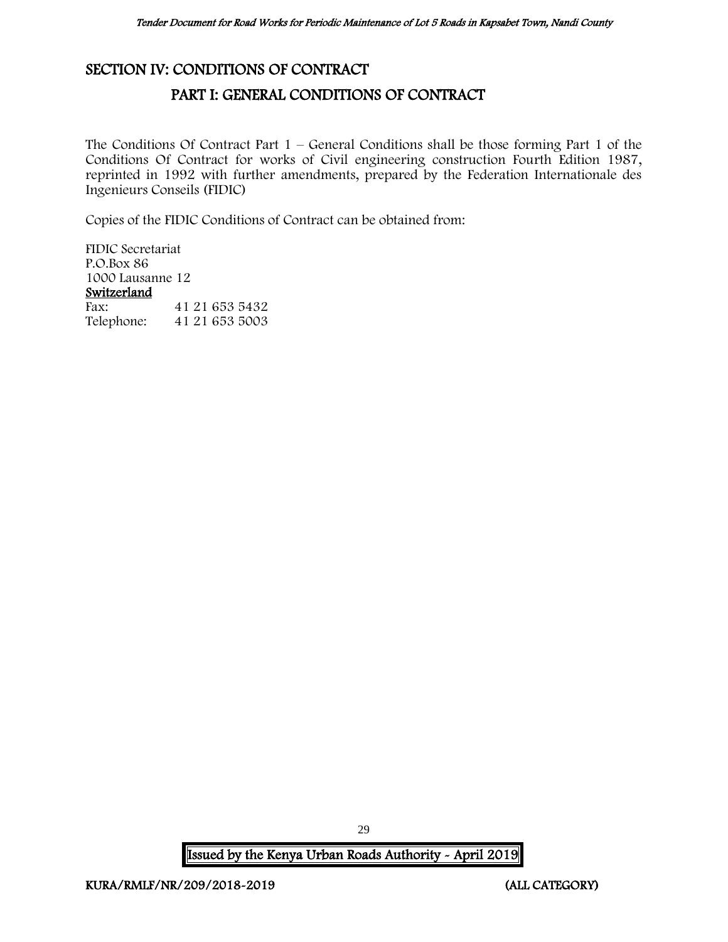## <span id="page-29-1"></span><span id="page-29-0"></span>SECTION IV: CONDITIONS OF CONTRACT

# PART I: GENERAL CONDITIONS OF CONTRACT

The Conditions Of Contract Part  $1$  – General Conditions shall be those forming Part 1 of the Conditions Of Contract for works of Civil engineering construction Fourth Edition 1987, reprinted in 1992 with further amendments, prepared by the Federation Internationale des Ingenieurs Conseils (FIDIC)

Copies of the FIDIC Conditions of Contract can be obtained from:

FIDIC Secretariat P.O.Box 86 1000 Lausanne 12 Switzerland<br>Fax: Fax: 41 21 653 5432<br>Telephone: 41 21 653 5003 Telephone: 41 21 653 5003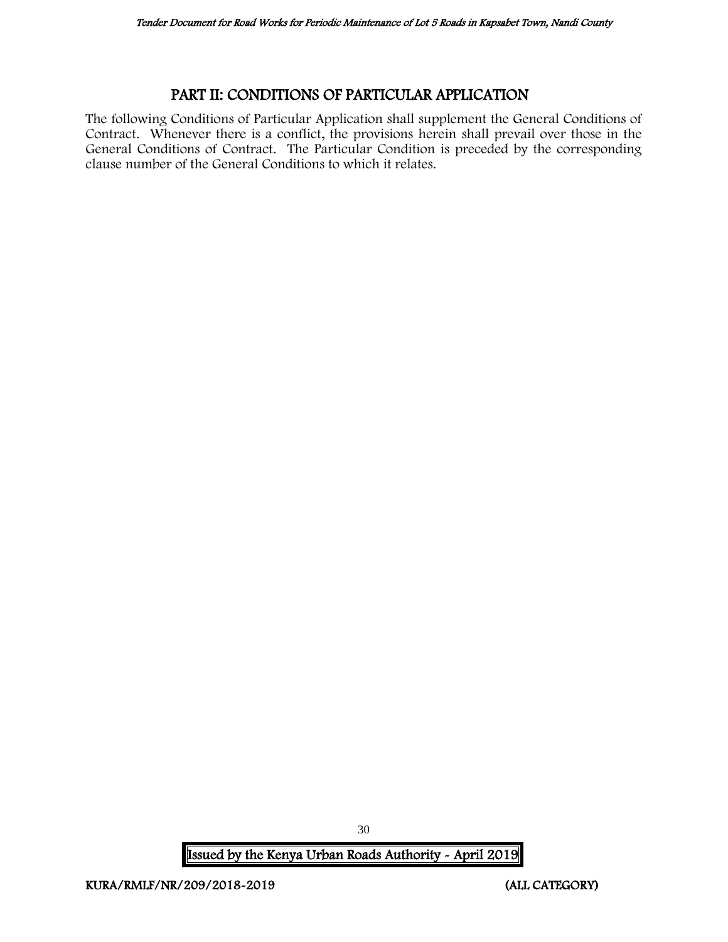#### PART II: CONDITIONS OF PARTICULAR APPLICATION

<span id="page-30-0"></span>The following Conditions of Particular Application shall supplement the General Conditions of Contract. Whenever there is a conflict, the provisions herein shall prevail over those in the General Conditions of Contract. The Particular Condition is preceded by the corresponding clause number of the General Conditions to which it relates.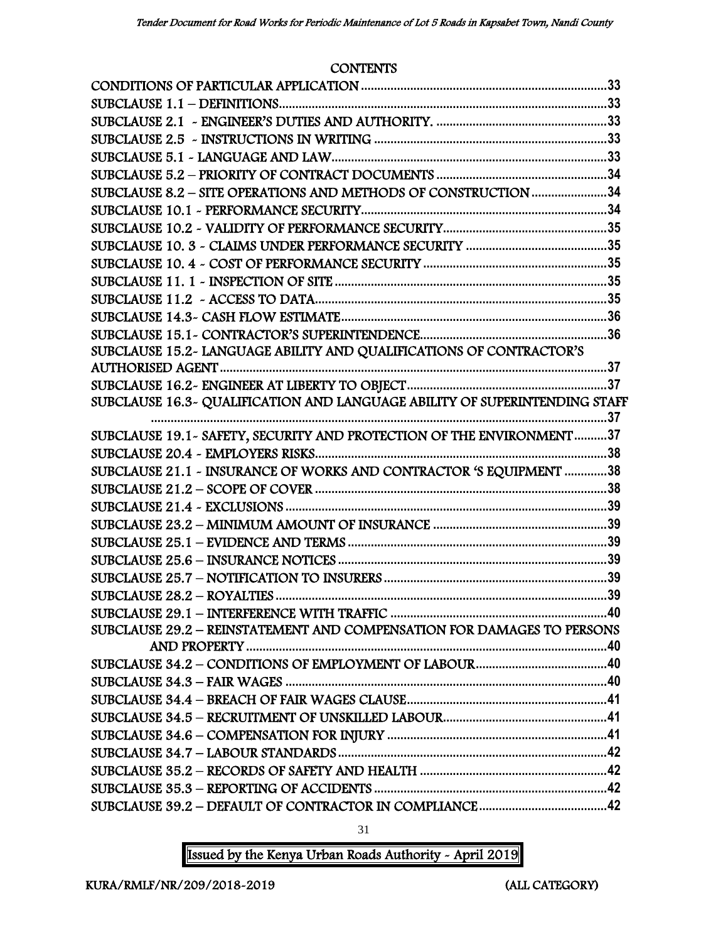#### **CONTENTS**

| SUBCLAUSE 8.2 - SITE OPERATIONS AND METHODS OF CONSTRUCTION 34             |  |
|----------------------------------------------------------------------------|--|
|                                                                            |  |
|                                                                            |  |
|                                                                            |  |
|                                                                            |  |
|                                                                            |  |
|                                                                            |  |
|                                                                            |  |
|                                                                            |  |
| SUBCLAUSE 15.2- LANGUAGE ABILITY AND QUALIFICATIONS OF CONTRACTOR'S        |  |
|                                                                            |  |
|                                                                            |  |
| SUBCLAUSE 16.3~ QUALIFICATION AND LANGUAGE ABILITY OF SUPERINTENDING STAFF |  |
|                                                                            |  |
| SUBCLAUSE 19.1 - SAFETY, SECURITY AND PROTECTION OF THE ENVIRONMENT37      |  |
|                                                                            |  |
| SUBCLAUSE 21.1 - INSURANCE OF WORKS AND CONTRACTOR 'S EQUIPMENT 38         |  |
|                                                                            |  |
|                                                                            |  |
|                                                                            |  |
|                                                                            |  |
|                                                                            |  |
|                                                                            |  |
|                                                                            |  |
|                                                                            |  |
| SUBCLAUSE 29.2 - REINSTATEMENT AND COMPENSATION FOR DAMAGES TO PERSONS     |  |
|                                                                            |  |
|                                                                            |  |
|                                                                            |  |
|                                                                            |  |
|                                                                            |  |
|                                                                            |  |
|                                                                            |  |
|                                                                            |  |
|                                                                            |  |
|                                                                            |  |

31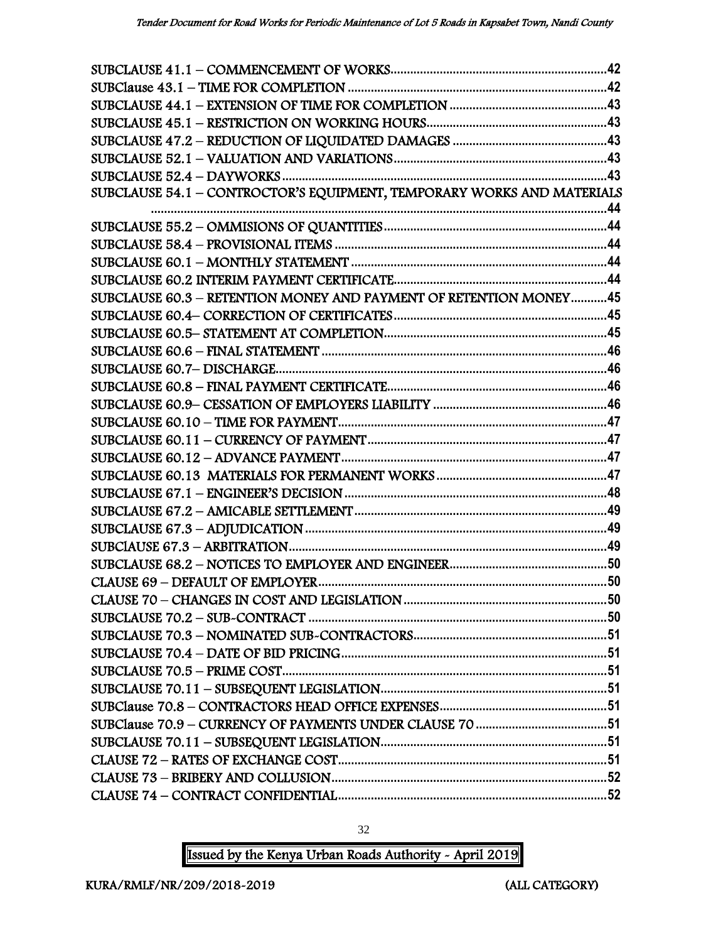| SUBCLAUSE 54.1 - CONTROCTOR'S EQUIPMENT, TEMPORARY WORKS AND MATERIALS |  |
|------------------------------------------------------------------------|--|
|                                                                        |  |
|                                                                        |  |
|                                                                        |  |
|                                                                        |  |
|                                                                        |  |
| SUBCLAUSE 60.3 - RETENTION MONEY AND PAYMENT OF RETENTION MONEY45      |  |
|                                                                        |  |
|                                                                        |  |
|                                                                        |  |
|                                                                        |  |
|                                                                        |  |
|                                                                        |  |
|                                                                        |  |
|                                                                        |  |
|                                                                        |  |
|                                                                        |  |
|                                                                        |  |
|                                                                        |  |
|                                                                        |  |
|                                                                        |  |
|                                                                        |  |
|                                                                        |  |
|                                                                        |  |
|                                                                        |  |
|                                                                        |  |
|                                                                        |  |
|                                                                        |  |
|                                                                        |  |
|                                                                        |  |
|                                                                        |  |
|                                                                        |  |
|                                                                        |  |
|                                                                        |  |
|                                                                        |  |

Issued by the Kenya Urban Roads Authority - April 2019

32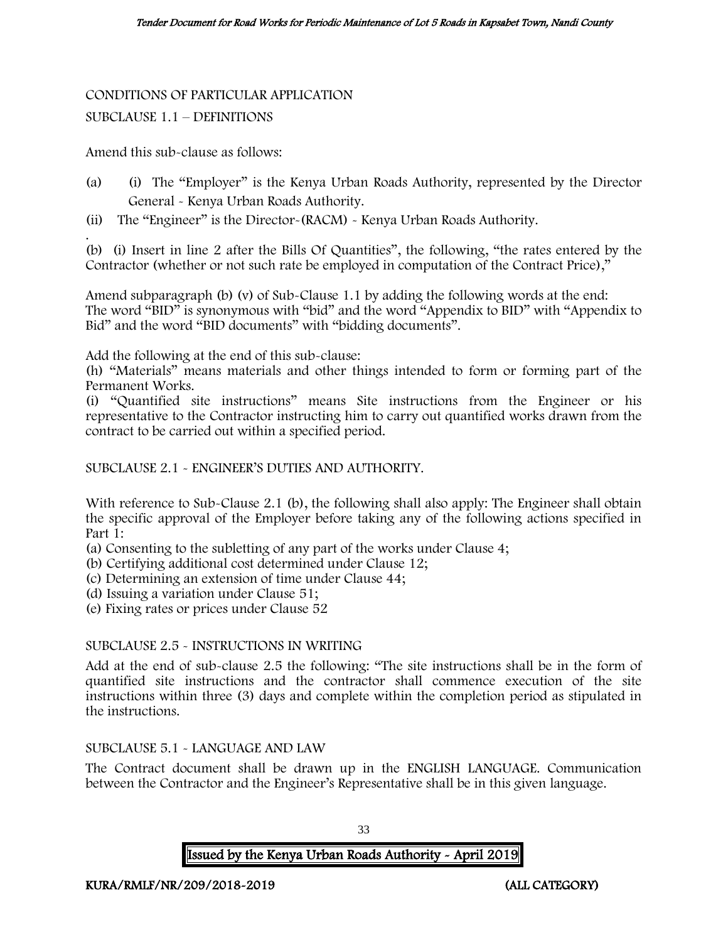# CONDITIONS OF PARTICULAR APPLICATION

#### SUBCLAUSE 1.1 – DEFINITIONS

#### Amend this sub-clause as follows:

- (a) (i) The "Employer" is the Kenya Urban Roads Authority, represented by the Director General - Kenya Urban Roads Authority.
- (ii) The "Engineer" is the Director-(RACM) Kenya Urban Roads Authority.

. (b) (i) Insert in line 2 after the Bills Of Quantities", the following, "the rates entered by the Contractor (whether or not such rate be employed in computation of the Contract Price),"

Amend subparagraph (b) (v) of Sub-Clause 1.1 by adding the following words at the end: The word "BID" is synonymous with "bid" and the word "Appendix to BID" with "Appendix to Bid" and the word "BID documents" with "bidding documents".

Add the following at the end of this sub-clause:

(h) "Materials" means materials and other things intended to form or forming part of the Permanent Works.

(i) "Quantified site instructions" means Site instructions from the Engineer or his representative to the Contractor instructing him to carry out quantified works drawn from the contract to be carried out within a specified period.

SUBCLAUSE 2.1 - ENGINEER'S DUTIES AND AUTHORITY.

With reference to Sub-Clause 2.1 (b), the following shall also apply: The Engineer shall obtain the specific approval of the Employer before taking any of the following actions specified in Part 1:

- (a) Consenting to the subletting of any part of the works under Clause 4;
- (b) Certifying additional cost determined under Clause 12;
- (c) Determining an extension of time under Clause 44;
- (d) Issuing a variation under Clause 51;
- (e) Fixing rates or prices under Clause 52

#### SUBCLAUSE 2.5 - INSTRUCTIONS IN WRITING

Add at the end of sub-clause 2.5 the following: "The site instructions shall be in the form of quantified site instructions and the contractor shall commence execution of the site instructions within three (3) days and complete within the completion period as stipulated in the instructions.

#### SUBCLAUSE 5.1 - LANGUAGE AND LAW

The Contract document shall be drawn up in the ENGLISH LANGUAGE. Communication between the Contractor and the Engineer's Representative shall be in this given language.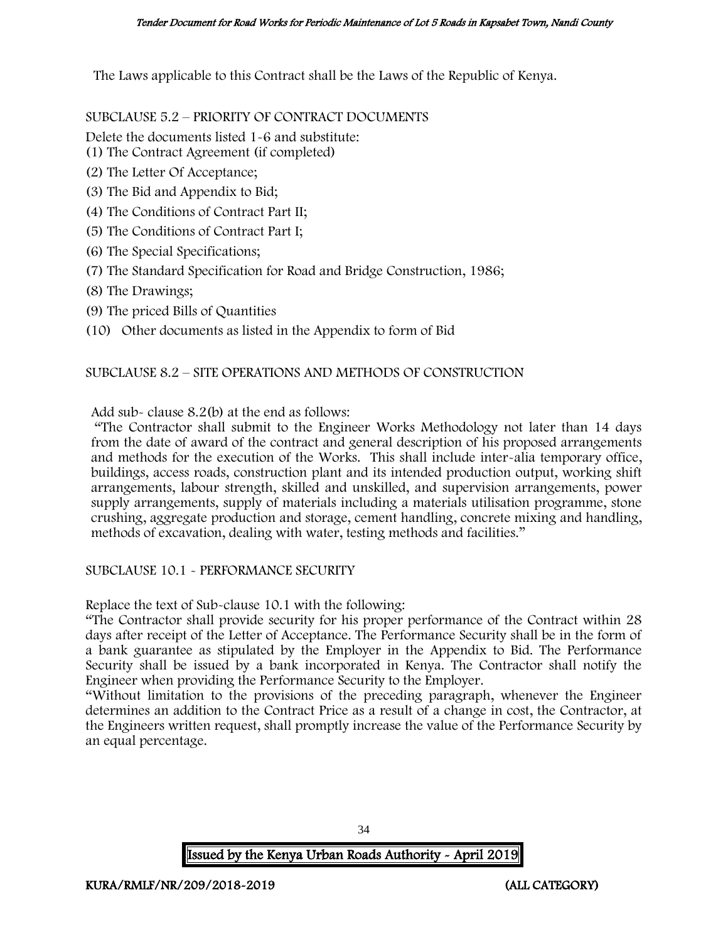The Laws applicable to this Contract shall be the Laws of the Republic of Kenya.

SUBCLAUSE 5.2 – PRIORITY OF CONTRACT DOCUMENTS

Delete the documents listed 1-6 and substitute:

- (1) The Contract Agreement (if completed)
- (2) The Letter Of Acceptance;
- (3) The Bid and Appendix to Bid;
- (4) The Conditions of Contract Part II;
- (5) The Conditions of Contract Part I;
- (6) The Special Specifications;
- (7) The Standard Specification for Road and Bridge Construction, 1986;
- (8) The Drawings;
- (9) The priced Bills of Quantities
- (10) Other documents as listed in the Appendix to form of Bid

#### SUBCLAUSE 8.2 – SITE OPERATIONS AND METHODS OF CONSTRUCTION

Add sub- clause 8.2(b) at the end as follows:

"The Contractor shall submit to the Engineer Works Methodology not later than 14 days from the date of award of the contract and general description of his proposed arrangements and methods for the execution of the Works. This shall include inter-alia temporary office, buildings, access roads, construction plant and its intended production output, working shift arrangements, labour strength, skilled and unskilled, and supervision arrangements, power supply arrangements, supply of materials including a materials utilisation programme, stone crushing, aggregate production and storage, cement handling, concrete mixing and handling, methods of excavation, dealing with water, testing methods and facilities."

#### SUBCLAUSE 10.1 - PERFORMANCE SECURITY

Replace the text of Sub-clause 10.1 with the following:

"The Contractor shall provide security for his proper performance of the Contract within 28 days after receipt of the Letter of Acceptance. The Performance Security shall be in the form of a bank guarantee as stipulated by the Employer in the Appendix to Bid. The Performance Security shall be issued by a bank incorporated in Kenya. The Contractor shall notify the Engineer when providing the Performance Security to the Employer.

"Without limitation to the provisions of the preceding paragraph, whenever the Engineer determines an addition to the Contract Price as a result of a change in cost, the Contractor, at the Engineers written request, shall promptly increase the value of the Performance Security by an equal percentage.

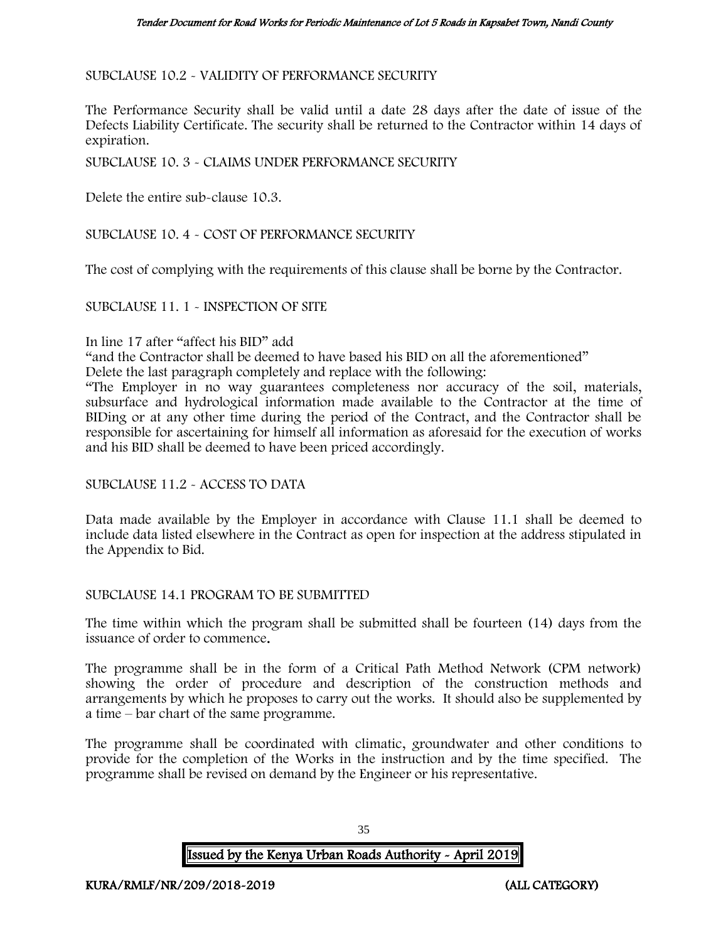SUBCLAUSE 10.2 - VALIDITY OF PERFORMANCE SECURITY

The Performance Security shall be valid until a date 28 days after the date of issue of the Defects Liability Certificate. The security shall be returned to the Contractor within 14 days of expiration.

SUBCLAUSE 10. 3 - CLAIMS UNDER PERFORMANCE SECURITY

Delete the entire sub-clause 10.3.

SUBCLAUSE 10. 4 - COST OF PERFORMANCE SECURITY

The cost of complying with the requirements of this clause shall be borne by the Contractor.

SUBCLAUSE 11. 1 - INSPECTION OF SITE

#### In line 17 after "affect his BID" add

"and the Contractor shall be deemed to have based his BID on all the aforementioned"

Delete the last paragraph completely and replace with the following:

"The Employer in no way guarantees completeness nor accuracy of the soil, materials, subsurface and hydrological information made available to the Contractor at the time of BIDing or at any other time during the period of the Contract, and the Contractor shall be responsible for ascertaining for himself all information as aforesaid for the execution of works and his BID shall be deemed to have been priced accordingly.

SUBCLAUSE 11.2 - ACCESS TO DATA

Data made available by the Employer in accordance with Clause 11.1 shall be deemed to include data listed elsewhere in the Contract as open for inspection at the address stipulated in the Appendix to Bid.

SUBCLAUSE 14.1 PROGRAM TO BE SUBMITTED

The time within which the program shall be submitted shall be fourteen (14) days from the issuance of order to commence.

The programme shall be in the form of a Critical Path Method Network (CPM network) showing the order of procedure and description of the construction methods and arrangements by which he proposes to carry out the works. It should also be supplemented by a time – bar chart of the same programme.

The programme shall be coordinated with climatic, groundwater and other conditions to provide for the completion of the Works in the instruction and by the time specified. The programme shall be revised on demand by the Engineer or his representative.

Issued by the Kenya Urban Roads Authority - April 2019

35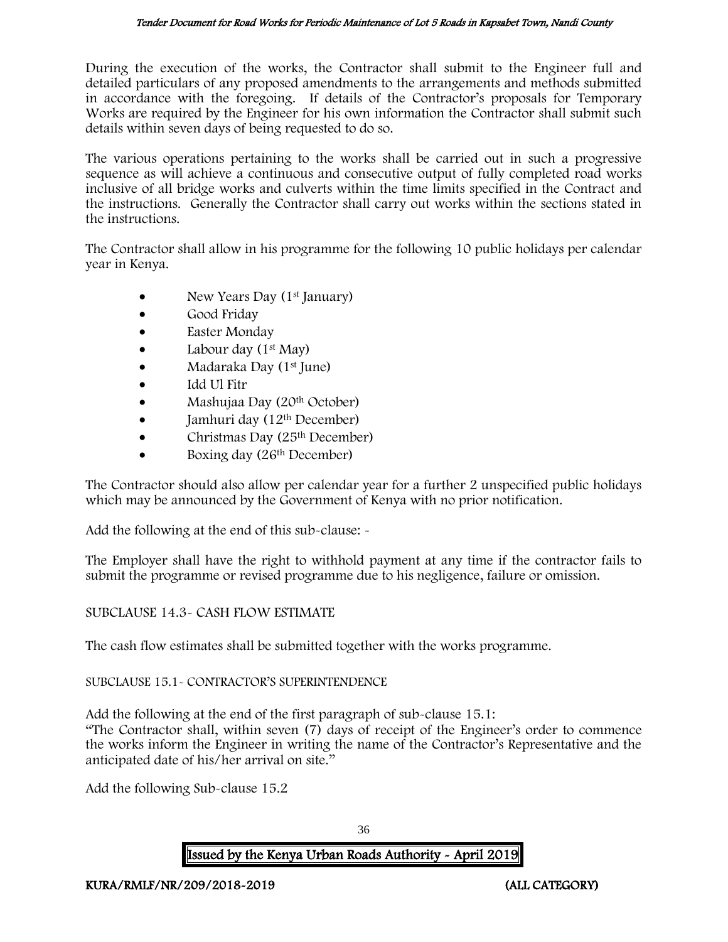During the execution of the works, the Contractor shall submit to the Engineer full and detailed particulars of any proposed amendments to the arrangements and methods submitted in accordance with the foregoing. If details of the Contractor's proposals for Temporary Works are required by the Engineer for his own information the Contractor shall submit such details within seven days of being requested to do so.

The various operations pertaining to the works shall be carried out in such a progressive sequence as will achieve a continuous and consecutive output of fully completed road works inclusive of all bridge works and culverts within the time limits specified in the Contract and the instructions. Generally the Contractor shall carry out works within the sections stated in the instructions.

The Contractor shall allow in his programme for the following 10 public holidays per calendar year in Kenya.

- New Years Day  $(1<sup>st</sup>$  January)
- Good Friday
- Easter Monday
- Labour day  $(1<sup>st</sup>$  May)
- Madaraka Day (1st June)
- Idd Ul Fitr
- Mashujaa Day (20th October)
- $\bullet$  Jamhuri day (12<sup>th</sup> December)
- Christmas Day  $(25<sup>th</sup> December)$
- Boxing day (26<sup>th</sup> December)

The Contractor should also allow per calendar year for a further 2 unspecified public holidays which may be announced by the Government of Kenya with no prior notification.

Add the following at the end of this sub-clause: -

The Employer shall have the right to withhold payment at any time if the contractor fails to submit the programme or revised programme due to his negligence, failure or omission.

## SUBCLAUSE 14.3- CASH FLOW ESTIMATE

The cash flow estimates shall be submitted together with the works programme.

#### SUBCLAUSE 15.1- CONTRACTOR'S SUPERINTENDENCE

Add the following at the end of the first paragraph of sub-clause 15.1: "The Contractor shall, within seven (7) days of receipt of the Engineer's order to commence the works inform the Engineer in writing the name of the Contractor's Representative and the anticipated date of his/her arrival on site."

Add the following Sub-clause 15.2

36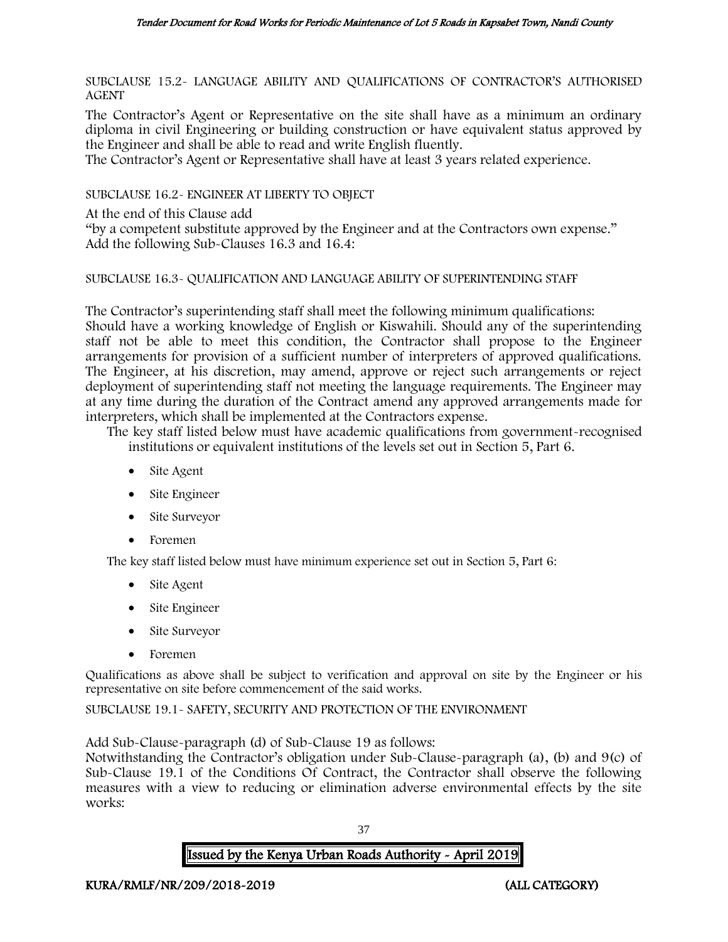SUBCLAUSE 15.2- LANGUAGE ABILITY AND QUALIFICATIONS OF CONTRACTOR'S AUTHORISED AGENT

The Contractor's Agent or Representative on the site shall have as a minimum an ordinary diploma in civil Engineering or building construction or have equivalent status approved by the Engineer and shall be able to read and write English fluently.

The Contractor's Agent or Representative shall have at least 3 years related experience.

SUBCLAUSE 16.2- ENGINEER AT LIBERTY TO OBJECT

At the end of this Clause add

"by a competent substitute approved by the Engineer and at the Contractors own expense." Add the following Sub-Clauses 16.3 and 16.4:

#### SUBCLAUSE 16.3- QUALIFICATION AND LANGUAGE ABILITY OF SUPERINTENDING STAFF

The Contractor's superintending staff shall meet the following minimum qualifications: Should have a working knowledge of English or Kiswahili. Should any of the superintending staff not be able to meet this condition, the Contractor shall propose to the Engineer arrangements for provision of a sufficient number of interpreters of approved qualifications. The Engineer, at his discretion, may amend, approve or reject such arrangements or reject deployment of superintending staff not meeting the language requirements. The Engineer may at any time during the duration of the Contract amend any approved arrangements made for interpreters, which shall be implemented at the Contractors expense.

The key staff listed below must have academic qualifications from government-recognised institutions or equivalent institutions of the levels set out in Section 5, Part 6.

- Site Agent
- Site Engineer
- Site Surveyor
- Foremen

The key staff listed below must have minimum experience set out in Section 5, Part 6:

- Site Agent
- Site Engineer
- Site Surveyor
- Foremen

Qualifications as above shall be subject to verification and approval on site by the Engineer or his representative on site before commencement of the said works.

SUBCLAUSE 19.1- SAFETY, SECURITY AND PROTECTION OF THE ENVIRONMENT

Add Sub-Clause-paragraph (d) of Sub-Clause 19 as follows:

Notwithstanding the Contractor's obligation under Sub-Clause-paragraph (a), (b) and 9(c) of Sub-Clause 19.1 of the Conditions Of Contract, the Contractor shall observe the following measures with a view to reducing or elimination adverse environmental effects by the site works:

37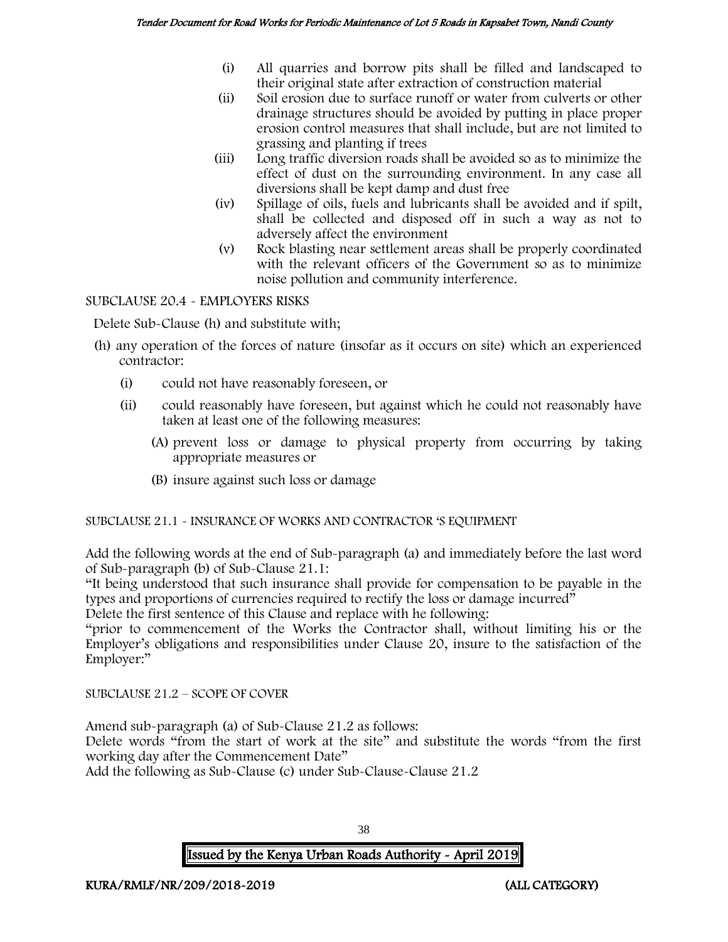- (i) All quarries and borrow pits shall be filled and landscaped to their original state after extraction of construction material
- (ii) Soil erosion due to surface runoff or water from culverts or other drainage structures should be avoided by putting in place proper erosion control measures that shall include, but are not limited to grassing and planting if trees
- (iii) Long traffic diversion roads shall be avoided so as to minimize the effect of dust on the surrounding environment. In any case all diversions shall be kept damp and dust free
- (iv) Spillage of oils, fuels and lubricants shall be avoided and if spilt, shall be collected and disposed off in such a way as not to adversely affect the environment
- (v) Rock blasting near settlement areas shall be properly coordinated with the relevant officers of the Government so as to minimize noise pollution and community interference.

SUBCLAUSE 20.4 - EMPLOYERS RISKS

Delete Sub-Clause (h) and substitute with;

- (h) any operation of the forces of nature (insofar as it occurs on site) which an experienced contractor:
	- (i) could not have reasonably foreseen, or
	- (ii) could reasonably have foreseen, but against which he could not reasonably have taken at least one of the following measures:
		- (A) prevent loss or damage to physical property from occurring by taking appropriate measures or
		- (B) insure against such loss or damage

SUBCLAUSE 21.1 - INSURANCE OF WORKS AND CONTRACTOR 'S EQUIPMENT

Add the following words at the end of Sub-paragraph (a) and immediately before the last word of Sub-paragraph (b) of Sub-Clause 21.1:

"It being understood that such insurance shall provide for compensation to be payable in the types and proportions of currencies required to rectify the loss or damage incurred"

Delete the first sentence of this Clause and replace with he following:

"prior to commencement of the Works the Contractor shall, without limiting his or the Employer's obligations and responsibilities under Clause 20, insure to the satisfaction of the Employer:"

SUBCLAUSE 21.2 – SCOPE OF COVER

Amend sub-paragraph (a) of Sub-Clause 21.2 as follows:

Delete words "from the start of work at the site" and substitute the words "from the first working day after the Commencement Date"

Add the following as Sub-Clause (c) under Sub-Clause-Clause 21.2

Issued by the Kenya Urban Roads Authority - April 2019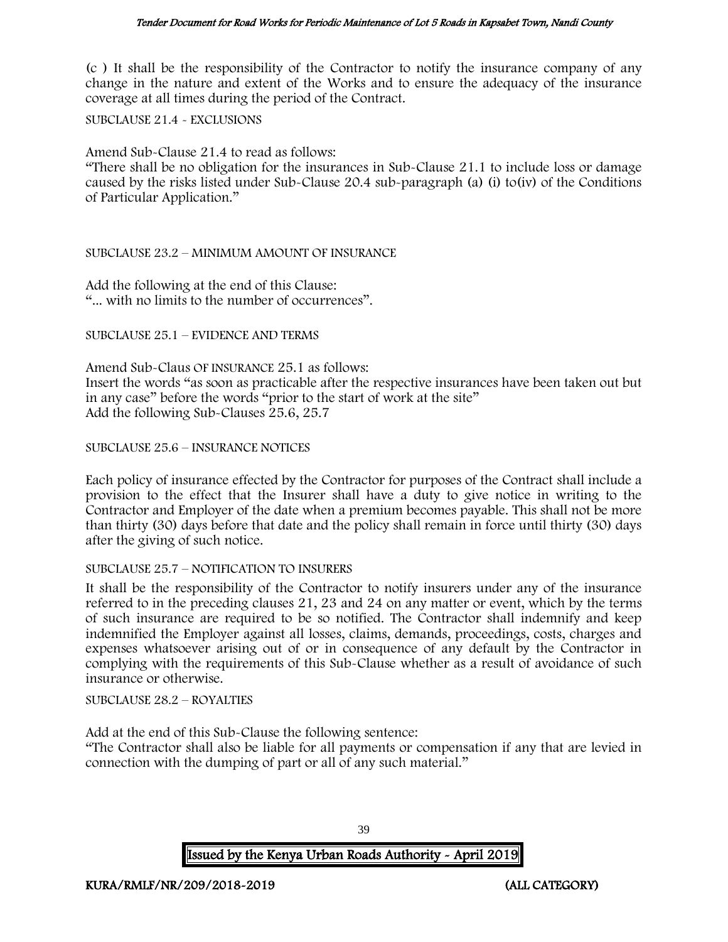(c ) It shall be the responsibility of the Contractor to notify the insurance company of any change in the nature and extent of the Works and to ensure the adequacy of the insurance coverage at all times during the period of the Contract.

SUBCLAUSE 21.4 - EXCLUSIONS

Amend Sub-Clause 21.4 to read as follows:

"There shall be no obligation for the insurances in Sub-Clause 21.1 to include loss or damage caused by the risks listed under Sub-Clause 20.4 sub-paragraph (a) (i) to(iv) of the Conditions of Particular Application."

#### SUBCLAUSE 23.2 – MINIMUM AMOUNT OF INSURANCE

Add the following at the end of this Clause: "... with no limits to the number of occurrences".

SUBCLAUSE 25.1 – EVIDENCE AND TERMS

Amend Sub-Claus OF INSURANCE 25.1 as follows: Insert the words "as soon as practicable after the respective insurances have been taken out but in any case" before the words "prior to the start of work at the site" Add the following Sub-Clauses 25.6, 25.7

SUBCLAUSE 25.6 – INSURANCE NOTICES

Each policy of insurance effected by the Contractor for purposes of the Contract shall include a provision to the effect that the Insurer shall have a duty to give notice in writing to the Contractor and Employer of the date when a premium becomes payable. This shall not be more than thirty (30) days before that date and the policy shall remain in force until thirty (30) days after the giving of such notice.

#### SUBCLAUSE 25.7 – NOTIFICATION TO INSURERS

It shall be the responsibility of the Contractor to notify insurers under any of the insurance referred to in the preceding clauses 21, 23 and 24 on any matter or event, which by the terms of such insurance are required to be so notified. The Contractor shall indemnify and keep indemnified the Employer against all losses, claims, demands, proceedings, costs, charges and expenses whatsoever arising out of or in consequence of any default by the Contractor in complying with the requirements of this Sub-Clause whether as a result of avoidance of such insurance or otherwise.

SUBCLAUSE 28.2 – ROYALTIES

Add at the end of this Sub-Clause the following sentence:

"The Contractor shall also be liable for all payments or compensation if any that are levied in connection with the dumping of part or all of any such material."

Issued by the Kenya Urban Roads Authority - April 2019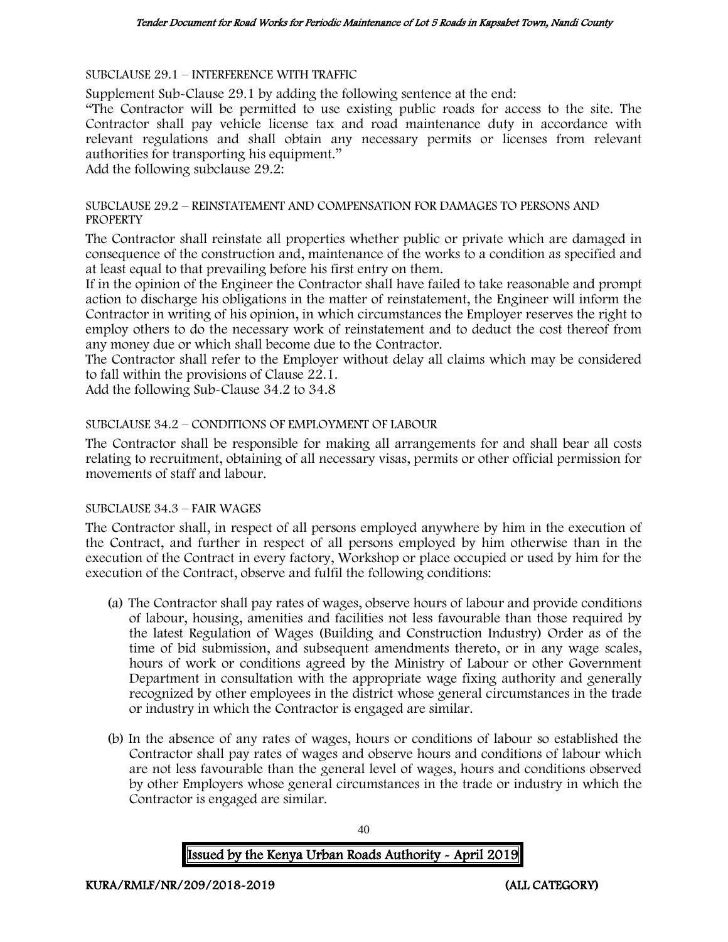SUBCLAUSE 29.1 – INTERFERENCE WITH TRAFFIC

Supplement Sub-Clause 29.1 by adding the following sentence at the end:

"The Contractor will be permitted to use existing public roads for access to the site. The Contractor shall pay vehicle license tax and road maintenance duty in accordance with relevant regulations and shall obtain any necessary permits or licenses from relevant authorities for transporting his equipment."

Add the following subclause 29.2:

#### SUBCLAUSE 29.2 – REINSTATEMENT AND COMPENSATION FOR DAMAGES TO PERSONS AND **PROPERTY**

The Contractor shall reinstate all properties whether public or private which are damaged in consequence of the construction and, maintenance of the works to a condition as specified and at least equal to that prevailing before his first entry on them.

If in the opinion of the Engineer the Contractor shall have failed to take reasonable and prompt action to discharge his obligations in the matter of reinstatement, the Engineer will inform the Contractor in writing of his opinion, in which circumstances the Employer reserves the right to employ others to do the necessary work of reinstatement and to deduct the cost thereof from any money due or which shall become due to the Contractor.

The Contractor shall refer to the Employer without delay all claims which may be considered to fall within the provisions of Clause 22.1.

Add the following Sub-Clause 34.2 to 34.8

#### SUBCLAUSE 34.2 – CONDITIONS OF EMPLOYMENT OF LABOUR

The Contractor shall be responsible for making all arrangements for and shall bear all costs relating to recruitment, obtaining of all necessary visas, permits or other official permission for movements of staff and labour.

#### SUBCLAUSE 34.3 – FAIR WAGES

The Contractor shall, in respect of all persons employed anywhere by him in the execution of the Contract, and further in respect of all persons employed by him otherwise than in the execution of the Contract in every factory, Workshop or place occupied or used by him for the execution of the Contract, observe and fulfil the following conditions:

- (a) The Contractor shall pay rates of wages, observe hours of labour and provide conditions of labour, housing, amenities and facilities not less favourable than those required by the latest Regulation of Wages (Building and Construction Industry) Order as of the time of bid submission, and subsequent amendments thereto, or in any wage scales, hours of work or conditions agreed by the Ministry of Labour or other Government Department in consultation with the appropriate wage fixing authority and generally recognized by other employees in the district whose general circumstances in the trade or industry in which the Contractor is engaged are similar.
- (b) In the absence of any rates of wages, hours or conditions of labour so established the Contractor shall pay rates of wages and observe hours and conditions of labour which are not less favourable than the general level of wages, hours and conditions observed by other Employers whose general circumstances in the trade or industry in which the Contractor is engaged are similar.

Issued by the Kenya Urban Roads Authority - April 2019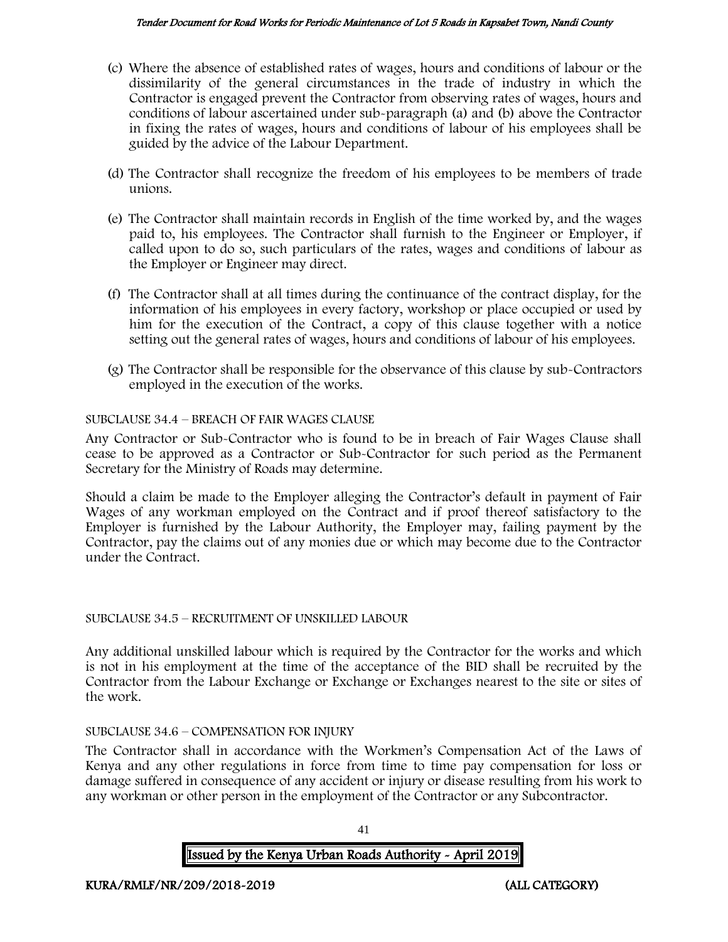#### Tender Document for Road Works for Periodic Maintenance of Lot 5 Roads in Kapsabet Town, Nandi County

- (c) Where the absence of established rates of wages, hours and conditions of labour or the dissimilarity of the general circumstances in the trade of industry in which the Contractor is engaged prevent the Contractor from observing rates of wages, hours and conditions of labour ascertained under sub-paragraph (a) and (b) above the Contractor in fixing the rates of wages, hours and conditions of labour of his employees shall be guided by the advice of the Labour Department.
- (d) The Contractor shall recognize the freedom of his employees to be members of trade unions.
- (e) The Contractor shall maintain records in English of the time worked by, and the wages paid to, his employees. The Contractor shall furnish to the Engineer or Employer, if called upon to do so, such particulars of the rates, wages and conditions of labour as the Employer or Engineer may direct.
- (f) The Contractor shall at all times during the continuance of the contract display, for the information of his employees in every factory, workshop or place occupied or used by him for the execution of the Contract, a copy of this clause together with a notice setting out the general rates of wages, hours and conditions of labour of his employees.
- (g) The Contractor shall be responsible for the observance of this clause by sub-Contractors employed in the execution of the works.

## SUBCLAUSE 34.4 – BREACH OF FAIR WAGES CLAUSE

Any Contractor or Sub-Contractor who is found to be in breach of Fair Wages Clause shall cease to be approved as a Contractor or Sub-Contractor for such period as the Permanent Secretary for the Ministry of Roads may determine.

Should a claim be made to the Employer alleging the Contractor's default in payment of Fair Wages of any workman employed on the Contract and if proof thereof satisfactory to the Employer is furnished by the Labour Authority, the Employer may, failing payment by the Contractor, pay the claims out of any monies due or which may become due to the Contractor under the Contract.

## SUBCLAUSE 34.5 – RECRUITMENT OF UNSKILLED LABOUR

Any additional unskilled labour which is required by the Contractor for the works and which is not in his employment at the time of the acceptance of the BID shall be recruited by the Contractor from the Labour Exchange or Exchange or Exchanges nearest to the site or sites of the work.

## SUBCLAUSE 34.6 – COMPENSATION FOR INJURY

The Contractor shall in accordance with the Workmen's Compensation Act of the Laws of Kenya and any other regulations in force from time to time pay compensation for loss or damage suffered in consequence of any accident or injury or disease resulting from his work to any workman or other person in the employment of the Contractor or any Subcontractor.

41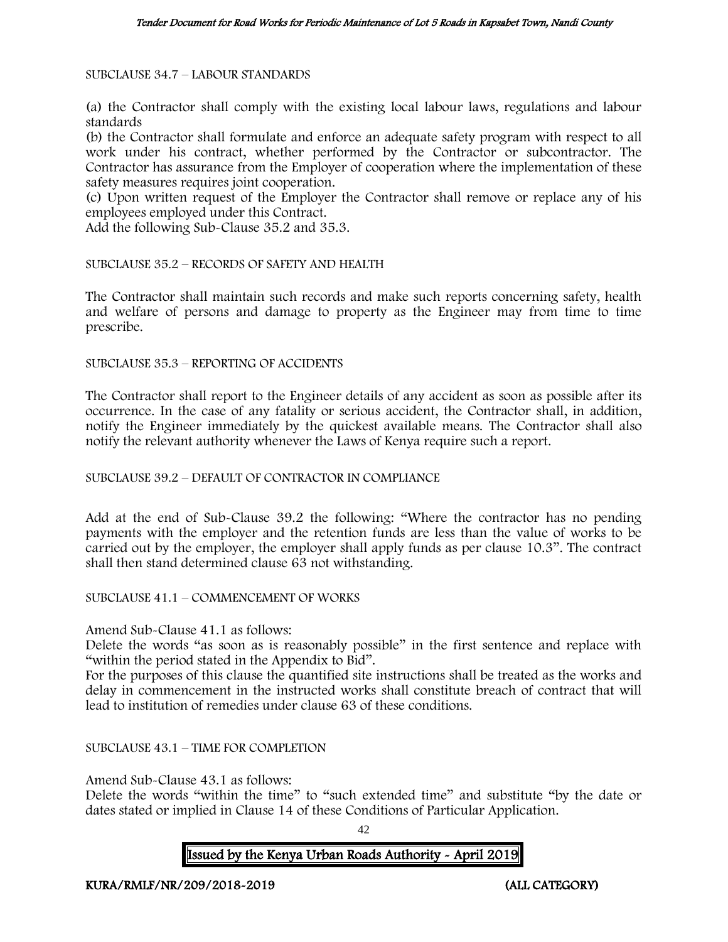SUBCLAUSE 34.7 – LABOUR STANDARDS

(a) the Contractor shall comply with the existing local labour laws, regulations and labour standards

(b) the Contractor shall formulate and enforce an adequate safety program with respect to all work under his contract, whether performed by the Contractor or subcontractor. The Contractor has assurance from the Employer of cooperation where the implementation of these safety measures requires joint cooperation.

(c) Upon written request of the Employer the Contractor shall remove or replace any of his employees employed under this Contract.

Add the following Sub-Clause 35.2 and 35.3.

SUBCLAUSE 35.2 – RECORDS OF SAFETY AND HEALTH

The Contractor shall maintain such records and make such reports concerning safety, health and welfare of persons and damage to property as the Engineer may from time to time prescribe.

SUBCLAUSE 35.3 – REPORTING OF ACCIDENTS

The Contractor shall report to the Engineer details of any accident as soon as possible after its occurrence. In the case of any fatality or serious accident, the Contractor shall, in addition, notify the Engineer immediately by the quickest available means. The Contractor shall also notify the relevant authority whenever the Laws of Kenya require such a report.

#### SUBCLAUSE 39.2 – DEFAULT OF CONTRACTOR IN COMPLIANCE

Add at the end of Sub-Clause 39.2 the following: "Where the contractor has no pending payments with the employer and the retention funds are less than the value of works to be carried out by the employer, the employer shall apply funds as per clause 10.3". The contract shall then stand determined clause 63 not withstanding.

SUBCLAUSE 41.1 – COMMENCEMENT OF WORKS

Amend Sub-Clause 41.1 as follows:

Delete the words "as soon as is reasonably possible" in the first sentence and replace with "within the period stated in the Appendix to Bid".

For the purposes of this clause the quantified site instructions shall be treated as the works and delay in commencement in the instructed works shall constitute breach of contract that will lead to institution of remedies under clause 63 of these conditions.

SUBCLAUSE 43.1 – TIME FOR COMPLETION

Amend Sub-Clause 43.1 as follows:

Delete the words "within the time" to "such extended time" and substitute "by the date or dates stated or implied in Clause 14 of these Conditions of Particular Application.

 $42$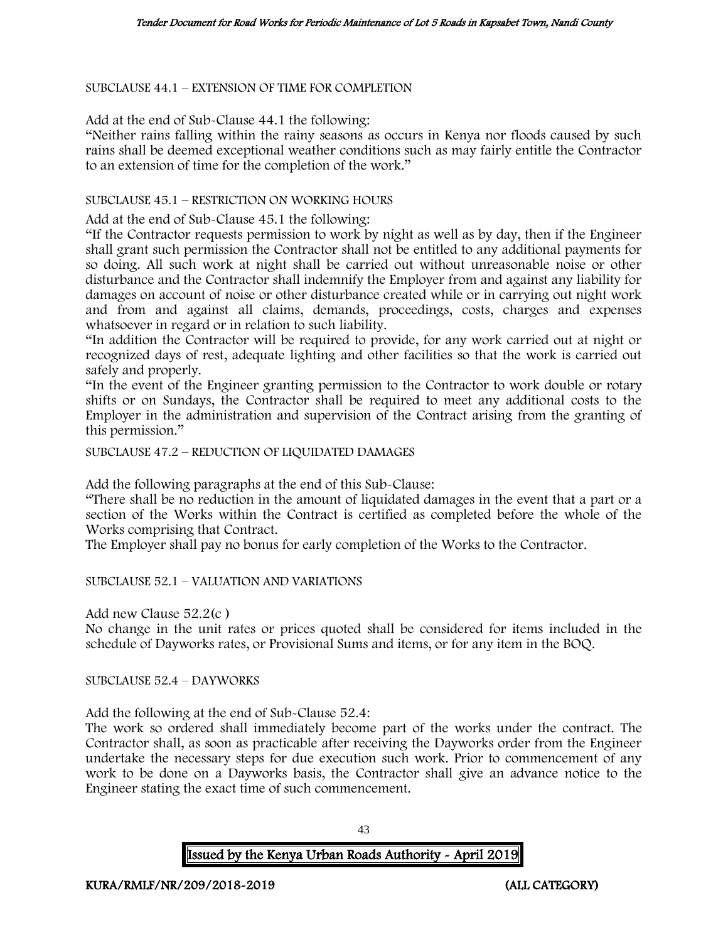SUBCLAUSE 44.1 – EXTENSION OF TIME FOR COMPLETION

Add at the end of Sub-Clause 44.1 the following:

"Neither rains falling within the rainy seasons as occurs in Kenya nor floods caused by such rains shall be deemed exceptional weather conditions such as may fairly entitle the Contractor to an extension of time for the completion of the work."

#### SUBCLAUSE 45.1 – RESTRICTION ON WORKING HOURS

Add at the end of Sub-Clause 45.1 the following:

"If the Contractor requests permission to work by night as well as by day, then if the Engineer shall grant such permission the Contractor shall not be entitled to any additional payments for so doing. All such work at night shall be carried out without unreasonable noise or other disturbance and the Contractor shall indemnify the Employer from and against any liability for damages on account of noise or other disturbance created while or in carrying out night work and from and against all claims, demands, proceedings, costs, charges and expenses whatsoever in regard or in relation to such liability.

"In addition the Contractor will be required to provide, for any work carried out at night or recognized days of rest, adequate lighting and other facilities so that the work is carried out safely and properly.

"In the event of the Engineer granting permission to the Contractor to work double or rotary shifts or on Sundays, the Contractor shall be required to meet any additional costs to the Employer in the administration and supervision of the Contract arising from the granting of this permission."

SUBCLAUSE 47.2 – REDUCTION OF LIQUIDATED DAMAGES

Add the following paragraphs at the end of this Sub-Clause:

"There shall be no reduction in the amount of liquidated damages in the event that a part or a section of the Works within the Contract is certified as completed before the whole of the Works comprising that Contract.

The Employer shall pay no bonus for early completion of the Works to the Contractor.

SUBCLAUSE 52.1 – VALUATION AND VARIATIONS

Add new Clause 52.2(c )

No change in the unit rates or prices quoted shall be considered for items included in the schedule of Dayworks rates, or Provisional Sums and items, or for any item in the BOQ.

SUBCLAUSE 52.4 – DAYWORKS

Add the following at the end of Sub-Clause 52.4:

The work so ordered shall immediately become part of the works under the contract. The Contractor shall, as soon as practicable after receiving the Dayworks order from the Engineer undertake the necessary steps for due execution such work. Prior to commencement of any work to be done on a Dayworks basis, the Contractor shall give an advance notice to the Engineer stating the exact time of such commencement.

43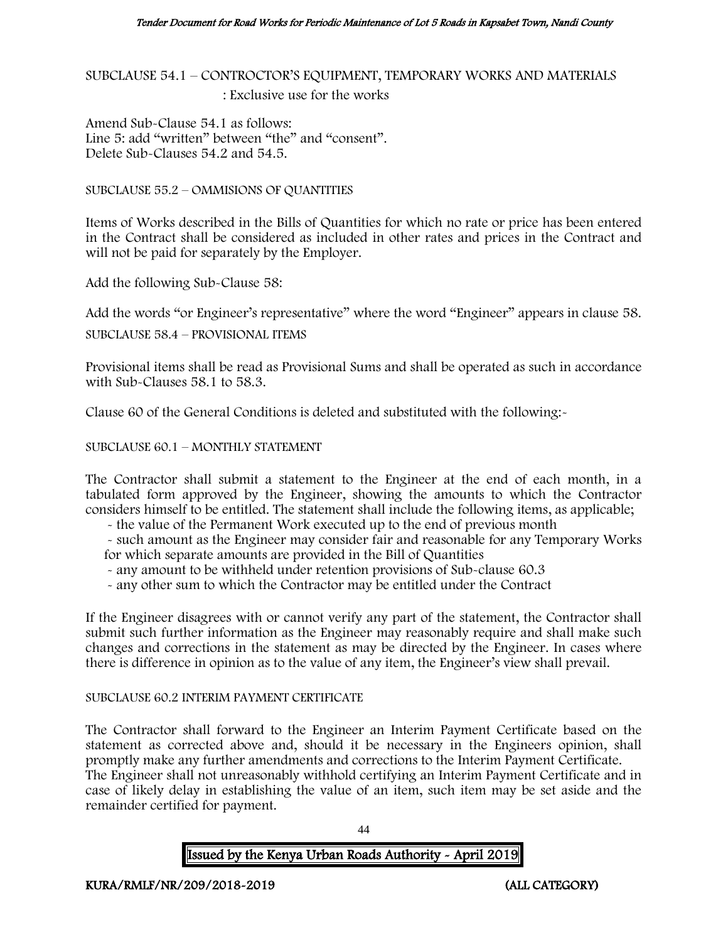SUBCLAUSE 54.1 – CONTROCTOR'S EQUIPMENT, TEMPORARY WORKS AND MATERIALS : Exclusive use for the works

Amend Sub-Clause 54.1 as follows: Line 5: add "written" between "the" and "consent". Delete Sub-Clauses 54.2 and 54.5.

SUBCLAUSE 55.2 – OMMISIONS OF QUANTITIES

Items of Works described in the Bills of Quantities for which no rate or price has been entered in the Contract shall be considered as included in other rates and prices in the Contract and will not be paid for separately by the Employer.

Add the following Sub-Clause 58:

Add the words "or Engineer's representative" where the word "Engineer" appears in clause 58.

SUBCLAUSE 58.4 – PROVISIONAL ITEMS

Provisional items shall be read as Provisional Sums and shall be operated as such in accordance with Sub-Clauses 58.1 to 58.3.

Clause 60 of the General Conditions is deleted and substituted with the following:-

SUBCLAUSE 60.1 – MONTHLY STATEMENT

The Contractor shall submit a statement to the Engineer at the end of each month, in a tabulated form approved by the Engineer, showing the amounts to which the Contractor considers himself to be entitled. The statement shall include the following items, as applicable;

- the value of the Permanent Work executed up to the end of previous month

- such amount as the Engineer may consider fair and reasonable for any Temporary Works for which separate amounts are provided in the Bill of Quantities

- any amount to be withheld under retention provisions of Sub-clause 60.3

- any other sum to which the Contractor may be entitled under the Contract

If the Engineer disagrees with or cannot verify any part of the statement, the Contractor shall submit such further information as the Engineer may reasonably require and shall make such changes and corrections in the statement as may be directed by the Engineer. In cases where there is difference in opinion as to the value of any item, the Engineer's view shall prevail.

#### SUBCLAUSE 60.2 INTERIM PAYMENT CERTIFICATE

The Contractor shall forward to the Engineer an Interim Payment Certificate based on the statement as corrected above and, should it be necessary in the Engineers opinion, shall promptly make any further amendments and corrections to the Interim Payment Certificate. The Engineer shall not unreasonably withhold certifying an Interim Payment Certificate and in case of likely delay in establishing the value of an item, such item may be set aside and the remainder certified for payment.

 $\overline{A}A$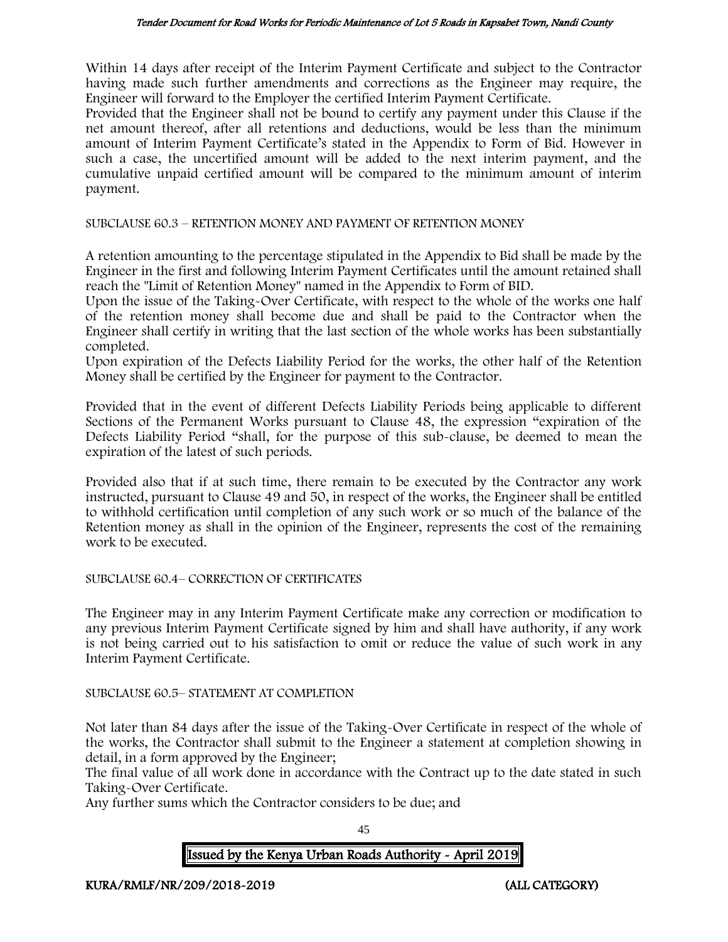Within 14 days after receipt of the Interim Payment Certificate and subject to the Contractor having made such further amendments and corrections as the Engineer may require, the Engineer will forward to the Employer the certified Interim Payment Certificate.

Provided that the Engineer shall not be bound to certify any payment under this Clause if the net amount thereof, after all retentions and deductions, would be less than the minimum amount of Interim Payment Certificate's stated in the Appendix to Form of Bid. However in such a case, the uncertified amount will be added to the next interim payment, and the cumulative unpaid certified amount will be compared to the minimum amount of interim payment.

SUBCLAUSE 60.3 – RETENTION MONEY AND PAYMENT OF RETENTION MONEY

A retention amounting to the percentage stipulated in the Appendix to Bid shall be made by the Engineer in the first and following Interim Payment Certificates until the amount retained shall reach the "Limit of Retention Money" named in the Appendix to Form of BID.

Upon the issue of the Taking-Over Certificate, with respect to the whole of the works one half of the retention money shall become due and shall be paid to the Contractor when the Engineer shall certify in writing that the last section of the whole works has been substantially completed.

Upon expiration of the Defects Liability Period for the works, the other half of the Retention Money shall be certified by the Engineer for payment to the Contractor.

Provided that in the event of different Defects Liability Periods being applicable to different Sections of the Permanent Works pursuant to Clause 48, the expression "expiration of the Defects Liability Period "shall, for the purpose of this sub-clause, be deemed to mean the expiration of the latest of such periods.

Provided also that if at such time, there remain to be executed by the Contractor any work instructed, pursuant to Clause 49 and 50, in respect of the works, the Engineer shall be entitled to withhold certification until completion of any such work or so much of the balance of the Retention money as shall in the opinion of the Engineer, represents the cost of the remaining work to be executed.

#### SUBCLAUSE 60.4– CORRECTION OF CERTIFICATES

The Engineer may in any Interim Payment Certificate make any correction or modification to any previous Interim Payment Certificate signed by him and shall have authority, if any work is not being carried out to his satisfaction to omit or reduce the value of such work in any Interim Payment Certificate.

#### SUBCLAUSE 60.5– STATEMENT AT COMPLETION

Not later than 84 days after the issue of the Taking-Over Certificate in respect of the whole of the works, the Contractor shall submit to the Engineer a statement at completion showing in detail, in a form approved by the Engineer;

The final value of all work done in accordance with the Contract up to the date stated in such Taking-Over Certificate.

Any further sums which the Contractor considers to be due; and

45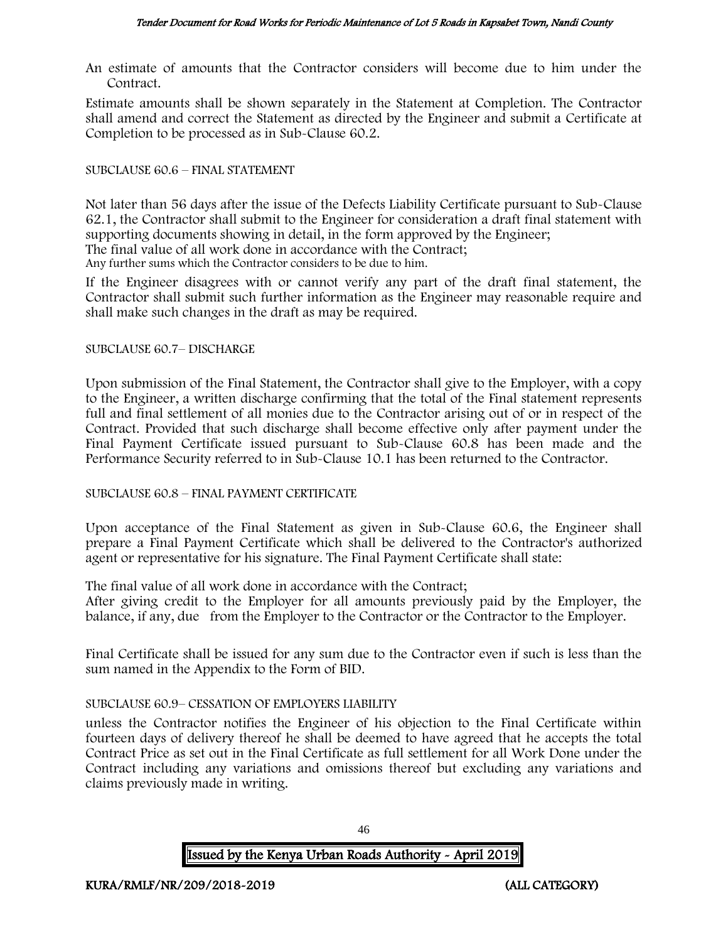An estimate of amounts that the Contractor considers will become due to him under the Contract.

Estimate amounts shall be shown separately in the Statement at Completion. The Contractor shall amend and correct the Statement as directed by the Engineer and submit a Certificate at Completion to be processed as in Sub-Clause 60.2.

#### SUBCLAUSE 60.6 – FINAL STATEMENT

Not later than 56 days after the issue of the Defects Liability Certificate pursuant to Sub-Clause 62.1, the Contractor shall submit to the Engineer for consideration a draft final statement with supporting documents showing in detail, in the form approved by the Engineer;

The final value of all work done in accordance with the Contract;

Any further sums which the Contractor considers to be due to him.

If the Engineer disagrees with or cannot verify any part of the draft final statement, the Contractor shall submit such further information as the Engineer may reasonable require and shall make such changes in the draft as may be required.

#### SUBCLAUSE 60.7– DISCHARGE

Upon submission of the Final Statement, the Contractor shall give to the Employer, with a copy to the Engineer, a written discharge confirming that the total of the Final statement represents full and final settlement of all monies due to the Contractor arising out of or in respect of the Contract. Provided that such discharge shall become effective only after payment under the Final Payment Certificate issued pursuant to Sub-Clause 60.8 has been made and the Performance Security referred to in Sub-Clause 10.1 has been returned to the Contractor.

#### SUBCLAUSE 60.8 – FINAL PAYMENT CERTIFICATE

Upon acceptance of the Final Statement as given in Sub-Clause 60.6, the Engineer shall prepare a Final Payment Certificate which shall be delivered to the Contractor's authorized agent or representative for his signature. The Final Payment Certificate shall state:

The final value of all work done in accordance with the Contract;

After giving credit to the Employer for all amounts previously paid by the Employer, the balance, if any, due from the Employer to the Contractor or the Contractor to the Employer.

Final Certificate shall be issued for any sum due to the Contractor even if such is less than the sum named in the Appendix to the Form of BID.

#### SUBCLAUSE 60.9– CESSATION OF EMPLOYERS LIABILITY

unless the Contractor notifies the Engineer of his objection to the Final Certificate within fourteen days of delivery thereof he shall be deemed to have agreed that he accepts the total Contract Price as set out in the Final Certificate as full settlement for all Work Done under the Contract including any variations and omissions thereof but excluding any variations and claims previously made in writing.

Issued by the Kenya Urban Roads Authority - April 2019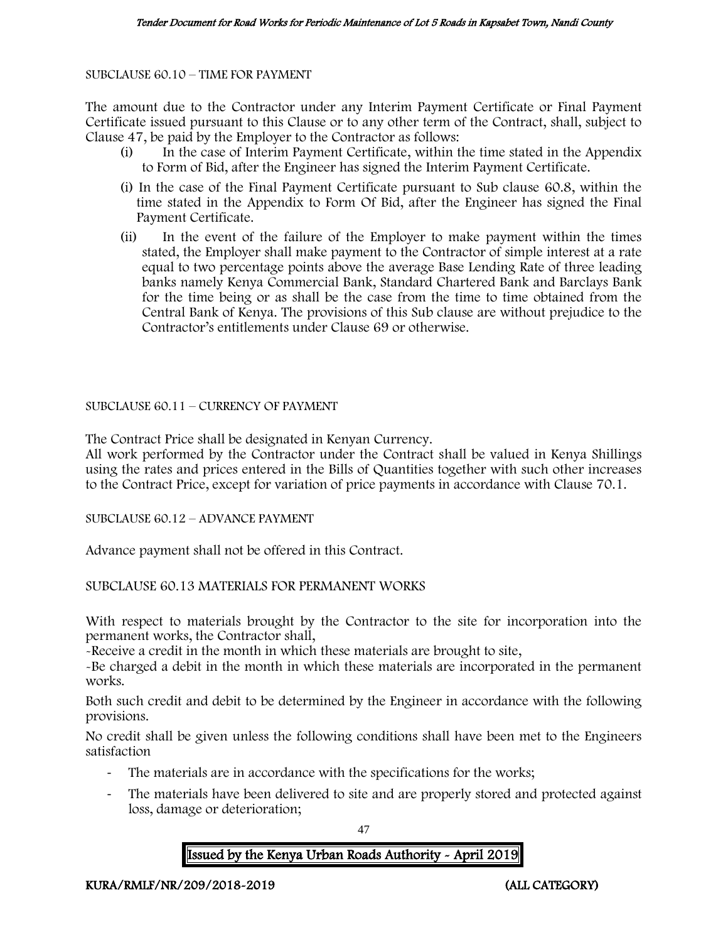SUBCLAUSE 60.10 – TIME FOR PAYMENT

The amount due to the Contractor under any Interim Payment Certificate or Final Payment Certificate issued pursuant to this Clause or to any other term of the Contract, shall, subject to Clause 47, be paid by the Employer to the Contractor as follows:

- (i) In the case of Interim Payment Certificate, within the time stated in the Appendix to Form of Bid, after the Engineer has signed the Interim Payment Certificate.
- (i) In the case of the Final Payment Certificate pursuant to Sub clause 60.8, within the time stated in the Appendix to Form Of Bid, after the Engineer has signed the Final Payment Certificate.
- (ii) In the event of the failure of the Employer to make payment within the times stated, the Employer shall make payment to the Contractor of simple interest at a rate equal to two percentage points above the average Base Lending Rate of three leading banks namely Kenya Commercial Bank, Standard Chartered Bank and Barclays Bank for the time being or as shall be the case from the time to time obtained from the Central Bank of Kenya. The provisions of this Sub clause are without prejudice to the Contractor's entitlements under Clause 69 or otherwise.

SUBCLAUSE 60.11 – CURRENCY OF PAYMENT

The Contract Price shall be designated in Kenyan Currency.

All work performed by the Contractor under the Contract shall be valued in Kenya Shillings using the rates and prices entered in the Bills of Quantities together with such other increases to the Contract Price, except for variation of price payments in accordance with Clause 70.1.

SUBCLAUSE 60.12 – ADVANCE PAYMENT

Advance payment shall not be offered in this Contract.

SUBCLAUSE 60.13 MATERIALS FOR PERMANENT WORKS

With respect to materials brought by the Contractor to the site for incorporation into the permanent works, the Contractor shall,

-Receive a credit in the month in which these materials are brought to site,

-Be charged a debit in the month in which these materials are incorporated in the permanent works.

Both such credit and debit to be determined by the Engineer in accordance with the following provisions.

No credit shall be given unless the following conditions shall have been met to the Engineers satisfaction

- The materials are in accordance with the specifications for the works;
- The materials have been delivered to site and are properly stored and protected against loss, damage or deterioration;

47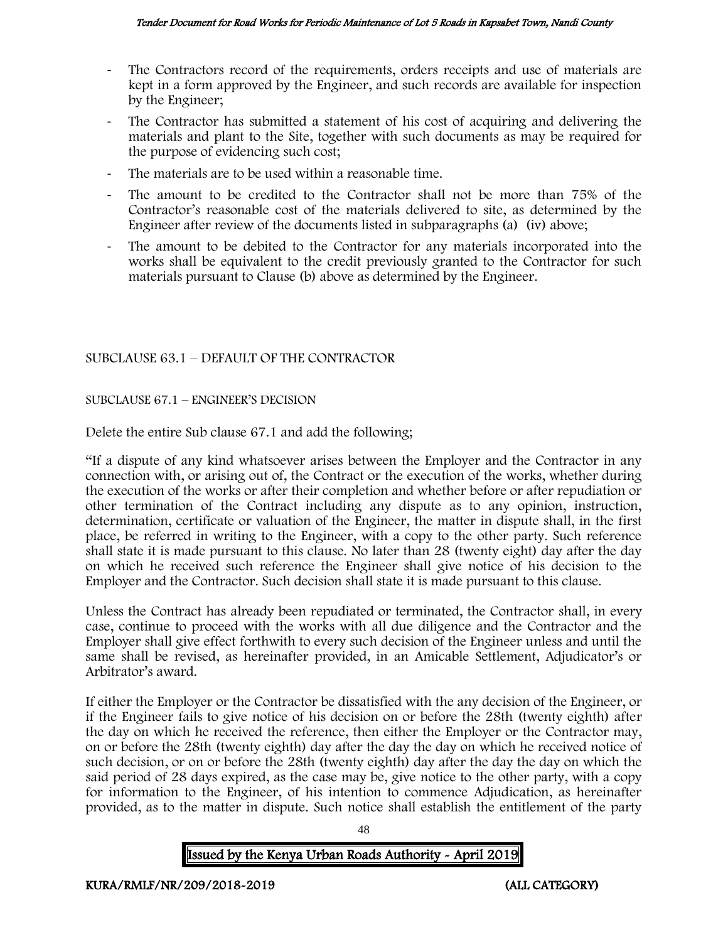- The Contractors record of the requirements, orders receipts and use of materials are kept in a form approved by the Engineer, and such records are available for inspection by the Engineer;
- The Contractor has submitted a statement of his cost of acquiring and delivering the materials and plant to the Site, together with such documents as may be required for the purpose of evidencing such cost;
- The materials are to be used within a reasonable time.
- The amount to be credited to the Contractor shall not be more than 75% of the Contractor's reasonable cost of the materials delivered to site, as determined by the Engineer after review of the documents listed in subparagraphs (a) (iv) above;
- The amount to be debited to the Contractor for any materials incorporated into the works shall be equivalent to the credit previously granted to the Contractor for such materials pursuant to Clause (b) above as determined by the Engineer.

# SUBCLAUSE 63.1 – DEFAULT OF THE CONTRACTOR

#### SUBCLAUSE 67.1 – ENGINEER'S DECISION

Delete the entire Sub clause 67.1 and add the following;

"If a dispute of any kind whatsoever arises between the Employer and the Contractor in any connection with, or arising out of, the Contract or the execution of the works, whether during the execution of the works or after their completion and whether before or after repudiation or other termination of the Contract including any dispute as to any opinion, instruction, determination, certificate or valuation of the Engineer, the matter in dispute shall, in the first place, be referred in writing to the Engineer, with a copy to the other party. Such reference shall state it is made pursuant to this clause. No later than 28 (twenty eight) day after the day on which he received such reference the Engineer shall give notice of his decision to the Employer and the Contractor. Such decision shall state it is made pursuant to this clause.

Unless the Contract has already been repudiated or terminated, the Contractor shall, in every case, continue to proceed with the works with all due diligence and the Contractor and the Employer shall give effect forthwith to every such decision of the Engineer unless and until the same shall be revised, as hereinafter provided, in an Amicable Settlement, Adjudicator's or Arbitrator's award.

If either the Employer or the Contractor be dissatisfied with the any decision of the Engineer, or if the Engineer fails to give notice of his decision on or before the 28th (twenty eighth) after the day on which he received the reference, then either the Employer or the Contractor may, on or before the 28th (twenty eighth) day after the day the day on which he received notice of such decision, or on or before the 28th (twenty eighth) day after the day the day on which the said period of 28 days expired, as the case may be, give notice to the other party, with a copy for information to the Engineer, of his intention to commence Adjudication, as hereinafter provided, as to the matter in dispute. Such notice shall establish the entitlement of the party

48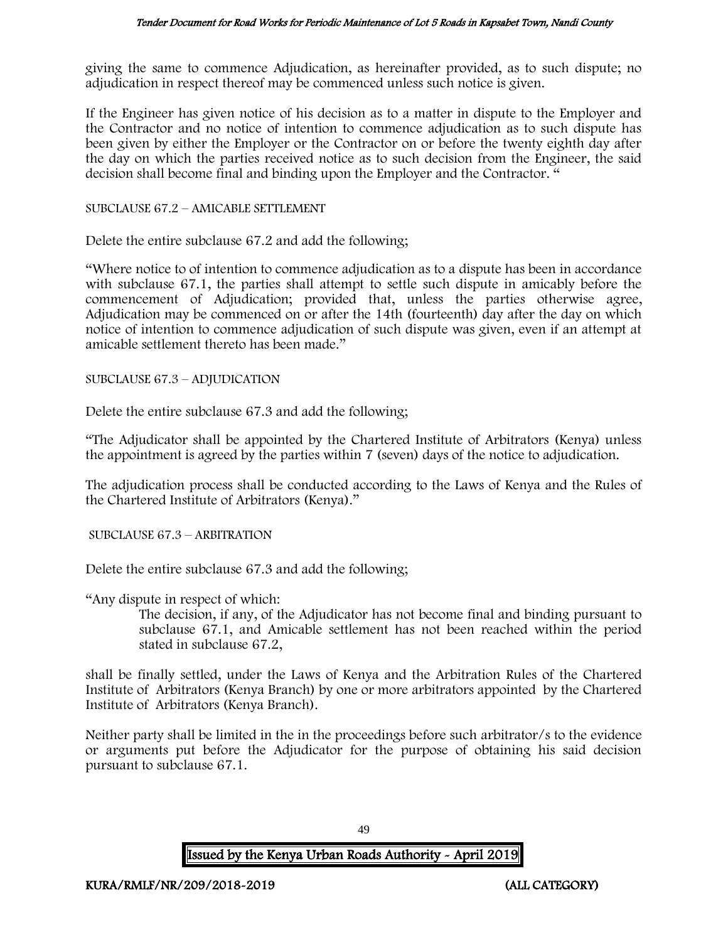giving the same to commence Adjudication, as hereinafter provided, as to such dispute; no adjudication in respect thereof may be commenced unless such notice is given.

If the Engineer has given notice of his decision as to a matter in dispute to the Employer and the Contractor and no notice of intention to commence adjudication as to such dispute has been given by either the Employer or the Contractor on or before the twenty eighth day after the day on which the parties received notice as to such decision from the Engineer, the said decision shall become final and binding upon the Employer and the Contractor. "

#### SUBCLAUSE 67.2 – AMICABLE SETTLEMENT

Delete the entire subclause 67.2 and add the following;

"Where notice to of intention to commence adjudication as to a dispute has been in accordance with subclause 67.1, the parties shall attempt to settle such dispute in amicably before the commencement of Adjudication; provided that, unless the parties otherwise agree, Adjudication may be commenced on or after the 14th (fourteenth) day after the day on which notice of intention to commence adjudication of such dispute was given, even if an attempt at amicable settlement thereto has been made."

SUBCLAUSE 67.3 – ADJUDICATION

Delete the entire subclause 67.3 and add the following;

"The Adjudicator shall be appointed by the Chartered Institute of Arbitrators (Kenya) unless the appointment is agreed by the parties within 7 (seven) days of the notice to adjudication.

The adjudication process shall be conducted according to the Laws of Kenya and the Rules of the Chartered Institute of Arbitrators (Kenya)."

SUBCLAUSE 67.3 – ARBITRATION

Delete the entire subclause 67.3 and add the following;

"Any dispute in respect of which:

The decision, if any, of the Adjudicator has not become final and binding pursuant to subclause 67.1, and Amicable settlement has not been reached within the period stated in subclause 67.2,

shall be finally settled, under the Laws of Kenya and the Arbitration Rules of the Chartered Institute of Arbitrators (Kenya Branch) by one or more arbitrators appointed by the Chartered Institute of Arbitrators (Kenya Branch).

Neither party shall be limited in the in the proceedings before such arbitrator/s to the evidence or arguments put before the Adjudicator for the purpose of obtaining his said decision pursuant to subclause 67.1.

49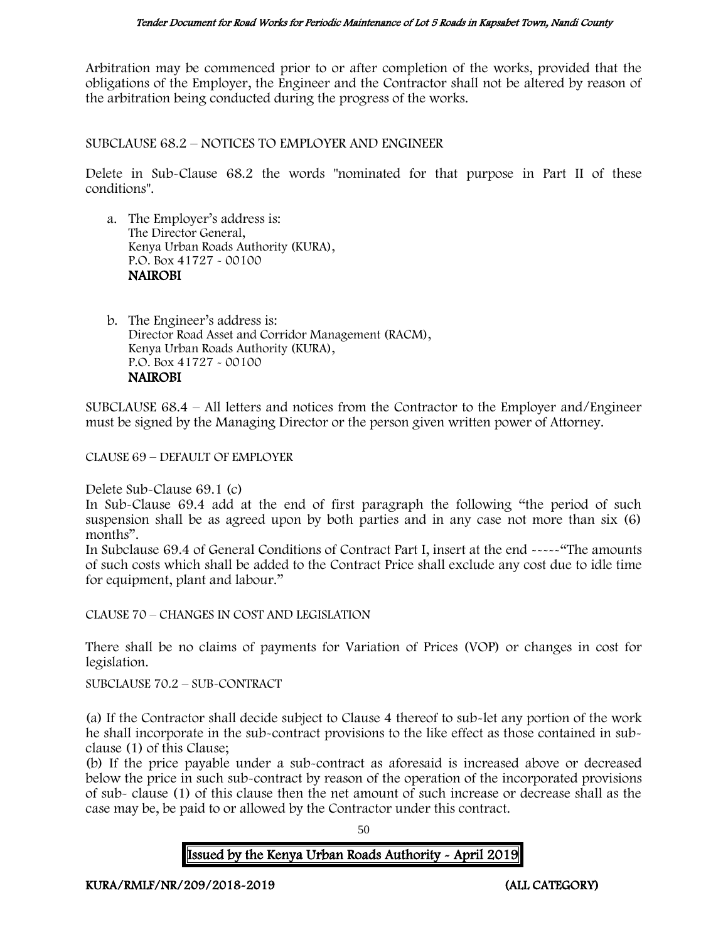Arbitration may be commenced prior to or after completion of the works, provided that the obligations of the Employer, the Engineer and the Contractor shall not be altered by reason of the arbitration being conducted during the progress of the works.

SUBCLAUSE 68.2 – NOTICES TO EMPLOYER AND ENGINEER

Delete in Sub-Clause 68.2 the words "nominated for that purpose in Part II of these conditions".

a. The Employer's address is: The Director General, Kenya Urban Roads Authority (KURA), P.O. Box 41727 - 00100 NAIROBI

b. The Engineer's address is: Director Road Asset and Corridor Management (RACM), Kenya Urban Roads Authority (KURA), P.O. Box 41727 - 00100 NAIROBI

SUBCLAUSE 68.4 – All letters and notices from the Contractor to the Employer and/Engineer must be signed by the Managing Director or the person given written power of Attorney.

CLAUSE 69 – DEFAULT OF EMPLOYER

Delete Sub-Clause 69.1 (c)

In Sub-Clause 69.4 add at the end of first paragraph the following "the period of such suspension shall be as agreed upon by both parties and in any case not more than six (6) months".

In Subclause 69.4 of General Conditions of Contract Part I, insert at the end -----"The amounts of such costs which shall be added to the Contract Price shall exclude any cost due to idle time for equipment, plant and labour."

CLAUSE 70 – CHANGES IN COST AND LEGISLATION

There shall be no claims of payments for Variation of Prices (VOP) or changes in cost for legislation.

SUBCLAUSE 70.2 – SUB-CONTRACT

(a) If the Contractor shall decide subject to Clause 4 thereof to sub-let any portion of the work he shall incorporate in the sub-contract provisions to the like effect as those contained in subclause (1) of this Clause;

(b) If the price payable under a sub-contract as aforesaid is increased above or decreased below the price in such sub-contract by reason of the operation of the incorporated provisions of sub- clause (1) of this clause then the net amount of such increase or decrease shall as the case may be, be paid to or allowed by the Contractor under this contract.

50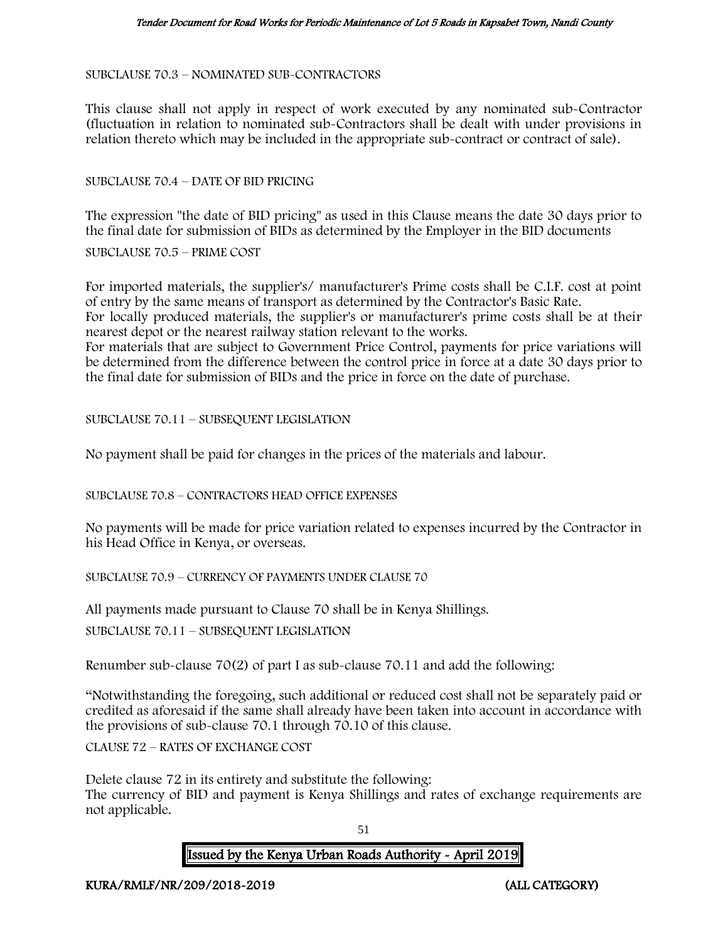SUBCLAUSE 70.3 – NOMINATED SUB-CONTRACTORS

This clause shall not apply in respect of work executed by any nominated sub-Contractor (fluctuation in relation to nominated sub-Contractors shall be dealt with under provisions in relation thereto which may be included in the appropriate sub-contract or contract of sale).

SUBCLAUSE 70.4 – DATE OF BID PRICING

The expression "the date of BID pricing" as used in this Clause means the date 30 days prior to the final date for submission of BIDs as determined by the Employer in the BID documents

SUBCLAUSE 70.5 – PRIME COST

For imported materials, the supplier's/ manufacturer's Prime costs shall be C.I.F. cost at point of entry by the same means of transport as determined by the Contractor's Basic Rate. For locally produced materials, the supplier's or manufacturer's prime costs shall be at their nearest depot or the nearest railway station relevant to the works.

For materials that are subject to Government Price Control, payments for price variations will be determined from the difference between the control price in force at a date 30 days prior to the final date for submission of BIDs and the price in force on the date of purchase.

SUBCLAUSE 70.11 – SUBSEQUENT LEGISLATION

No payment shall be paid for changes in the prices of the materials and labour.

SUBCLAUSE 70.8 – CONTRACTORS HEAD OFFICE EXPENSES

No payments will be made for price variation related to expenses incurred by the Contractor in his Head Office in Kenya, or overseas.

SUBCLAUSE 70.9 – CURRENCY OF PAYMENTS UNDER CLAUSE 70

All payments made pursuant to Clause 70 shall be in Kenya Shillings.

SUBCLAUSE 70.11 – SUBSEQUENT LEGISLATION

Renumber sub-clause 70(2) of part I as sub-clause 70.11 and add the following:

"Notwithstanding the foregoing, such additional or reduced cost shall not be separately paid or credited as aforesaid if the same shall already have been taken into account in accordance with the provisions of sub-clause 70.1 through 70.10 of this clause.

CLAUSE 72 – RATES OF EXCHANGE COST

Delete clause 72 in its entirety and substitute the following: The currency of BID and payment is Kenya Shillings and rates of exchange requirements are not applicable.

51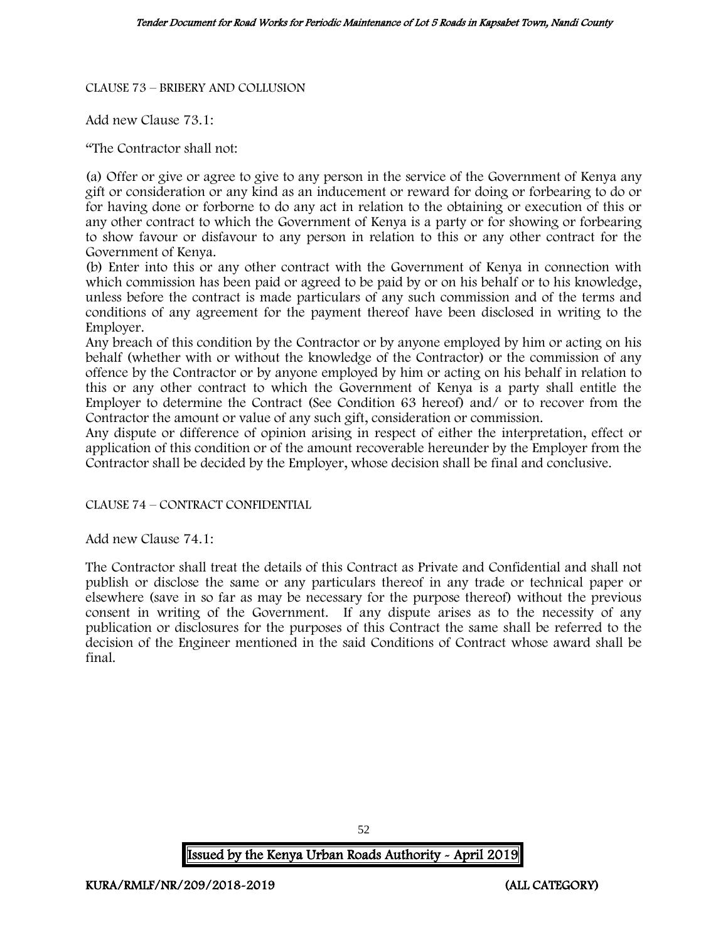#### CLAUSE 73 – BRIBERY AND COLLUSION

Add new Clause 73.1:

"The Contractor shall not:

(a) Offer or give or agree to give to any person in the service of the Government of Kenya any gift or consideration or any kind as an inducement or reward for doing or forbearing to do or for having done or forborne to do any act in relation to the obtaining or execution of this or any other contract to which the Government of Kenya is a party or for showing or forbearing to show favour or disfavour to any person in relation to this or any other contract for the Government of Kenya.

(b) Enter into this or any other contract with the Government of Kenya in connection with which commission has been paid or agreed to be paid by or on his behalf or to his knowledge, unless before the contract is made particulars of any such commission and of the terms and conditions of any agreement for the payment thereof have been disclosed in writing to the Employer.

Any breach of this condition by the Contractor or by anyone employed by him or acting on his behalf (whether with or without the knowledge of the Contractor) or the commission of any offence by the Contractor or by anyone employed by him or acting on his behalf in relation to this or any other contract to which the Government of Kenya is a party shall entitle the Employer to determine the Contract (See Condition 63 hereof) and/ or to recover from the Contractor the amount or value of any such gift, consideration or commission.

Any dispute or difference of opinion arising in respect of either the interpretation, effect or application of this condition or of the amount recoverable hereunder by the Employer from the Contractor shall be decided by the Employer, whose decision shall be final and conclusive.

CLAUSE 74 – CONTRACT CONFIDENTIAL

Add new Clause 74.1:

The Contractor shall treat the details of this Contract as Private and Confidential and shall not publish or disclose the same or any particulars thereof in any trade or technical paper or elsewhere (save in so far as may be necessary for the purpose thereof) without the previous consent in writing of the Government. If any dispute arises as to the necessity of any publication or disclosures for the purposes of this Contract the same shall be referred to the decision of the Engineer mentioned in the said Conditions of Contract whose award shall be final.

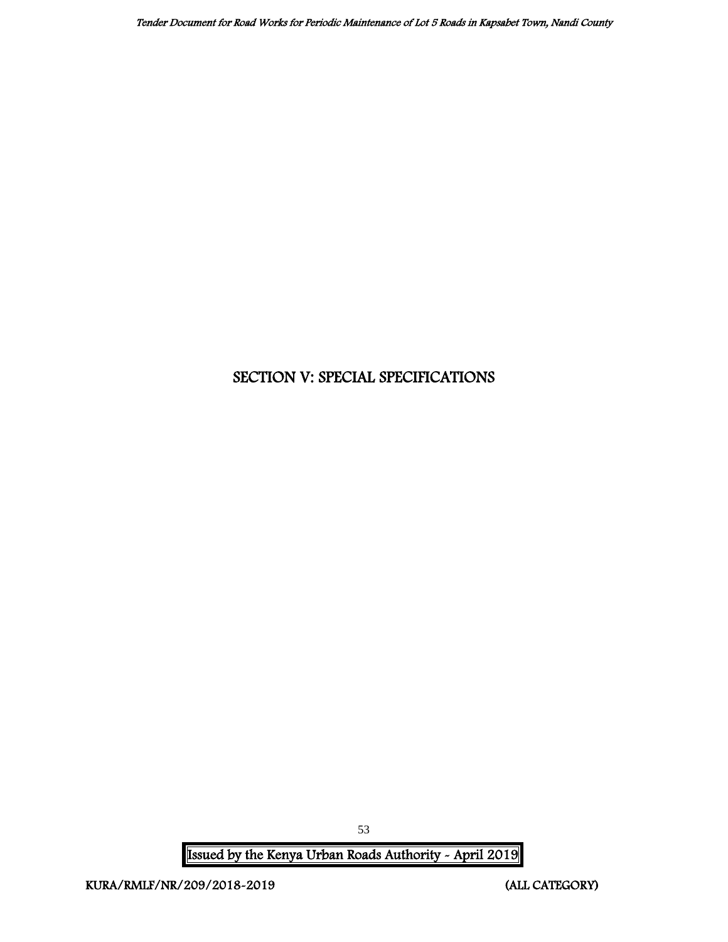# SECTION V: SPECIAL SPECIFICATIONS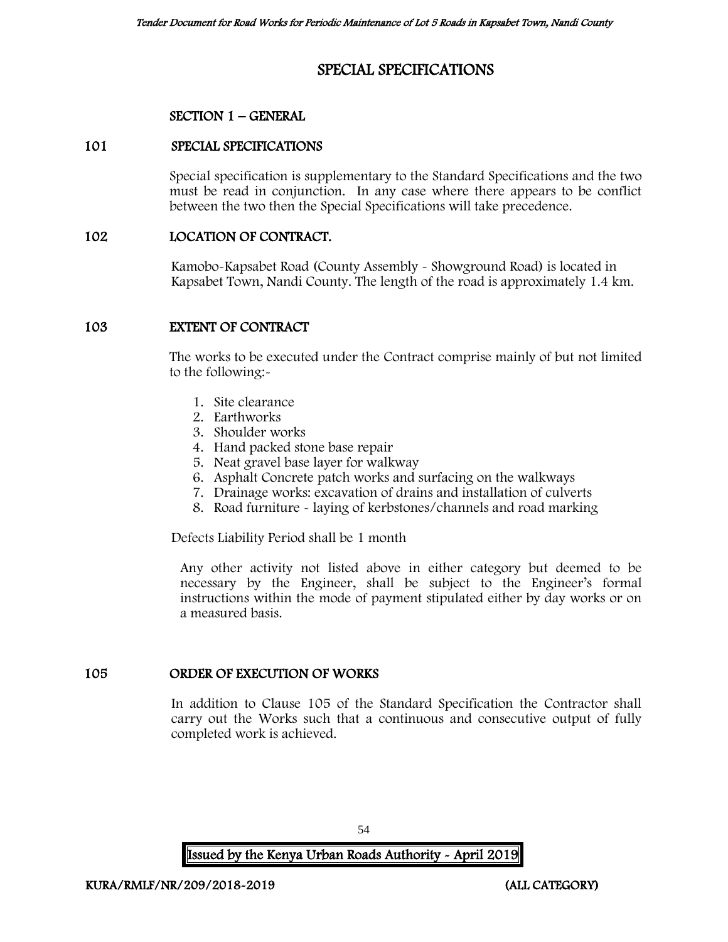# SPECIAL SPECIFICATIONS

## SECTION 1 – GENERAL

#### 101 SPECIAL SPECIFICATIONS

Special specification is supplementary to the Standard Specifications and the two must be read in conjunction. In any case where there appears to be conflict between the two then the Special Specifications will take precedence.

#### 102 LOCATION OF CONTRACT.

Kamobo-Kapsabet Road (County Assembly - Showground Road) is located in Kapsabet Town, Nandi County. The length of the road is approximately 1.4 km.

#### 103 EXTENT OF CONTRACT

The works to be executed under the Contract comprise mainly of but not limited to the following:-

- 1. Site clearance
- 2. Earthworks
- 3. Shoulder works
- 4. Hand packed stone base repair
- 5. Neat gravel base layer for walkway
- 6. Asphalt Concrete patch works and surfacing on the walkways
- 7. Drainage works: excavation of drains and installation of culverts
- 8. Road furniture laying of kerbstones/channels and road marking

Defects Liability Period shall be 1 month

Any other activity not listed above in either category but deemed to be necessary by the Engineer, shall be subject to the Engineer's formal instructions within the mode of payment stipulated either by day works or on a measured basis.

## 105 ORDER OF EXECUTION OF WORKS

In addition to Clause 105 of the Standard Specification the Contractor shall carry out the Works such that a continuous and consecutive output of fully completed work is achieved.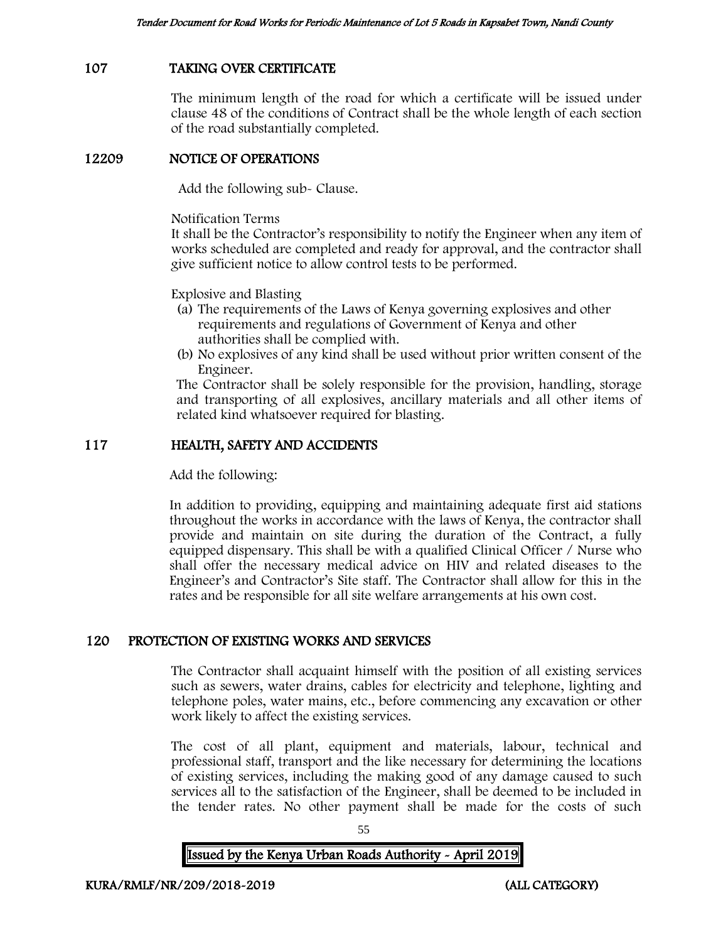# 107 TAKING OVER CERTIFICATE

The minimum length of the road for which a certificate will be issued under clause 48 of the conditions of Contract shall be the whole length of each section of the road substantially completed.

### 12209 NOTICE OF OPERATIONS

Add the following sub- Clause.

Notification Terms

It shall be the Contractor's responsibility to notify the Engineer when any item of works scheduled are completed and ready for approval, and the contractor shall give sufficient notice to allow control tests to be performed.

Explosive and Blasting

- (a) The requirements of the Laws of Kenya governing explosives and other requirements and regulations of Government of Kenya and other authorities shall be complied with.
- (b) No explosives of any kind shall be used without prior written consent of the Engineer.

The Contractor shall be solely responsible for the provision, handling, storage and transporting of all explosives, ancillary materials and all other items of related kind whatsoever required for blasting.

## 117 HEALTH, SAFETY AND ACCIDENTS

Add the following:

In addition to providing, equipping and maintaining adequate first aid stations throughout the works in accordance with the laws of Kenya, the contractor shall provide and maintain on site during the duration of the Contract, a fully equipped dispensary. This shall be with a qualified Clinical Officer / Nurse who shall offer the necessary medical advice on HIV and related diseases to the Engineer's and Contractor's Site staff. The Contractor shall allow for this in the rates and be responsible for all site welfare arrangements at his own cost.

## 120 PROTECTION OF EXISTING WORKS AND SERVICES

The Contractor shall acquaint himself with the position of all existing services such as sewers, water drains, cables for electricity and telephone, lighting and telephone poles, water mains, etc., before commencing any excavation or other work likely to affect the existing services.

The cost of all plant, equipment and materials, labour, technical and professional staff, transport and the like necessary for determining the locations of existing services, including the making good of any damage caused to such services all to the satisfaction of the Engineer, shall be deemed to be included in the tender rates. No other payment shall be made for the costs of such

55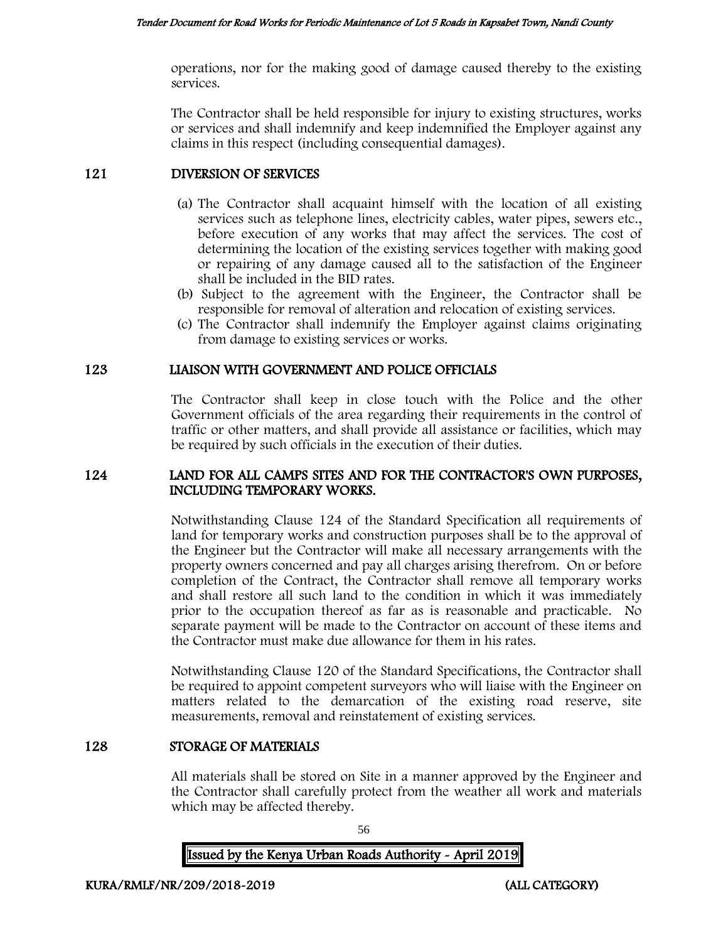operations, nor for the making good of damage caused thereby to the existing services.

The Contractor shall be held responsible for injury to existing structures, works or services and shall indemnify and keep indemnified the Employer against any claims in this respect (including consequential damages).

# 121 DIVERSION OF SERVICES

- (a) The Contractor shall acquaint himself with the location of all existing services such as telephone lines, electricity cables, water pipes, sewers etc., before execution of any works that may affect the services. The cost of determining the location of the existing services together with making good or repairing of any damage caused all to the satisfaction of the Engineer shall be included in the BID rates.
- (b) Subject to the agreement with the Engineer, the Contractor shall be responsible for removal of alteration and relocation of existing services.
- (c) The Contractor shall indemnify the Employer against claims originating from damage to existing services or works.

# 123 LIAISON WITH GOVERNMENT AND POLICE OFFICIALS

The Contractor shall keep in close touch with the Police and the other Government officials of the area regarding their requirements in the control of traffic or other matters, and shall provide all assistance or facilities, which may be required by such officials in the execution of their duties.

#### 124 LAND FOR ALL CAMPS SITES AND FOR THE CONTRACTOR'S OWN PURPOSES, INCLUDING TEMPORARY WORKS.

Notwithstanding Clause 124 of the Standard Specification all requirements of land for temporary works and construction purposes shall be to the approval of the Engineer but the Contractor will make all necessary arrangements with the property owners concerned and pay all charges arising therefrom. On or before completion of the Contract, the Contractor shall remove all temporary works and shall restore all such land to the condition in which it was immediately prior to the occupation thereof as far as is reasonable and practicable. No separate payment will be made to the Contractor on account of these items and the Contractor must make due allowance for them in his rates.

Notwithstanding Clause 120 of the Standard Specifications, the Contractor shall be required to appoint competent surveyors who will liaise with the Engineer on matters related to the demarcation of the existing road reserve, site measurements, removal and reinstatement of existing services.

## 128 STORAGE OF MATERIALS

All materials shall be stored on Site in a manner approved by the Engineer and the Contractor shall carefully protect from the weather all work and materials which may be affected thereby.

56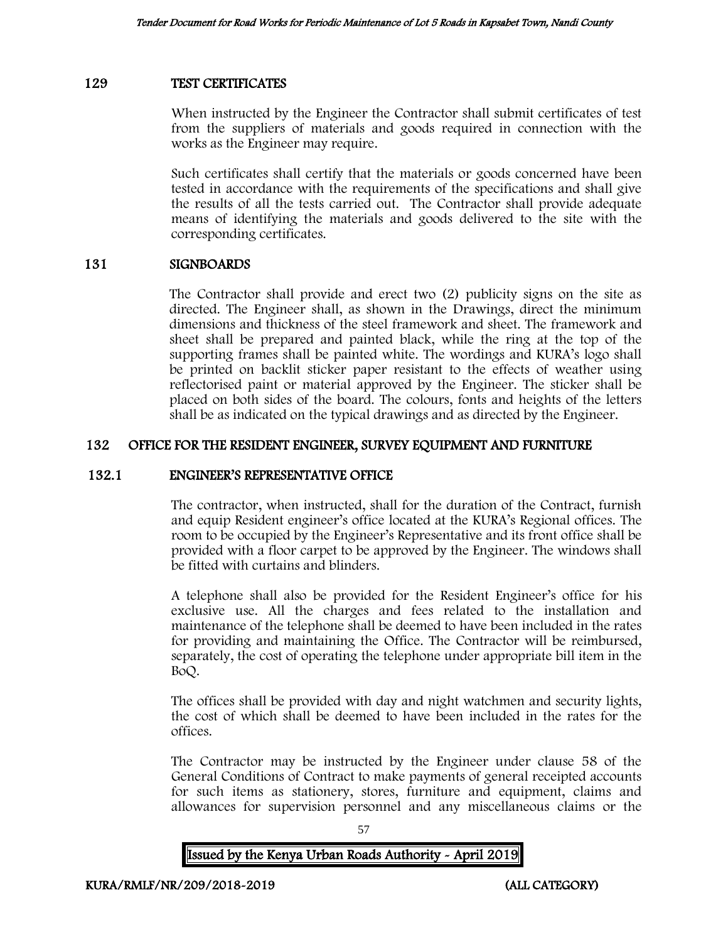#### 129 TEST CERTIFICATES

When instructed by the Engineer the Contractor shall submit certificates of test from the suppliers of materials and goods required in connection with the works as the Engineer may require.

Such certificates shall certify that the materials or goods concerned have been tested in accordance with the requirements of the specifications and shall give the results of all the tests carried out. The Contractor shall provide adequate means of identifying the materials and goods delivered to the site with the corresponding certificates.

#### 131 SIGNBOARDS

The Contractor shall provide and erect two (2) publicity signs on the site as directed. The Engineer shall, as shown in the Drawings, direct the minimum dimensions and thickness of the steel framework and sheet. The framework and sheet shall be prepared and painted black, while the ring at the top of the supporting frames shall be painted white. The wordings and KURA's logo shall be printed on backlit sticker paper resistant to the effects of weather using reflectorised paint or material approved by the Engineer. The sticker shall be placed on both sides of the board. The colours, fonts and heights of the letters shall be as indicated on the typical drawings and as directed by the Engineer.

## 132 OFFICE FOR THE RESIDENT ENGINEER, SURVEY EQUIPMENT AND FURNITURE

#### 132.1 ENGINEER'S REPRESENTATIVE OFFICE

The contractor, when instructed, shall for the duration of the Contract, furnish and equip Resident engineer's office located at the KURA's Regional offices. The room to be occupied by the Engineer's Representative and its front office shall be provided with a floor carpet to be approved by the Engineer. The windows shall be fitted with curtains and blinders.

A telephone shall also be provided for the Resident Engineer's office for his exclusive use. All the charges and fees related to the installation and maintenance of the telephone shall be deemed to have been included in the rates for providing and maintaining the Office. The Contractor will be reimbursed, separately, the cost of operating the telephone under appropriate bill item in the BoQ.

The offices shall be provided with day and night watchmen and security lights, the cost of which shall be deemed to have been included in the rates for the offices.

The Contractor may be instructed by the Engineer under clause 58 of the General Conditions of Contract to make payments of general receipted accounts for such items as stationery, stores, furniture and equipment, claims and allowances for supervision personnel and any miscellaneous claims or the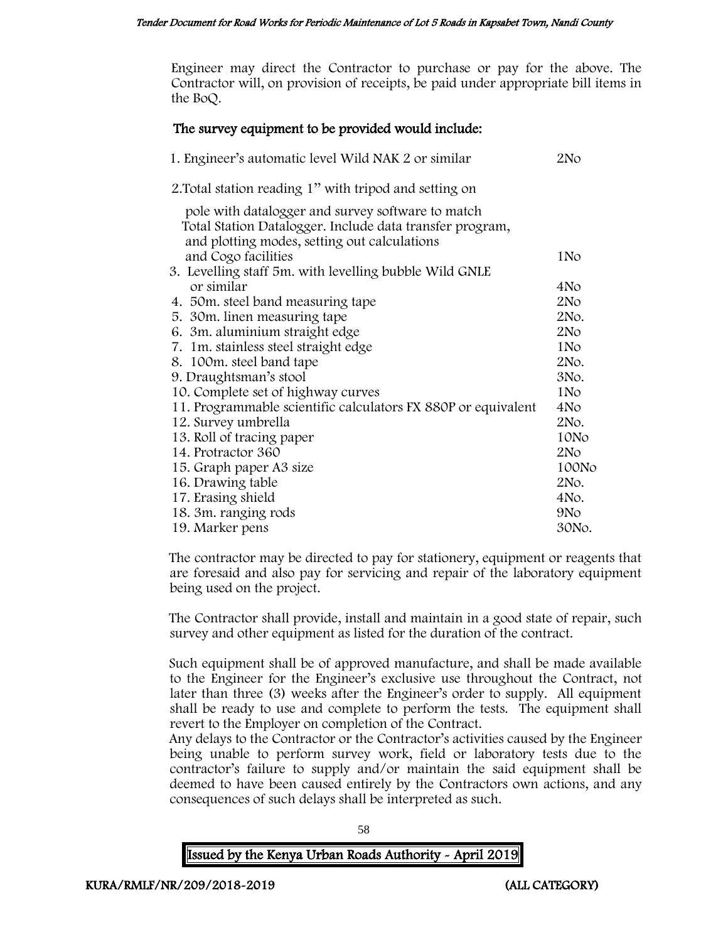Engineer may direct the Contractor to purchase or pay for the above. The Contractor will, on provision of receipts, be paid under appropriate bill items in the BoQ.

## The survey equipment to be provided would include:

| 1. Engineer's automatic level Wild NAK 2 or similar                                                                                                           | 2N <sub>O</sub> |
|---------------------------------------------------------------------------------------------------------------------------------------------------------------|-----------------|
| 2. Total station reading 1" with tripod and setting on                                                                                                        |                 |
| pole with datalogger and survey software to match<br>Total Station Datalogger. Include data transfer program,<br>and plotting modes, setting out calculations |                 |
| and Cogo facilities                                                                                                                                           | 1N <sub>o</sub> |
| 3. Levelling staff 5m. with levelling bubble Wild GNLE                                                                                                        |                 |
| or similar                                                                                                                                                    | 4N <sub>o</sub> |
| 4. 50m. steel band measuring tape                                                                                                                             | 2N <sub>O</sub> |
| 5. 30m. linen measuring tape                                                                                                                                  | 2No.            |
| 6. 3m. aluminium straight edge                                                                                                                                | 2N <sub>O</sub> |
| 7. 1m. stainless steel straight edge                                                                                                                          | 1 <sub>No</sub> |
| 8. 100m. steel band tape                                                                                                                                      | 2No.            |
| 9. Draughtsman's stool                                                                                                                                        | 3No.            |
| 10. Complete set of highway curves                                                                                                                            | 1N <sub>o</sub> |
| 11. Programmable scientific calculators FX 880P or equivalent                                                                                                 | 4N <sub>o</sub> |
| 12. Survey umbrella                                                                                                                                           | 2No.            |
| 13. Roll of tracing paper                                                                                                                                     | 10No            |
| 14. Protractor 360                                                                                                                                            | 2N <sub>O</sub> |
| 15. Graph paper A3 size                                                                                                                                       | 100No           |
| 16. Drawing table                                                                                                                                             | 2No.            |
| 17. Erasing shield                                                                                                                                            | 4No.            |
| 18. 3m. ranging rods                                                                                                                                          | 9N <sub>o</sub> |
| 19. Marker pens                                                                                                                                               | 30No.           |

The contractor may be directed to pay for stationery, equipment or reagents that are foresaid and also pay for servicing and repair of the laboratory equipment being used on the project.

The Contractor shall provide, install and maintain in a good state of repair, such survey and other equipment as listed for the duration of the contract.

Such equipment shall be of approved manufacture, and shall be made available to the Engineer for the Engineer's exclusive use throughout the Contract, not later than three (3) weeks after the Engineer's order to supply. All equipment shall be ready to use and complete to perform the tests. The equipment shall revert to the Employer on completion of the Contract.

Any delays to the Contractor or the Contractor's activities caused by the Engineer being unable to perform survey work, field or laboratory tests due to the contractor's failure to supply and/or maintain the said equipment shall be deemed to have been caused entirely by the Contractors own actions, and any consequences of such delays shall be interpreted as such.

58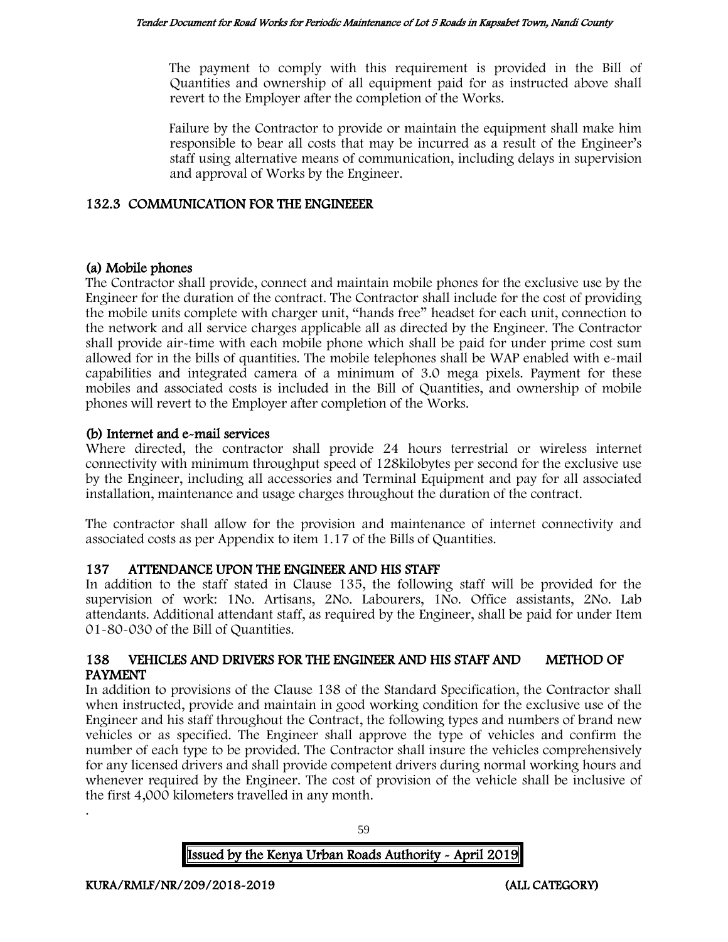The payment to comply with this requirement is provided in the Bill of Quantities and ownership of all equipment paid for as instructed above shall revert to the Employer after the completion of the Works.

Failure by the Contractor to provide or maintain the equipment shall make him responsible to bear all costs that may be incurred as a result of the Engineer's staff using alternative means of communication, including delays in supervision and approval of Works by the Engineer.

# 132.3 COMMUNICATION FOR THE ENGINEEER

# (a) Mobile phones

The Contractor shall provide, connect and maintain mobile phones for the exclusive use by the Engineer for the duration of the contract. The Contractor shall include for the cost of providing the mobile units complete with charger unit, "hands free" headset for each unit, connection to the network and all service charges applicable all as directed by the Engineer. The Contractor shall provide air-time with each mobile phone which shall be paid for under prime cost sum allowed for in the bills of quantities. The mobile telephones shall be WAP enabled with e-mail capabilities and integrated camera of a minimum of 3.0 mega pixels. Payment for these mobiles and associated costs is included in the Bill of Quantities, and ownership of mobile phones will revert to the Employer after completion of the Works.

# (b) Internet and e-mail services

Where directed, the contractor shall provide 24 hours terrestrial or wireless internet connectivity with minimum throughput speed of 128kilobytes per second for the exclusive use by the Engineer, including all accessories and Terminal Equipment and pay for all associated installation, maintenance and usage charges throughout the duration of the contract.

The contractor shall allow for the provision and maintenance of internet connectivity and associated costs as per Appendix to item 1.17 of the Bills of Quantities.

# 137 ATTENDANCE UPON THE ENGINEER AND HIS STAFF

In addition to the staff stated in Clause 135, the following staff will be provided for the supervision of work: 1No. Artisans, 2No. Labourers, 1No. Office assistants, 2No. Lab attendants. Additional attendant staff, as required by the Engineer, shall be paid for under Item 01-80-030 of the Bill of Quantities.

## 138 VEHICLES AND DRIVERS FOR THE ENGINEER AND HIS STAFF AND METHOD OF PAYMENT

In addition to provisions of the Clause 138 of the Standard Specification, the Contractor shall when instructed, provide and maintain in good working condition for the exclusive use of the Engineer and his staff throughout the Contract, the following types and numbers of brand new vehicles or as specified. The Engineer shall approve the type of vehicles and confirm the number of each type to be provided. The Contractor shall insure the vehicles comprehensively for any licensed drivers and shall provide competent drivers during normal working hours and whenever required by the Engineer. The cost of provision of the vehicle shall be inclusive of the first 4,000 kilometers travelled in any month.

59

# Issued by the Kenya Urban Roads Authority - April 2019

.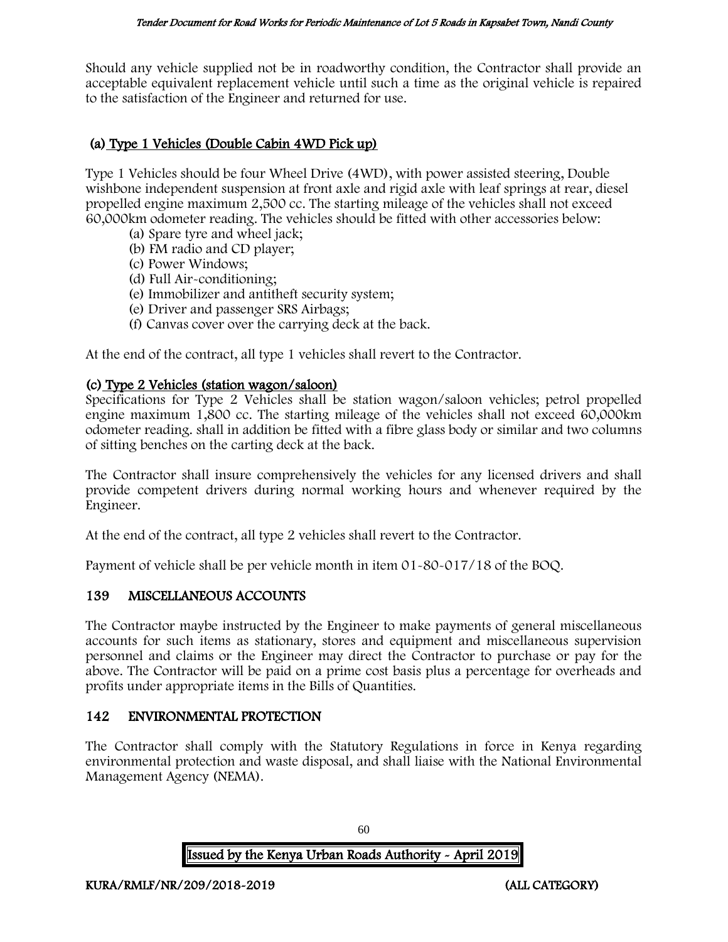Should any vehicle supplied not be in roadworthy condition, the Contractor shall provide an acceptable equivalent replacement vehicle until such a time as the original vehicle is repaired to the satisfaction of the Engineer and returned for use.

# (a) Type 1 Vehicles (Double Cabin 4WD Pick up)

Type 1 Vehicles should be four Wheel Drive (4WD), with power assisted steering, Double wishbone independent suspension at front axle and rigid axle with leaf springs at rear, diesel propelled engine maximum 2,500 cc. The starting mileage of the vehicles shall not exceed 60,000km odometer reading. The vehicles should be fitted with other accessories below:

- (a) Spare tyre and wheel jack;
- (b) FM radio and CD player;
- (c) Power Windows;
- (d) Full Air-conditioning;
- (e) Immobilizer and antitheft security system;
- (e) Driver and passenger SRS Airbags;
- (f) Canvas cover over the carrying deck at the back.

At the end of the contract, all type 1 vehicles shall revert to the Contractor.

# (c) Type 2 Vehicles (station wagon/saloon)

Specifications for Type 2 Vehicles shall be station wagon/saloon vehicles; petrol propelled engine maximum 1,800 cc. The starting mileage of the vehicles shall not exceed 60,000km odometer reading. shall in addition be fitted with a fibre glass body or similar and two columns of sitting benches on the carting deck at the back.

The Contractor shall insure comprehensively the vehicles for any licensed drivers and shall provide competent drivers during normal working hours and whenever required by the Engineer.

At the end of the contract, all type 2 vehicles shall revert to the Contractor.

Payment of vehicle shall be per vehicle month in item 01-80-017/18 of the BOQ.

## 139 MISCELLANEOUS ACCOUNTS

The Contractor maybe instructed by the Engineer to make payments of general miscellaneous accounts for such items as stationary, stores and equipment and miscellaneous supervision personnel and claims or the Engineer may direct the Contractor to purchase or pay for the above. The Contractor will be paid on a prime cost basis plus a percentage for overheads and profits under appropriate items in the Bills of Quantities.

# 142 ENVIRONMENTAL PROTECTION

The Contractor shall comply with the Statutory Regulations in force in Kenya regarding environmental protection and waste disposal, and shall liaise with the National Environmental Management Agency (NEMA).

Issued by the Kenya Urban Roads Authority - April 2019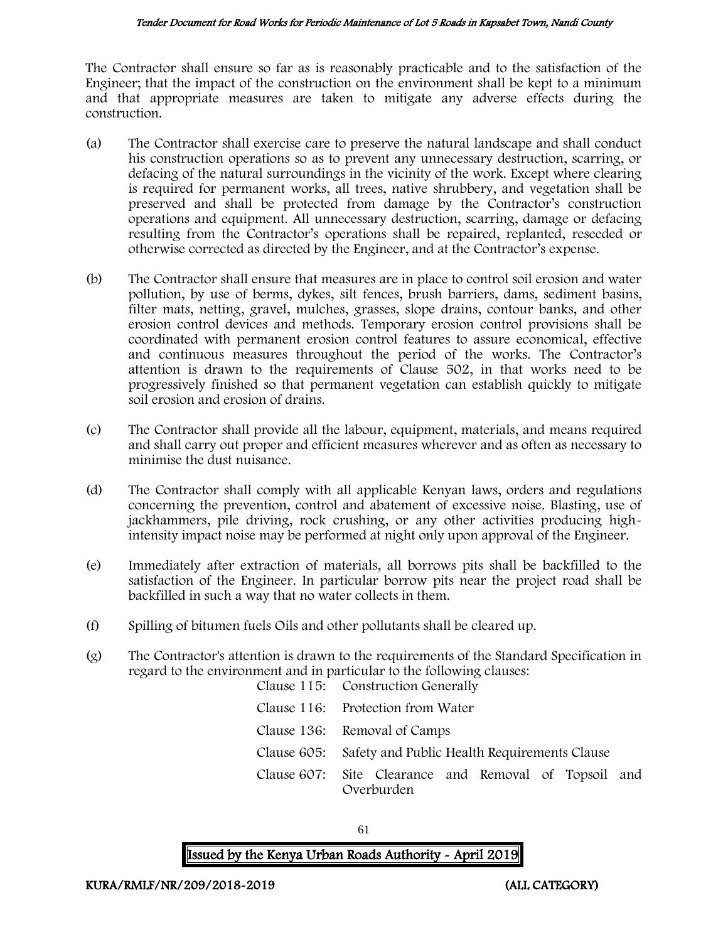The Contractor shall ensure so far as is reasonably practicable and to the satisfaction of the Engineer; that the impact of the construction on the environment shall be kept to a minimum and that appropriate measures are taken to mitigate any adverse effects during the construction.

- (a) The Contractor shall exercise care to preserve the natural landscape and shall conduct his construction operations so as to prevent any unnecessary destruction, scarring, or defacing of the natural surroundings in the vicinity of the work. Except where clearing is required for permanent works, all trees, native shrubbery, and vegetation shall be preserved and shall be protected from damage by the Contractor's construction operations and equipment. All unnecessary destruction, scarring, damage or defacing resulting from the Contractor's operations shall be repaired, replanted, reseeded or otherwise corrected as directed by the Engineer, and at the Contractor's expense.
- (b) The Contractor shall ensure that measures are in place to control soil erosion and water pollution, by use of berms, dykes, silt fences, brush barriers, dams, sediment basins, filter mats, netting, gravel, mulches, grasses, slope drains, contour banks, and other erosion control devices and methods. Temporary erosion control provisions shall be coordinated with permanent erosion control features to assure economical, effective and continuous measures throughout the period of the works. The Contractor's attention is drawn to the requirements of Clause 502, in that works need to be progressively finished so that permanent vegetation can establish quickly to mitigate soil erosion and erosion of drains.
- (c) The Contractor shall provide all the labour, equipment, materials, and means required and shall carry out proper and efficient measures wherever and as often as necessary to minimise the dust nuisance.
- (d) The Contractor shall comply with all applicable Kenyan laws, orders and regulations concerning the prevention, control and abatement of excessive noise. Blasting, use of jackhammers, pile driving, rock crushing, or any other activities producing highintensity impact noise may be performed at night only upon approval of the Engineer.
- (e) Immediately after extraction of materials, all borrows pits shall be backfilled to the satisfaction of the Engineer. In particular borrow pits near the project road shall be backfilled in such a way that no water collects in them.
- (f) Spilling of bitumen fuels Oils and other pollutants shall be cleared up.
- (g) The Contractor's attention is drawn to the requirements of the Standard Specification in regard to the environment and in particular to the following clauses: Clause 115: Construction Generally

| Clause 110. Construction dencrally                                  |  |  |
|---------------------------------------------------------------------|--|--|
| Clause 116: Protection from Water                                   |  |  |
| Clause 136: Removal of Camps                                        |  |  |
| Clause 605: Safety and Public Health Requirements Clause            |  |  |
| Clause 607: Site Clearance and Removal of Topsoil and<br>Overburden |  |  |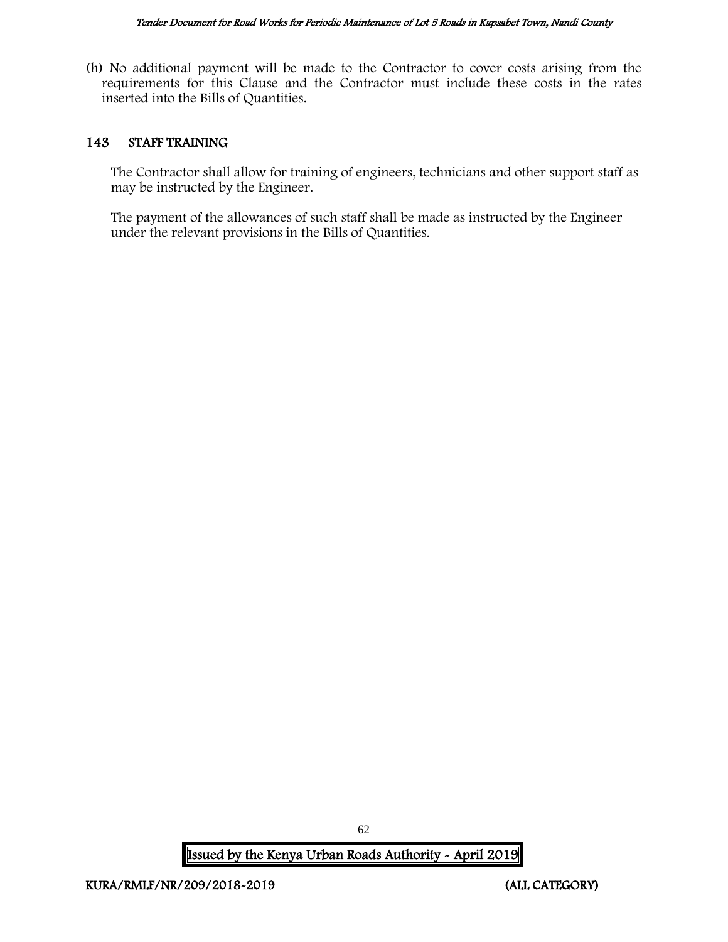(h) No additional payment will be made to the Contractor to cover costs arising from the requirements for this Clause and the Contractor must include these costs in the rates inserted into the Bills of Quantities.

### 143 STAFF TRAINING

The Contractor shall allow for training of engineers, technicians and other support staff as may be instructed by the Engineer.

The payment of the allowances of such staff shall be made as instructed by the Engineer under the relevant provisions in the Bills of Quantities.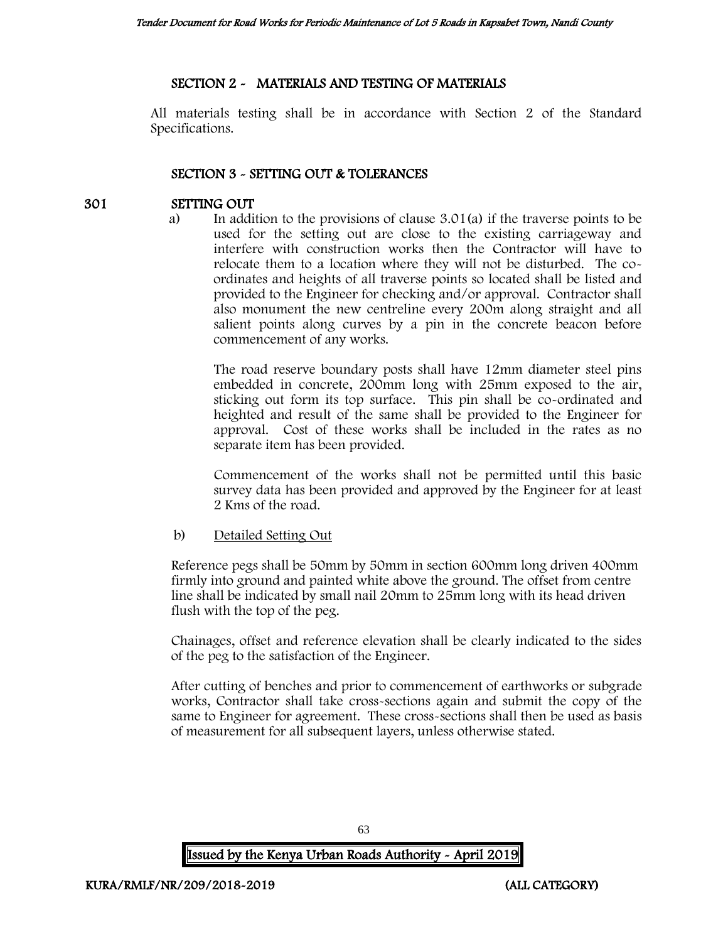## SECTION 2 - MATERIALS AND TESTING OF MATERIALS

All materials testing shall be in accordance with Section 2 of the Standard Specifications.

# SECTION 3 - SETTING OUT & TOLERANCES

# 301 SETTING OUT

a) In addition to the provisions of clause 3.01(a) if the traverse points to be used for the setting out are close to the existing carriageway and interfere with construction works then the Contractor will have to relocate them to a location where they will not be disturbed. The coordinates and heights of all traverse points so located shall be listed and provided to the Engineer for checking and/or approval. Contractor shall also monument the new centreline every 200m along straight and all salient points along curves by a pin in the concrete beacon before commencement of any works.

The road reserve boundary posts shall have 12mm diameter steel pins embedded in concrete, 200mm long with 25mm exposed to the air, sticking out form its top surface. This pin shall be co-ordinated and heighted and result of the same shall be provided to the Engineer for approval. Cost of these works shall be included in the rates as no separate item has been provided.

Commencement of the works shall not be permitted until this basic survey data has been provided and approved by the Engineer for at least 2 Kms of the road.

## b) Detailed Setting Out

Reference pegs shall be 50mm by 50mm in section 600mm long driven 400mm firmly into ground and painted white above the ground. The offset from centre line shall be indicated by small nail 20mm to 25mm long with its head driven flush with the top of the peg.

Chainages, offset and reference elevation shall be clearly indicated to the sides of the peg to the satisfaction of the Engineer.

After cutting of benches and prior to commencement of earthworks or subgrade works, Contractor shall take cross-sections again and submit the copy of the same to Engineer for agreement. These cross-sections shall then be used as basis of measurement for all subsequent layers, unless otherwise stated.

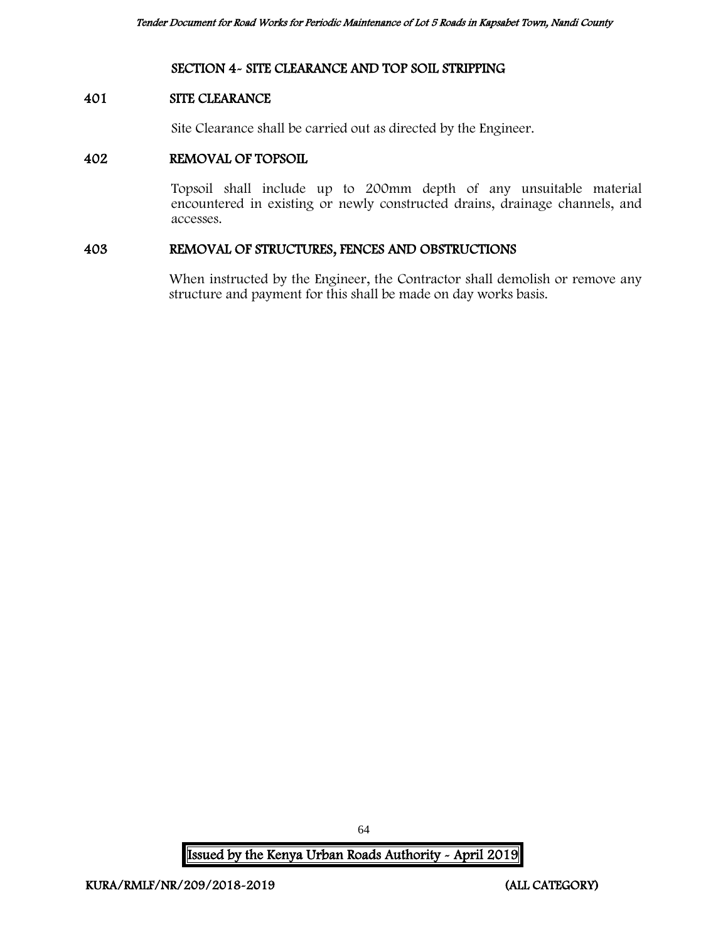## SECTION 4- SITE CLEARANCE AND TOP SOIL STRIPPING

#### 401 SITE CLEARANCE

Site Clearance shall be carried out as directed by the Engineer.

#### 402 REMOVAL OF TOPSOIL

Topsoil shall include up to 200mm depth of any unsuitable material encountered in existing or newly constructed drains, drainage channels, and accesses.

#### 403 REMOVAL OF STRUCTURES, FENCES AND OBSTRUCTIONS

When instructed by the Engineer, the Contractor shall demolish or remove any structure and payment for this shall be made on day works basis.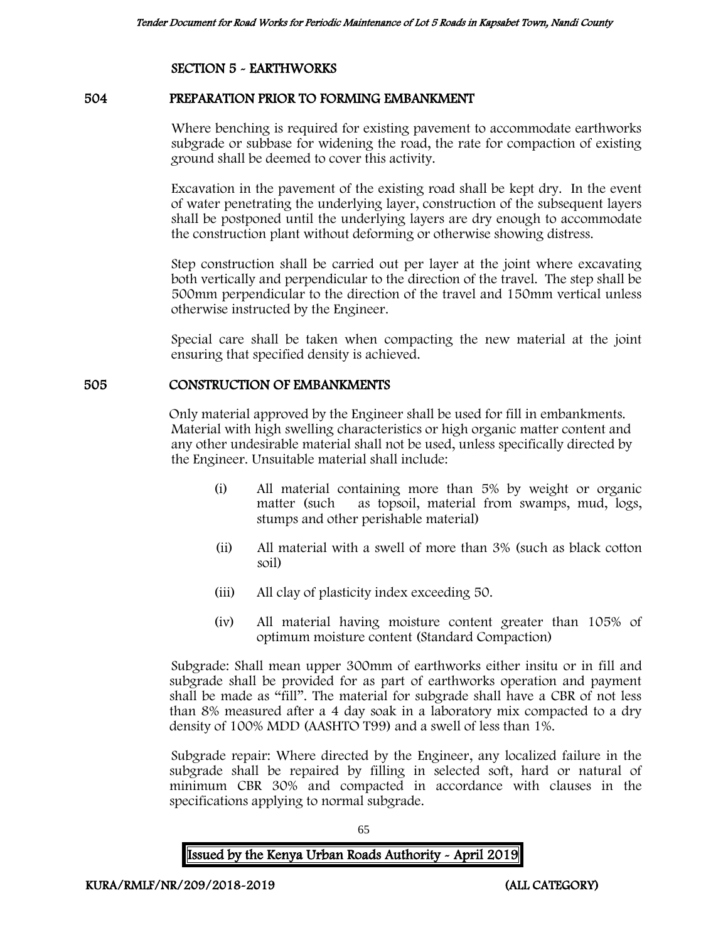## SECTION 5 - EARTHWORKS

#### 504 PREPARATION PRIOR TO FORMING EMBANKMENT

Where benching is required for existing pavement to accommodate earthworks subgrade or subbase for widening the road, the rate for compaction of existing ground shall be deemed to cover this activity.

Excavation in the pavement of the existing road shall be kept dry. In the event of water penetrating the underlying layer, construction of the subsequent layers shall be postponed until the underlying layers are dry enough to accommodate the construction plant without deforming or otherwise showing distress.

Step construction shall be carried out per layer at the joint where excavating both vertically and perpendicular to the direction of the travel. The step shall be 500mm perpendicular to the direction of the travel and 150mm vertical unless otherwise instructed by the Engineer.

Special care shall be taken when compacting the new material at the joint ensuring that specified density is achieved.

#### 505 CONSTRUCTION OF EMBANKMENTS

Only material approved by the Engineer shall be used for fill in embankments. Material with high swelling characteristics or high organic matter content and any other undesirable material shall not be used, unless specifically directed by the Engineer. Unsuitable material shall include:

- (i) All material containing more than 5% by weight or organic matter (such as topsoil, material from swamps, mud, logs, stumps and other perishable material)
- (ii) All material with a swell of more than 3% (such as black cotton soil)
- (iii) All clay of plasticity index exceeding 50.
- (iv) All material having moisture content greater than 105% of optimum moisture content (Standard Compaction)

Subgrade: Shall mean upper 300mm of earthworks either insitu or in fill and subgrade shall be provided for as part of earthworks operation and payment shall be made as "fill". The material for subgrade shall have a CBR of not less than 8% measured after a 4 day soak in a laboratory mix compacted to a dry density of 100% MDD (AASHTO T99) and a swell of less than 1%.

Subgrade repair: Where directed by the Engineer, any localized failure in the subgrade shall be repaired by filling in selected soft, hard or natural of minimum CBR 30% and compacted in accordance with clauses in the specifications applying to normal subgrade.

65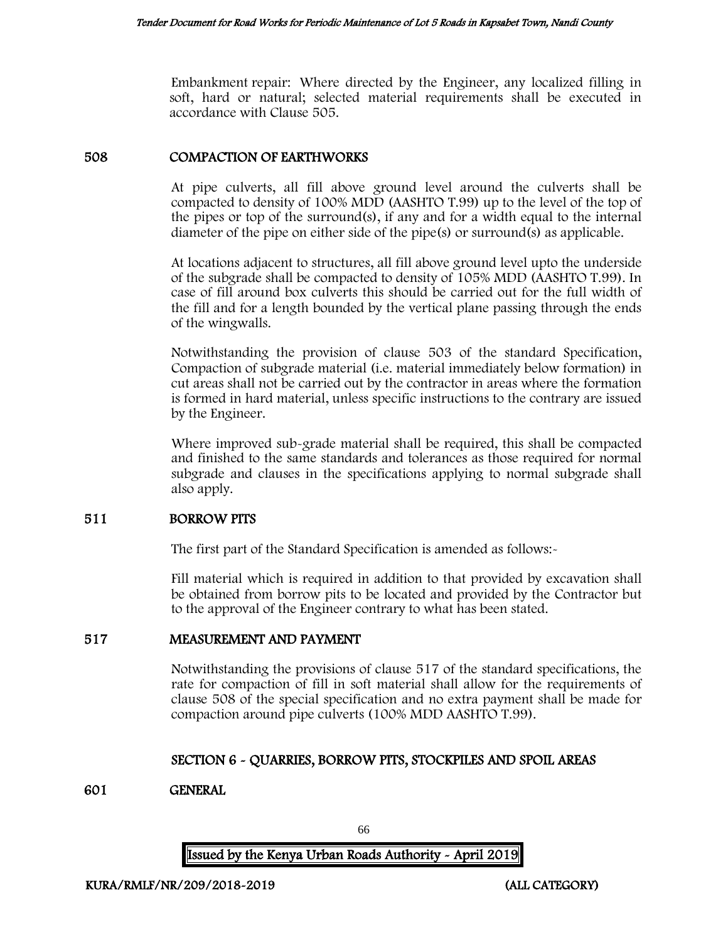Embankment repair: Where directed by the Engineer, any localized filling in soft, hard or natural; selected material requirements shall be executed in accordance with Clause 505.

### 508 COMPACTION OF EARTHWORKS

At pipe culverts, all fill above ground level around the culverts shall be compacted to density of 100% MDD (AASHTO T.99) up to the level of the top of the pipes or top of the surround(s), if any and for a width equal to the internal diameter of the pipe on either side of the pipe(s) or surround(s) as applicable.

At locations adjacent to structures, all fill above ground level upto the underside of the subgrade shall be compacted to density of 105% MDD (AASHTO T.99). In case of fill around box culverts this should be carried out for the full width of the fill and for a length bounded by the vertical plane passing through the ends of the wingwalls.

Notwithstanding the provision of clause 503 of the standard Specification, Compaction of subgrade material (i.e. material immediately below formation) in cut areas shall not be carried out by the contractor in areas where the formation is formed in hard material, unless specific instructions to the contrary are issued by the Engineer.

Where improved sub-grade material shall be required, this shall be compacted and finished to the same standards and tolerances as those required for normal subgrade and clauses in the specifications applying to normal subgrade shall also apply.

#### 511 BORROW PITS

The first part of the Standard Specification is amended as follows:-

Fill material which is required in addition to that provided by excavation shall be obtained from borrow pits to be located and provided by the Contractor but to the approval of the Engineer contrary to what has been stated.

## 517 MEASUREMENT AND PAYMENT

Notwithstanding the provisions of clause 517 of the standard specifications, the rate for compaction of fill in soft material shall allow for the requirements of clause 508 of the special specification and no extra payment shall be made for compaction around pipe culverts (100% MDD AASHTO T.99).

## SECTION 6 - QUARRIES, BORROW PITS, STOCKPILES AND SPOIL AREAS

## 601 GENERAL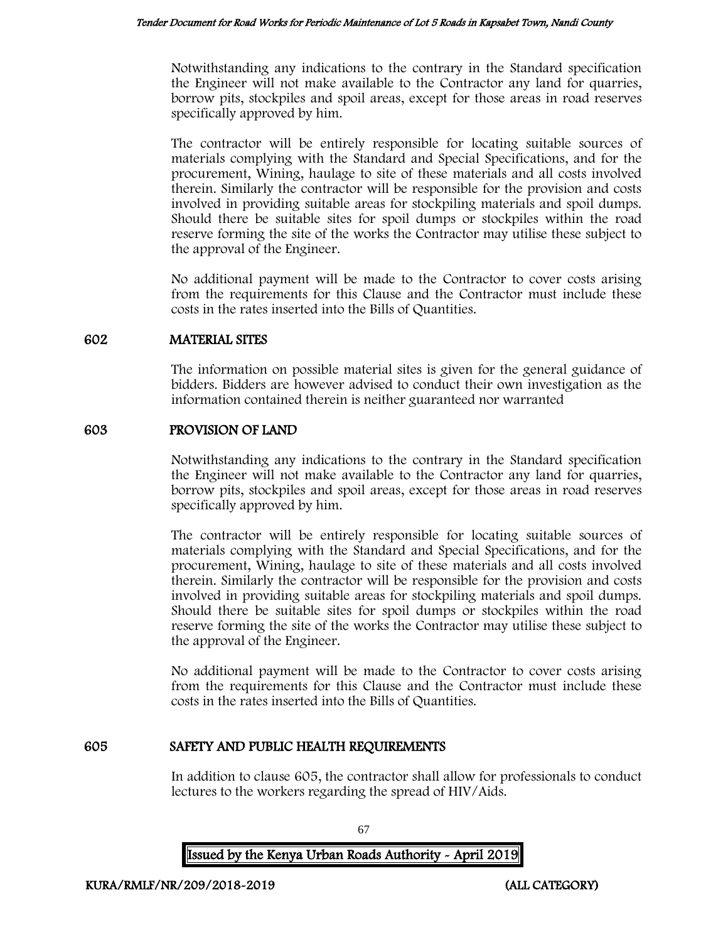Notwithstanding any indications to the contrary in the Standard specification the Engineer will not make available to the Contractor any land for quarries, borrow pits, stockpiles and spoil areas, except for those areas in road reserves specifically approved by him.

The contractor will be entirely responsible for locating suitable sources of materials complying with the Standard and Special Specifications, and for the procurement, Wining, haulage to site of these materials and all costs involved therein. Similarly the contractor will be responsible for the provision and costs involved in providing suitable areas for stockpiling materials and spoil dumps. Should there be suitable sites for spoil dumps or stockpiles within the road reserve forming the site of the works the Contractor may utilise these subject to the approval of the Engineer.

No additional payment will be made to the Contractor to cover costs arising from the requirements for this Clause and the Contractor must include these costs in the rates inserted into the Bills of Quantities.

#### 602 MATERIAL SITES

The information on possible material sites is given for the general guidance of bidders. Bidders are however advised to conduct their own investigation as the information contained therein is neither guaranteed nor warranted

## 603 PROVISION OF LAND

Notwithstanding any indications to the contrary in the Standard specification the Engineer will not make available to the Contractor any land for quarries, borrow pits, stockpiles and spoil areas, except for those areas in road reserves specifically approved by him.

The contractor will be entirely responsible for locating suitable sources of materials complying with the Standard and Special Specifications, and for the procurement, Wining, haulage to site of these materials and all costs involved therein. Similarly the contractor will be responsible for the provision and costs involved in providing suitable areas for stockpiling materials and spoil dumps. Should there be suitable sites for spoil dumps or stockpiles within the road reserve forming the site of the works the Contractor may utilise these subject to the approval of the Engineer.

No additional payment will be made to the Contractor to cover costs arising from the requirements for this Clause and the Contractor must include these costs in the rates inserted into the Bills of Quantities.

## 605 SAFETY AND PUBLIC HEALTH REQUIREMENTS

In addition to clause 605, the contractor shall allow for professionals to conduct lectures to the workers regarding the spread of HIV/Aids.

Issued by the Kenya Urban Roads Authority - April 2019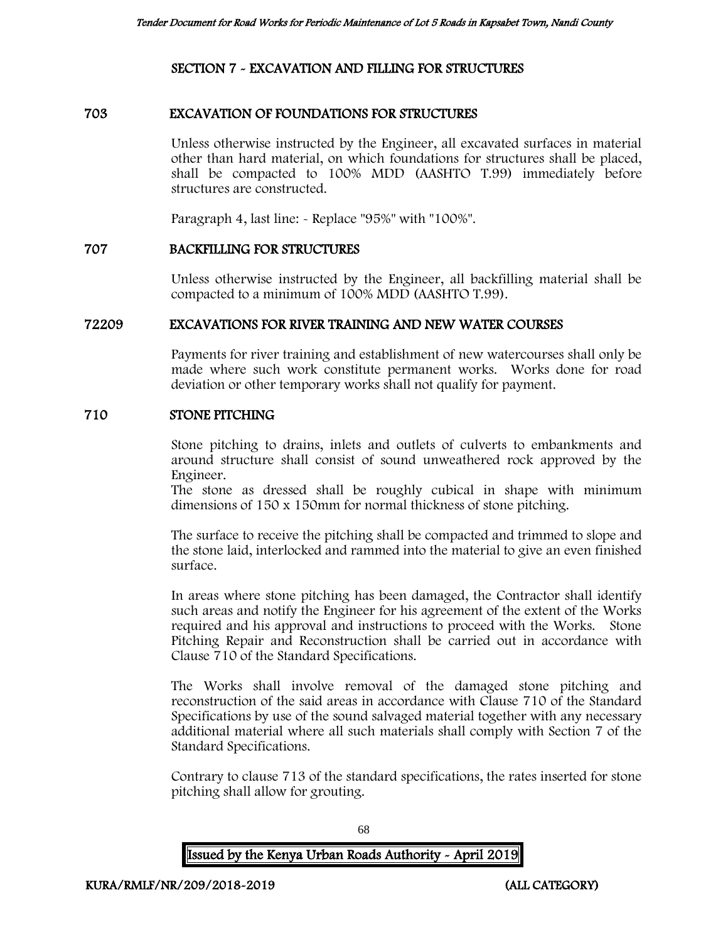## SECTION 7 - EXCAVATION AND FILLING FOR STRUCTURES

#### 703 EXCAVATION OF FOUNDATIONS FOR STRUCTURES

Unless otherwise instructed by the Engineer, all excavated surfaces in material other than hard material, on which foundations for structures shall be placed, shall be compacted to 100% MDD (AASHTO T.99) immediately before structures are constructed.

Paragraph 4, last line: - Replace "95%" with "100%".

#### 707 BACKFILLING FOR STRUCTURES

Unless otherwise instructed by the Engineer, all backfilling material shall be compacted to a minimum of 100% MDD (AASHTO T.99).

#### 72209 EXCAVATIONS FOR RIVER TRAINING AND NEW WATER COURSES

Payments for river training and establishment of new watercourses shall only be made where such work constitute permanent works. Works done for road deviation or other temporary works shall not qualify for payment.

#### 710 STONE PITCHING

Stone pitching to drains, inlets and outlets of culverts to embankments and around structure shall consist of sound unweathered rock approved by the Engineer.

The stone as dressed shall be roughly cubical in shape with minimum dimensions of 150 x 150mm for normal thickness of stone pitching.

The surface to receive the pitching shall be compacted and trimmed to slope and the stone laid, interlocked and rammed into the material to give an even finished surface.

In areas where stone pitching has been damaged, the Contractor shall identify such areas and notify the Engineer for his agreement of the extent of the Works required and his approval and instructions to proceed with the Works. Stone Pitching Repair and Reconstruction shall be carried out in accordance with Clause 710 of the Standard Specifications.

The Works shall involve removal of the damaged stone pitching and reconstruction of the said areas in accordance with Clause 710 of the Standard Specifications by use of the sound salvaged material together with any necessary additional material where all such materials shall comply with Section 7 of the Standard Specifications.

Contrary to clause 713 of the standard specifications, the rates inserted for stone pitching shall allow for grouting.

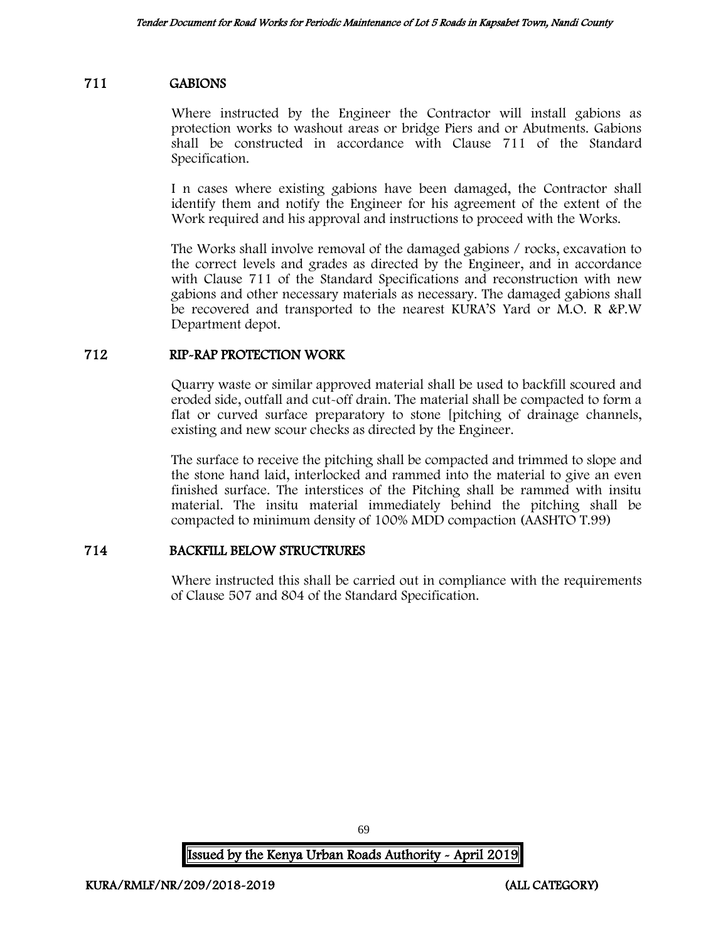## 711 GABIONS

Where instructed by the Engineer the Contractor will install gabions as protection works to washout areas or bridge Piers and or Abutments. Gabions shall be constructed in accordance with Clause 711 of the Standard Specification.

I n cases where existing gabions have been damaged, the Contractor shall identify them and notify the Engineer for his agreement of the extent of the Work required and his approval and instructions to proceed with the Works.

The Works shall involve removal of the damaged gabions / rocks, excavation to the correct levels and grades as directed by the Engineer, and in accordance with Clause 711 of the Standard Specifications and reconstruction with new gabions and other necessary materials as necessary. The damaged gabions shall be recovered and transported to the nearest KURA'S Yard or M.O. R &P.W Department depot.

#### 712 RIP-RAP PROTECTION WORK

Quarry waste or similar approved material shall be used to backfill scoured and eroded side, outfall and cut-off drain. The material shall be compacted to form a flat or curved surface preparatory to stone [pitching of drainage channels, existing and new scour checks as directed by the Engineer.

The surface to receive the pitching shall be compacted and trimmed to slope and the stone hand laid, interlocked and rammed into the material to give an even finished surface. The interstices of the Pitching shall be rammed with insitu material. The insitu material immediately behind the pitching shall be compacted to minimum density of 100% MDD compaction (AASHTO T.99)

## 714 BACKFILL BELOW STRUCTRURES

Where instructed this shall be carried out in compliance with the requirements of Clause 507 and 804 of the Standard Specification.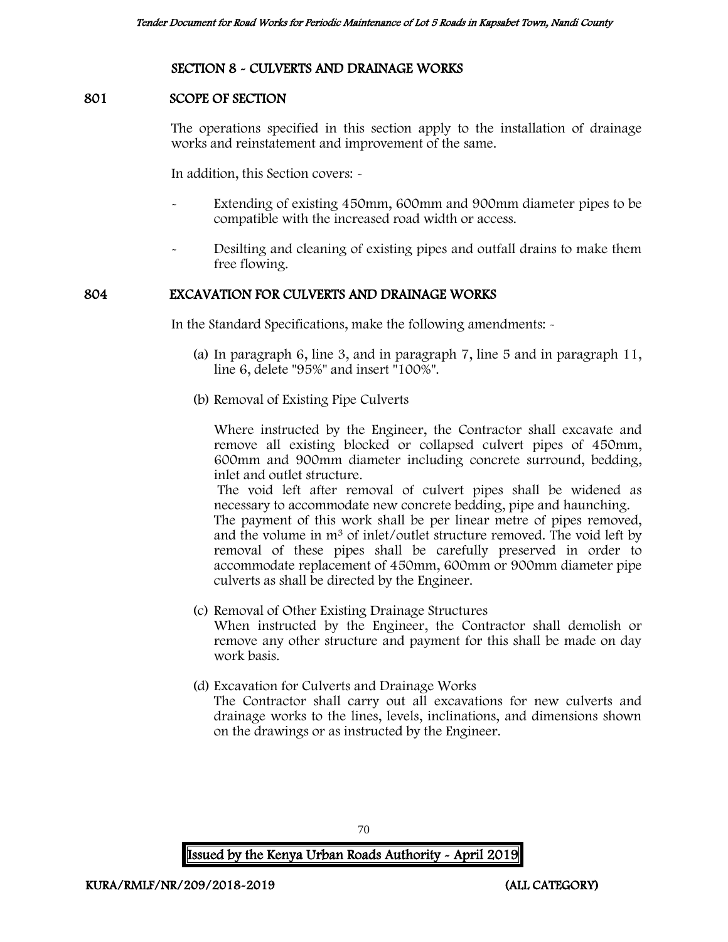#### SECTION 8 - CULVERTS AND DRAINAGE WORKS

#### 801 SCOPE OF SECTION

The operations specified in this section apply to the installation of drainage works and reinstatement and improvement of the same.

In addition, this Section covers: -

- Extending of existing 450mm, 600mm and 900mm diameter pipes to be compatible with the increased road width or access.
- Desilting and cleaning of existing pipes and outfall drains to make them free flowing.

#### 804 EXCAVATION FOR CULVERTS AND DRAINAGE WORKS

In the Standard Specifications, make the following amendments: -

- (a) In paragraph 6, line 3, and in paragraph 7, line 5 and in paragraph 11, line 6, delete "95%" and insert "100%".
- (b) Removal of Existing Pipe Culverts

Where instructed by the Engineer, the Contractor shall excavate and remove all existing blocked or collapsed culvert pipes of 450mm, 600mm and 900mm diameter including concrete surround, bedding, inlet and outlet structure.

The void left after removal of culvert pipes shall be widened as necessary to accommodate new concrete bedding, pipe and haunching.

The payment of this work shall be per linear metre of pipes removed, and the volume in m<sup>3</sup> of inlet/outlet structure removed. The void left by removal of these pipes shall be carefully preserved in order to accommodate replacement of 450mm, 600mm or 900mm diameter pipe culverts as shall be directed by the Engineer.

- (c) Removal of Other Existing Drainage Structures When instructed by the Engineer, the Contractor shall demolish or remove any other structure and payment for this shall be made on day work basis.
- (d) Excavation for Culverts and Drainage Works

The Contractor shall carry out all excavations for new culverts and drainage works to the lines, levels, inclinations, and dimensions shown on the drawings or as instructed by the Engineer.

70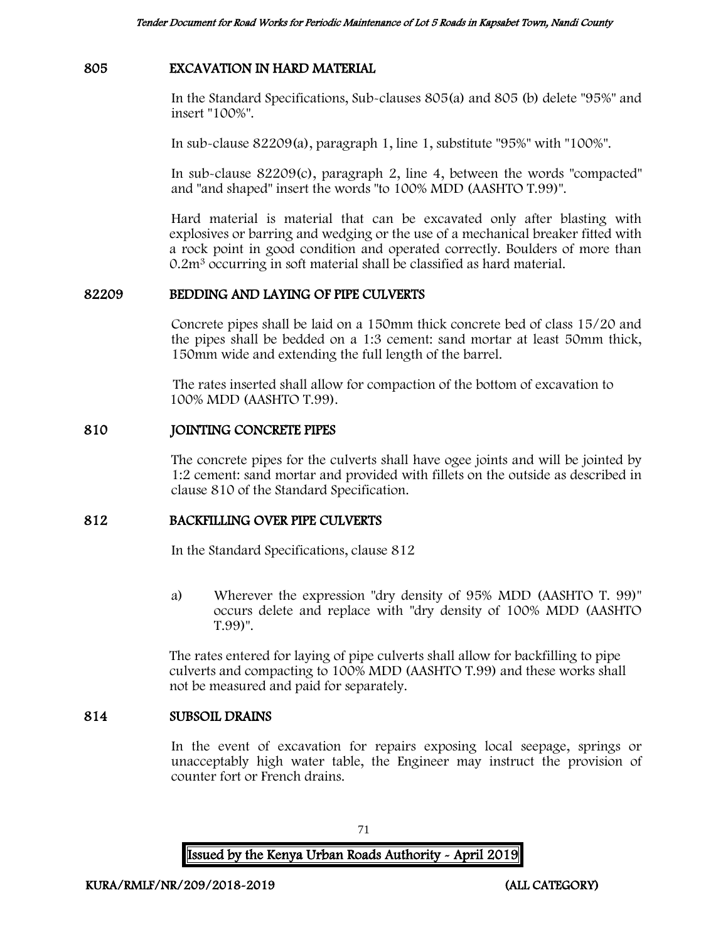#### 805 EXCAVATION IN HARD MATERIAL

In the Standard Specifications, Sub-clauses 805(a) and 805 (b) delete "95%" and insert "100%".

In sub-clause 82209(a), paragraph 1, line 1, substitute "95%" with "100%".

In sub-clause 82209(c), paragraph 2, line 4, between the words "compacted" and "and shaped" insert the words "to 100% MDD (AASHTO T.99)".

Hard material is material that can be excavated only after blasting with explosives or barring and wedging or the use of a mechanical breaker fitted with a rock point in good condition and operated correctly. Boulders of more than 0.2m<sup>3</sup> occurring in soft material shall be classified as hard material.

#### 82209 BEDDING AND LAYING OF PIPE CULVERTS

Concrete pipes shall be laid on a 150mm thick concrete bed of class 15/20 and the pipes shall be bedded on a 1:3 cement: sand mortar at least 50mm thick, 150mm wide and extending the full length of the barrel.

The rates inserted shall allow for compaction of the bottom of excavation to 100% MDD (AASHTO T.99).

#### 810 JOINTING CONCRETE PIPES

The concrete pipes for the culverts shall have ogee joints and will be jointed by 1:2 cement: sand mortar and provided with fillets on the outside as described in clause 810 of the Standard Specification.

#### 812 BACKFILLING OVER PIPE CULVERTS

In the Standard Specifications, clause 812

a) Wherever the expression "dry density of 95% MDD (AASHTO T. 99)" occurs delete and replace with "dry density of 100% MDD (AASHTO T.99)".

The rates entered for laying of pipe culverts shall allow for backfilling to pipe culverts and compacting to 100% MDD (AASHTO T.99) and these works shall not be measured and paid for separately.

#### 814 SUBSOIL DRAINS

In the event of excavation for repairs exposing local seepage, springs or unacceptably high water table, the Engineer may instruct the provision of counter fort or French drains.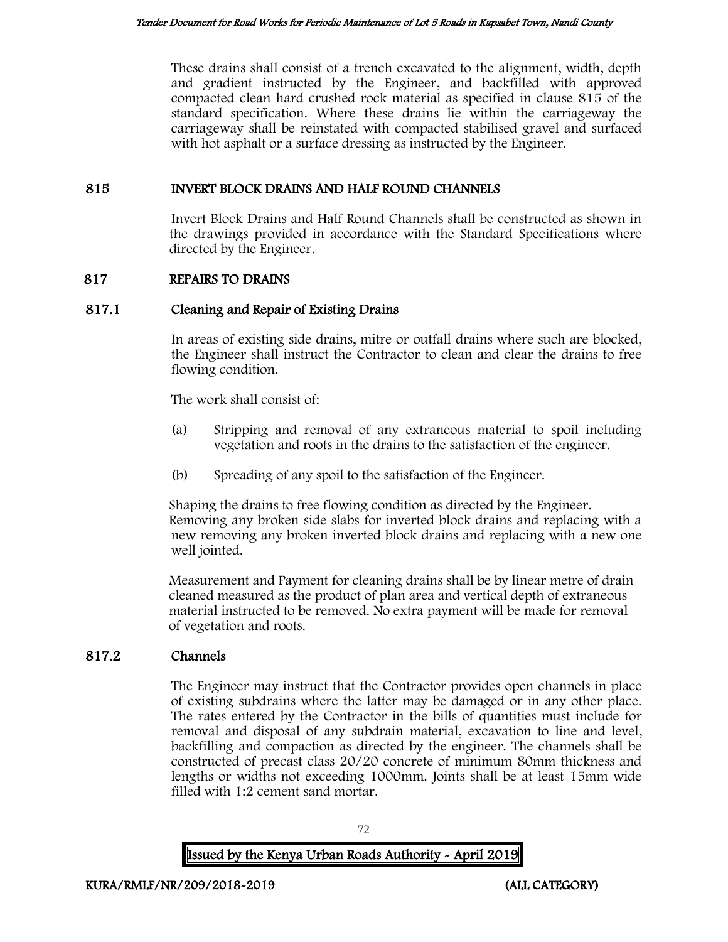These drains shall consist of a trench excavated to the alignment, width, depth and gradient instructed by the Engineer, and backfilled with approved compacted clean hard crushed rock material as specified in clause 815 of the standard specification. Where these drains lie within the carriageway the carriageway shall be reinstated with compacted stabilised gravel and surfaced with hot asphalt or a surface dressing as instructed by the Engineer.

# 815 INVERT BLOCK DRAINS AND HALF ROUND CHANNELS

Invert Block Drains and Half Round Channels shall be constructed as shown in the drawings provided in accordance with the Standard Specifications where directed by the Engineer.

# 817 REPAIRS TO DRAINS

# 817.1 Cleaning and Repair of Existing Drains

In areas of existing side drains, mitre or outfall drains where such are blocked, the Engineer shall instruct the Contractor to clean and clear the drains to free flowing condition.

The work shall consist of:

- (a) Stripping and removal of any extraneous material to spoil including vegetation and roots in the drains to the satisfaction of the engineer.
- (b) Spreading of any spoil to the satisfaction of the Engineer.

Shaping the drains to free flowing condition as directed by the Engineer. Removing any broken side slabs for inverted block drains and replacing with a new removing any broken inverted block drains and replacing with a new one well jointed.

Measurement and Payment for cleaning drains shall be by linear metre of drain cleaned measured as the product of plan area and vertical depth of extraneous material instructed to be removed. No extra payment will be made for removal of vegetation and roots.

# 817.2 Channels

The Engineer may instruct that the Contractor provides open channels in place of existing subdrains where the latter may be damaged or in any other place. The rates entered by the Contractor in the bills of quantities must include for removal and disposal of any subdrain material, excavation to line and level, backfilling and compaction as directed by the engineer. The channels shall be constructed of precast class 20/20 concrete of minimum 80mm thickness and lengths or widths not exceeding 1000mm. Joints shall be at least 15mm wide filled with 1:2 cement sand mortar.

Issued by the Kenya Urban Roads Authority - April 2019

72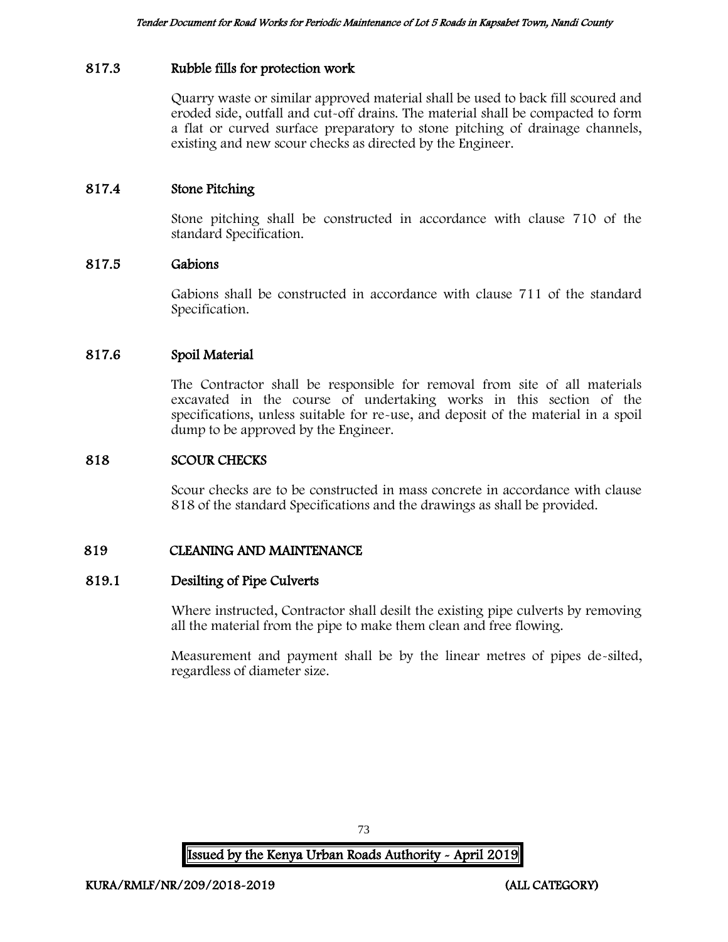## 817.3 Rubble fills for protection work

Quarry waste or similar approved material shall be used to back fill scoured and eroded side, outfall and cut-off drains. The material shall be compacted to form a flat or curved surface preparatory to stone pitching of drainage channels, existing and new scour checks as directed by the Engineer.

#### 817.4 Stone Pitching

Stone pitching shall be constructed in accordance with clause 710 of the standard Specification.

#### 817.5 Gabions

Gabions shall be constructed in accordance with clause 711 of the standard Specification.

#### 817.6 Spoil Material

The Contractor shall be responsible for removal from site of all materials excavated in the course of undertaking works in this section of the specifications, unless suitable for re-use, and deposit of the material in a spoil dump to be approved by the Engineer.

#### 818 SCOUR CHECKS

Scour checks are to be constructed in mass concrete in accordance with clause 818 of the standard Specifications and the drawings as shall be provided.

#### 819 CLEANING AND MAINTENANCE

#### 819.1 Desilting of Pipe Culverts

Where instructed, Contractor shall desilt the existing pipe culverts by removing all the material from the pipe to make them clean and free flowing.

Measurement and payment shall be by the linear metres of pipes de-silted, regardless of diameter size.

73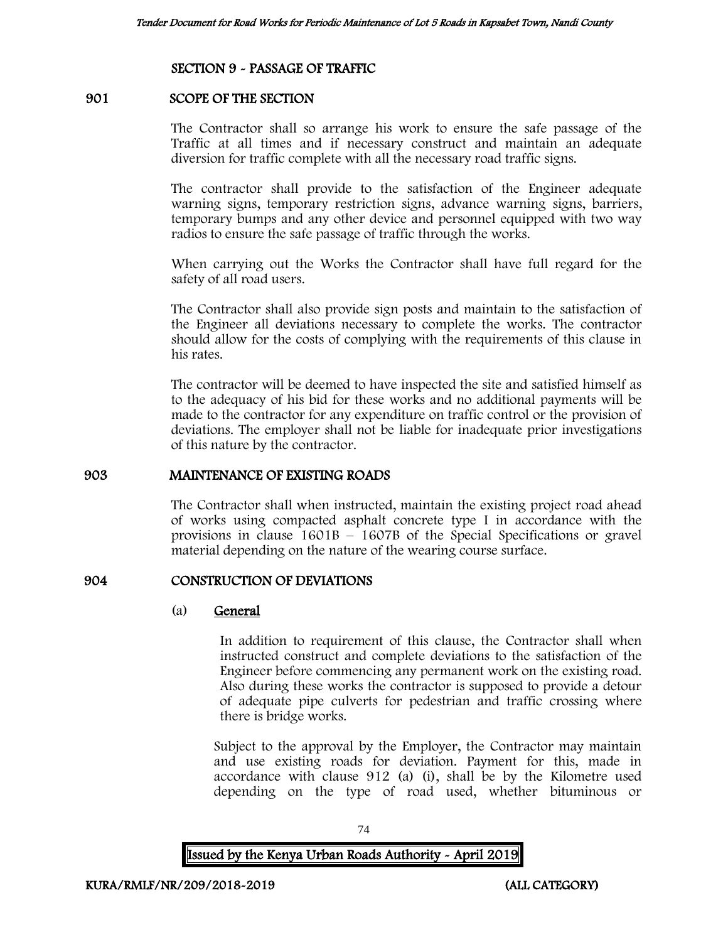## SECTION 9 - PASSAGE OF TRAFFIC

#### 901 SCOPE OF THE SECTION

The Contractor shall so arrange his work to ensure the safe passage of the Traffic at all times and if necessary construct and maintain an adequate diversion for traffic complete with all the necessary road traffic signs.

The contractor shall provide to the satisfaction of the Engineer adequate warning signs, temporary restriction signs, advance warning signs, barriers, temporary bumps and any other device and personnel equipped with two way radios to ensure the safe passage of traffic through the works.

When carrying out the Works the Contractor shall have full regard for the safety of all road users.

The Contractor shall also provide sign posts and maintain to the satisfaction of the Engineer all deviations necessary to complete the works. The contractor should allow for the costs of complying with the requirements of this clause in his rates.

The contractor will be deemed to have inspected the site and satisfied himself as to the adequacy of his bid for these works and no additional payments will be made to the contractor for any expenditure on traffic control or the provision of deviations. The employer shall not be liable for inadequate prior investigations of this nature by the contractor.

#### 903 MAINTENANCE OF EXISTING ROADS

The Contractor shall when instructed, maintain the existing project road ahead of works using compacted asphalt concrete type I in accordance with the provisions in clause  $1601B - 1607B$  of the Special Specifications or gravel material depending on the nature of the wearing course surface.

#### 904 CONSTRUCTION OF DEVIATIONS

#### (a) General

In addition to requirement of this clause, the Contractor shall when instructed construct and complete deviations to the satisfaction of the Engineer before commencing any permanent work on the existing road. Also during these works the contractor is supposed to provide a detour of adequate pipe culverts for pedestrian and traffic crossing where there is bridge works.

Subject to the approval by the Employer, the Contractor may maintain and use existing roads for deviation. Payment for this, made in accordance with clause 912 (a) (i), shall be by the Kilometre used depending on the type of road used, whether bituminous or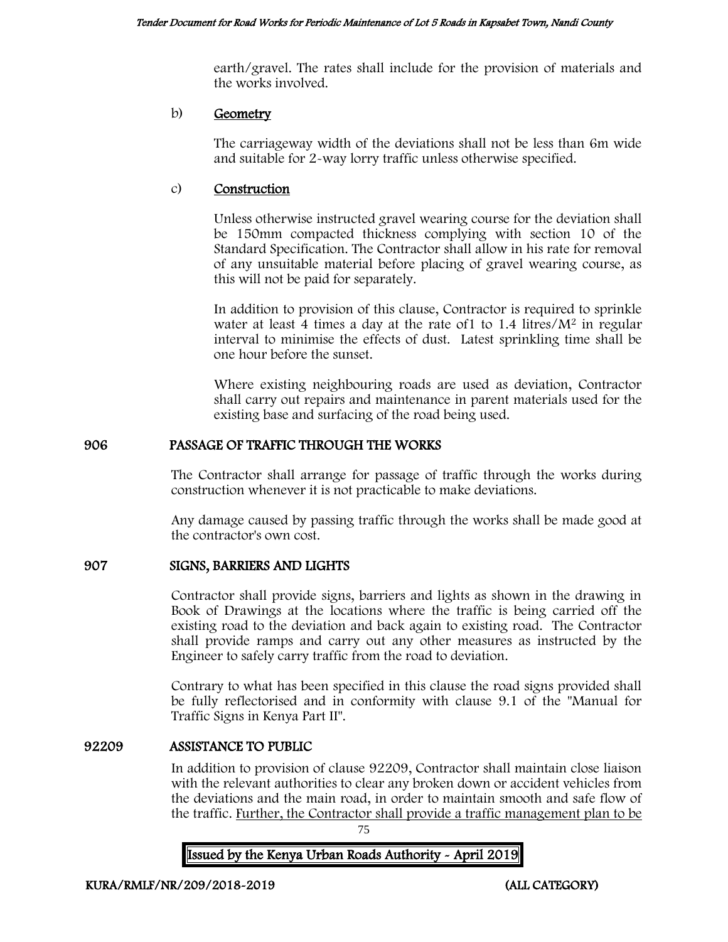earth/gravel. The rates shall include for the provision of materials and the works involved.

## b) Geometry

The carriageway width of the deviations shall not be less than 6m wide and suitable for 2-way lorry traffic unless otherwise specified.

## c) Construction

Unless otherwise instructed gravel wearing course for the deviation shall be 150mm compacted thickness complying with section 10 of the Standard Specification. The Contractor shall allow in his rate for removal of any unsuitable material before placing of gravel wearing course, as this will not be paid for separately.

In addition to provision of this clause, Contractor is required to sprinkle water at least 4 times a day at the rate of  $1$  to  $1.4$  litres/ $M<sup>2</sup>$  in regular interval to minimise the effects of dust. Latest sprinkling time shall be one hour before the sunset.

Where existing neighbouring roads are used as deviation, Contractor shall carry out repairs and maintenance in parent materials used for the existing base and surfacing of the road being used.

# 906 PASSAGE OF TRAFFIC THROUGH THE WORKS

The Contractor shall arrange for passage of traffic through the works during construction whenever it is not practicable to make deviations.

Any damage caused by passing traffic through the works shall be made good at the contractor's own cost.

# 907 SIGNS, BARRIERS AND LIGHTS

Contractor shall provide signs, barriers and lights as shown in the drawing in Book of Drawings at the locations where the traffic is being carried off the existing road to the deviation and back again to existing road. The Contractor shall provide ramps and carry out any other measures as instructed by the Engineer to safely carry traffic from the road to deviation.

Contrary to what has been specified in this clause the road signs provided shall be fully reflectorised and in conformity with clause 9.1 of the "Manual for Traffic Signs in Kenya Part II".

#### 92209 ASSISTANCE TO PUBLIC

In addition to provision of clause 92209, Contractor shall maintain close liaison with the relevant authorities to clear any broken down or accident vehicles from the deviations and the main road, in order to maintain smooth and safe flow of the traffic. Further, the Contractor shall provide a traffic management plan to be

75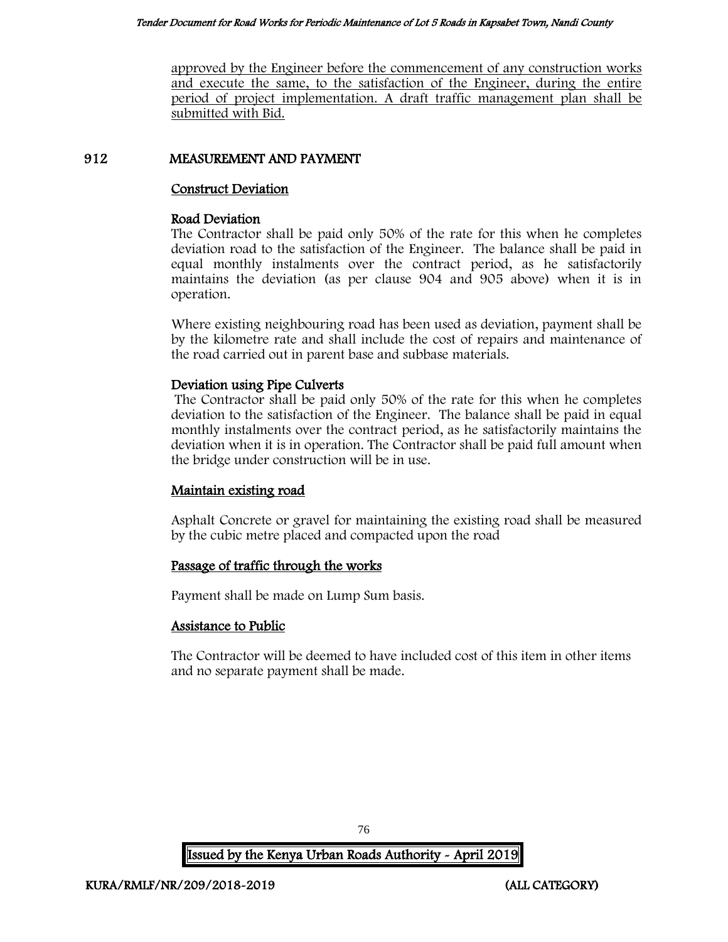approved by the Engineer before the commencement of any construction works and execute the same, to the satisfaction of the Engineer, during the entire period of project implementation. A draft traffic management plan shall be submitted with Bid.

## 912 MEASUREMENT AND PAYMENT

#### Construct Deviation

#### Road Deviation

The Contractor shall be paid only 50% of the rate for this when he completes deviation road to the satisfaction of the Engineer. The balance shall be paid in equal monthly instalments over the contract period, as he satisfactorily maintains the deviation (as per clause 904 and 905 above) when it is in operation.

Where existing neighbouring road has been used as deviation, payment shall be by the kilometre rate and shall include the cost of repairs and maintenance of the road carried out in parent base and subbase materials.

## Deviation using Pipe Culverts

The Contractor shall be paid only 50% of the rate for this when he completes deviation to the satisfaction of the Engineer. The balance shall be paid in equal monthly instalments over the contract period, as he satisfactorily maintains the deviation when it is in operation. The Contractor shall be paid full amount when the bridge under construction will be in use.

# Maintain existing road

Asphalt Concrete or gravel for maintaining the existing road shall be measured by the cubic metre placed and compacted upon the road

# Passage of traffic through the works

Payment shall be made on Lump Sum basis.

# Assistance to Public

The Contractor will be deemed to have included cost of this item in other items and no separate payment shall be made.

76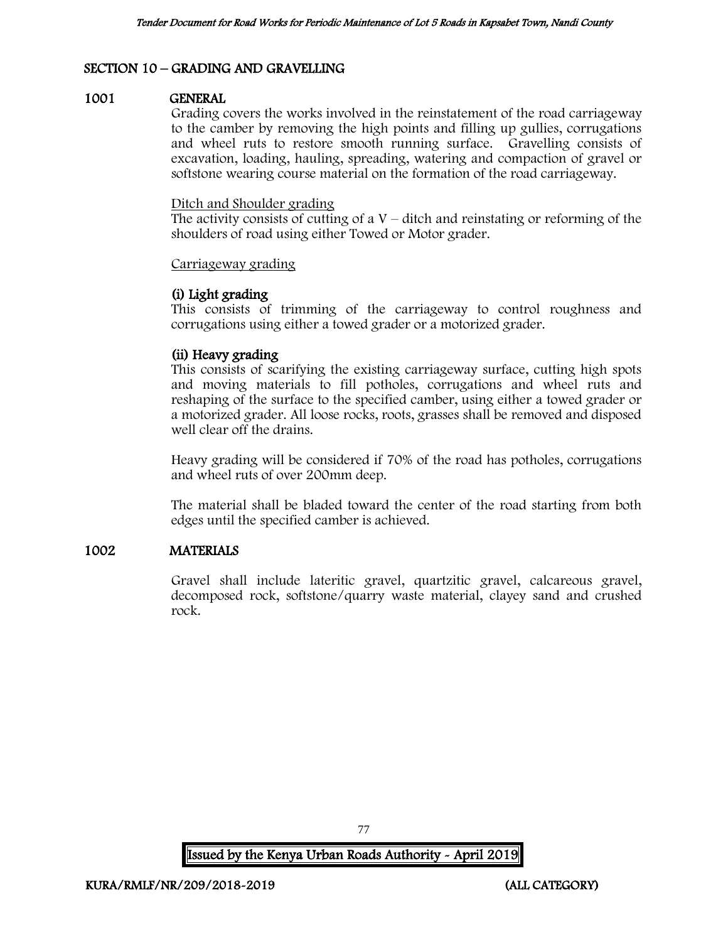# SECTION 10 – GRADING AND GRAVELLING

#### 1001 GENERAL

Grading covers the works involved in the reinstatement of the road carriageway to the camber by removing the high points and filling up gullies, corrugations and wheel ruts to restore smooth running surface. Gravelling consists of excavation, loading, hauling, spreading, watering and compaction of gravel or softstone wearing course material on the formation of the road carriageway.

#### Ditch and Shoulder grading

The activity consists of cutting of a  $V$  – ditch and reinstating or reforming of the shoulders of road using either Towed or Motor grader.

#### Carriageway grading

## (i) Light grading

This consists of trimming of the carriageway to control roughness and corrugations using either a towed grader or a motorized grader.

## (ii) Heavy grading

This consists of scarifying the existing carriageway surface, cutting high spots and moving materials to fill potholes, corrugations and wheel ruts and reshaping of the surface to the specified camber, using either a towed grader or a motorized grader. All loose rocks, roots, grasses shall be removed and disposed well clear off the drains.

Heavy grading will be considered if 70% of the road has potholes, corrugations and wheel ruts of over 200mm deep.

The material shall be bladed toward the center of the road starting from both edges until the specified camber is achieved.

# 1002 MATERIALS

Gravel shall include lateritic gravel, quartzitic gravel, calcareous gravel, decomposed rock, softstone/quarry waste material, clayey sand and crushed rock.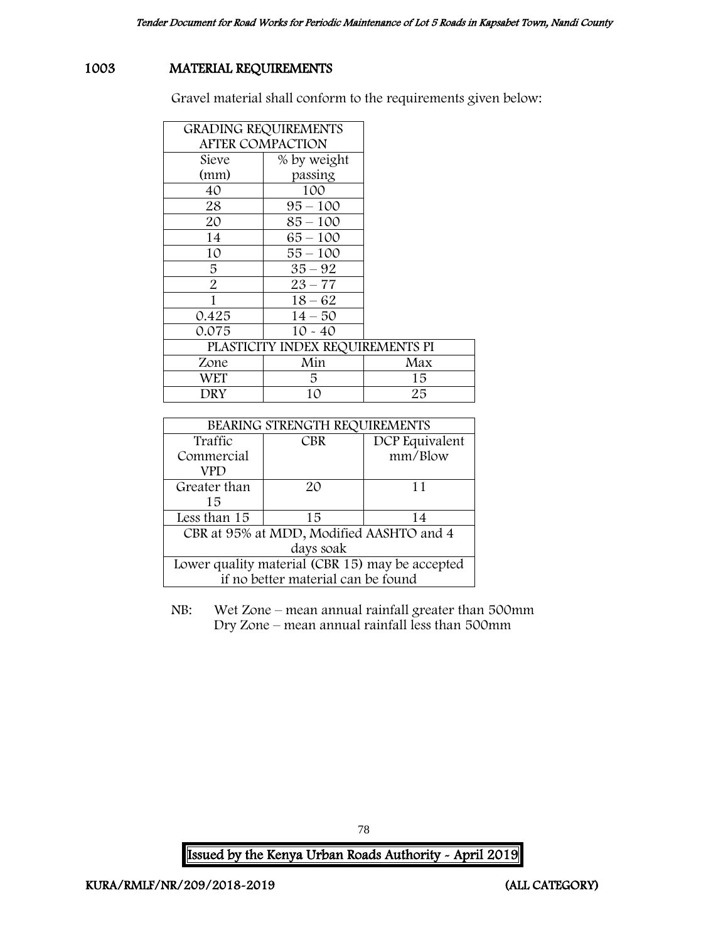# 1003 MATERIAL REQUIREMENTS

Gravel material shall conform to the requirements given below:

| <b>GRADING REQUIREMENTS</b>      |             |     |
|----------------------------------|-------------|-----|
| <b>AFTER COMPACTION</b>          |             |     |
| Sieve                            | % by weight |     |
| (mm)                             | passing     |     |
| 40                               | 100         |     |
| 28                               | $95 - 100$  |     |
| 20                               | $85 - 100$  |     |
| 14                               | $65 - 100$  |     |
| 10                               | $55 - 100$  |     |
| 5                                | $35 - 92$   |     |
| $\overline{2}$                   | $23 - 77$   |     |
| 1                                | $18 - 62$   |     |
| 0.425                            | $14 - 50$   |     |
| 0.075                            | $10 - 40$   |     |
| PLASTICITY INDEX REQUIREMENTS PI |             |     |
| Zone                             | Min         | Max |
| WET                              | 5.          | 15  |
| DRY                              | 10          | 25  |

| BEARING STRENGTH REQUIREMENTS                   |    |         |  |
|-------------------------------------------------|----|---------|--|
| Traffic<br>DCP Equivalent<br><b>CBR</b>         |    |         |  |
| Commercial                                      |    | mm/Blow |  |
| VPD                                             |    |         |  |
| Greater than                                    | 20 | 11      |  |
| 15                                              |    |         |  |
| Less than 15                                    | 15 | 14      |  |
| CBR at 95% at MDD, Modified AASHTO and 4        |    |         |  |
| days soak                                       |    |         |  |
| Lower quality material (CBR 15) may be accepted |    |         |  |
| if no better material can be found              |    |         |  |

NB: Wet Zone – mean annual rainfall greater than 500mm Dry Zone – mean annual rainfall less than 500mm

Issued by the Kenya Urban Roads Authority - April 2019

78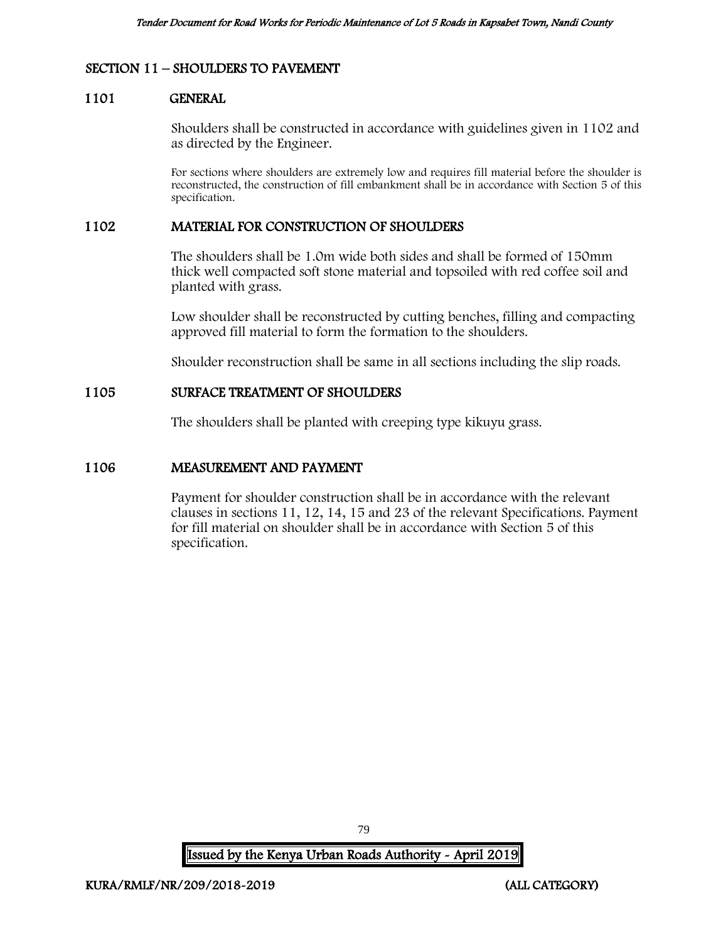# SECTION 11 – SHOULDERS TO PAVEMENT

#### 1101 GENERAL

Shoulders shall be constructed in accordance with guidelines given in 1102 and as directed by the Engineer.

For sections where shoulders are extremely low and requires fill material before the shoulder is reconstructed, the construction of fill embankment shall be in accordance with Section 5 of this specification.

#### 1102 MATERIAL FOR CONSTRUCTION OF SHOULDERS

The shoulders shall be 1.0m wide both sides and shall be formed of 150mm thick well compacted soft stone material and topsoiled with red coffee soil and planted with grass.

Low shoulder shall be reconstructed by cutting benches, filling and compacting approved fill material to form the formation to the shoulders.

Shoulder reconstruction shall be same in all sections including the slip roads.

# 1105 SURFACE TREATMENT OF SHOULDERS

The shoulders shall be planted with creeping type kikuyu grass.

#### 1106 MEASUREMENT AND PAYMENT

Payment for shoulder construction shall be in accordance with the relevant clauses in sections 11, 12, 14, 15 and 23 of the relevant Specifications. Payment for fill material on shoulder shall be in accordance with Section 5 of this specification.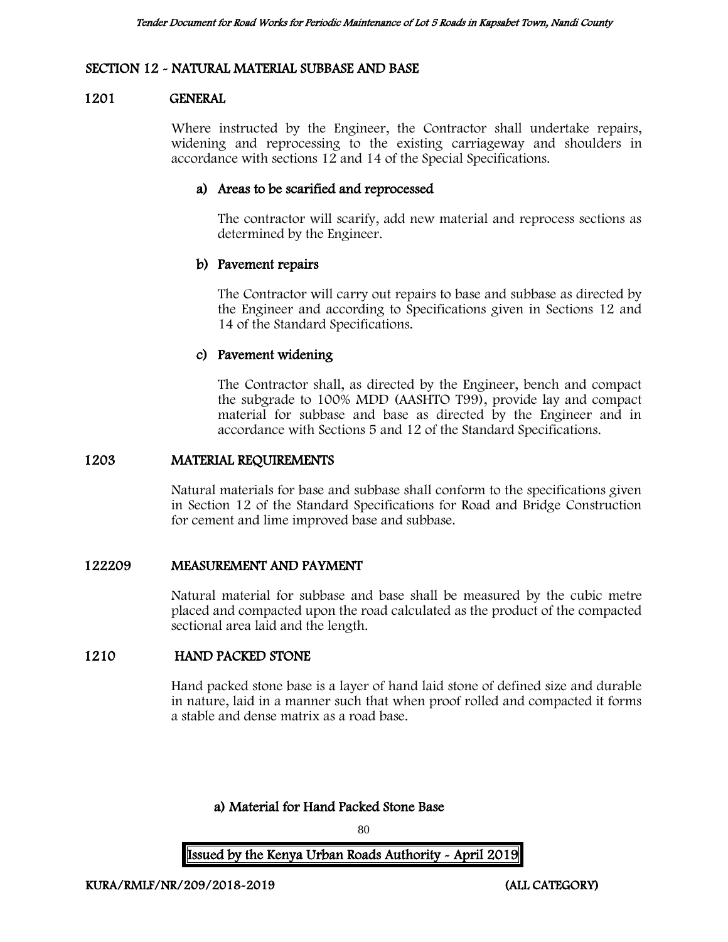#### SECTION 12 - NATURAL MATERIAL SUBBASE AND BASE

#### 1201 GENERAL

Where instructed by the Engineer, the Contractor shall undertake repairs, widening and reprocessing to the existing carriageway and shoulders in accordance with sections 12 and 14 of the Special Specifications.

#### a) Areas to be scarified and reprocessed

The contractor will scarify, add new material and reprocess sections as determined by the Engineer.

## b) Pavement repairs

The Contractor will carry out repairs to base and subbase as directed by the Engineer and according to Specifications given in Sections 12 and 14 of the Standard Specifications.

## c) Pavement widening

The Contractor shall, as directed by the Engineer, bench and compact the subgrade to 100% MDD (AASHTO T99), provide lay and compact material for subbase and base as directed by the Engineer and in accordance with Sections 5 and 12 of the Standard Specifications.

#### 1203 MATERIAL REQUIREMENTS

Natural materials for base and subbase shall conform to the specifications given in Section 12 of the Standard Specifications for Road and Bridge Construction for cement and lime improved base and subbase.

#### 122209 MEASUREMENT AND PAYMENT

Natural material for subbase and base shall be measured by the cubic metre placed and compacted upon the road calculated as the product of the compacted sectional area laid and the length.

# 1210 HAND PACKED STONE

Hand packed stone base is a layer of hand laid stone of defined size and durable in nature, laid in a manner such that when proof rolled and compacted it forms a stable and dense matrix as a road base.

a) Material for Hand Packed Stone Base

80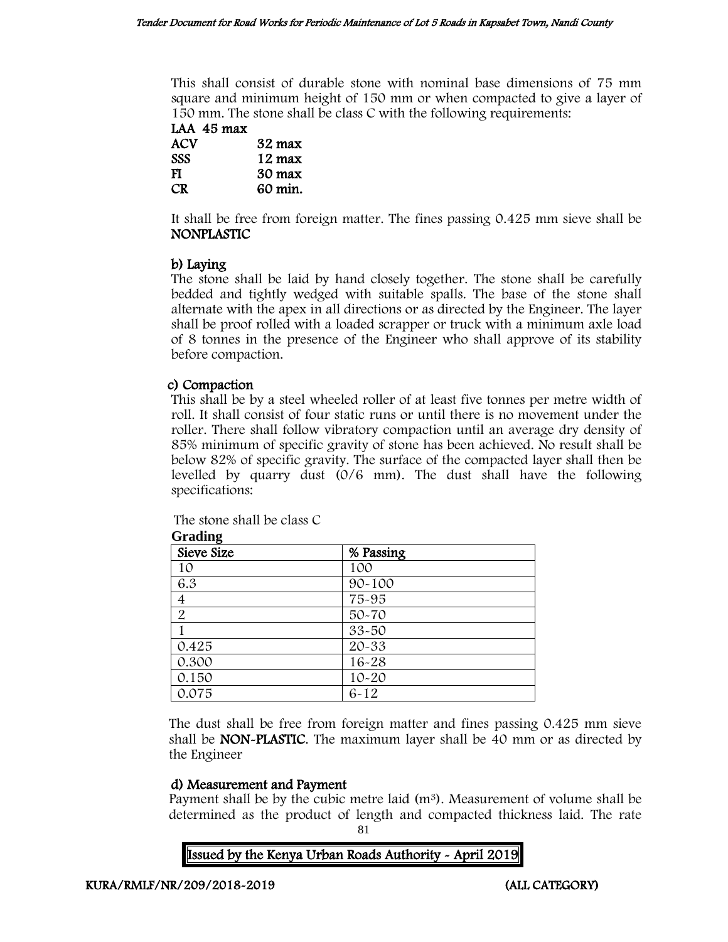This shall consist of durable stone with nominal base dimensions of 75 mm square and minimum height of 150 mm or when compacted to give a layer of 150 mm. The stone shall be class C with the following requirements:

| LAA 45 max |                  |
|------------|------------------|
| ACV        | $32 \text{ max}$ |
| <b>SSS</b> | $12 \text{ max}$ |
| т          | 20 mars          |

FI 30 max CR 60 min.

It shall be free from foreign matter. The fines passing 0.425 mm sieve shall be NONPLASTIC

# b) Laying

The stone shall be laid by hand closely together. The stone shall be carefully bedded and tightly wedged with suitable spalls. The base of the stone shall alternate with the apex in all directions or as directed by the Engineer. The layer shall be proof rolled with a loaded scrapper or truck with a minimum axle load of 8 tonnes in the presence of the Engineer who shall approve of its stability before compaction.

# c) Compaction

This shall be by a steel wheeled roller of at least five tonnes per metre width of roll. It shall consist of four static runs or until there is no movement under the roller. There shall follow vibratory compaction until an average dry density of 85% minimum of specific gravity of stone has been achieved. No result shall be below 82% of specific gravity. The surface of the compacted layer shall then be levelled by quarry dust (0/6 mm). The dust shall have the following specifications:

The stone shall be class C

| Sieve Size     | % Passing  |  |
|----------------|------------|--|
| 10             | 100        |  |
| 6.3            | $90 - 100$ |  |
| $\overline{4}$ | 75-95      |  |
| $\overline{2}$ | 50-70      |  |
|                | 33-50      |  |
| 0.425          | 20-33      |  |
| 0.300          | $16 - 28$  |  |
| 0.150          | $10 - 20$  |  |
| 0.075          | $6 - 12$   |  |

**Grading**

The dust shall be free from foreign matter and fines passing 0.425 mm sieve shall be NON-PLASTIC. The maximum layer shall be 40 mm or as directed by the Engineer

# d) Measurement and Payment

Payment shall be by the cubic metre laid  $(m<sup>3</sup>)$ . Measurement of volume shall be determined as the product of length and compacted thickness laid. The rate

81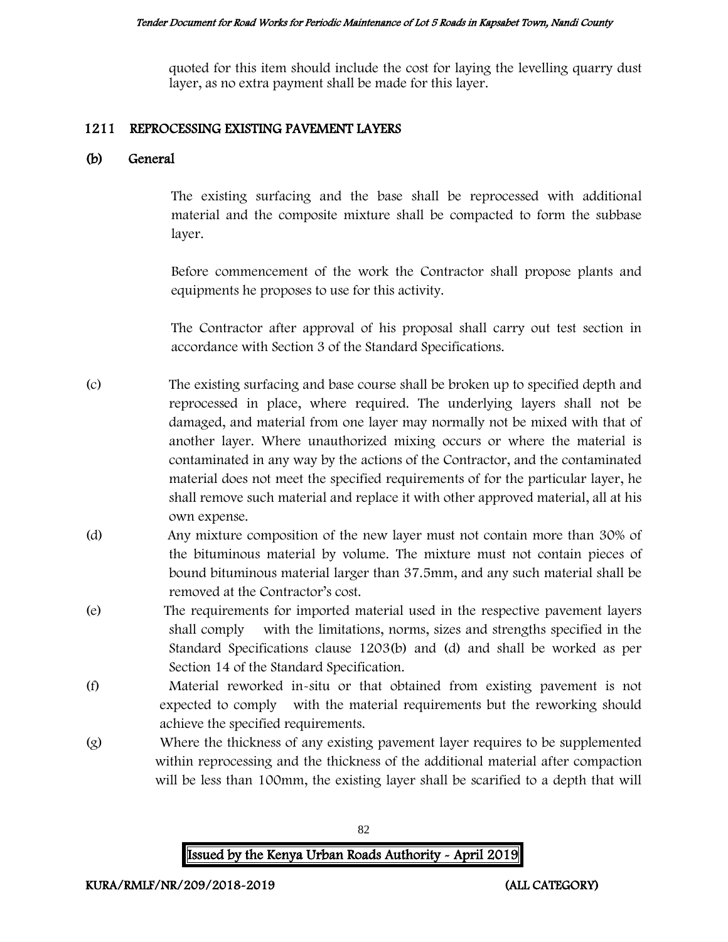quoted for this item should include the cost for laying the levelling quarry dust layer, as no extra payment shall be made for this layer.

## 1211 REPROCESSING EXISTING PAVEMENT LAYERS

# (b) General

The existing surfacing and the base shall be reprocessed with additional material and the composite mixture shall be compacted to form the subbase layer.

Before commencement of the work the Contractor shall propose plants and equipments he proposes to use for this activity.

The Contractor after approval of his proposal shall carry out test section in accordance with Section 3 of the Standard Specifications.

- (c) The existing surfacing and base course shall be broken up to specified depth and reprocessed in place, where required. The underlying layers shall not be damaged, and material from one layer may normally not be mixed with that of another layer. Where unauthorized mixing occurs or where the material is contaminated in any way by the actions of the Contractor, and the contaminated material does not meet the specified requirements of for the particular layer, he shall remove such material and replace it with other approved material, all at his own expense.
- (d) Any mixture composition of the new layer must not contain more than 30% of the bituminous material by volume. The mixture must not contain pieces of bound bituminous material larger than 37.5mm, and any such material shall be removed at the Contractor's cost.
- (e) The requirements for imported material used in the respective pavement layers shall comply with the limitations, norms, sizes and strengths specified in the Standard Specifications clause 1203(b) and (d) and shall be worked as per Section 14 of the Standard Specification.
- (f) Material reworked in-situ or that obtained from existing pavement is not expected to comply with the material requirements but the reworking should achieve the specified requirements.
- (g) Where the thickness of any existing pavement layer requires to be supplemented within reprocessing and the thickness of the additional material after compaction will be less than 100mm, the existing layer shall be scarified to a depth that will

82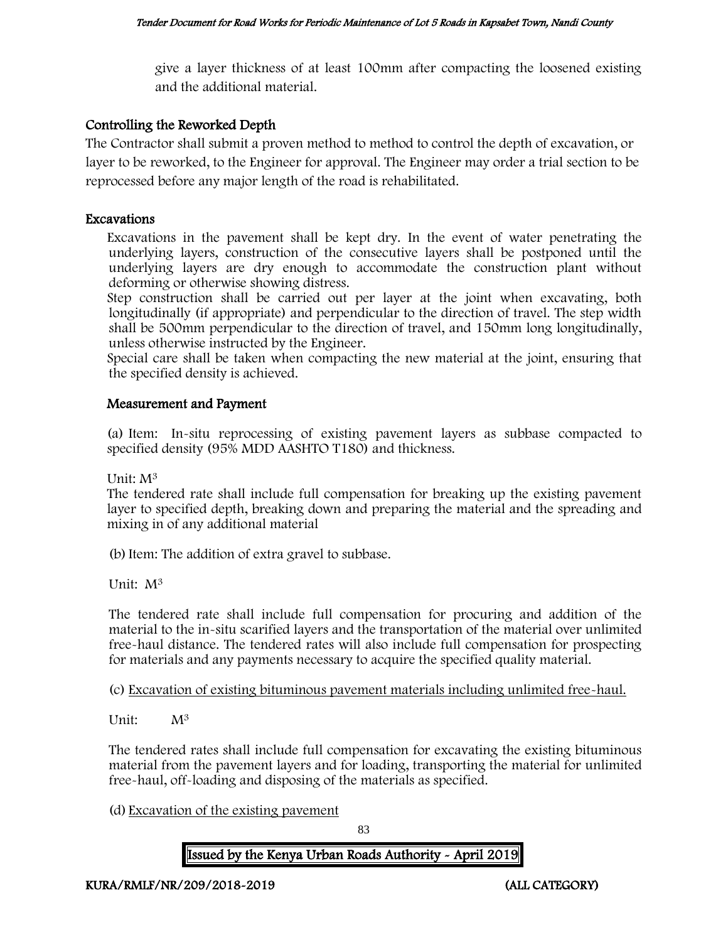give a layer thickness of at least 100mm after compacting the loosened existing and the additional material.

# Controlling the Reworked Depth

The Contractor shall submit a proven method to method to control the depth of excavation, or layer to be reworked, to the Engineer for approval. The Engineer may order a trial section to be reprocessed before any major length of the road is rehabilitated.

# Excavations

Excavations in the pavement shall be kept dry. In the event of water penetrating the underlying layers, construction of the consecutive layers shall be postponed until the underlying layers are dry enough to accommodate the construction plant without deforming or otherwise showing distress.

Step construction shall be carried out per layer at the joint when excavating, both longitudinally (if appropriate) and perpendicular to the direction of travel. The step width shall be 500mm perpendicular to the direction of travel, and 150mm long longitudinally, unless otherwise instructed by the Engineer.

Special care shall be taken when compacting the new material at the joint, ensuring that the specified density is achieved.

## Measurement and Payment

(a) Item: In-situ reprocessing of existing pavement layers as subbase compacted to specified density (95% MDD AASHTO T180) and thickness.

Unit: M<sup>3</sup>

The tendered rate shall include full compensation for breaking up the existing pavement layer to specified depth, breaking down and preparing the material and the spreading and mixing in of any additional material

(b)Item: The addition of extra gravel to subbase.

Unit: M<sup>3</sup>

The tendered rate shall include full compensation for procuring and addition of the material to the in-situ scarified layers and the transportation of the material over unlimited free-haul distance. The tendered rates will also include full compensation for prospecting for materials and any payments necessary to acquire the specified quality material.

(c) Excavation of existing bituminous pavement materials including unlimited free-haul.

Unit: M<sup>3</sup>

The tendered rates shall include full compensation for excavating the existing bituminous material from the pavement layers and for loading, transporting the material for unlimited free-haul, off-loading and disposing of the materials as specified.

(d) Excavation of the existing pavement

83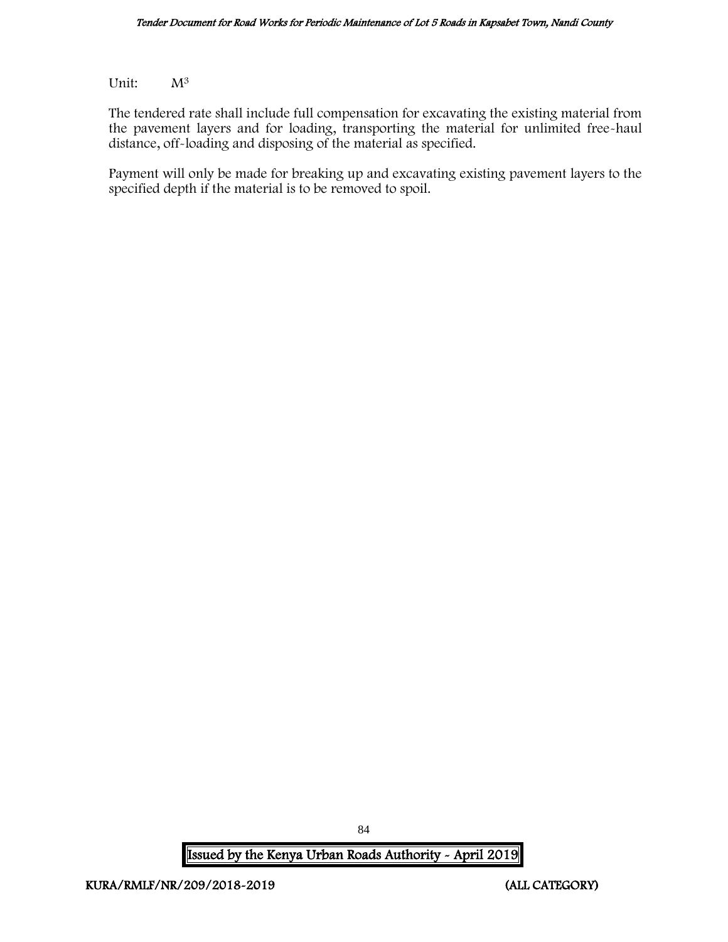Unit:  $M^3$ 

The tendered rate shall include full compensation for excavating the existing material from the pavement layers and for loading, transporting the material for unlimited free-haul distance, off-loading and disposing of the material as specified.

Payment will only be made for breaking up and excavating existing pavement layers to the specified depth if the material is to be removed to spoil.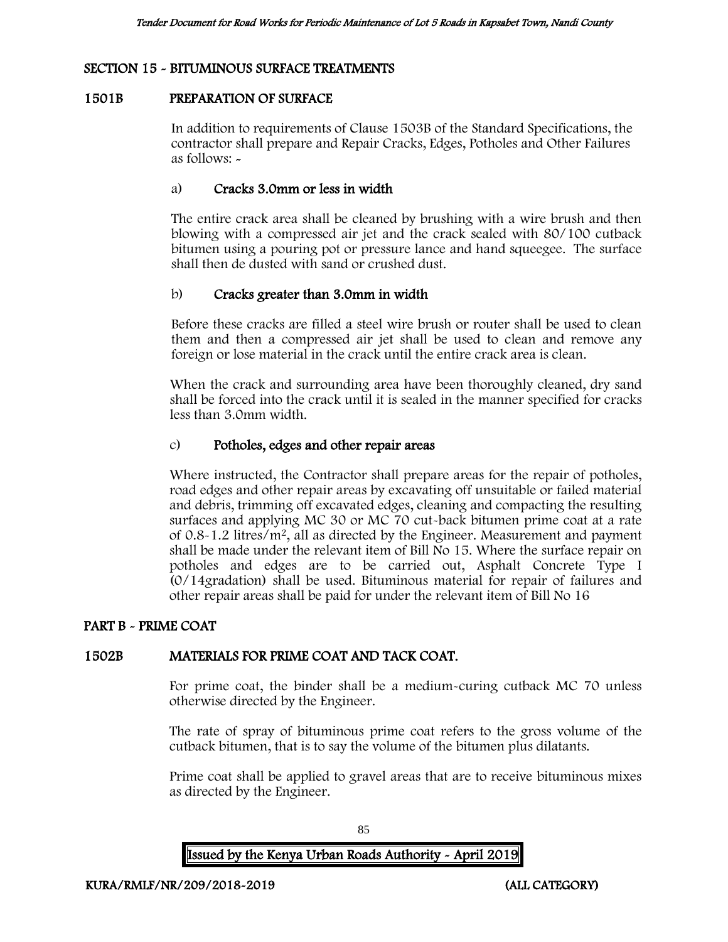# SECTION 15 - BITUMINOUS SURFACE TREATMENTS

#### 1501B PREPARATION OF SURFACE

In addition to requirements of Clause 1503B of the Standard Specifications, the contractor shall prepare and Repair Cracks, Edges, Potholes and Other Failures as follows: -

## a) Cracks 3.0mm or less in width

The entire crack area shall be cleaned by brushing with a wire brush and then blowing with a compressed air jet and the crack sealed with 80/100 cutback bitumen using a pouring pot or pressure lance and hand squeegee. The surface shall then de dusted with sand or crushed dust.

## b) Cracks greater than 3.0mm in width

Before these cracks are filled a steel wire brush or router shall be used to clean them and then a compressed air jet shall be used to clean and remove any foreign or lose material in the crack until the entire crack area is clean.

When the crack and surrounding area have been thoroughly cleaned, dry sand shall be forced into the crack until it is sealed in the manner specified for cracks less than 3.0mm width.

## c) Potholes, edges and other repair areas

Where instructed, the Contractor shall prepare areas for the repair of potholes, road edges and other repair areas by excavating off unsuitable or failed material and debris, trimming off excavated edges, cleaning and compacting the resulting surfaces and applying MC 30 or MC 70 cut-back bitumen prime coat at a rate of 0.8-1.2 litres/m<sup>2</sup>, all as directed by the Engineer. Measurement and payment shall be made under the relevant item of Bill No 15. Where the surface repair on potholes and edges are to be carried out, Asphalt Concrete Type I (0/14gradation) shall be used. Bituminous material for repair of failures and other repair areas shall be paid for under the relevant item of Bill No 16

#### PART B - PRIME COAT

#### 1502B MATERIALS FOR PRIME COAT AND TACK COAT.

For prime coat, the binder shall be a medium-curing cutback MC 70 unless otherwise directed by the Engineer.

The rate of spray of bituminous prime coat refers to the gross volume of the cutback bitumen, that is to say the volume of the bitumen plus dilatants.

Prime coat shall be applied to gravel areas that are to receive bituminous mixes as directed by the Engineer.

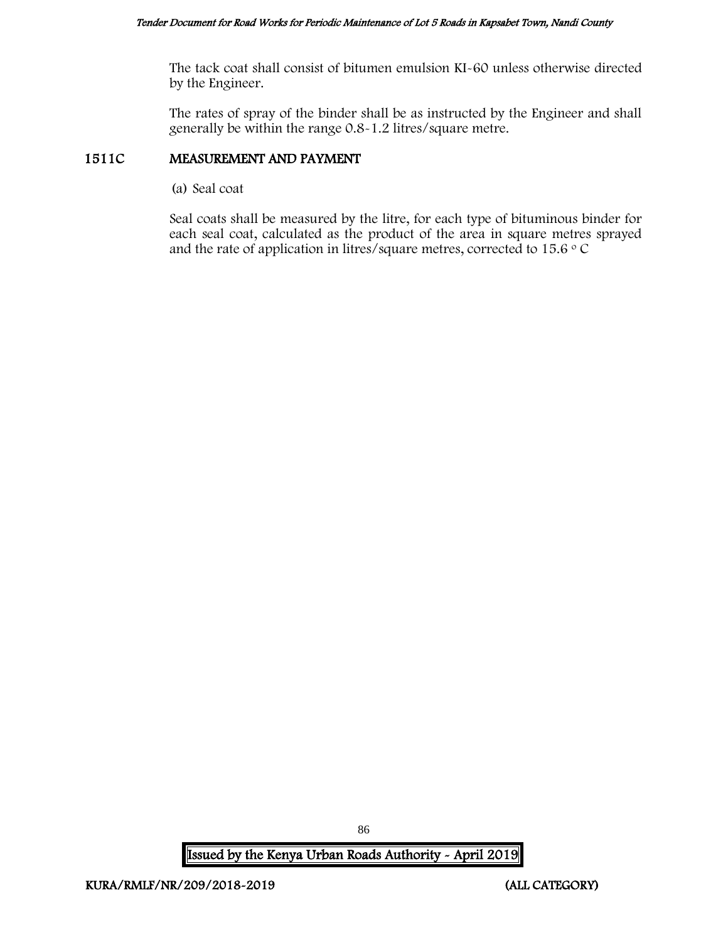The tack coat shall consist of bitumen emulsion KI-60 unless otherwise directed by the Engineer.

The rates of spray of the binder shall be as instructed by the Engineer and shall generally be within the range 0.8-1.2 litres/square metre.

# 1511C MEASUREMENT AND PAYMENT

(a) Seal coat

Seal coats shall be measured by the litre, for each type of bituminous binder for each seal coat, calculated as the product of the area in square metres sprayed and the rate of application in litres/square metres, corrected to  $15.6 \degree$  C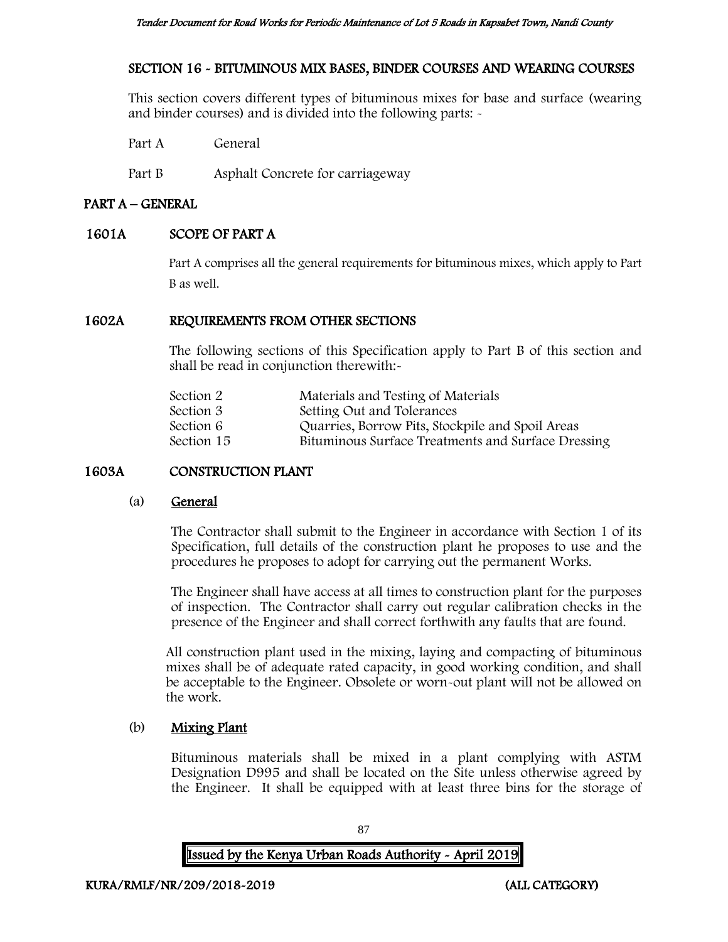# SECTION 16 - BITUMINOUS MIX BASES, BINDER COURSES AND WEARING COURSES

This section covers different types of bituminous mixes for base and surface (wearing and binder courses) and is divided into the following parts: -

Part A General

Part B Asphalt Concrete for carriageway

# PART A – GENERAL

# 1601A SCOPE OF PART A

Part A comprises all the general requirements for bituminous mixes, which apply to Part B as well.

# 1602A REQUIREMENTS FROM OTHER SECTIONS

The following sections of this Specification apply to Part B of this section and shall be read in conjunction therewith:-

| Section 2  | Materials and Testing of Materials                 |
|------------|----------------------------------------------------|
| Section 3  | Setting Out and Tolerances                         |
| Section 6  | Quarries, Borrow Pits, Stockpile and Spoil Areas   |
| Section 15 | Bituminous Surface Treatments and Surface Dressing |
|            |                                                    |

# 1603A CONSTRUCTION PLANT

# (a) General

The Contractor shall submit to the Engineer in accordance with Section 1 of its Specification, full details of the construction plant he proposes to use and the procedures he proposes to adopt for carrying out the permanent Works.

The Engineer shall have access at all times to construction plant for the purposes of inspection. The Contractor shall carry out regular calibration checks in the presence of the Engineer and shall correct forthwith any faults that are found.

All construction plant used in the mixing, laying and compacting of bituminous mixes shall be of adequate rated capacity, in good working condition, and shall be acceptable to the Engineer. Obsolete or worn-out plant will not be allowed on the work.

# (b) Mixing Plant

Bituminous materials shall be mixed in a plant complying with ASTM Designation D995 and shall be located on the Site unless otherwise agreed by the Engineer. It shall be equipped with at least three bins for the storage of

87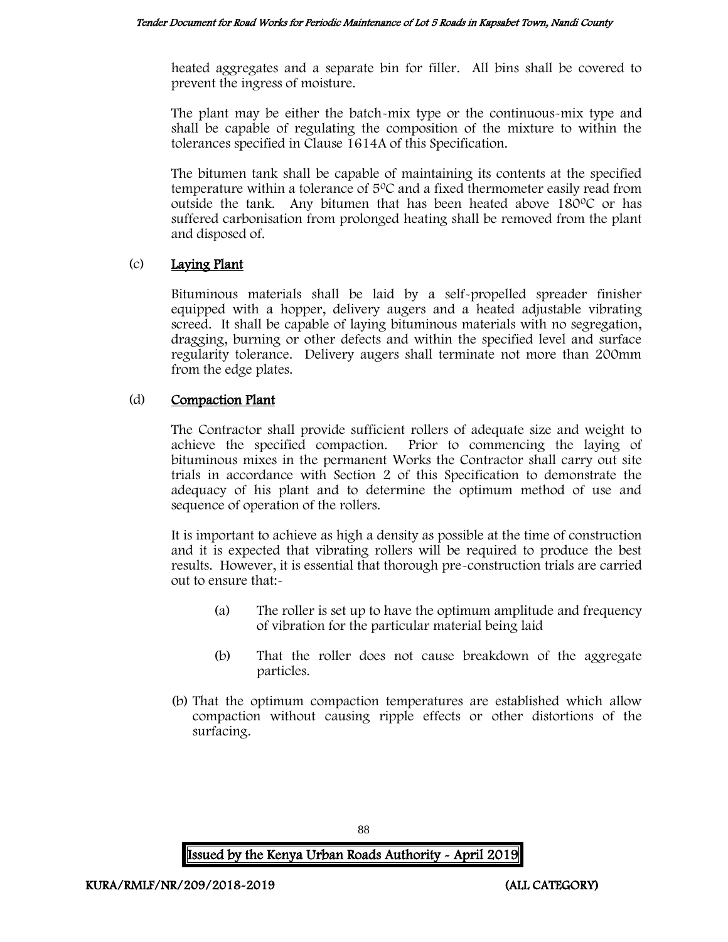heated aggregates and a separate bin for filler. All bins shall be covered to prevent the ingress of moisture.

The plant may be either the batch-mix type or the continuous-mix type and shall be capable of regulating the composition of the mixture to within the tolerances specified in Clause 1614A of this Specification.

The bitumen tank shall be capable of maintaining its contents at the specified temperature within a tolerance of  $5^{\circ}$ C and a fixed thermometer easily read from outside the tank. Any bitumen that has been heated above  $180^{\circ}$ C or has suffered carbonisation from prolonged heating shall be removed from the plant and disposed of.

## (c) Laying Plant

Bituminous materials shall be laid by a self-propelled spreader finisher equipped with a hopper, delivery augers and a heated adjustable vibrating screed. It shall be capable of laying bituminous materials with no segregation, dragging, burning or other defects and within the specified level and surface regularity tolerance. Delivery augers shall terminate not more than 200mm from the edge plates.

# (d) Compaction Plant

The Contractor shall provide sufficient rollers of adequate size and weight to achieve the specified compaction. Prior to commencing the laying of bituminous mixes in the permanent Works the Contractor shall carry out site trials in accordance with Section 2 of this Specification to demonstrate the adequacy of his plant and to determine the optimum method of use and sequence of operation of the rollers.

It is important to achieve as high a density as possible at the time of construction and it is expected that vibrating rollers will be required to produce the best results. However, it is essential that thorough pre-construction trials are carried out to ensure that:-

- (a) The roller is set up to have the optimum amplitude and frequency of vibration for the particular material being laid
- (b) That the roller does not cause breakdown of the aggregate particles.
- (b) That the optimum compaction temperatures are established which allow compaction without causing ripple effects or other distortions of the surfacing.

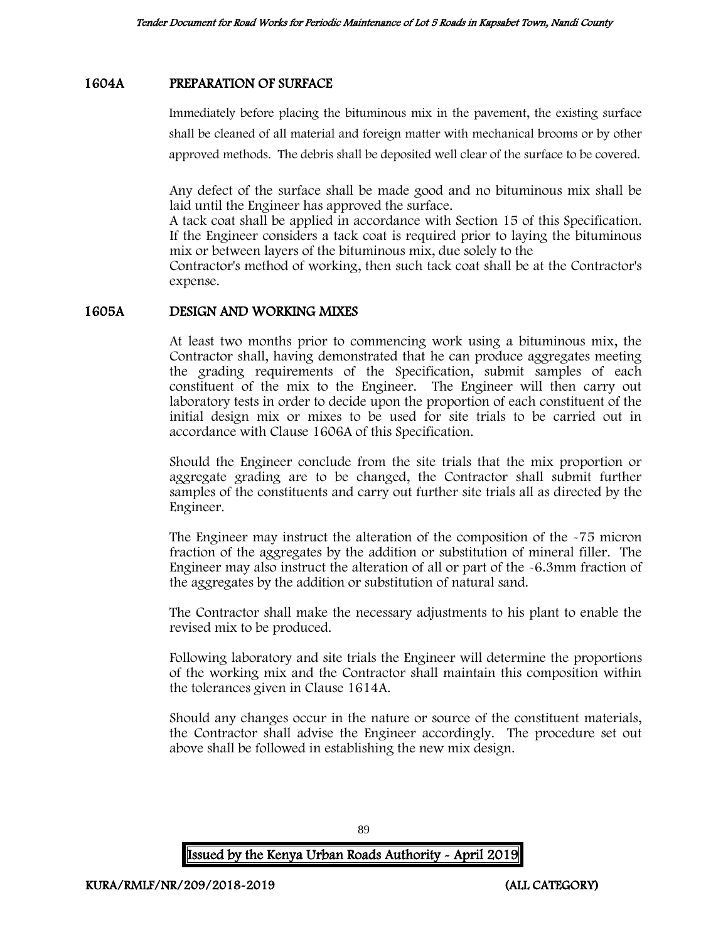## 1604A PREPARATION OF SURFACE

Immediately before placing the bituminous mix in the pavement, the existing surface shall be cleaned of all material and foreign matter with mechanical brooms or by other approved methods. The debris shall be deposited well clear of the surface to be covered.

Any defect of the surface shall be made good and no bituminous mix shall be laid until the Engineer has approved the surface.

A tack coat shall be applied in accordance with Section 15 of this Specification. If the Engineer considers a tack coat is required prior to laying the bituminous mix or between layers of the bituminous mix, due solely to the

Contractor's method of working, then such tack coat shall be at the Contractor's expense.

#### 1605A DESIGN AND WORKING MIXES

At least two months prior to commencing work using a bituminous mix, the Contractor shall, having demonstrated that he can produce aggregates meeting the grading requirements of the Specification, submit samples of each constituent of the mix to the Engineer. The Engineer will then carry out laboratory tests in order to decide upon the proportion of each constituent of the initial design mix or mixes to be used for site trials to be carried out in accordance with Clause 1606A of this Specification.

Should the Engineer conclude from the site trials that the mix proportion or aggregate grading are to be changed, the Contractor shall submit further samples of the constituents and carry out further site trials all as directed by the Engineer.

The Engineer may instruct the alteration of the composition of the -75 micron fraction of the aggregates by the addition or substitution of mineral filler. The Engineer may also instruct the alteration of all or part of the -6.3mm fraction of the aggregates by the addition or substitution of natural sand.

The Contractor shall make the necessary adjustments to his plant to enable the revised mix to be produced.

Following laboratory and site trials the Engineer will determine the proportions of the working mix and the Contractor shall maintain this composition within the tolerances given in Clause 1614A.

Should any changes occur in the nature or source of the constituent materials, the Contractor shall advise the Engineer accordingly. The procedure set out above shall be followed in establishing the new mix design.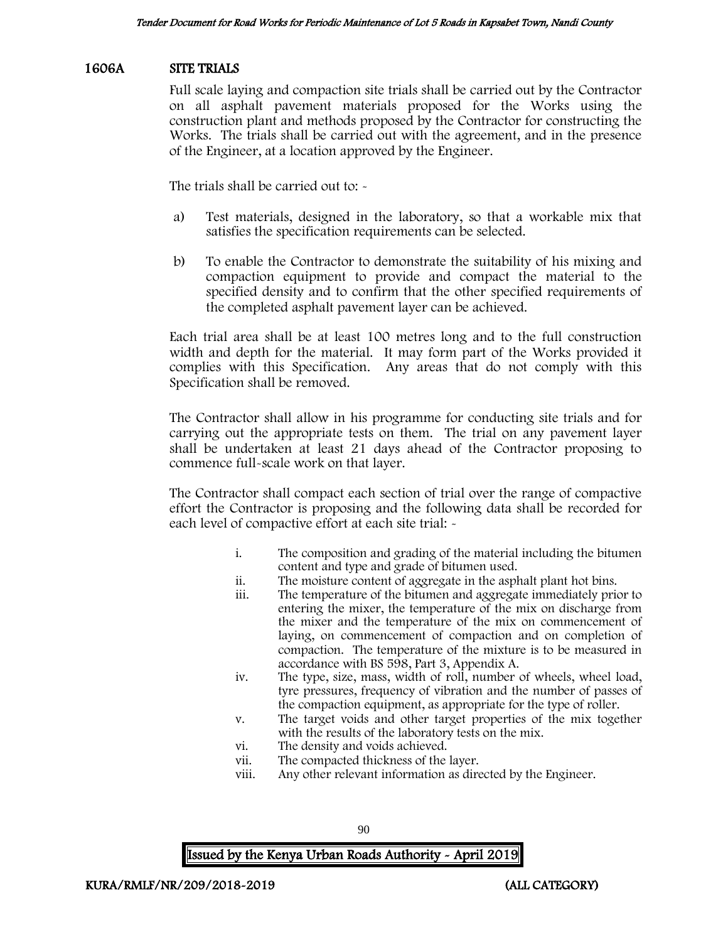#### 1606A SITE TRIALS

Full scale laying and compaction site trials shall be carried out by the Contractor on all asphalt pavement materials proposed for the Works using the construction plant and methods proposed by the Contractor for constructing the Works. The trials shall be carried out with the agreement, and in the presence of the Engineer, at a location approved by the Engineer.

The trials shall be carried out to: -

- a) Test materials, designed in the laboratory, so that a workable mix that satisfies the specification requirements can be selected.
- b) To enable the Contractor to demonstrate the suitability of his mixing and compaction equipment to provide and compact the material to the specified density and to confirm that the other specified requirements of the completed asphalt pavement layer can be achieved.

Each trial area shall be at least 100 metres long and to the full construction width and depth for the material. It may form part of the Works provided it complies with this Specification. Any areas that do not comply with this Specification shall be removed.

The Contractor shall allow in his programme for conducting site trials and for carrying out the appropriate tests on them. The trial on any pavement layer shall be undertaken at least 21 days ahead of the Contractor proposing to commence full-scale work on that layer.

The Contractor shall compact each section of trial over the range of compactive effort the Contractor is proposing and the following data shall be recorded for each level of compactive effort at each site trial: -

- i. The composition and grading of the material including the bitumen content and type and grade of bitumen used.
- ii. The moisture content of aggregate in the asphalt plant hot bins.
- The temperature of the bitumen and aggregate immediately prior to entering the mixer, the temperature of the mix on discharge from the mixer and the temperature of the mix on commencement of laying, on commencement of compaction and on completion of compaction. The temperature of the mixture is to be measured in accordance with BS 598, Part 3, Appendix A.
- iv. The type, size, mass, width of roll, number of wheels, wheel load, tyre pressures, frequency of vibration and the number of passes of the compaction equipment, as appropriate for the type of roller.
- v. The target voids and other target properties of the mix together with the results of the laboratory tests on the mix.
- vi. The density and voids achieved.
- vii. The compacted thickness of the layer.
- viii. Any other relevant information as directed by the Engineer.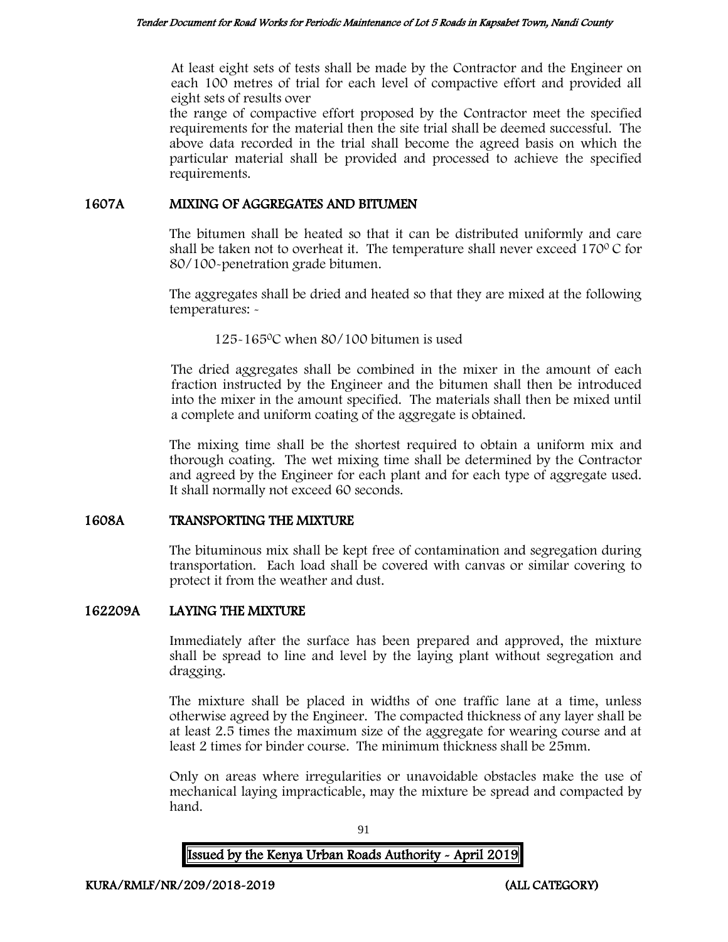At least eight sets of tests shall be made by the Contractor and the Engineer on each 100 metres of trial for each level of compactive effort and provided all eight sets of results over

the range of compactive effort proposed by the Contractor meet the specified requirements for the material then the site trial shall be deemed successful. The above data recorded in the trial shall become the agreed basis on which the particular material shall be provided and processed to achieve the specified requirements.

#### 1607A MIXING OF AGGREGATES AND BITUMEN

The bitumen shall be heated so that it can be distributed uniformly and care shall be taken not to overheat it. The temperature shall never exceed  $170^{\circ}$ C for 80/100-penetration grade bitumen.

The aggregates shall be dried and heated so that they are mixed at the following temperatures: -

125-165<sup>0</sup>C when 80/100 bitumen is used

The dried aggregates shall be combined in the mixer in the amount of each fraction instructed by the Engineer and the bitumen shall then be introduced into the mixer in the amount specified. The materials shall then be mixed until a complete and uniform coating of the aggregate is obtained.

The mixing time shall be the shortest required to obtain a uniform mix and thorough coating. The wet mixing time shall be determined by the Contractor and agreed by the Engineer for each plant and for each type of aggregate used. It shall normally not exceed 60 seconds.

# 1608A TRANSPORTING THE MIXTURE

The bituminous mix shall be kept free of contamination and segregation during transportation. Each load shall be covered with canvas or similar covering to protect it from the weather and dust.

# 162209A LAYING THE MIXTURE

Immediately after the surface has been prepared and approved, the mixture shall be spread to line and level by the laying plant without segregation and dragging.

The mixture shall be placed in widths of one traffic lane at a time, unless otherwise agreed by the Engineer. The compacted thickness of any layer shall be at least 2.5 times the maximum size of the aggregate for wearing course and at least 2 times for binder course. The minimum thickness shall be 25mm.

Only on areas where irregularities or unavoidable obstacles make the use of mechanical laying impracticable, may the mixture be spread and compacted by hand.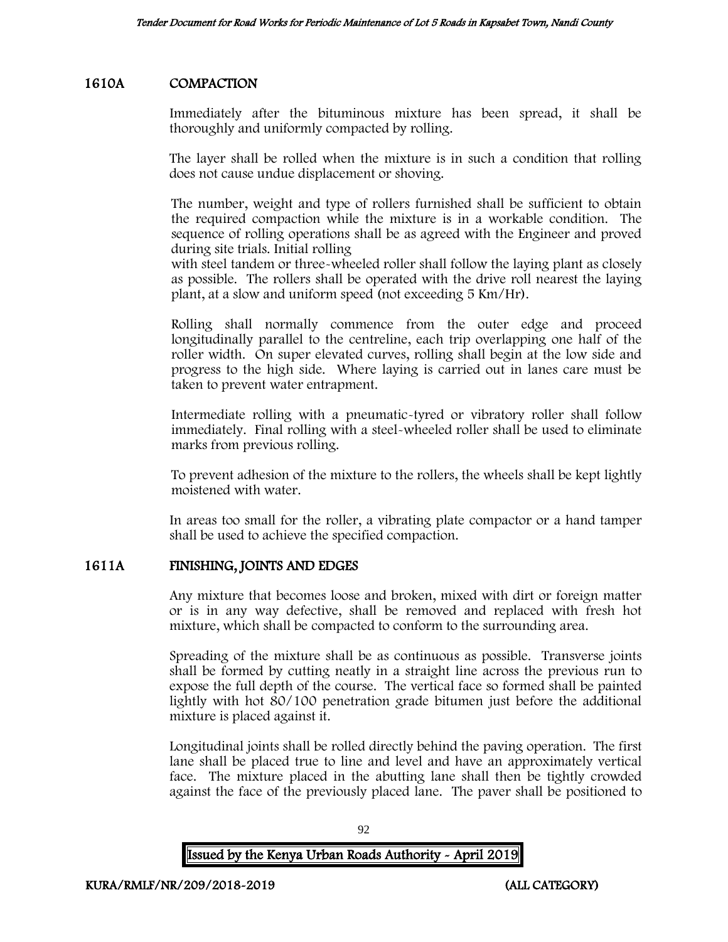# 1610A COMPACTION

Immediately after the bituminous mixture has been spread, it shall be thoroughly and uniformly compacted by rolling.

The layer shall be rolled when the mixture is in such a condition that rolling does not cause undue displacement or shoving.

The number, weight and type of rollers furnished shall be sufficient to obtain the required compaction while the mixture is in a workable condition. The sequence of rolling operations shall be as agreed with the Engineer and proved during site trials. Initial rolling

with steel tandem or three-wheeled roller shall follow the laying plant as closely as possible. The rollers shall be operated with the drive roll nearest the laying plant, at a slow and uniform speed (not exceeding 5 Km/Hr).

Rolling shall normally commence from the outer edge and proceed longitudinally parallel to the centreline, each trip overlapping one half of the roller width. On super elevated curves, rolling shall begin at the low side and progress to the high side. Where laying is carried out in lanes care must be taken to prevent water entrapment.

Intermediate rolling with a pneumatic-tyred or vibratory roller shall follow immediately. Final rolling with a steel-wheeled roller shall be used to eliminate marks from previous rolling.

To prevent adhesion of the mixture to the rollers, the wheels shall be kept lightly moistened with water.

In areas too small for the roller, a vibrating plate compactor or a hand tamper shall be used to achieve the specified compaction.

# 1611A FINISHING, JOINTS AND EDGES

Any mixture that becomes loose and broken, mixed with dirt or foreign matter or is in any way defective, shall be removed and replaced with fresh hot mixture, which shall be compacted to conform to the surrounding area.

Spreading of the mixture shall be as continuous as possible. Transverse joints shall be formed by cutting neatly in a straight line across the previous run to expose the full depth of the course. The vertical face so formed shall be painted lightly with hot 80/100 penetration grade bitumen just before the additional mixture is placed against it.

Longitudinal joints shall be rolled directly behind the paving operation. The first lane shall be placed true to line and level and have an approximately vertical face. The mixture placed in the abutting lane shall then be tightly crowded against the face of the previously placed lane. The paver shall be positioned to

| <b>Issued by the Kenya Urban Roads Authority - April 2019</b> |  |
|---------------------------------------------------------------|--|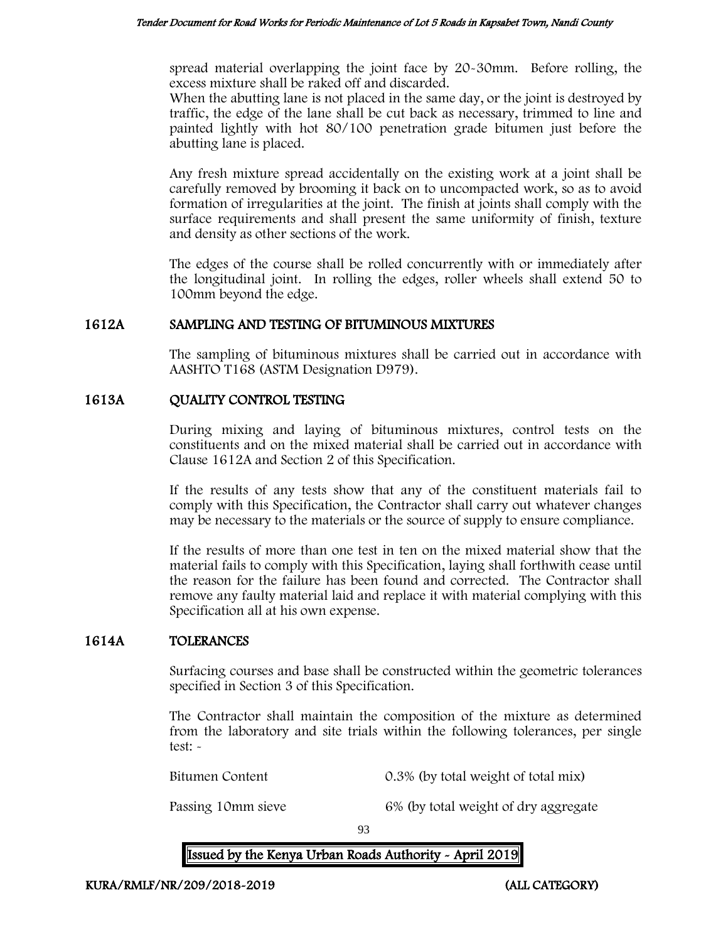spread material overlapping the joint face by 20-30mm. Before rolling, the excess mixture shall be raked off and discarded.

When the abutting lane is not placed in the same day, or the joint is destroyed by traffic, the edge of the lane shall be cut back as necessary, trimmed to line and painted lightly with hot 80/100 penetration grade bitumen just before the abutting lane is placed.

Any fresh mixture spread accidentally on the existing work at a joint shall be carefully removed by brooming it back on to uncompacted work, so as to avoid formation of irregularities at the joint. The finish at joints shall comply with the surface requirements and shall present the same uniformity of finish, texture and density as other sections of the work.

The edges of the course shall be rolled concurrently with or immediately after the longitudinal joint. In rolling the edges, roller wheels shall extend 50 to 100mm beyond the edge.

## 1612A SAMPLING AND TESTING OF BITUMINOUS MIXTURES

The sampling of bituminous mixtures shall be carried out in accordance with AASHTO T168 (ASTM Designation D979).

## 1613A QUALITY CONTROL TESTING

During mixing and laying of bituminous mixtures, control tests on the constituents and on the mixed material shall be carried out in accordance with Clause 1612A and Section 2 of this Specification.

If the results of any tests show that any of the constituent materials fail to comply with this Specification, the Contractor shall carry out whatever changes may be necessary to the materials or the source of supply to ensure compliance.

If the results of more than one test in ten on the mixed material show that the material fails to comply with this Specification, laying shall forthwith cease until the reason for the failure has been found and corrected. The Contractor shall remove any faulty material laid and replace it with material complying with this Specification all at his own expense.

# 1614A TOLERANCES

Surfacing courses and base shall be constructed within the geometric tolerances specified in Section 3 of this Specification.

The Contractor shall maintain the composition of the mixture as determined from the laboratory and site trials within the following tolerances, per single test: -

Bitumen Content 0.3% (by total weight of total mix)

Passing 10mm sieve 6% (by total weight of dry aggregate

93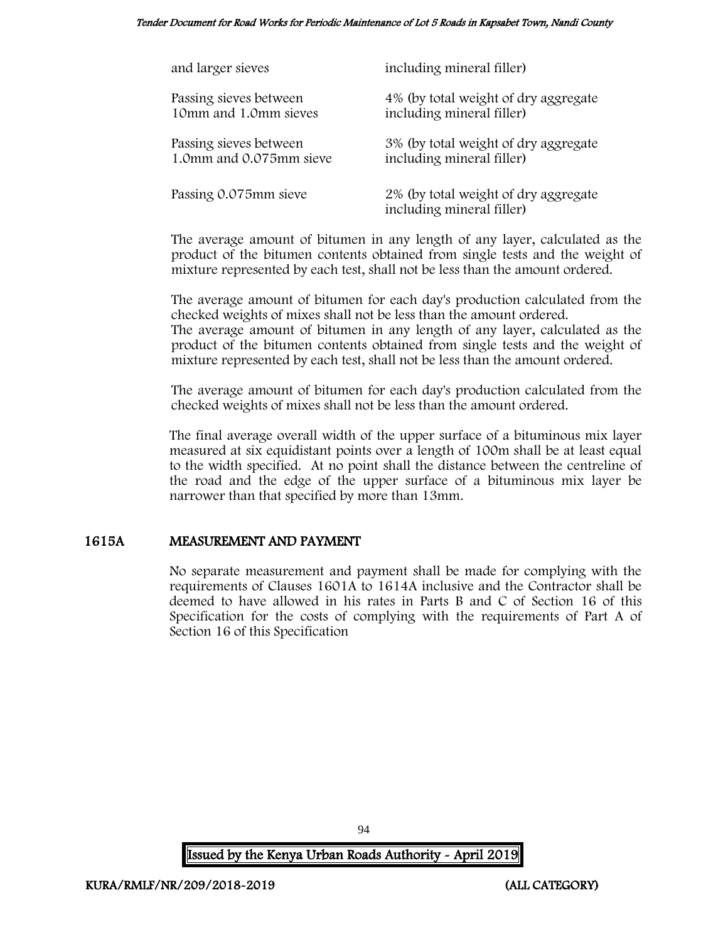Tender Document for Road Works for Periodic Maintenance of Lot 5 Roads in Kapsabet Town, Nandi County

| and larger sieves       | including mineral filler)                                         |
|-------------------------|-------------------------------------------------------------------|
| Passing sieves between  | 4% (by total weight of dry aggregate                              |
| 10mm and 1.0mm sieves   | including mineral filler)                                         |
| Passing sieves between  | 3% (by total weight of dry aggregate                              |
| 1.0mm and 0.075mm sieve | including mineral filler)                                         |
| Passing 0.075mm sieve   | 2% (by total weight of dry aggregate<br>including mineral filler) |

The average amount of bitumen in any length of any layer, calculated as the product of the bitumen contents obtained from single tests and the weight of mixture represented by each test, shall not be less than the amount ordered.

The average amount of bitumen for each day's production calculated from the checked weights of mixes shall not be less than the amount ordered. The average amount of bitumen in any length of any layer, calculated as the

product of the bitumen contents obtained from single tests and the weight of mixture represented by each test, shall not be less than the amount ordered.

The average amount of bitumen for each day's production calculated from the checked weights of mixes shall not be less than the amount ordered.

The final average overall width of the upper surface of a bituminous mix layer measured at six equidistant points over a length of 100m shall be at least equal to the width specified. At no point shall the distance between the centreline of the road and the edge of the upper surface of a bituminous mix layer be narrower than that specified by more than 13mm.

# 1615A MEASUREMENT AND PAYMENT

No separate measurement and payment shall be made for complying with the requirements of Clauses 1601A to 1614A inclusive and the Contractor shall be deemed to have allowed in his rates in Parts B and C of Section 16 of this Specification for the costs of complying with the requirements of Part A of Section 16 of this Specification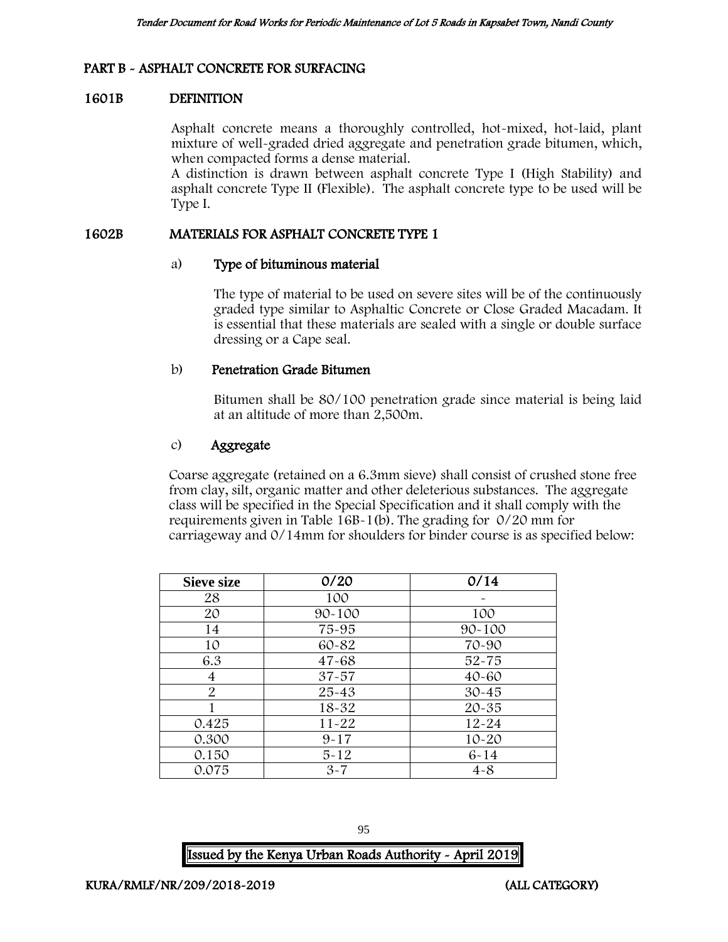# PART B - ASPHALT CONCRETE FOR SURFACING

## 1601B DEFINITION

Asphalt concrete means a thoroughly controlled, hot-mixed, hot-laid, plant mixture of well-graded dried aggregate and penetration grade bitumen, which, when compacted forms a dense material.

A distinction is drawn between asphalt concrete Type I (High Stability) and asphalt concrete Type II (Flexible). The asphalt concrete type to be used will be Type I.

#### 1602B MATERIALS FOR ASPHALT CONCRETE TYPE 1

#### a) Type of bituminous material

The type of material to be used on severe sites will be of the continuously graded type similar to Asphaltic Concrete or Close Graded Macadam. It is essential that these materials are sealed with a single or double surface dressing or a Cape seal.

## b) Penetration Grade Bitumen

Bitumen shall be 80/100 penetration grade since material is being laid at an altitude of more than 2,500m.

## c) Aggregate

Coarse aggregate (retained on a 6.3mm sieve) shall consist of crushed stone free from clay, silt, organic matter and other deleterious substances. The aggregate class will be specified in the Special Specification and it shall comply with the requirements given in Table 16B-1(b). The grading for 0/20 mm for carriageway and 0/14mm for shoulders for binder course is as specified below:

| <b>Sieve size</b> | 0/20       | 0/14       |
|-------------------|------------|------------|
| 28                | 100        |            |
| 20                | $90 - 100$ | 100        |
| 14                | 75-95      | $90 - 100$ |
| 10                | 60-82      | 70-90      |
| 6.3               | $47 - 68$  | $52 - 75$  |
| 4                 | $37 - 57$  | $40 - 60$  |
| $\overline{2}$    | $25 - 43$  | $30 - 45$  |
|                   | $18 - 32$  | $20 - 35$  |
| 0.425             | $11 - 22$  | $12 - 24$  |
| 0.300             | $9 - 17$   | $10 - 20$  |
| 0.150             | $5 - 12$   | $6 - 14$   |
| 0.075             | $3 - 7$    | $4 - 8$    |

| ł<br>۰.<br>۰,<br>۰. | ٥<br>۰.<br>۰.<br>×<br>٠ |
|---------------------|-------------------------|
|                     |                         |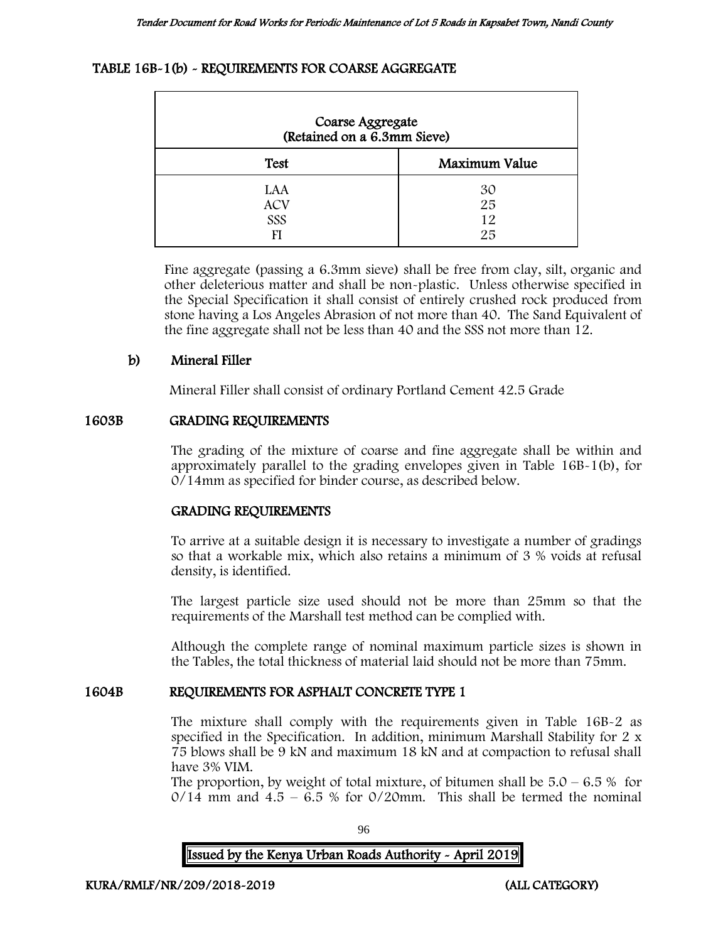## TABLE 16B-1(b) - REQUIREMENTS FOR COARSE AGGREGATE

| Coarse Aggregate<br>(Retained on a 6.3mm Sieve) |                      |
|-------------------------------------------------|----------------------|
| <b>Test</b>                                     | Maximum Value        |
| LAA<br><b>ACV</b><br>SSS<br>FI                  | 30<br>25<br>12<br>25 |

Fine aggregate (passing a 6.3mm sieve) shall be free from clay, silt, organic and other deleterious matter and shall be non-plastic. Unless otherwise specified in the Special Specification it shall consist of entirely crushed rock produced from stone having a Los Angeles Abrasion of not more than 40. The Sand Equivalent of the fine aggregate shall not be less than 40 and the SSS not more than 12.

# b) Mineral Filler

Mineral Filler shall consist of ordinary Portland Cement 42.5 Grade

#### 1603B GRADING REQUIREMENTS

The grading of the mixture of coarse and fine aggregate shall be within and approximately parallel to the grading envelopes given in Table 16B-1(b), for 0/14mm as specified for binder course, as described below.

# GRADING REQUIREMENTS

To arrive at a suitable design it is necessary to investigate a number of gradings so that a workable mix, which also retains a minimum of 3 % voids at refusal density, is identified.

The largest particle size used should not be more than 25mm so that the requirements of the Marshall test method can be complied with.

Although the complete range of nominal maximum particle sizes is shown in the Tables, the total thickness of material laid should not be more than 75mm.

# 1604B REQUIREMENTS FOR ASPHALT CONCRETE TYPE 1

The mixture shall comply with the requirements given in Table 16B-2 as specified in the Specification. In addition, minimum Marshall Stability for 2 x 75 blows shall be 9 kN and maximum 18 kN and at compaction to refusal shall have 3% VIM.

The proportion, by weight of total mixture, of bitumen shall be  $5.0 - 6.5\%$  for  $0/14$  mm and  $4.5 - 6.5$  % for  $0/20$ mm. This shall be termed the nominal

96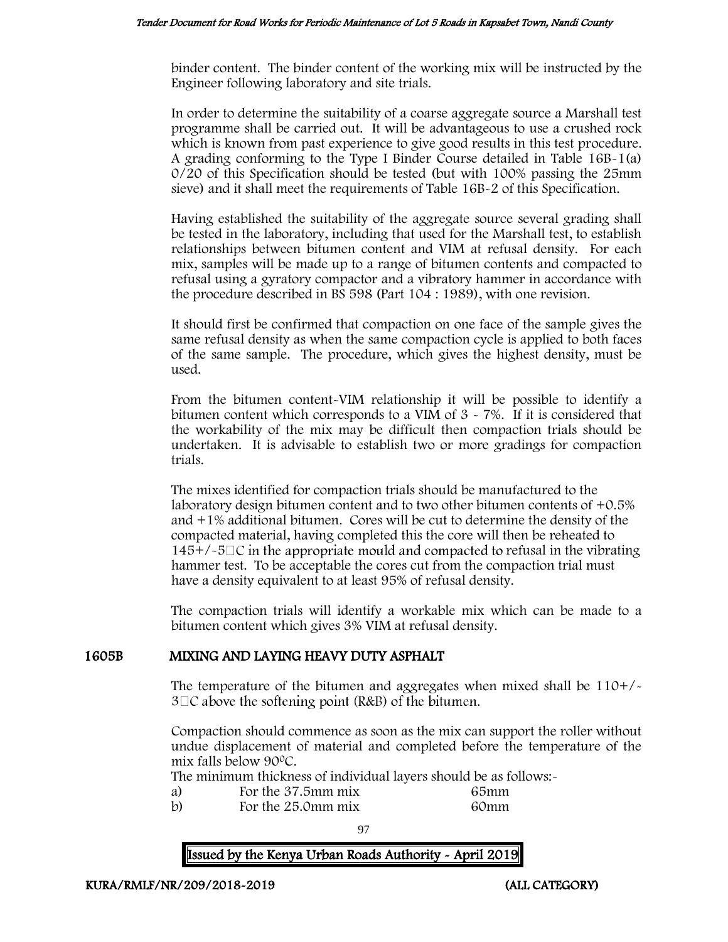binder content. The binder content of the working mix will be instructed by the Engineer following laboratory and site trials.

In order to determine the suitability of a coarse aggregate source a Marshall test programme shall be carried out. It will be advantageous to use a crushed rock which is known from past experience to give good results in this test procedure. A grading conforming to the Type I Binder Course detailed in Table 16B-1(a) 0/20 of this Specification should be tested (but with 100% passing the 25mm sieve) and it shall meet the requirements of Table 16B-2 of this Specification.

Having established the suitability of the aggregate source several grading shall be tested in the laboratory, including that used for the Marshall test, to establish relationships between bitumen content and VIM at refusal density. For each mix, samples will be made up to a range of bitumen contents and compacted to refusal using a gyratory compactor and a vibratory hammer in accordance with the procedure described in BS 598 (Part 104 : 1989), with one revision.

It should first be confirmed that compaction on one face of the sample gives the same refusal density as when the same compaction cycle is applied to both faces of the same sample. The procedure, which gives the highest density, must be used.

From the bitumen content-VIM relationship it will be possible to identify a bitumen content which corresponds to a VIM of  $3 \times 7\%$ . If it is considered that the workability of the mix may be difficult then compaction trials should be undertaken. It is advisable to establish two or more gradings for compaction trials.

The mixes identified for compaction trials should be manufactured to the laboratory design bitumen content and to two other bitumen contents of +0.5% and +1% additional bitumen. Cores will be cut to determine the density of the compacted material, having completed this the core will then be reheated to  $145+/-5\degree$  in the appropriate mould and compacted to refusal in the vibrating hammer test. To be acceptable the cores cut from the compaction trial must have a density equivalent to at least 95% of refusal density.

The compaction trials will identify a workable mix which can be made to a bitumen content which gives 3% VIM at refusal density.

# 1605B MIXING AND LAYING HEAVY DUTY ASPHALT

The temperature of the bitumen and aggregates when mixed shall be 110+/-  $3\Box C$  above the softening point (R&B) of the bitumen.

Compaction should commence as soon as the mix can support the roller without undue displacement of material and completed before the temperature of the mix falls below 90<sup>0</sup>C.

The minimum thickness of individual layers should be as follows:-

- 
- a) For the 37.5mm mix 65mm<br>b) For the 25.0mm mix 60mm For the 25.0mm mix 60mm

97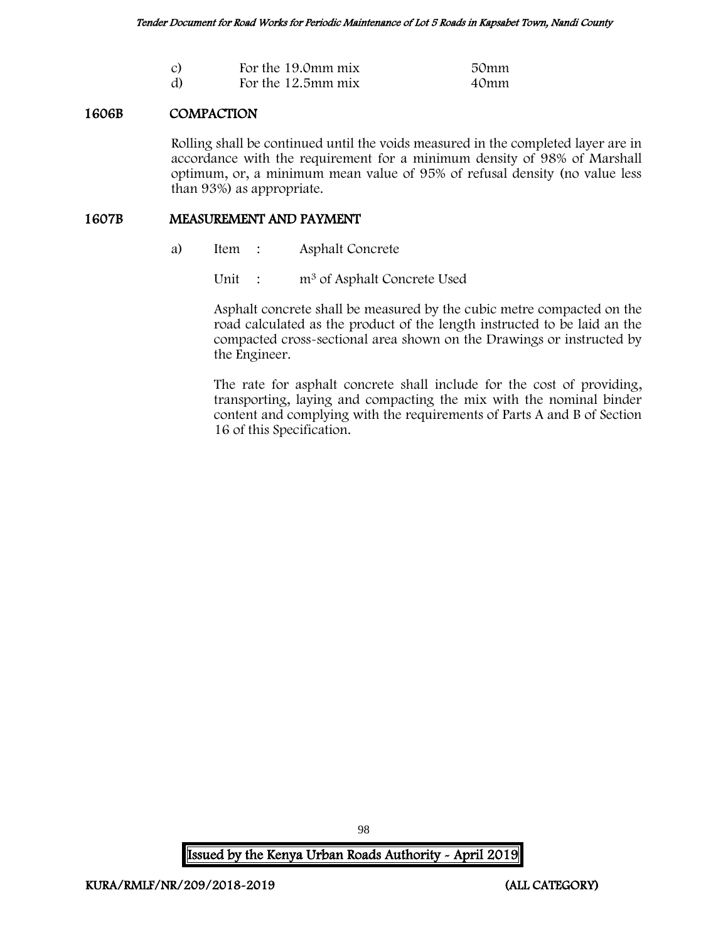| $\mathcal{C}$ | For the 19.0mm mix | 50mm |
|---------------|--------------------|------|
| d)            | For the 12.5mm mix | 40mm |

## 1606B COMPACTION

Rolling shall be continued until the voids measured in the completed layer are in accordance with the requirement for a minimum density of 98% of Marshall optimum, or, a minimum mean value of 95% of refusal density (no value less than 93%) as appropriate.

#### 1607B MEASUREMENT AND PAYMENT

a) Item : Asphalt Concrete

Unit : m<sup>3</sup> of Asphalt Concrete Used

Asphalt concrete shall be measured by the cubic metre compacted on the road calculated as the product of the length instructed to be laid an the compacted cross-sectional area shown on the Drawings or instructed by the Engineer.

The rate for asphalt concrete shall include for the cost of providing, transporting, laying and compacting the mix with the nominal binder content and complying with the requirements of Parts A and B of Section 16 of this Specification.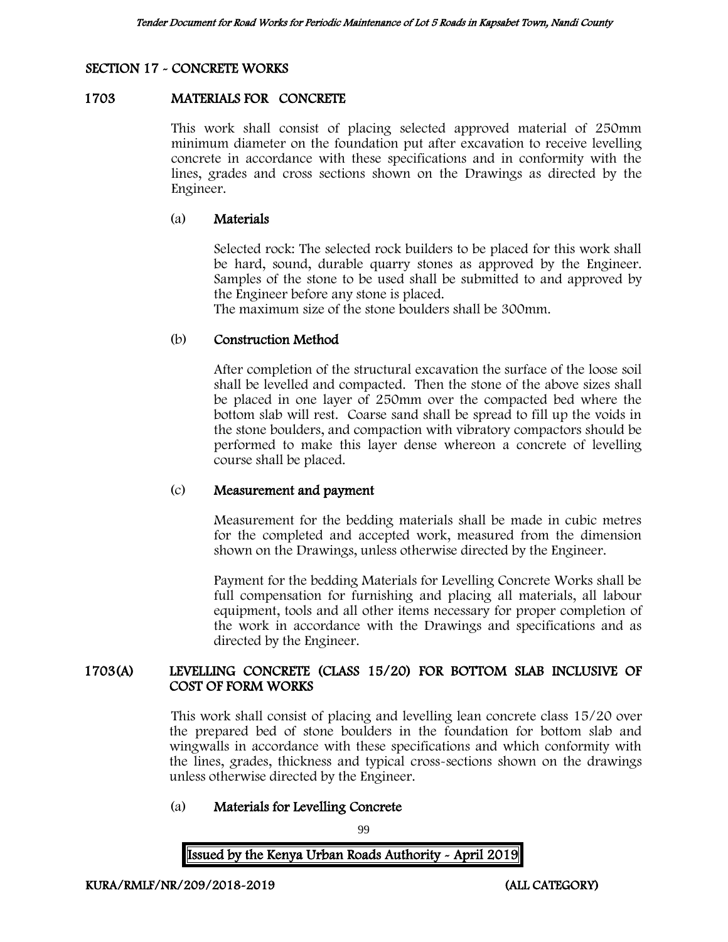# SECTION 17 - CONCRETE WORKS

## 1703 MATERIALS FOR CONCRETE

This work shall consist of placing selected approved material of 250mm minimum diameter on the foundation put after excavation to receive levelling concrete in accordance with these specifications and in conformity with the lines, grades and cross sections shown on the Drawings as directed by the Engineer.

#### (a) Materials

Selected rock: The selected rock builders to be placed for this work shall be hard, sound, durable quarry stones as approved by the Engineer. Samples of the stone to be used shall be submitted to and approved by the Engineer before any stone is placed.

The maximum size of the stone boulders shall be 300mm.

## (b) Construction Method

After completion of the structural excavation the surface of the loose soil shall be levelled and compacted. Then the stone of the above sizes shall be placed in one layer of 250mm over the compacted bed where the bottom slab will rest. Coarse sand shall be spread to fill up the voids in the stone boulders, and compaction with vibratory compactors should be performed to make this layer dense whereon a concrete of levelling course shall be placed.

#### (c) Measurement and payment

Measurement for the bedding materials shall be made in cubic metres for the completed and accepted work, measured from the dimension shown on the Drawings, unless otherwise directed by the Engineer.

Payment for the bedding Materials for Levelling Concrete Works shall be full compensation for furnishing and placing all materials, all labour equipment, tools and all other items necessary for proper completion of the work in accordance with the Drawings and specifications and as directed by the Engineer.

## 1703(A) LEVELLING CONCRETE (CLASS 15/20) FOR BOTTOM SLAB INCLUSIVE OF COST OF FORM WORKS

This work shall consist of placing and levelling lean concrete class 15/20 over the prepared bed of stone boulders in the foundation for bottom slab and wingwalls in accordance with these specifications and which conformity with the lines, grades, thickness and typical cross-sections shown on the drawings unless otherwise directed by the Engineer.

# (a) Materials for Levelling Concrete

99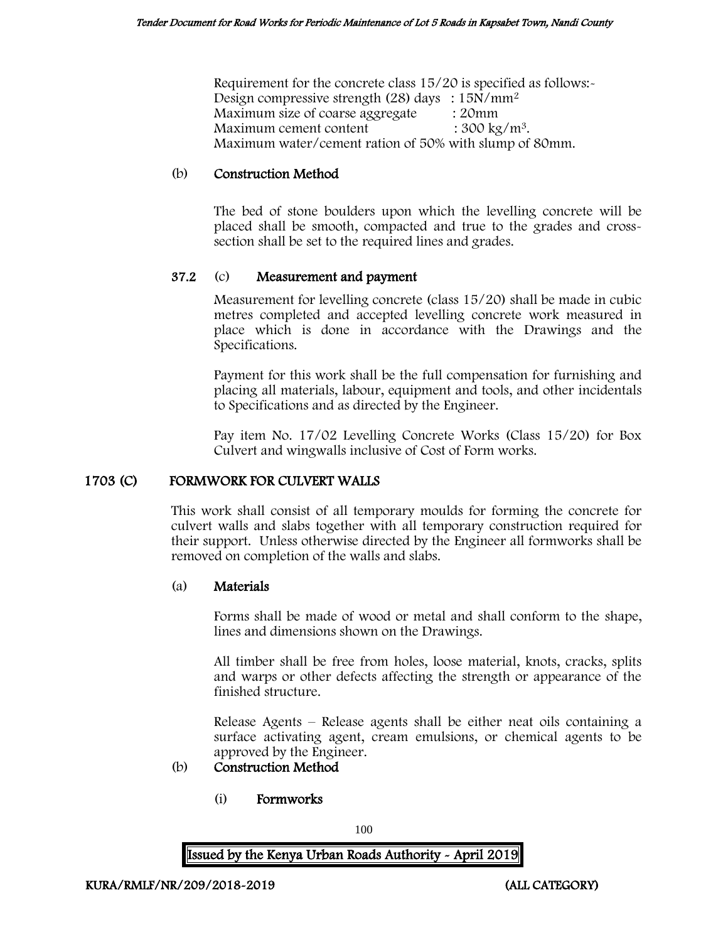Requirement for the concrete class 15/20 is specified as follows:- Design compressive strength (28) days : 15N/mm<sup>2</sup> Maximum size of coarse aggregate : 20mm Maximum cement content  $: 300 \text{ kg/m}^3$ . Maximum water/cement ration of 50% with slump of 80mm.

# (b) Construction Method

The bed of stone boulders upon which the levelling concrete will be placed shall be smooth, compacted and true to the grades and crosssection shall be set to the required lines and grades.

## 37.2 (c) Measurement and payment

Measurement for levelling concrete (class 15/20) shall be made in cubic metres completed and accepted levelling concrete work measured in place which is done in accordance with the Drawings and the Specifications.

Payment for this work shall be the full compensation for furnishing and placing all materials, labour, equipment and tools, and other incidentals to Specifications and as directed by the Engineer.

Pay item No. 17/02 Levelling Concrete Works (Class 15/20) for Box Culvert and wingwalls inclusive of Cost of Form works.

#### 1703 (C) FORMWORK FOR CULVERT WALLS

This work shall consist of all temporary moulds for forming the concrete for culvert walls and slabs together with all temporary construction required for their support. Unless otherwise directed by the Engineer all formworks shall be removed on completion of the walls and slabs.

#### (a) Materials

Forms shall be made of wood or metal and shall conform to the shape, lines and dimensions shown on the Drawings.

All timber shall be free from holes, loose material, knots, cracks, splits and warps or other defects affecting the strength or appearance of the finished structure.

Release Agents – Release agents shall be either neat oils containing a surface activating agent, cream emulsions, or chemical agents to be approved by the Engineer.

## (b) Construction Method

(i) Formworks

100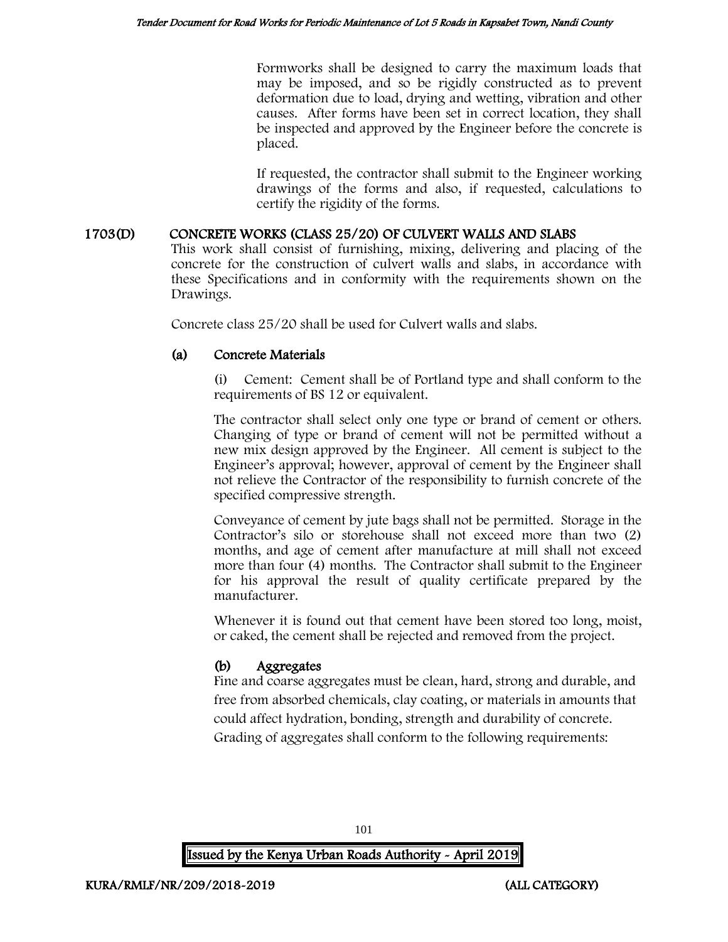Formworks shall be designed to carry the maximum loads that may be imposed, and so be rigidly constructed as to prevent deformation due to load, drying and wetting, vibration and other causes. After forms have been set in correct location, they shall be inspected and approved by the Engineer before the concrete is placed.

If requested, the contractor shall submit to the Engineer working drawings of the forms and also, if requested, calculations to certify the rigidity of the forms.

## 1703(D) CONCRETE WORKS (CLASS 25/20) OF CULVERT WALLS AND SLABS

This work shall consist of furnishing, mixing, delivering and placing of the concrete for the construction of culvert walls and slabs, in accordance with these Specifications and in conformity with the requirements shown on the Drawings.

Concrete class 25/20 shall be used for Culvert walls and slabs.

# (a) Concrete Materials

Cement: Cement shall be of Portland type and shall conform to the requirements of BS 12 or equivalent.

The contractor shall select only one type or brand of cement or others. Changing of type or brand of cement will not be permitted without a new mix design approved by the Engineer. All cement is subject to the Engineer's approval; however, approval of cement by the Engineer shall not relieve the Contractor of the responsibility to furnish concrete of the specified compressive strength.

Conveyance of cement by jute bags shall not be permitted. Storage in the Contractor's silo or storehouse shall not exceed more than two (2) months, and age of cement after manufacture at mill shall not exceed more than four (4) months. The Contractor shall submit to the Engineer for his approval the result of quality certificate prepared by the manufacturer.

Whenever it is found out that cement have been stored too long, moist, or caked, the cement shall be rejected and removed from the project.

# (b) Aggregates

Fine and coarse aggregates must be clean, hard, strong and durable, and free from absorbed chemicals, clay coating, or materials in amounts that could affect hydration, bonding, strength and durability of concrete. Grading of aggregates shall conform to the following requirements:

101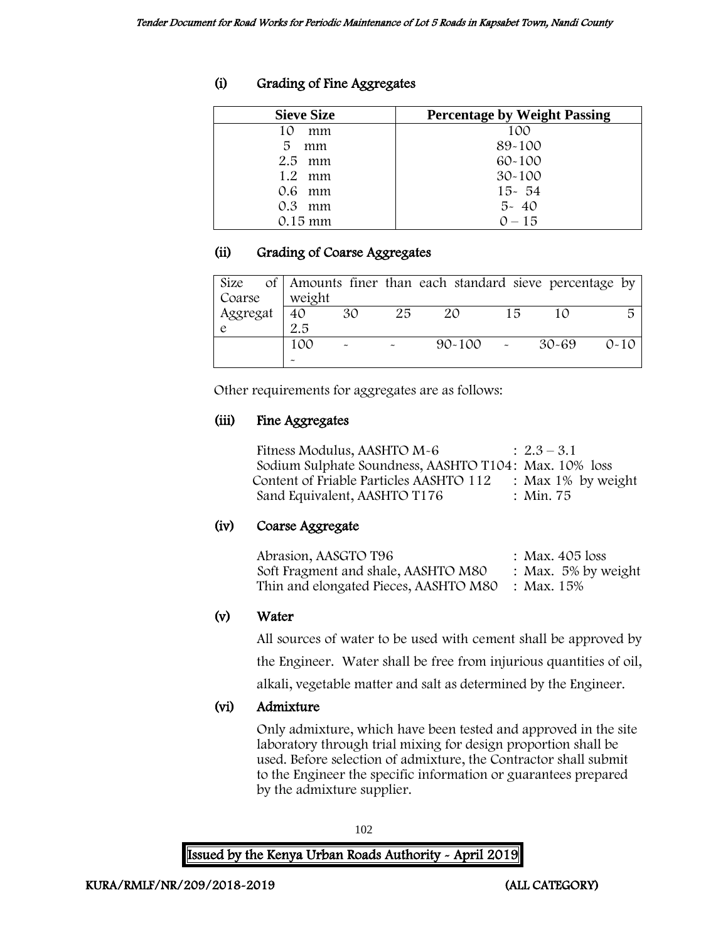# (i) Grading of Fine Aggregates

| <b>Sieve Size</b> | <b>Percentage by Weight Passing</b> |
|-------------------|-------------------------------------|
| 10<br>mm          | 100                                 |
| 5<br>mm           | 89-100                              |
| $2.5$ mm          | $60 - 100$                          |
| $1.2$ mm          | $30 - 100$                          |
| 0.6 mm            | $15 - 54$                           |
| $0.3$ mm          | $5 - 40$                            |
| 0.15 mm           | $0 - 15$                            |

# (ii) Grading of Coarse Aggregates

| Size     |        |                       |    | of Amounts finer than each standard sieve percentage by |    |           |          |
|----------|--------|-----------------------|----|---------------------------------------------------------|----|-----------|----------|
| Coarse   | weight |                       |    |                                                         |    |           |          |
| Aggregat | 40     | 30                    | 25 | 20                                                      | 15 | 10        |          |
|          | 2.5    |                       |    |                                                         |    |           |          |
|          | 100    | $\tilde{\phantom{a}}$ |    | $90 - 100$                                              |    | $30 - 69$ | $0 - 10$ |
|          |        |                       |    |                                                         |    |           |          |

Other requirements for aggregates are as follows:

# (iii) Fine Aggregates

| Fitness Modulus, AASHTO M-6                           | $\therefore$ 2.3 – 3.1 |
|-------------------------------------------------------|------------------------|
| Sodium Sulphate Soundness, AASHTO T104: Max. 10% loss |                        |
| Content of Friable Particles AASHTO 112               | : Max $1\%$ by weight  |
| Sand Equivalent, AASHTO T176                          | : Min. 75              |

# (iv) Coarse Aggregate

| Abrasion, AASGTO T96                             | : Max. $405$ loss      |
|--------------------------------------------------|------------------------|
| Soft Fragment and shale, AASHTO M80              | : Max. $5\%$ by weight |
| Thin and elongated Pieces, AASHTO M80 : Max. 15% |                        |

# (v) Water

All sources of water to be used with cement shall be approved by

the Engineer. Water shall be free from injurious quantities of oil,

alkali, vegetable matter and salt as determined by the Engineer.

# (vi) Admixture

Only admixture, which have been tested and approved in the site laboratory through trial mixing for design proportion shall be used. Before selection of admixture, the Contractor shall submit to the Engineer the specific information or guarantees prepared by the admixture supplier.

102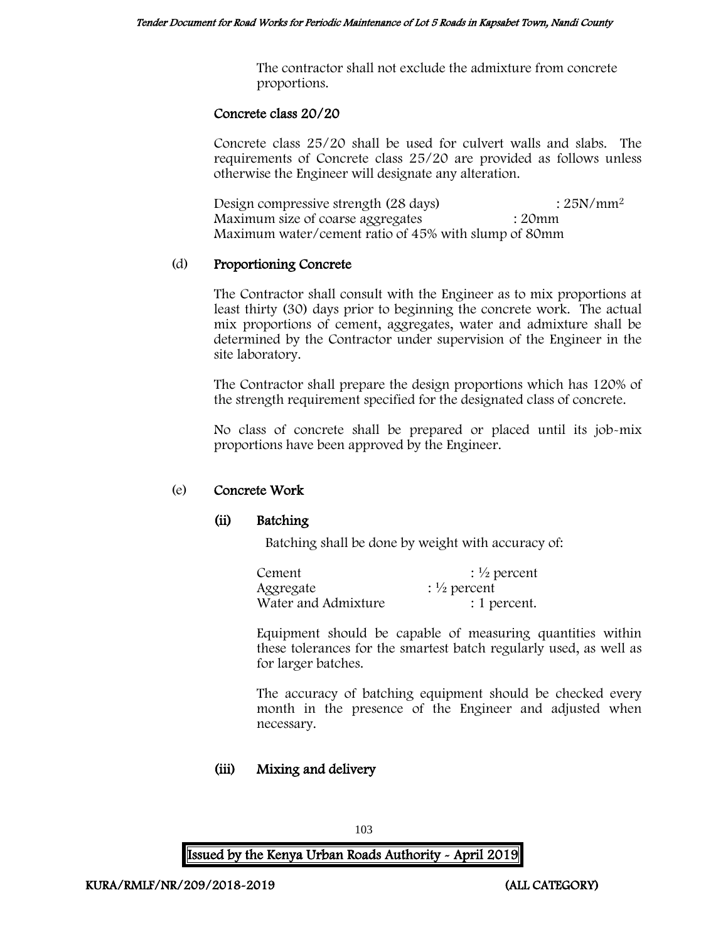The contractor shall not exclude the admixture from concrete proportions.

## Concrete class 20/20

Concrete class 25/20 shall be used for culvert walls and slabs. The requirements of Concrete class 25/20 are provided as follows unless otherwise the Engineer will designate any alteration.

Design compressive strength  $(28 \text{ days})$  :  $25N/mm^2$ Maximum size of coarse aggregates : 20mm Maximum water/cement ratio of 45% with slump of 80mm

## (d) Proportioning Concrete

The Contractor shall consult with the Engineer as to mix proportions at least thirty (30) days prior to beginning the concrete work. The actual mix proportions of cement, aggregates, water and admixture shall be determined by the Contractor under supervision of the Engineer in the site laboratory.

The Contractor shall prepare the design proportions which has 120% of the strength requirement specified for the designated class of concrete.

No class of concrete shall be prepared or placed until its job-mix proportions have been approved by the Engineer.

# (e) Concrete Work

# (ii) Batching

Batching shall be done by weight with accuracy of:

| Cement              | $\frac{1}{2}$ percent |
|---------------------|-----------------------|
| Aggregate           | $\frac{1}{2}$ percent |
| Water and Admixture | : 1 percent.          |

Equipment should be capable of measuring quantities within these tolerances for the smartest batch regularly used, as well as for larger batches.

The accuracy of batching equipment should be checked every month in the presence of the Engineer and adjusted when necessary.

# (iii) Mixing and delivery

103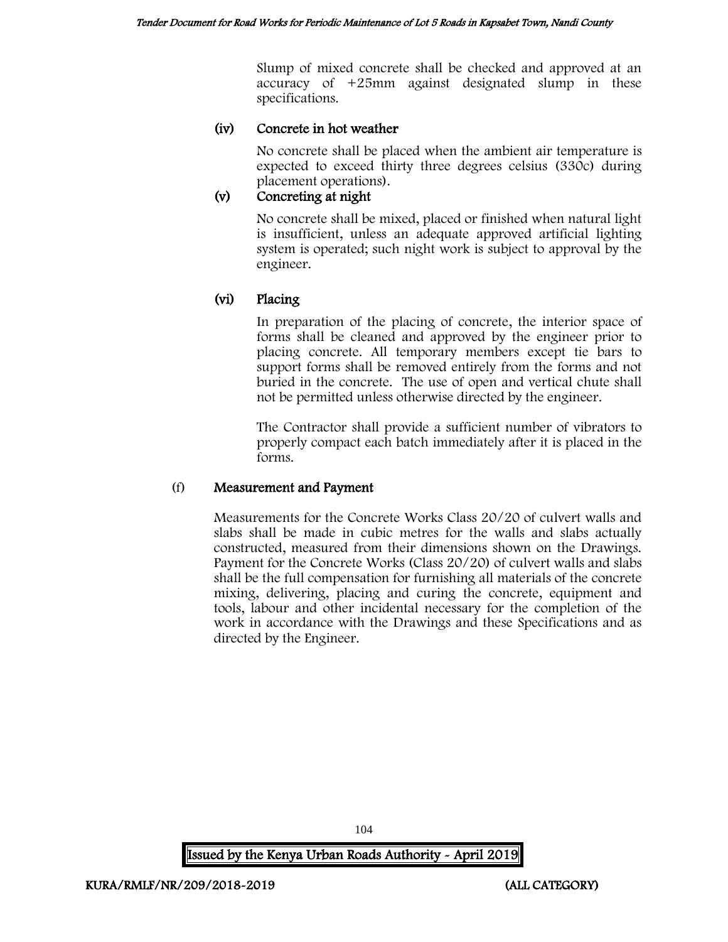Slump of mixed concrete shall be checked and approved at an accuracy of +25mm against designated slump in these specifications.

# (iv) Concrete in hot weather

No concrete shall be placed when the ambient air temperature is expected to exceed thirty three degrees celsius (330c) during placement operations).

# (v) Concreting at night

No concrete shall be mixed, placed or finished when natural light is insufficient, unless an adequate approved artificial lighting system is operated; such night work is subject to approval by the engineer.

# (vi) Placing

In preparation of the placing of concrete, the interior space of forms shall be cleaned and approved by the engineer prior to placing concrete. All temporary members except tie bars to support forms shall be removed entirely from the forms and not buried in the concrete. The use of open and vertical chute shall not be permitted unless otherwise directed by the engineer.

The Contractor shall provide a sufficient number of vibrators to properly compact each batch immediately after it is placed in the forms.

# (f) Measurement and Payment

Measurements for the Concrete Works Class 20/20 of culvert walls and slabs shall be made in cubic metres for the walls and slabs actually constructed, measured from their dimensions shown on the Drawings. Payment for the Concrete Works (Class 20/20) of culvert walls and slabs shall be the full compensation for furnishing all materials of the concrete mixing, delivering, placing and curing the concrete, equipment and tools, labour and other incidental necessary for the completion of the work in accordance with the Drawings and these Specifications and as directed by the Engineer.

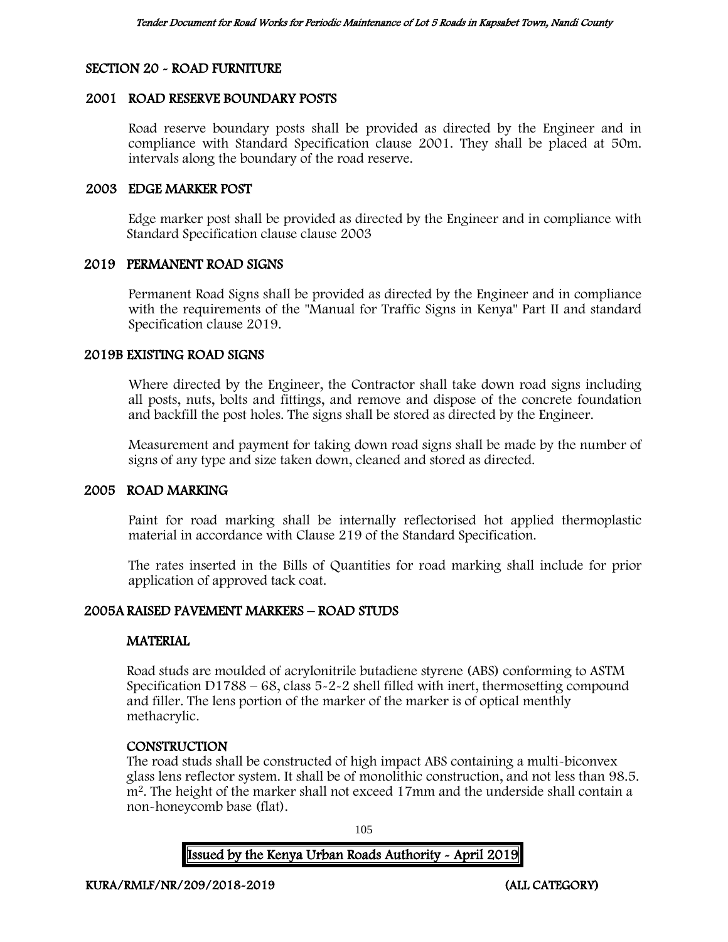## SECTION 20 - ROAD FURNITURE

#### 2001 ROAD RESERVE BOUNDARY POSTS

Road reserve boundary posts shall be provided as directed by the Engineer and in compliance with Standard Specification clause 2001. They shall be placed at 50m. intervals along the boundary of the road reserve.

#### 2003 EDGE MARKER POST

Edge marker post shall be provided as directed by the Engineer and in compliance with Standard Specification clause clause 2003

## 2019 PERMANENT ROAD SIGNS

Permanent Road Signs shall be provided as directed by the Engineer and in compliance with the requirements of the "Manual for Traffic Signs in Kenya" Part II and standard Specification clause 2019.

#### 2019B EXISTING ROAD SIGNS

Where directed by the Engineer, the Contractor shall take down road signs including all posts, nuts, bolts and fittings, and remove and dispose of the concrete foundation and backfill the post holes. The signs shall be stored as directed by the Engineer.

Measurement and payment for taking down road signs shall be made by the number of signs of any type and size taken down, cleaned and stored as directed.

#### 2005 ROAD MARKING

Paint for road marking shall be internally reflectorised hot applied thermoplastic material in accordance with Clause 219 of the Standard Specification.

The rates inserted in the Bills of Quantities for road marking shall include for prior application of approved tack coat.

# 2005A RAISED PAVEMENT MARKERS – ROAD STUDS

# **MATERIAL**

Road studs are moulded of acrylonitrile butadiene styrene (ABS) conforming to ASTM Specification D1788 – 68, class 5-2-2 shell filled with inert, thermosetting compound and filler. The lens portion of the marker of the marker is of optical menthly methacrylic.

# **CONSTRUCTION**

The road studs shall be constructed of high impact ABS containing a multi-biconvex glass lens reflector system. It shall be of monolithic construction, and not less than 98.5. m<sup>2</sup>. The height of the marker shall not exceed 17mm and the underside shall contain a non-honeycomb base (flat).

105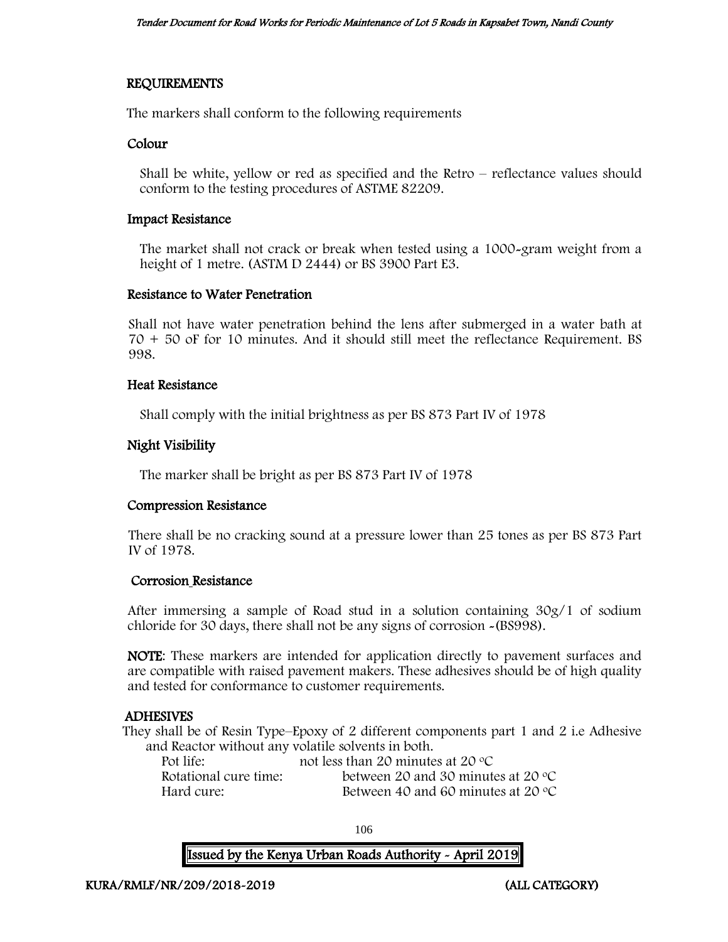# REQUIREMENTS

The markers shall conform to the following requirements

#### Colour

Shall be white, yellow or red as specified and the Retro – reflectance values should conform to the testing procedures of ASTME 82209.

#### Impact Resistance

The market shall not crack or break when tested using a 1000-gram weight from a height of 1 metre. (ASTM D 2444) or BS 3900 Part E3.

#### Resistance to Water Penetration

Shall not have water penetration behind the lens after submerged in a water bath at 70 + 50 oF for 10 minutes. And it should still meet the reflectance Requirement. BS 998.

#### Heat Resistance

Shall comply with the initial brightness as per BS 873 Part IV of 1978

## Night Visibility

The marker shall be bright as per BS 873 Part IV of 1978

#### Compression Resistance

There shall be no cracking sound at a pressure lower than 25 tones as per BS 873 Part IV of 1978.

#### Corrosion Resistance

After immersing a sample of Road stud in a solution containing 30g/1 of sodium chloride for 30 days, there shall not be any signs of corrosion -(BS998).

NOTE: These markers are intended for application directly to pavement surfaces and are compatible with raised pavement makers. These adhesives should be of high quality and tested for conformance to customer requirements.

# ADHESIVES

They shall be of Resin Type–Epoxy of 2 different components part 1 and 2 i.e Adhesive and Reactor without any volatile solvents in both.

| Pot life:             | not less than 20 minutes at 20 $\degree$ C  |
|-----------------------|---------------------------------------------|
| Rotational cure time: | between 20 and 30 minutes at 20 $\degree$ C |
| Hard cure:            | Between 40 and 60 minutes at 20 $\degree$ C |

106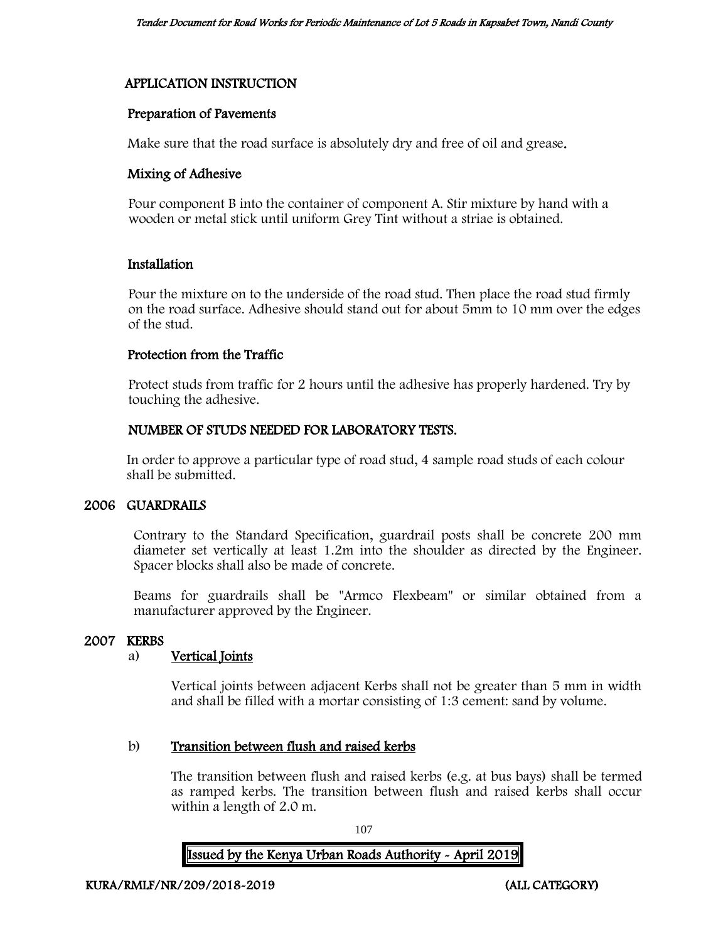# APPLICATION INSTRUCTION

# Preparation of Pavements

Make sure that the road surface is absolutely dry and free of oil and grease.

# Mixing of Adhesive

Pour component B into the container of component A. Stir mixture by hand with a wooden or metal stick until uniform Grey Tint without a striae is obtained.

# Installation

Pour the mixture on to the underside of the road stud. Then place the road stud firmly on the road surface. Adhesive should stand out for about 5mm to 10 mm over the edges of the stud.

## Protection from the Traffic

Protect studs from traffic for 2 hours until the adhesive has properly hardened. Try by touching the adhesive.

# NUMBER OF STUDS NEEDED FOR LABORATORY TESTS.

In order to approve a particular type of road stud, 4 sample road studs of each colour shall be submitted.

# 2006 GUARDRAILS

Contrary to the Standard Specification, guardrail posts shall be concrete 200 mm diameter set vertically at least 1.2m into the shoulder as directed by the Engineer. Spacer blocks shall also be made of concrete.

Beams for guardrails shall be "Armco Flexbeam" or similar obtained from a manufacturer approved by the Engineer.

# 2007 KERBS

# a) Vertical Joints

Vertical joints between adjacent Kerbs shall not be greater than 5 mm in width and shall be filled with a mortar consisting of 1:3 cement: sand by volume.

# b) Transition between flush and raised kerbs

The transition between flush and raised kerbs (e.g. at bus bays) shall be termed as ramped kerbs. The transition between flush and raised kerbs shall occur within a length of 2.0 m.

107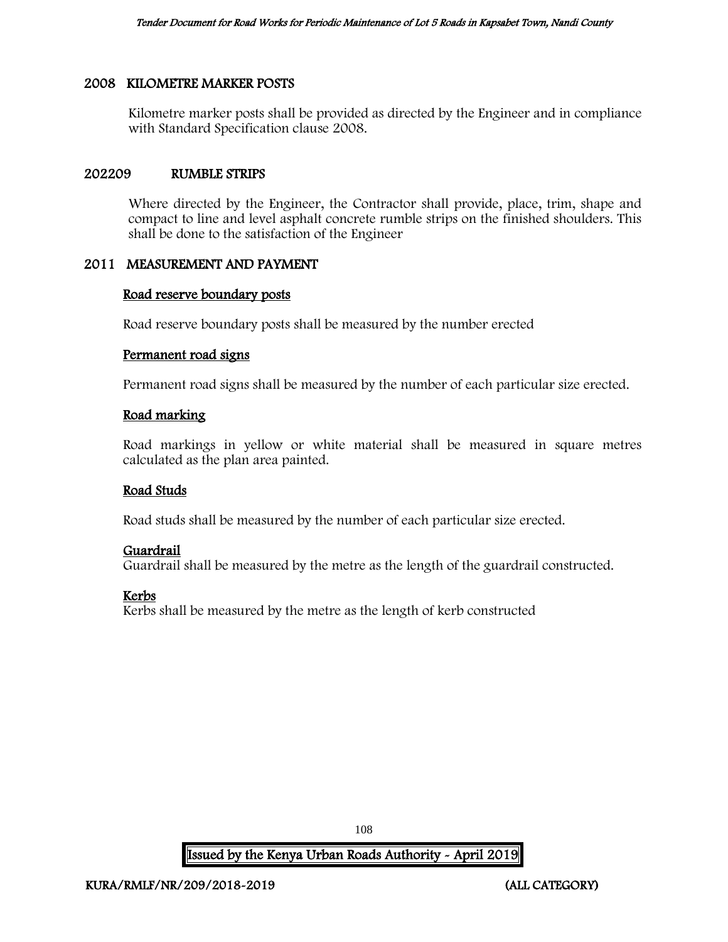# 2008 KILOMETRE MARKER POSTS

Kilometre marker posts shall be provided as directed by the Engineer and in compliance with Standard Specification clause 2008.

#### 202209 RUMBLE STRIPS

Where directed by the Engineer, the Contractor shall provide, place, trim, shape and compact to line and level asphalt concrete rumble strips on the finished shoulders. This shall be done to the satisfaction of the Engineer

## 2011 MEASUREMENT AND PAYMENT

#### Road reserve boundary posts

Road reserve boundary posts shall be measured by the number erected

#### Permanent road signs

Permanent road signs shall be measured by the number of each particular size erected.

## Road marking

Road markings in yellow or white material shall be measured in square metres calculated as the plan area painted.

#### Road Studs

Road studs shall be measured by the number of each particular size erected.

# Guardrail

Guardrail shall be measured by the metre as the length of the guardrail constructed.

# Kerbs

Kerbs shall be measured by the metre as the length of kerb constructed

108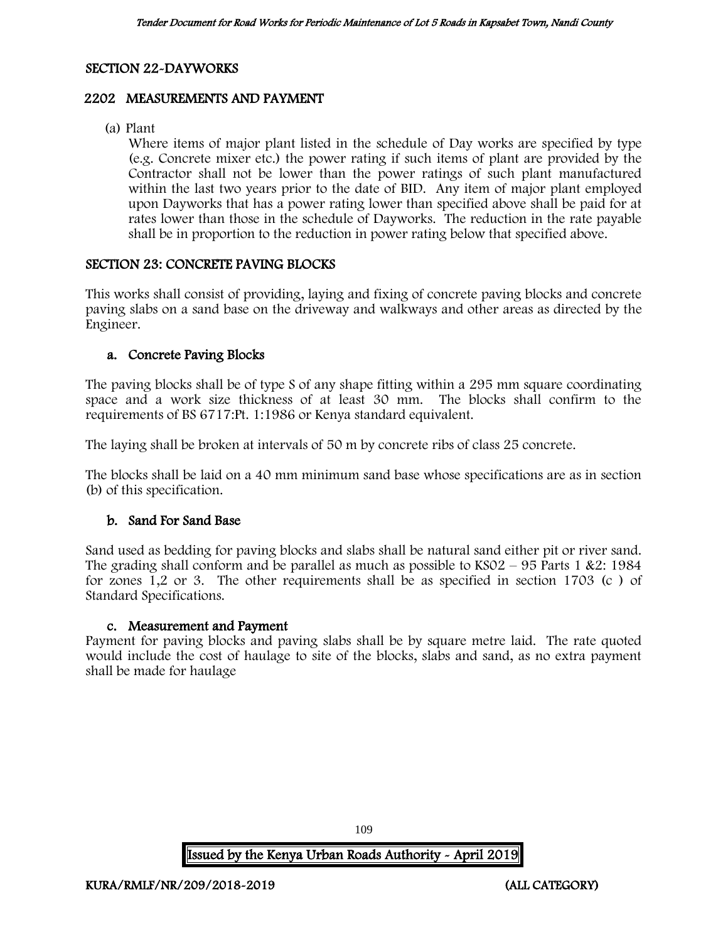# SECTION 22-DAYWORKS

# 2202 MEASUREMENTS AND PAYMENT

(a) Plant

Where items of major plant listed in the schedule of Day works are specified by type (e.g. Concrete mixer etc.) the power rating if such items of plant are provided by the Contractor shall not be lower than the power ratings of such plant manufactured within the last two years prior to the date of BID. Any item of major plant employed upon Dayworks that has a power rating lower than specified above shall be paid for at rates lower than those in the schedule of Dayworks. The reduction in the rate payable shall be in proportion to the reduction in power rating below that specified above.

## SECTION 23: CONCRETE PAVING BLOCKS

This works shall consist of providing, laying and fixing of concrete paving blocks and concrete paving slabs on a sand base on the driveway and walkways and other areas as directed by the Engineer.

## a. Concrete Paving Blocks

The paving blocks shall be of type S of any shape fitting within a 295 mm square coordinating space and a work size thickness of at least 30 mm. The blocks shall confirm to the requirements of BS 6717:Pt. 1:1986 or Kenya standard equivalent.

The laying shall be broken at intervals of 50 m by concrete ribs of class 25 concrete.

The blocks shall be laid on a 40 mm minimum sand base whose specifications are as in section (b) of this specification.

# b. Sand For Sand Base

Sand used as bedding for paving blocks and slabs shall be natural sand either pit or river sand. The grading shall conform and be parallel as much as possible to  $KSO2 - 95$  Parts 1 &2: 1984 for zones 1,2 or 3. The other requirements shall be as specified in section 1703 (c ) of Standard Specifications.

#### c. Measurement and Payment

Payment for paving blocks and paving slabs shall be by square metre laid. The rate quoted would include the cost of haulage to site of the blocks, slabs and sand, as no extra payment shall be made for haulage

109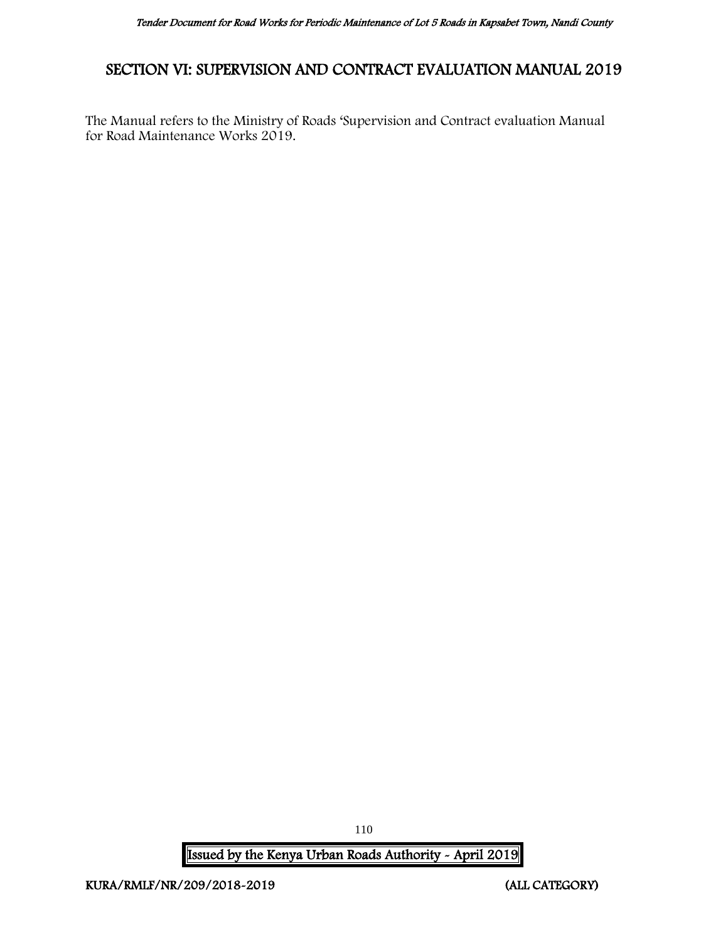# SECTION VI: SUPERVISION AND CONTRACT EVALUATION MANUAL 2019

The Manual refers to the Ministry of Roads 'Supervision and Contract evaluation Manual for Road Maintenance Works 2019.

Issued by the Kenya Urban Roads Authority - April 2019

110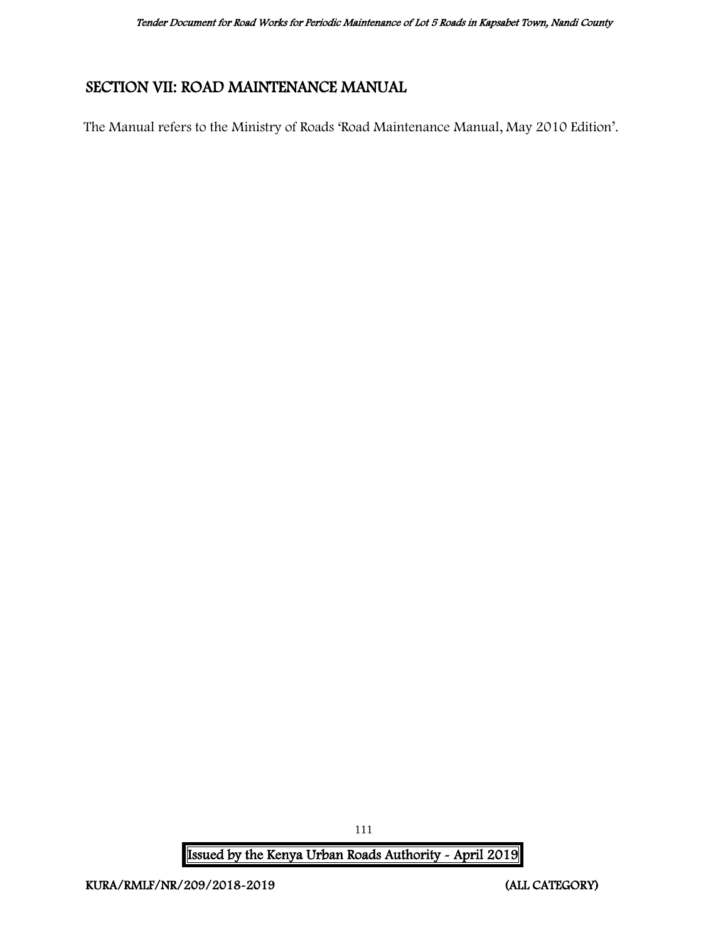# SECTION VII: ROAD MAINTENANCE MANUAL

The Manual refers to the Ministry of Roads 'Road Maintenance Manual, May 2010 Edition'.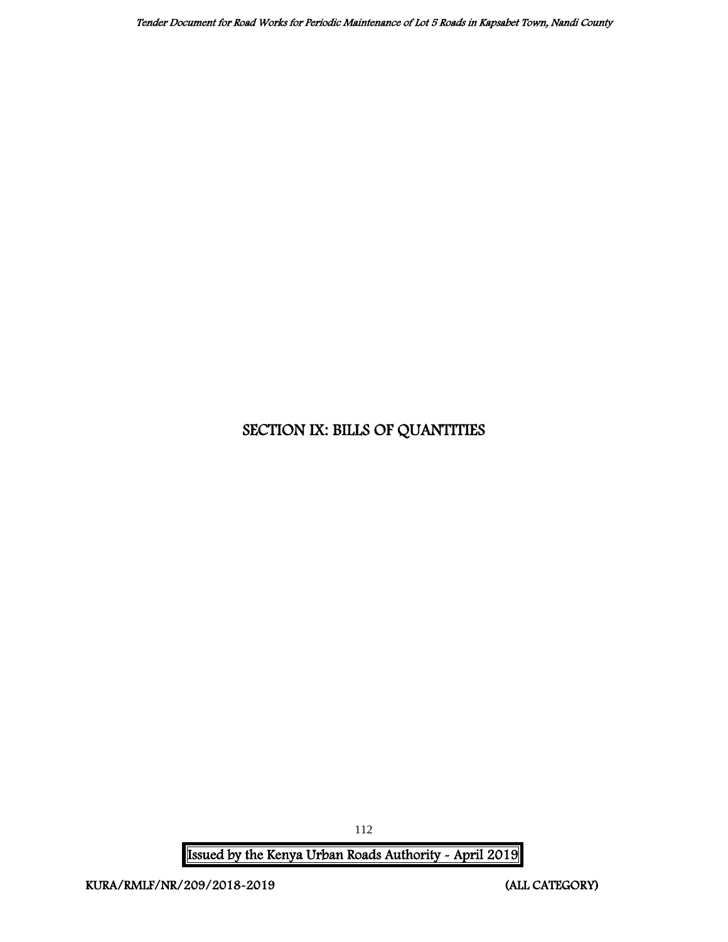# SECTION IX: BILLS OF QUANTITIES

Issued by the Kenya Urban Roads Authority - April 2019

112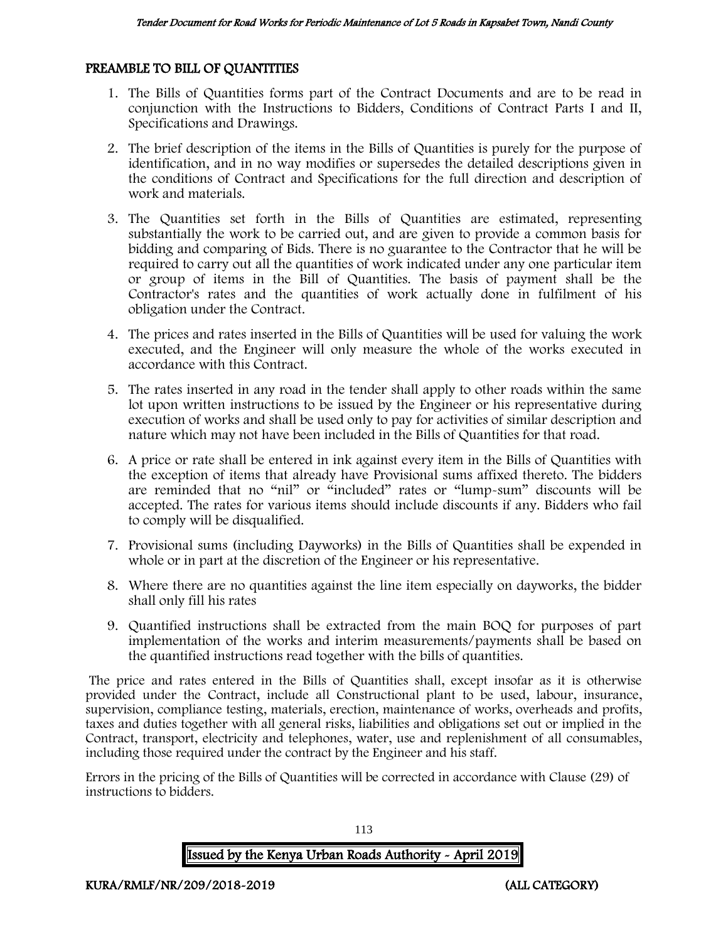## PREAMBLE TO BILL OF QUANTITIES

- 1. The Bills of Quantities forms part of the Contract Documents and are to be read in conjunction with the Instructions to Bidders, Conditions of Contract Parts I and II, Specifications and Drawings.
- 2. The brief description of the items in the Bills of Quantities is purely for the purpose of identification, and in no way modifies or supersedes the detailed descriptions given in the conditions of Contract and Specifications for the full direction and description of work and materials.
- 3. The Quantities set forth in the Bills of Quantities are estimated, representing substantially the work to be carried out, and are given to provide a common basis for bidding and comparing of Bids. There is no guarantee to the Contractor that he will be required to carry out all the quantities of work indicated under any one particular item or group of items in the Bill of Quantities. The basis of payment shall be the Contractor's rates and the quantities of work actually done in fulfilment of his obligation under the Contract.
- 4. The prices and rates inserted in the Bills of Quantities will be used for valuing the work executed, and the Engineer will only measure the whole of the works executed in accordance with this Contract.
- 5. The rates inserted in any road in the tender shall apply to other roads within the same lot upon written instructions to be issued by the Engineer or his representative during execution of works and shall be used only to pay for activities of similar description and nature which may not have been included in the Bills of Quantities for that road.
- 6. A price or rate shall be entered in ink against every item in the Bills of Quantities with the exception of items that already have Provisional sums affixed thereto. The bidders are reminded that no "nil" or "included" rates or "lump-sum" discounts will be accepted. The rates for various items should include discounts if any. Bidders who fail to comply will be disqualified.
- 7. Provisional sums (including Dayworks) in the Bills of Quantities shall be expended in whole or in part at the discretion of the Engineer or his representative.
- 8. Where there are no quantities against the line item especially on dayworks, the bidder shall only fill his rates
- 9. Quantified instructions shall be extracted from the main BOQ for purposes of part implementation of the works and interim measurements/payments shall be based on the quantified instructions read together with the bills of quantities.

The price and rates entered in the Bills of Quantities shall, except insofar as it is otherwise provided under the Contract, include all Constructional plant to be used, labour, insurance, supervision, compliance testing, materials, erection, maintenance of works, overheads and profits, taxes and duties together with all general risks, liabilities and obligations set out or implied in the Contract, transport, electricity and telephones, water, use and replenishment of all consumables, including those required under the contract by the Engineer and his staff.

Errors in the pricing of the Bills of Quantities will be corrected in accordance with Clause (29) of instructions to bidders.

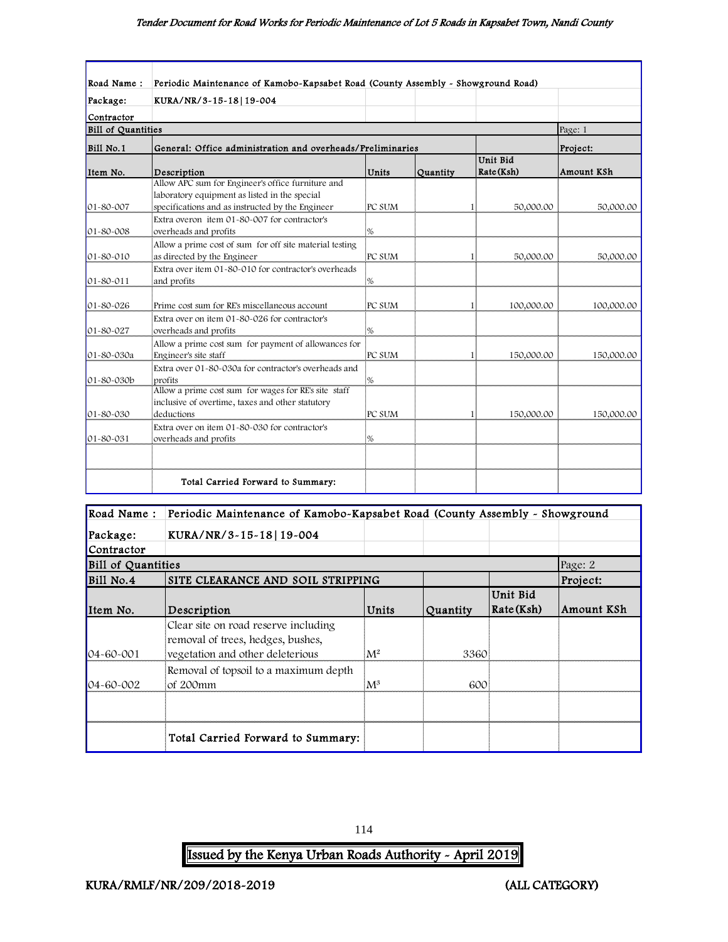| Road Name:                | Periodic Maintenance of Kamobo-Kapsabet Road (County Assembly - Showground Road)                                                                       |               |          |                        |            |
|---------------------------|--------------------------------------------------------------------------------------------------------------------------------------------------------|---------------|----------|------------------------|------------|
| Package:                  | KURA/NR/3-15-18 19-004                                                                                                                                 |               |          |                        |            |
| Contractor                |                                                                                                                                                        |               |          |                        |            |
| <b>Bill of Quantities</b> |                                                                                                                                                        |               |          |                        | Page: 1    |
| Bill No.1                 | General: Office administration and overheads/Preliminaries                                                                                             |               |          |                        | Project:   |
| Item No.                  | Description                                                                                                                                            | Units         | Quantity | Unit Bid<br>Rate (Ksh) | Amount KSh |
| 01-80-007                 | Allow APC sum for Engineer's office furniture and<br>laboratory equipment as listed in the special<br>specifications and as instructed by the Engineer | PC SUM        |          | 50,000.00              | 50,000.00  |
| 01-80-008                 | Extra overon item 01-80-007 for contractor's<br>overheads and profits                                                                                  | %             |          |                        |            |
| $01 - 80 - 010$           | Allow a prime cost of sum for off site material testing<br>as directed by the Engineer                                                                 | PC SUM        |          | 50,000.00              | 50,000.00  |
| 01-80-011                 | Extra over item 01-80-010 for contractor's overheads<br>and profits                                                                                    | %             |          |                        |            |
| 01-80-026                 | Prime cost sum for RE's miscellaneous account                                                                                                          | PC SUM        |          | 100,000.00<br>1        | 100,000.00 |
| 01-80-027                 | Extra over on item 01-80-026 for contractor's<br>overheads and profits                                                                                 | $\frac{9}{6}$ |          |                        |            |
| 01-80-030a                | Allow a prime cost sum for payment of allowances for<br>Engineer's site staff                                                                          | PC SUM        |          | 150,000.00             | 150,000.00 |
| 01-80-030b                | Extra over 01-80-030a for contractor's overheads and<br>profits                                                                                        | %             |          |                        |            |
| 01-80-030                 | Allow a prime cost sum for wages for RE's site staff<br>inclusive of overtime, taxes and other statutory<br>deductions                                 | PC SUM        |          | 150,000.00             | 150,000.00 |
| 01-80-031                 | Extra over on item 01-80-030 for contractor's<br>overheads and profits                                                                                 | %             |          |                        |            |
|                           |                                                                                                                                                        |               |          |                        |            |
|                           | Total Carried Forward to Summary:                                                                                                                      |               |          |                        |            |

| Road Name:                | Periodic Maintenance of Kamobo-Kapsabet Road (County Assembly - Showground                                    |                |          |                          |            |
|---------------------------|---------------------------------------------------------------------------------------------------------------|----------------|----------|--------------------------|------------|
| Package:                  | KURA/NR/3-15-18 19-004                                                                                        |                |          |                          |            |
| Contractor                |                                                                                                               |                |          |                          |            |
| <b>Bill of Quantities</b> |                                                                                                               |                |          |                          | Page: 2    |
| Bill No.4                 | SITE CLEARANCE AND SOIL STRIPPING                                                                             |                |          |                          | Project:   |
| Item No.                  | Description                                                                                                   | Units          | Quantity | Unit Bid<br>  Rate (Ksh) | Amount KSh |
| $04 - 60 - 001$           | Clear site on road reserve including<br>removal of trees, hedges, bushes,<br>vegetation and other deleterious | M <sup>2</sup> | 3360     |                          |            |
| $04 - 60 - 002$           | Removal of topsoil to a maximum depth<br>of 200mm                                                             | $\mathrm{M}^3$ | 600      |                          |            |
|                           |                                                                                                               |                |          |                          |            |
|                           | Total Carried Forward to Summary:                                                                             |                |          |                          |            |

114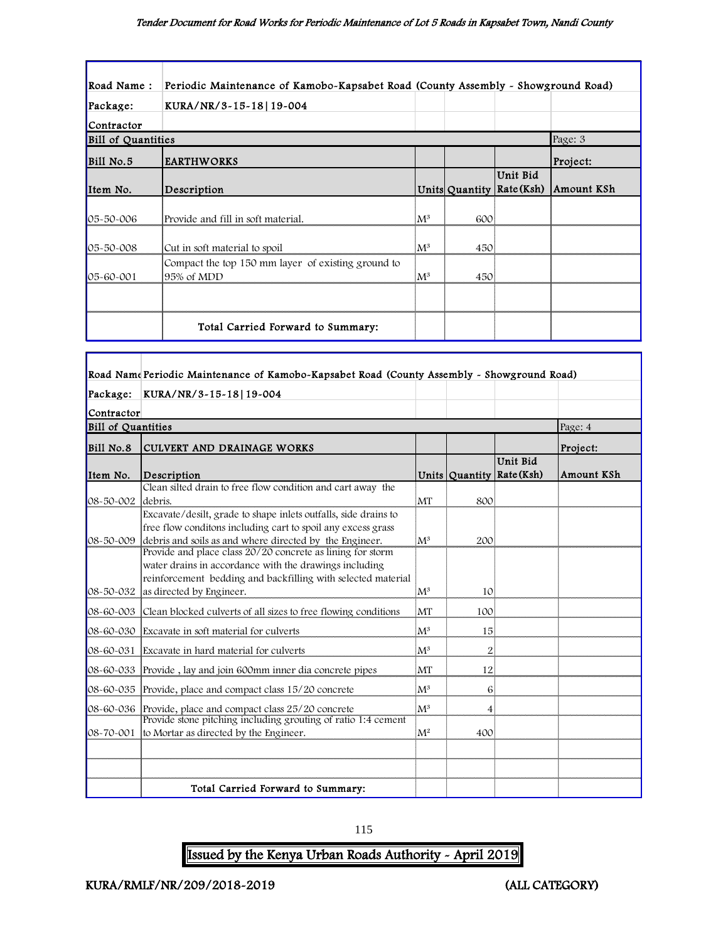| Road Name:                | Periodic Maintenance of Kamobo-Kapsabet Road (County Assembly - Showground Road) |                |     |                                       |            |
|---------------------------|----------------------------------------------------------------------------------|----------------|-----|---------------------------------------|------------|
| Package:                  | KURA/NR/3-15-18 19-004                                                           |                |     |                                       |            |
| Contractor                |                                                                                  |                |     |                                       |            |
| <b>Bill of Quantities</b> |                                                                                  |                |     |                                       | Page: 3    |
| Bill No.5                 | <b>EARTHWORKS</b>                                                                |                |     |                                       | Project:   |
| Item No.                  | Description                                                                      |                |     | Unit Bid<br>Units Quantity Rate (Ksh) | Amount KSh |
| 05-50-006                 | Provide and fill in soft material.                                               | $\mathbf{M}^3$ | 600 |                                       |            |
| 05-50-008                 | Cut in soft material to spoil                                                    | ${\rm M}^3$    | 450 |                                       |            |
| 05-60-001                 | Compact the top 150 mm layer of existing ground to<br>95% of MDD                 | ${\rm M}^3$    | 450 |                                       |            |
|                           |                                                                                  |                |     |                                       |            |
|                           | Total Carried Forward to Summary:                                                |                |     |                                       |            |

|                           | Road Name Periodic Maintenance of Kamobo-Kapsabet Road (County Assembly - Showground Road)                                                                                                                                 |                |                |                                       |            |
|---------------------------|----------------------------------------------------------------------------------------------------------------------------------------------------------------------------------------------------------------------------|----------------|----------------|---------------------------------------|------------|
| Package:                  | KURA/NR/3-15-18 19-004                                                                                                                                                                                                     |                |                |                                       |            |
| Contractor                |                                                                                                                                                                                                                            |                |                |                                       |            |
| <b>Bill of Quantities</b> |                                                                                                                                                                                                                            |                |                |                                       | Page: 4    |
| Bill No.8                 | <b>CULVERT AND DRAINAGE WORKS</b>                                                                                                                                                                                          |                |                |                                       | Project:   |
| Item No.                  | Description                                                                                                                                                                                                                |                |                | Unit Bid<br>Units Quantity Rate (Ksh) | Amount KSh |
| 08-50-002                 | Clean silted drain to free flow condition and cart away the<br>debris.                                                                                                                                                     | MT             | 800            |                                       |            |
|                           | Excavate/desilt, grade to shape inlets outfalls, side drains to<br>free flow conditons including cart to spoil any excess grass<br>08-50-009 debris and soils as and where directed by the Engineer.                       | $M^3$          | 200            |                                       |            |
|                           | Provide and place class 20/20 concrete as lining for storm<br>water drains in accordance with the drawings including<br>reinforcement bedding and backfilling with selected material<br>08-50-032 as directed by Engineer. | $M^3$          | 10             |                                       |            |
| 08-60-003                 | Clean blocked culverts of all sizes to free flowing conditions                                                                                                                                                             | MT             | 100            |                                       |            |
| $08 - 60 - 030$           | Excavate in soft material for culverts                                                                                                                                                                                     | $M^3$          | 15             |                                       |            |
|                           | 08-60-031 Excavate in hard material for culverts                                                                                                                                                                           | $M^3$          | $\overline{2}$ |                                       |            |
|                           | 08-60-033 Provide, lay and join 600mm inner dia concrete pipes                                                                                                                                                             | <b>MT</b>      | 12             |                                       |            |
|                           | 08-60-035 Provide, place and compact class 15/20 concrete                                                                                                                                                                  | $M^3$          | 6              |                                       |            |
|                           | 08-60-036 Provide, place and compact class 25/20 concrete<br>Provide stone pitching including grouting of ratio 1:4 cement                                                                                                 | $M^3$          | 4              |                                       |            |
|                           | 08-70-001 to Mortar as directed by the Engineer.                                                                                                                                                                           | M <sup>2</sup> | 400            |                                       |            |
|                           |                                                                                                                                                                                                                            |                |                |                                       |            |
|                           | Total Carried Forward to Summary:                                                                                                                                                                                          |                |                |                                       |            |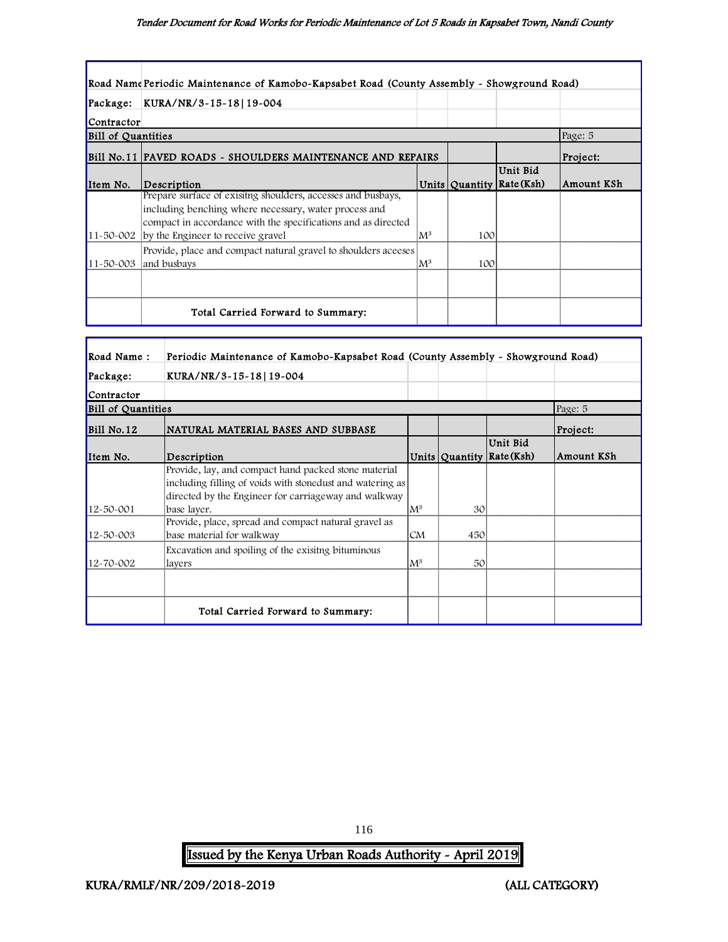|                           | Road Name Periodic Maintenance of Kamobo-Kapsabet Road (County Assembly - Showground Road) |                |     |                           |            |
|---------------------------|--------------------------------------------------------------------------------------------|----------------|-----|---------------------------|------------|
| Package:                  | KURA/NR/3-15-18   19-004                                                                   |                |     |                           |            |
| Contractor                |                                                                                            |                |     |                           |            |
| <b>Bill of Quantities</b> |                                                                                            |                |     |                           | Page: 5    |
|                           | Bill No. 11 PAVED ROADS - SHOULDERS MAINTENANCE AND REPAIRS                                |                |     |                           | Project:   |
|                           |                                                                                            |                |     | Unit Bid                  |            |
| Item No.                  | Description                                                                                |                |     | Units Quantity Rate (Ksh) | Amount KSh |
|                           | Prepare surface of exisitng shoulders, accesses and busbays,                               |                |     |                           |            |
|                           | including benching where necessary, water process and                                      |                |     |                           |            |
|                           | compact in accordance with the specifications and as directed                              |                |     |                           |            |
|                           | 11-50-002 by the Engineer to receive gravel                                                | $\mathrm{M}^3$ | 100 |                           |            |
|                           | Provide, place and compact natural gravel to shoulders aceeses                             |                |     |                           |            |
|                           | $11 - 50 - 003$ and busbays                                                                | $M^3$          | 100 |                           |            |
|                           |                                                                                            |                |     |                           |            |
|                           |                                                                                            |                |     |                           |            |
|                           | Total Carried Forward to Summary:                                                          |                |     |                           |            |

| Road Name:         | Periodic Maintenance of Kamobo-Kapsabet Road (County Assembly - Showground Road)                                                                                          |                |     |                                       |            |
|--------------------|---------------------------------------------------------------------------------------------------------------------------------------------------------------------------|----------------|-----|---------------------------------------|------------|
| Package:           | KURA/NR/3-15-18 19-004                                                                                                                                                    |                |     |                                       |            |
| Contractor         |                                                                                                                                                                           |                |     |                                       |            |
| Bill of Quantities |                                                                                                                                                                           |                |     |                                       | Page: 5    |
| Bill No.12         | NATURAL MATERIAL BASES AND SUBBASE                                                                                                                                        |                |     |                                       | Project:   |
| Item No.           | Description                                                                                                                                                               |                |     | Unit Bid<br>Units Quantity Rate (Ksh) | Amount KSh |
|                    | Provide, lay, and compact hand packed stone material<br>including filling of voids with stonedust and watering as<br>directed by the Engineer for carriageway and walkway |                |     |                                       |            |
| 12-50-001          | base laver.                                                                                                                                                               | $\mathrm{M}^3$ | 30  |                                       |            |
| 12-50-003          | Provide, place, spread and compact natural gravel as<br>base material for walkway                                                                                         | CM             | 450 |                                       |            |
| 12-70-002          | Excavation and spoiling of the exisitng bituminous<br>lavers                                                                                                              | $\mathrm{M}^3$ | 50  |                                       |            |
|                    |                                                                                                                                                                           |                |     |                                       |            |
|                    | Total Carried Forward to Summary:                                                                                                                                         |                |     |                                       |            |

116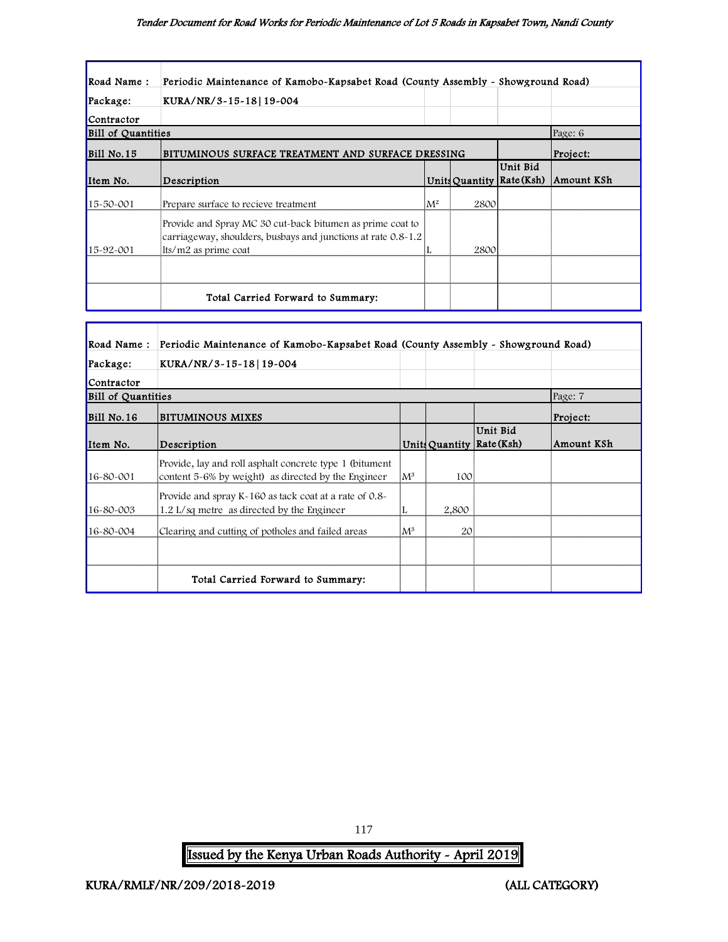| Road Name:                | Periodic Maintenance of Kamobo-Kapsabet Road (County Assembly - Showground Road)                                                                   |       |      |                                         |            |
|---------------------------|----------------------------------------------------------------------------------------------------------------------------------------------------|-------|------|-----------------------------------------|------------|
| Package:                  | KURA/NR/3-15-18 19-004                                                                                                                             |       |      |                                         |            |
| Contractor                |                                                                                                                                                    |       |      |                                         |            |
| <b>Bill of Quantities</b> |                                                                                                                                                    |       |      |                                         | Page: 6    |
| $BI1$ No. 15              | BITUMINOUS SURFACE TREATMENT AND SURFACE DRESSING                                                                                                  |       |      |                                         | Project:   |
| Item No.                  | Description                                                                                                                                        |       |      | Unit Bid<br>Units Quantity   Rate (Ksh) | Amount KSh |
| 15-50-001                 | Prepare surface to recieve treatment                                                                                                               | $M^2$ | 2800 |                                         |            |
| $15 - 92 - 001$           | Provide and Spray MC 30 cut-back bitumen as prime coat to<br>carriageway, shoulders, busbays and junctions at rate 0.8-1.2<br>lts/m2 as prime coat |       | 2800 |                                         |            |
|                           |                                                                                                                                                    |       |      |                                         |            |
|                           | Total Carried Forward to Summary:                                                                                                                  |       |      |                                         |            |

| Road Name:                | Periodic Maintenance of Kamobo-Kapsabet Road (County Assembly - Showground Road)                                |                |       |                                         |            |
|---------------------------|-----------------------------------------------------------------------------------------------------------------|----------------|-------|-----------------------------------------|------------|
| Package:                  | KURA/NR/3-15-18 19-004                                                                                          |                |       |                                         |            |
| Contractor                |                                                                                                                 |                |       |                                         |            |
| <b>Bill of Quantities</b> |                                                                                                                 |                |       |                                         | Page: 7    |
| $Bill$ No. 16             | BITUMINOUS MIXES                                                                                                |                |       |                                         | Project:   |
| Item No.                  | Description                                                                                                     |                |       | Unit Bid<br>Units Quantity   Rate (Ksh) | Amount KSh |
| 16-80-001                 | Provide, lay and roll asphalt concrete type 1 (bitument)<br>content 5-6% by weight) as directed by the Engineer | $\rm M^3$      | 100   |                                         |            |
| 16-80-003                 | Provide and spray K-160 as tack coat at a rate of 0.8-<br>1.2 L/sq metre as directed by the Engineer            |                | 2,800 |                                         |            |
| 16-80-004                 | Clearing and cutting of potholes and failed areas                                                               | $\mathrm{M}^3$ | 20    |                                         |            |
|                           |                                                                                                                 |                |       |                                         |            |
|                           | Total Carried Forward to Summary:                                                                               |                |       |                                         |            |

Issued by the Kenya Urban Roads Authority - April 2019

117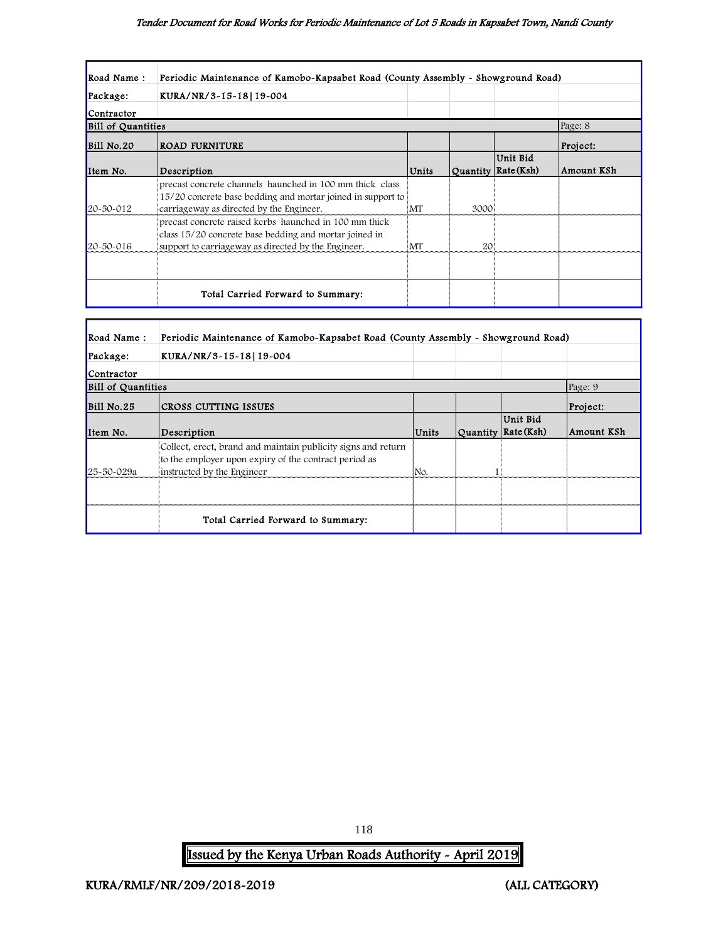#### Tender Document for Road Works for Periodic Maintenance of Lot 5 Roads in Kapsabet Town, Nandi County

| Road Name:                | Periodic Maintenance of Kamobo-Kapsabet Road (County Assembly - Showground Road)                                        |       |      |                                 |            |
|---------------------------|-------------------------------------------------------------------------------------------------------------------------|-------|------|---------------------------------|------------|
| Package:                  | KURA/NR/3-15-18 19-004                                                                                                  |       |      |                                 |            |
| Contractor                |                                                                                                                         |       |      |                                 |            |
| <b>Bill of Quantities</b> |                                                                                                                         |       |      |                                 | Page: 8    |
| Bill No.20                | <b>ROAD FURNITURE</b>                                                                                                   |       |      |                                 | Project:   |
| Item No.                  | Description                                                                                                             | Units |      | Unit Bid<br>Quantity Rate (Ksh) | Amount KSh |
|                           | precast concrete channels haunched in 100 mm thick class<br>15/20 concrete base bedding and mortar joined in support to |       |      |                                 |            |
| 20~50~012                 | carriageway as directed by the Engineer.                                                                                | MT    | 3000 |                                 |            |
|                           | precast concrete raised kerbs haunched in 100 mm thick<br>class 15/20 concrete base bedding and mortar joined in        |       |      |                                 |            |
| $20 - 50 - 016$           | support to carriage way as directed by the Engineer.                                                                    | 'МТ   | 20   |                                 |            |
|                           |                                                                                                                         |       |      |                                 |            |
|                           | Total Carried Forward to Summary:                                                                                       |       |      |                                 |            |

| Road Name:                | Periodic Maintenance of Kamobo-Kapsabet Road (County Assembly - Showground Road)                                                                     |       |                                   |            |
|---------------------------|------------------------------------------------------------------------------------------------------------------------------------------------------|-------|-----------------------------------|------------|
| Package:                  | KURA/NR/3-15-18 19-004                                                                                                                               |       |                                   |            |
| Contractor                |                                                                                                                                                      |       |                                   |            |
| <b>Bill of Quantities</b> |                                                                                                                                                      |       |                                   | Page: 9    |
| Bill No.25                | CROSS CUTTING ISSUES                                                                                                                                 |       |                                   | Project:   |
| Item No.                  | Description                                                                                                                                          | Units | Unit Bid<br>Quantity   Rate (Ksh) | Amount KSh |
| 25-50-029a                | Collect, erect, brand and maintain publicity signs and return<br>to the employer upon expiry of the contract period as<br>instructed by the Engineer | No.   |                                   |            |
|                           |                                                                                                                                                      |       |                                   |            |
|                           | Total Carried Forward to Summary:                                                                                                                    |       |                                   |            |

118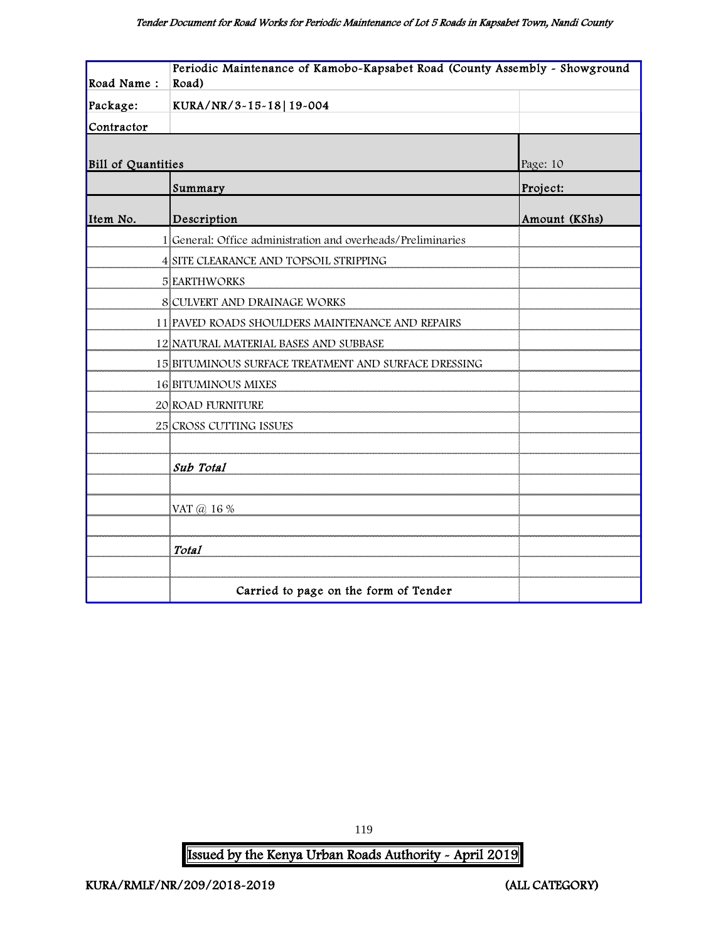| Road Name:<br>Road)<br>Package:<br>KURA/NR/3-15-18 19-004<br>Contractor |  |
|-------------------------------------------------------------------------|--|
|                                                                         |  |
|                                                                         |  |
|                                                                         |  |
|                                                                         |  |
| Bill of Quantities<br>Page: 10                                          |  |
| Project:<br>Summary                                                     |  |
| Item No.<br>Description<br>Amount (KShs)                                |  |
| 1 General: Office administration and overheads/Preliminaries            |  |
| 4 SITE CLEARANCE AND TOPSOIL STRIPPING                                  |  |
| <b>5 EARTHWORKS</b>                                                     |  |
| <b>8 CULVERT AND DRAINAGE WORKS</b>                                     |  |
| 11 PAVED ROADS SHOULDERS MAINTENANCE AND REPAIRS                        |  |
| 12 NATURAL MATERIAL BASES AND SUBBASE                                   |  |
| 15 BITUMINOUS SURFACE TREATMENT AND SURFACE DRESSING                    |  |
| <b>16 BITUMINOUS MIXES</b>                                              |  |
| 20 ROAD FURNITURE                                                       |  |
| 25 CROSS CUTTING ISSUES                                                 |  |
|                                                                         |  |
| Sub Total                                                               |  |
|                                                                         |  |
| VAT @ 16 %                                                              |  |
|                                                                         |  |
| Total                                                                   |  |
|                                                                         |  |
| Carried to page on the form of Tender                                   |  |

119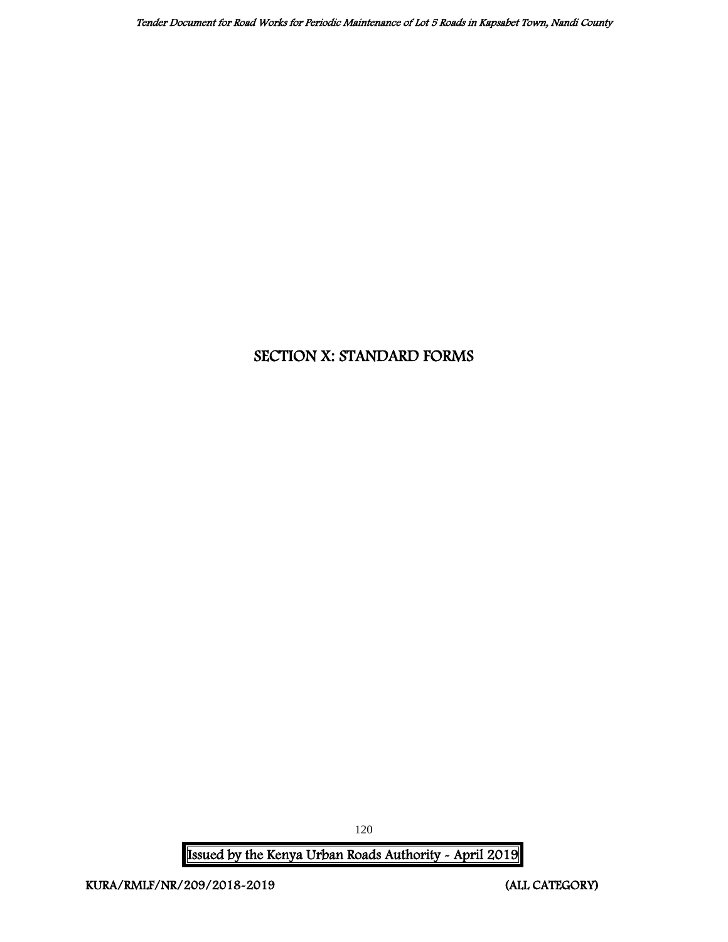# SECTION X: STANDARD FORMS

Issued by the Kenya Urban Roads Authority - April 2019

120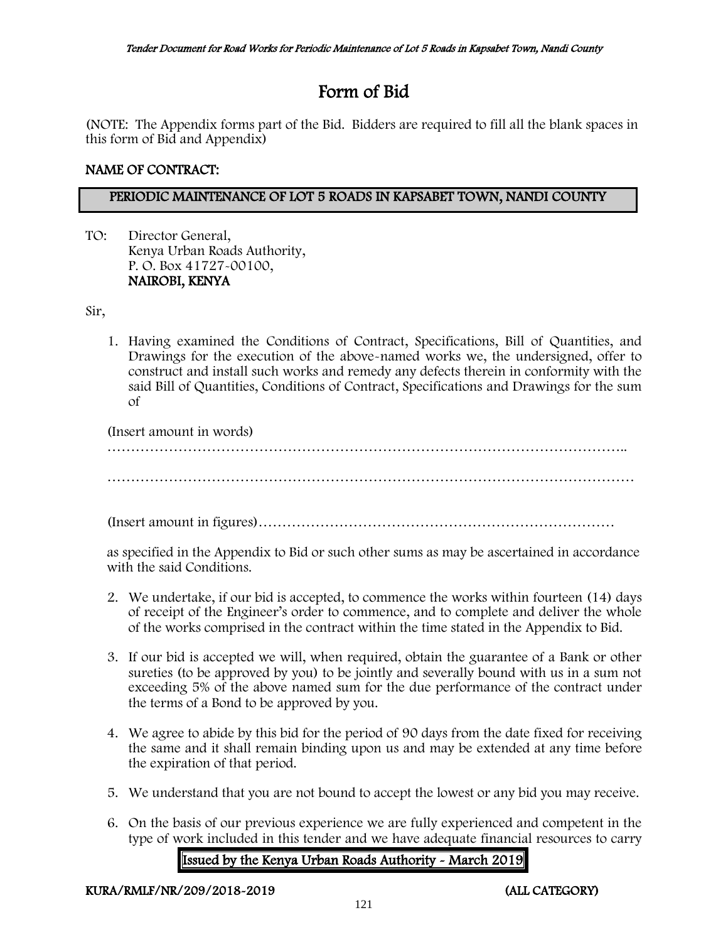# Form of Bid

(NOTE: The Appendix forms part of the Bid. Bidders are required to fill all the blank spaces in this form of Bid and Appendix)

# NAME OF CONTRACT:

# PERIODIC MAINTENANCE OF LOT 5 ROADS IN KAPSABET TOWN, NANDI COUNTY

TO: Director General, Kenya Urban Roads Authority, P. O. Box 41727-00100, NAIROBI, KENYA

Sir,

1. Having examined the Conditions of Contract, Specifications, Bill of Quantities, and Drawings for the execution of the above-named works we, the undersigned, offer to construct and install such works and remedy any defects therein in conformity with the said Bill of Quantities, Conditions of Contract, Specifications and Drawings for the sum of

(Insert amount in words) ……………………………………………………………………………………………….. …………………………………………………………………………………………………

(Insert amount in figures)…………………………………………………………………

as specified in the Appendix to Bid or such other sums as may be ascertained in accordance with the said Conditions.

- 2. We undertake, if our bid is accepted, to commence the works within fourteen (14) days of receipt of the Engineer's order to commence, and to complete and deliver the whole of the works comprised in the contract within the time stated in the Appendix to Bid.
- 3. If our bid is accepted we will, when required, obtain the guarantee of a Bank or other sureties (to be approved by you) to be jointly and severally bound with us in a sum not exceeding 5% of the above named sum for the due performance of the contract under the terms of a Bond to be approved by you.
- 4. We agree to abide by this bid for the period of 90 days from the date fixed for receiving the same and it shall remain binding upon us and may be extended at any time before the expiration of that period.
- 5. We understand that you are not bound to accept the lowest or any bid you may receive.
- 6. On the basis of our previous experience we are fully experienced and competent in the type of work included in this tender and we have adequate financial resources to carry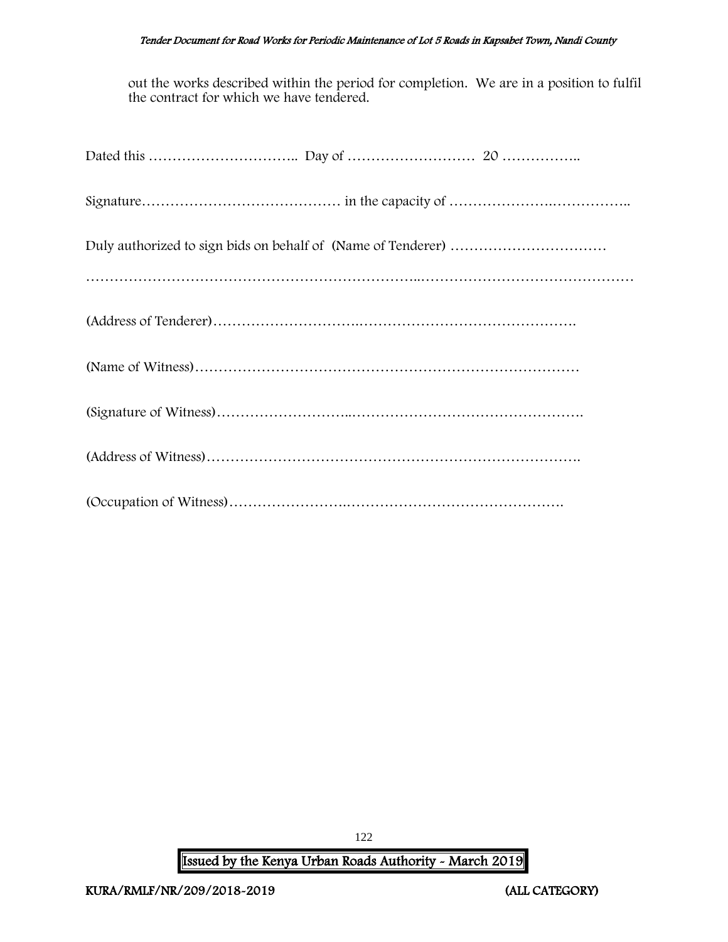#### Tender Document for Road Works for Periodic Maintenance of Lot 5 Roads in Kapsabet Town, Nandi County

out the works described within the period for completion. We are in a position to fulfil the contract for which we have tendered.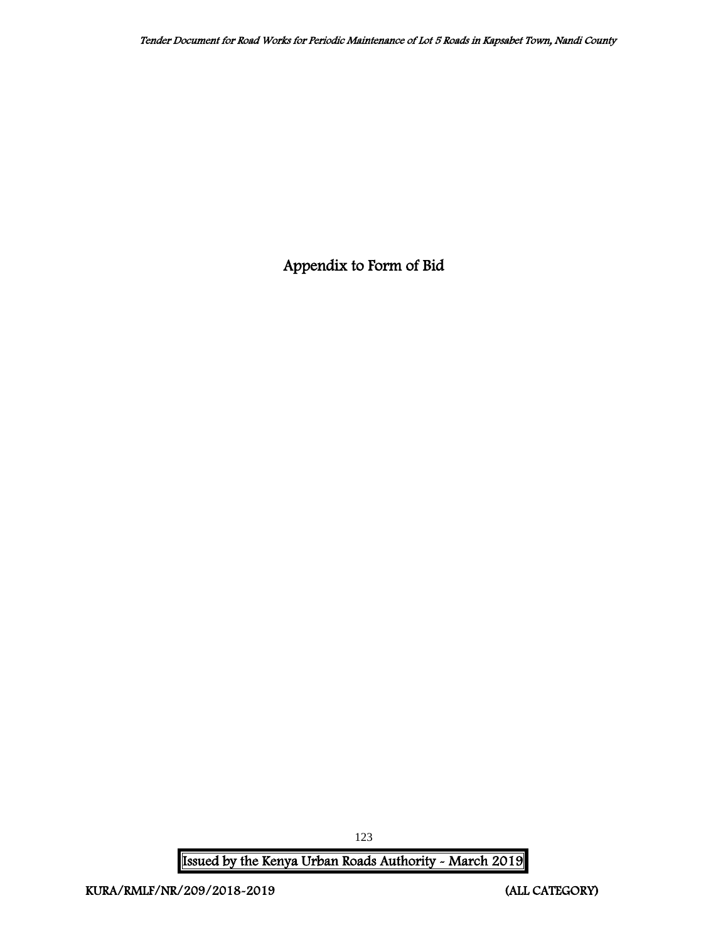Appendix to Form of Bid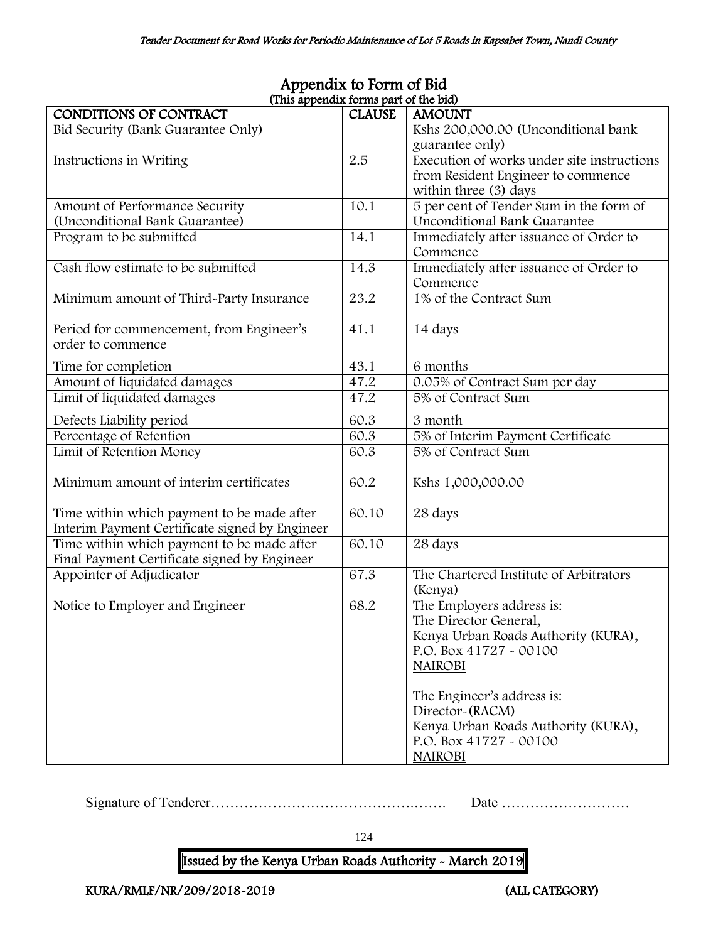| (This appendix forms part of the bid)          |               |                                            |
|------------------------------------------------|---------------|--------------------------------------------|
| CONDITIONS OF CONTRACT                         | <b>CLAUSE</b> | <b>AMOUNT</b>                              |
| Bid Security (Bank Guarantee Only)             |               | Kshs 200,000.00 (Unconditional bank        |
|                                                |               | guarantee only)                            |
| Instructions in Writing                        | 2.5           | Execution of works under site instructions |
|                                                |               | from Resident Engineer to commence         |
|                                                |               | within three (3) days                      |
| Amount of Performance Security                 | 10.1          | 5 per cent of Tender Sum in the form of    |
| (Unconditional Bank Guarantee)                 |               | Unconditional Bank Guarantee               |
| Program to be submitted                        | 14.1          | Immediately after issuance of Order to     |
|                                                |               | Commence                                   |
| Cash flow estimate to be submitted             | 14.3          | Immediately after issuance of Order to     |
|                                                |               | Commence                                   |
| Minimum amount of Third-Party Insurance        | 23.2          | 1% of the Contract Sum                     |
|                                                |               |                                            |
| Period for commencement, from Engineer's       | 41.1          | 14 days                                    |
| order to commence                              |               |                                            |
|                                                |               |                                            |
| Time for completion                            | 43.1          | 6 months                                   |
| Amount of liquidated damages                   | 47.2          | 0.05% of Contract Sum per day              |
| Limit of liquidated damages                    | 47.2          | 5% of Contract Sum                         |
| Defects Liability period                       | 60.3          | 3 month                                    |
| Percentage of Retention                        | 60.3          | 5% of Interim Payment Certificate          |
| Limit of Retention Money                       | 60.3          | 5% of Contract Sum                         |
|                                                |               |                                            |
| Minimum amount of interim certificates         | 60.2          | Kshs 1,000,000.00                          |
|                                                |               |                                            |
| Time within which payment to be made after     | 60.10         | 28 days                                    |
| Interim Payment Certificate signed by Engineer |               |                                            |
| Time within which payment to be made after     | 60.10         | 28 days                                    |
| Final Payment Certificate signed by Engineer   |               |                                            |
| Appointer of Adjudicator                       | 67.3          | The Chartered Institute of Arbitrators     |
|                                                |               | (Kenya)                                    |
| Notice to Employer and Engineer                | 68.2          | The Employers address is:                  |
|                                                |               | The Director General,                      |
|                                                |               | Kenya Urban Roads Authority (KURA),        |
|                                                |               | P.O. Box 41727 - 00100                     |
|                                                |               | <b>NAIROBI</b>                             |
|                                                |               |                                            |
|                                                |               | The Engineer's address is:                 |
|                                                |               | Director-(RACM)                            |
|                                                |               | Kenya Urban Roads Authority (KURA),        |
|                                                |               | P.O. Box 41727 - 00100                     |
|                                                |               | <b>NAIROBI</b>                             |

# Appendix to Form of Bid (This appendix forms part of the bid)

Signature of Tenderer…………………………………….……. Date ………………………

124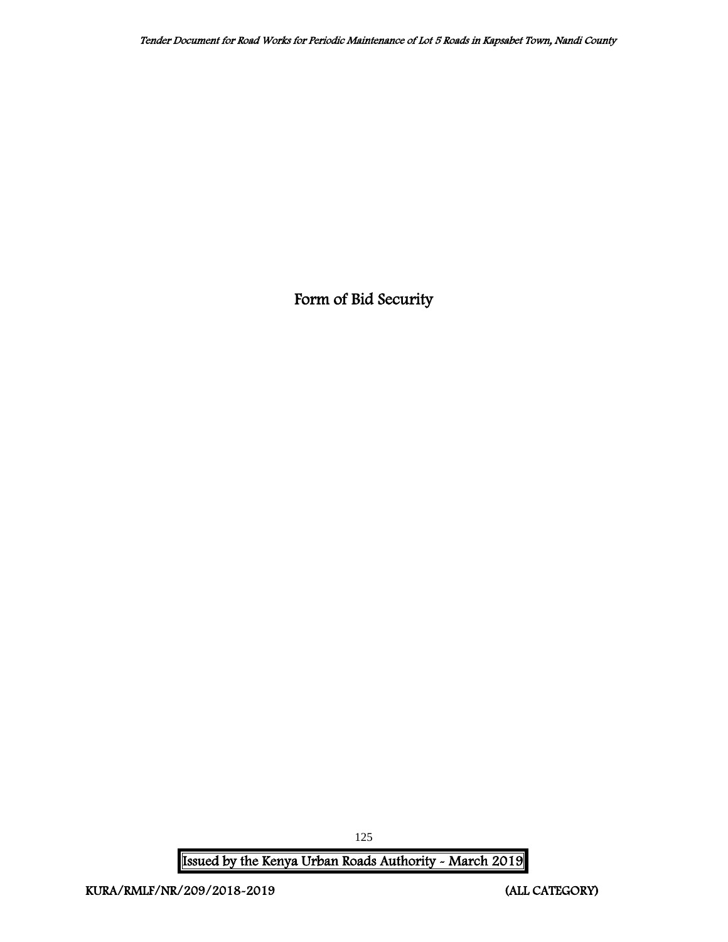Form of Bid Security

Issued by the Kenya Urban Roads Authority - March 2019

125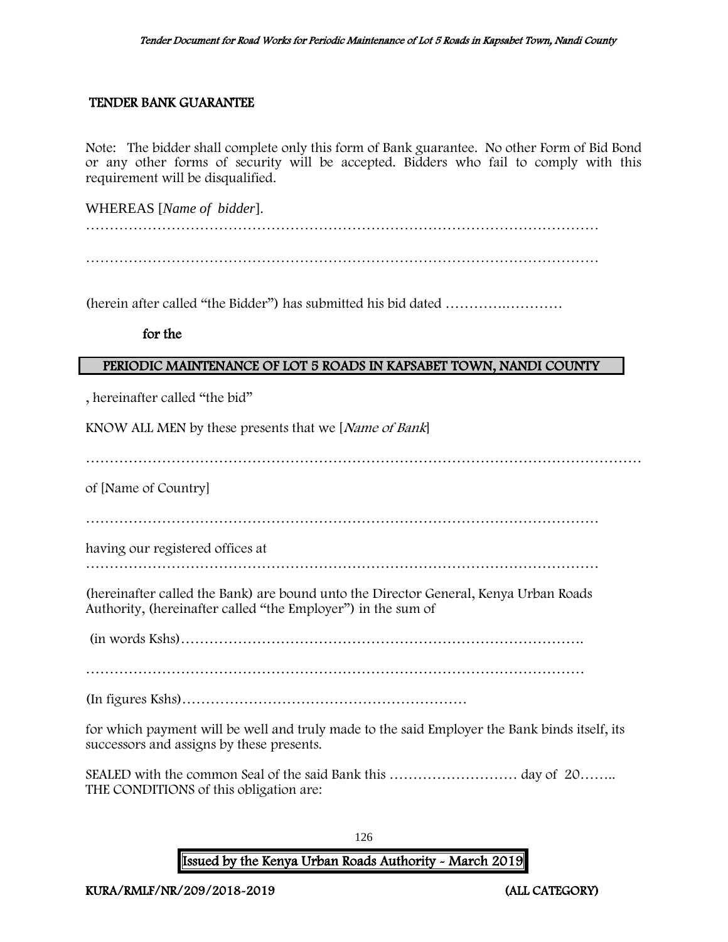#### TENDER BANK GUARANTEE

Note: The bidder shall complete only this form of Bank guarantee. No other Form of Bid Bond or any other forms of security will be accepted. Bidders who fail to comply with this requirement will be disqualified.

WHEREAS [*Name of bidder*].

………………………………………………………………………………………………

(herein after called "the Bidder") has submitted his bid dated ………….…………

for the

## PERIODIC MAINTENANCE OF LOT 5 ROADS IN KAPSABET TOWN, NANDI COUNTY

, hereinafter called "the bid"

KNOW ALL MEN by these presents that we [Name of Bank]

………………………………………………………………………………………………………

of [Name of Country]

………………………………………………………………………………………………

having our registered offices at

………………………………………………………………………………………………

(hereinafter called the Bank) are bound unto the Director General, Kenya Urban Roads Authority, (hereinafter called "the Employer") in the sum of

(in words Kshs)………………………………………………………………………….

……………………………………………………………………………………………

(In figures Kshs)……………………………………………………

for which payment will be well and truly made to the said Employer the Bank binds itself, its successors and assigns by these presents.

SEALED with the common Seal of the said Bank this ……………………… day of 20…….. THE CONDITIONS of this obligation are:

126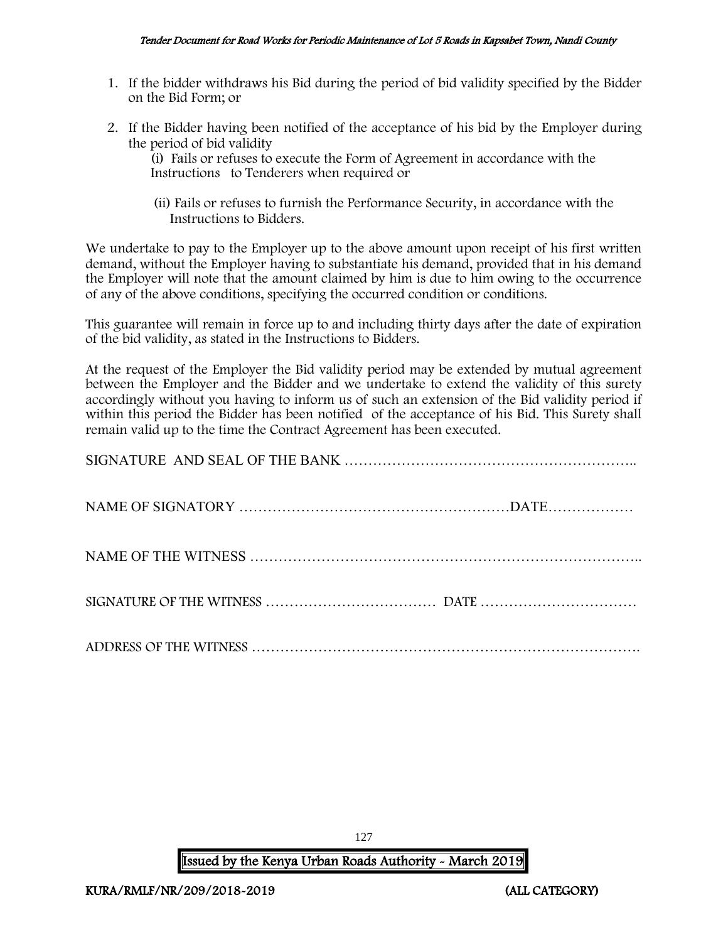- 1. If the bidder withdraws his Bid during the period of bid validity specified by the Bidder on the Bid Form; or
- 2. If the Bidder having been notified of the acceptance of his bid by the Employer during the period of bid validity

(i) Fails or refuses to execute the Form of Agreement in accordance with the Instructions to Tenderers when required or

 (ii) Fails or refuses to furnish the Performance Security, in accordance with the Instructions to Bidders.

We undertake to pay to the Employer up to the above amount upon receipt of his first written demand, without the Employer having to substantiate his demand, provided that in his demand the Employer will note that the amount claimed by him is due to him owing to the occurrence of any of the above conditions, specifying the occurred condition or conditions.

This guarantee will remain in force up to and including thirty days after the date of expiration of the bid validity, as stated in the Instructions to Bidders.

At the request of the Employer the Bid validity period may be extended by mutual agreement between the Employer and the Bidder and we undertake to extend the validity of this surety accordingly without you having to inform us of such an extension of the Bid validity period if within this period the Bidder has been notified of the acceptance of his Bid. This Surety shall remain valid up to the time the Contract Agreement has been executed.

127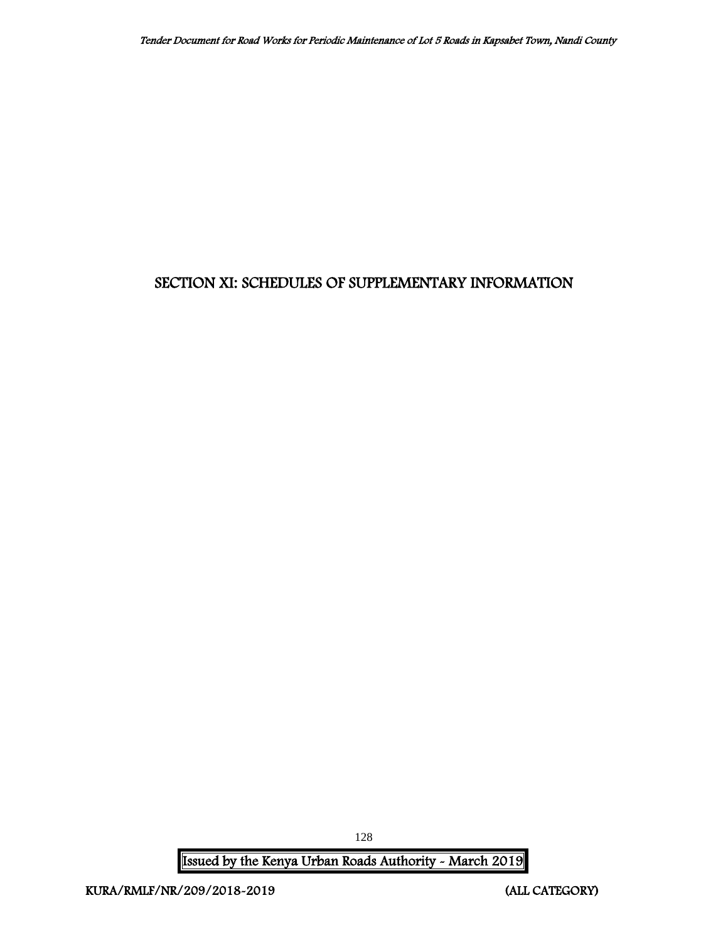# SECTION XI: SCHEDULES OF SUPPLEMENTARY INFORMATION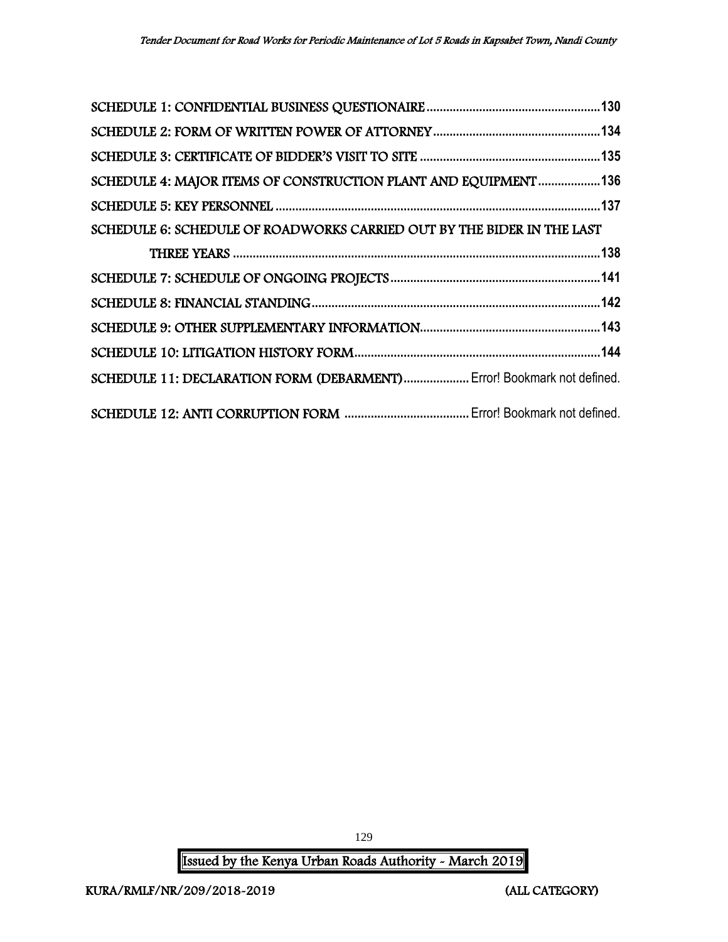| SCHEDULE 4: MAJOR ITEMS OF CONSTRUCTION PLANT AND EQUIPMENT136         |  |
|------------------------------------------------------------------------|--|
|                                                                        |  |
| SCHEDULE 6: SCHEDULE OF ROADWORKS CARRIED OUT BY THE BIDER IN THE LAST |  |
|                                                                        |  |
|                                                                        |  |
|                                                                        |  |
|                                                                        |  |
|                                                                        |  |
| SCHEDULE 11: DECLARATION FORM (DEBARMENT) Error! Bookmark not defined. |  |
|                                                                        |  |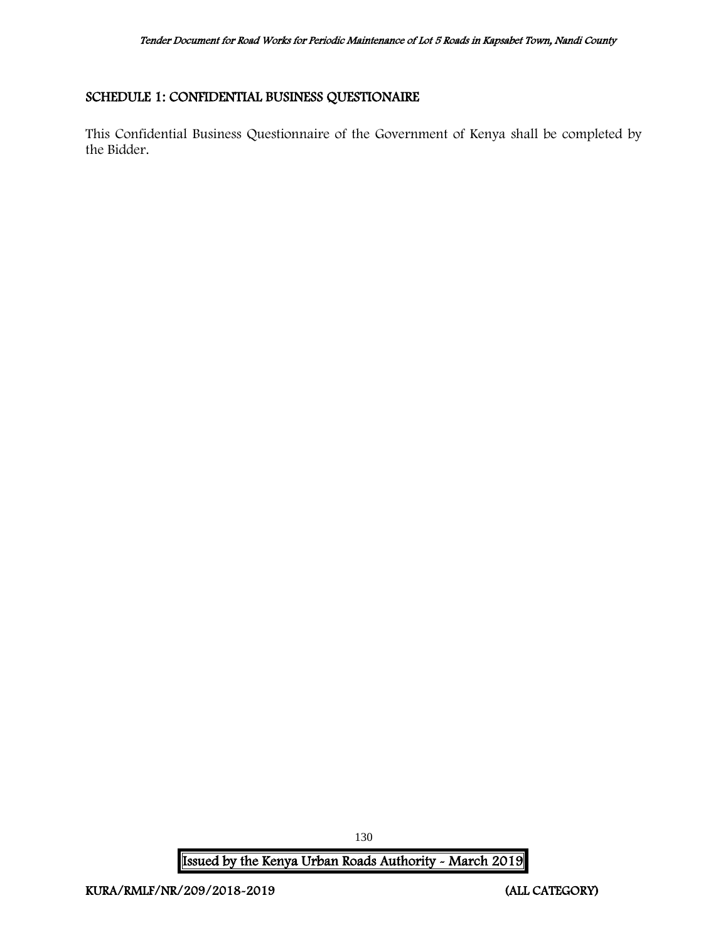# <span id="page-130-0"></span>SCHEDULE 1: CONFIDENTIAL BUSINESS QUESTIONAIRE

This Confidential Business Questionnaire of the Government of Kenya shall be completed by the Bidder.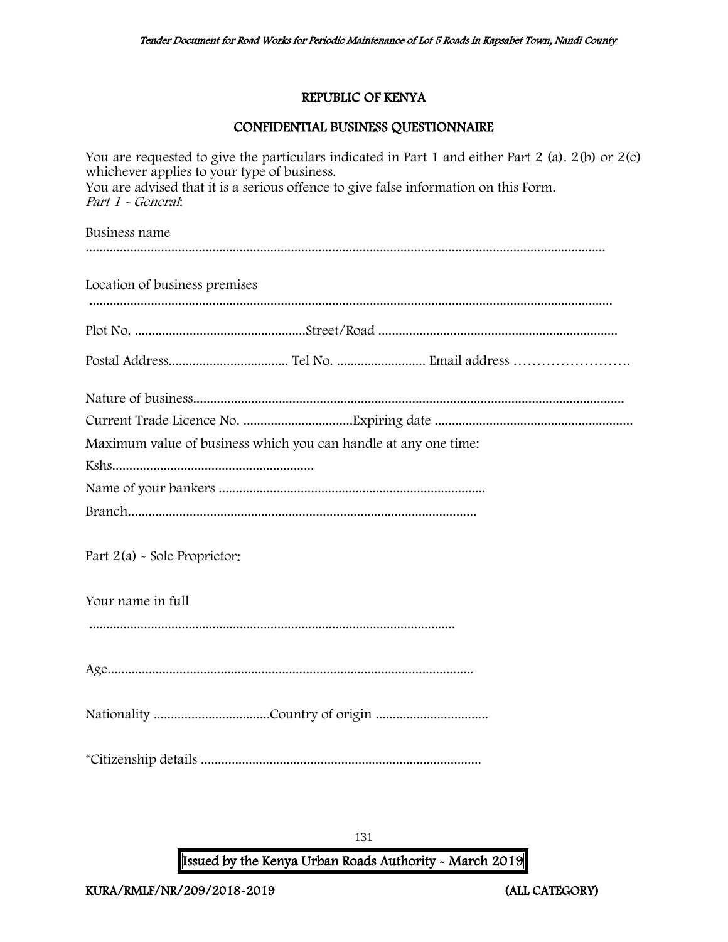# REPUBLIC OF KENYA

# CONFIDENTIAL BUSINESS QUESTIONNAIRE

| You are requested to give the particulars indicated in Part 1 and either Part 2 (a). $2(b)$ or $2(c)$<br>whichever applies to your type of business.<br>You are advised that it is a serious offence to give false information on this Form.<br>Part 1 - General: |  |  |
|-------------------------------------------------------------------------------------------------------------------------------------------------------------------------------------------------------------------------------------------------------------------|--|--|
| Business name                                                                                                                                                                                                                                                     |  |  |
| Location of business premises                                                                                                                                                                                                                                     |  |  |
|                                                                                                                                                                                                                                                                   |  |  |
|                                                                                                                                                                                                                                                                   |  |  |
| Maximum value of business which you can handle at any one time:                                                                                                                                                                                                   |  |  |
|                                                                                                                                                                                                                                                                   |  |  |
|                                                                                                                                                                                                                                                                   |  |  |
| Part 2(a) - Sole Proprietor:                                                                                                                                                                                                                                      |  |  |
| Your name in full                                                                                                                                                                                                                                                 |  |  |
|                                                                                                                                                                                                                                                                   |  |  |
|                                                                                                                                                                                                                                                                   |  |  |
|                                                                                                                                                                                                                                                                   |  |  |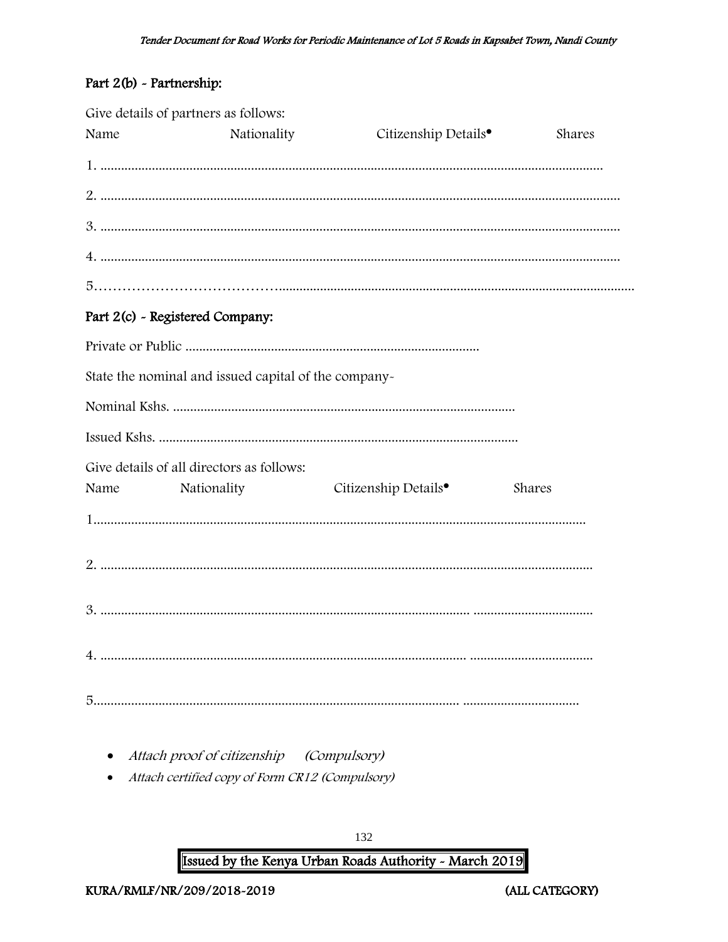# Part 2(b) - Partnership:

|      | Give details of partners as follows:                 |                                  |        |
|------|------------------------------------------------------|----------------------------------|--------|
| Name | Nationality                                          | Citizenship Details <sup>•</sup> | Shares |
|      |                                                      |                                  |        |
|      |                                                      |                                  |        |
|      |                                                      |                                  |        |
|      |                                                      |                                  |        |
|      |                                                      |                                  |        |
|      | Part 2(c) - Registered Company:                      |                                  |        |
|      |                                                      |                                  |        |
|      | State the nominal and issued capital of the company- |                                  |        |
|      |                                                      |                                  |        |
|      |                                                      |                                  |        |
|      | Give details of all directors as follows:            |                                  |        |
| Name | Nationality                                          | Citizenship Details <sup>•</sup> | Shares |
|      |                                                      |                                  |        |
|      |                                                      |                                  |        |
|      |                                                      |                                  |        |
|      |                                                      |                                  |        |
|      |                                                      |                                  |        |

- Attach proof of citizenship (Compulsory)
- Attach certified copy of Form CR12 (Compulsory)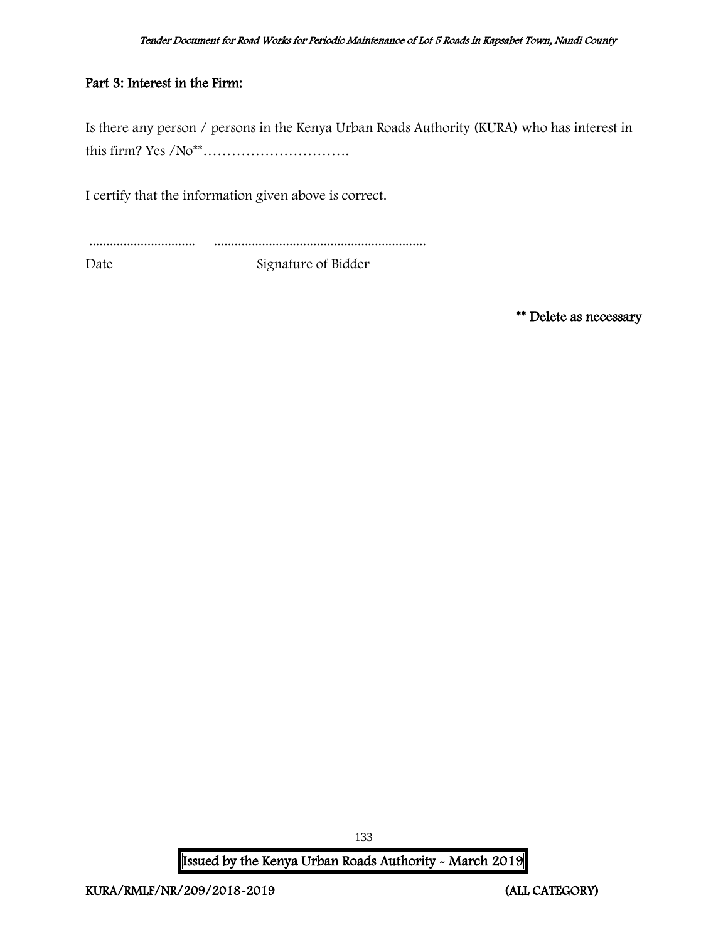# Part 3: Interest in the Firm:

Is there any person / persons in the Kenya Urban Roads Authority (KURA) who has interest in this firm? Yes /No\*\*………………………….

I certify that the information given above is correct.

............................... ..............................................................

Date Signature of Bidder

\*\* Delete as necessary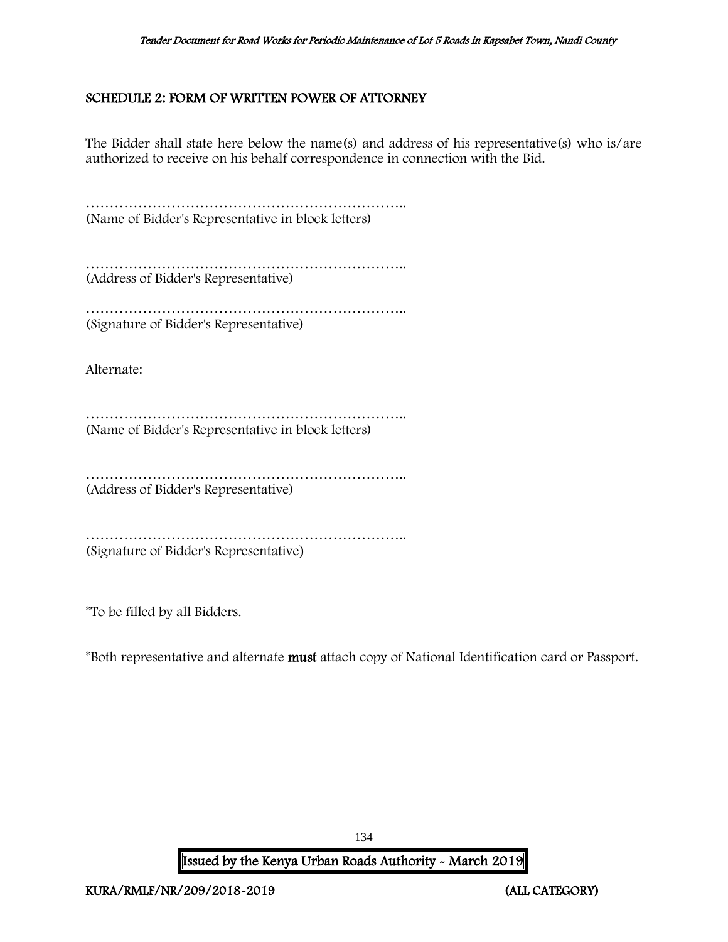# <span id="page-134-0"></span>SCHEDULE 2: FORM OF WRITTEN POWER OF ATTORNEY

The Bidder shall state here below the name(s) and address of his representative(s) who is/are authorized to receive on his behalf correspondence in connection with the Bid.

………………………………………………………….. (Name of Bidder's Representative in block letters)

………………………………………………………….. (Address of Bidder's Representative)

………………………………………………………….. (Signature of Bidder's Representative)

Alternate:

………………………………………………………….. (Name of Bidder's Representative in block letters)

………………………………………………………….. (Address of Bidder's Representative)

………………………………………………………………………… (Signature of Bidder's Representative)

\*To be filled by all Bidders.

\*Both representative and alternate must attach copy of National Identification card or Passport.

Issued by the Kenya Urban Roads Authority - March 2019

134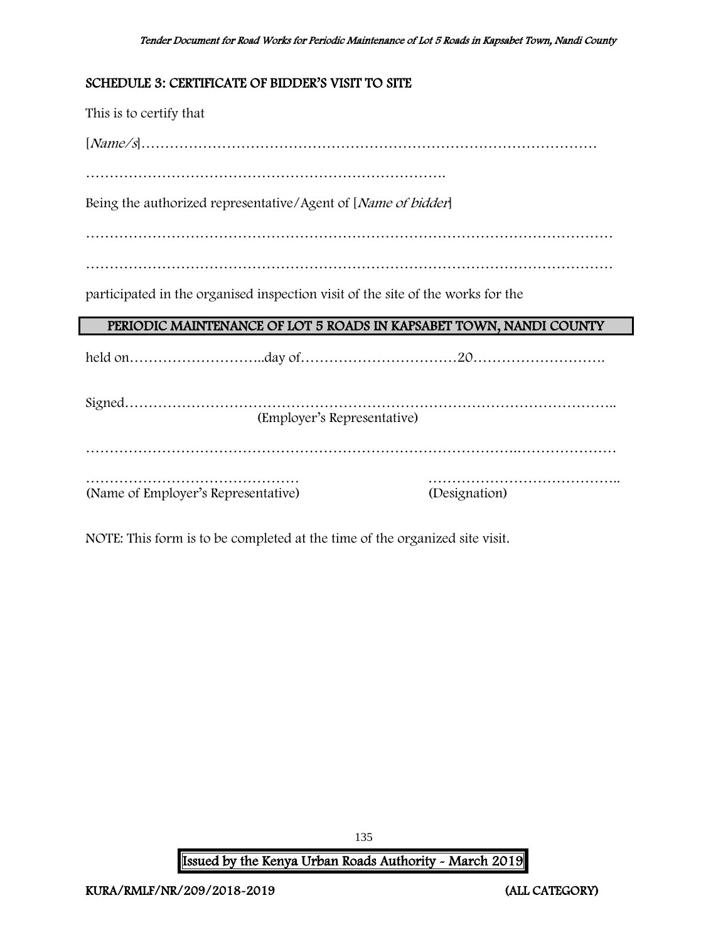# <span id="page-135-0"></span>SCHEDULE 3: CERTIFICATE OF BIDDER'S VISIT TO SITE

This is to certify that

[Name/s]……………………………………………………………………………………

………………………………………………………………….

Being the authorized representative/Agent of [Name of bidder]

…………………………………………………………………………………………………

…………………………………………………………………………………………………

participated in the organised inspection visit of the site of the works for the

# PERIODIC MAINTENANCE OF LOT 5 ROADS IN KAPSABET TOWN, NANDI COUNTY

held on………………………..day of……………………………20……………………….

| (Employer's Representative)         |               |
|-------------------------------------|---------------|
|                                     |               |
|                                     |               |
| (Name of Employer's Representative) | (Designation) |

NOTE: This form is to be completed at the time of the organized site visit.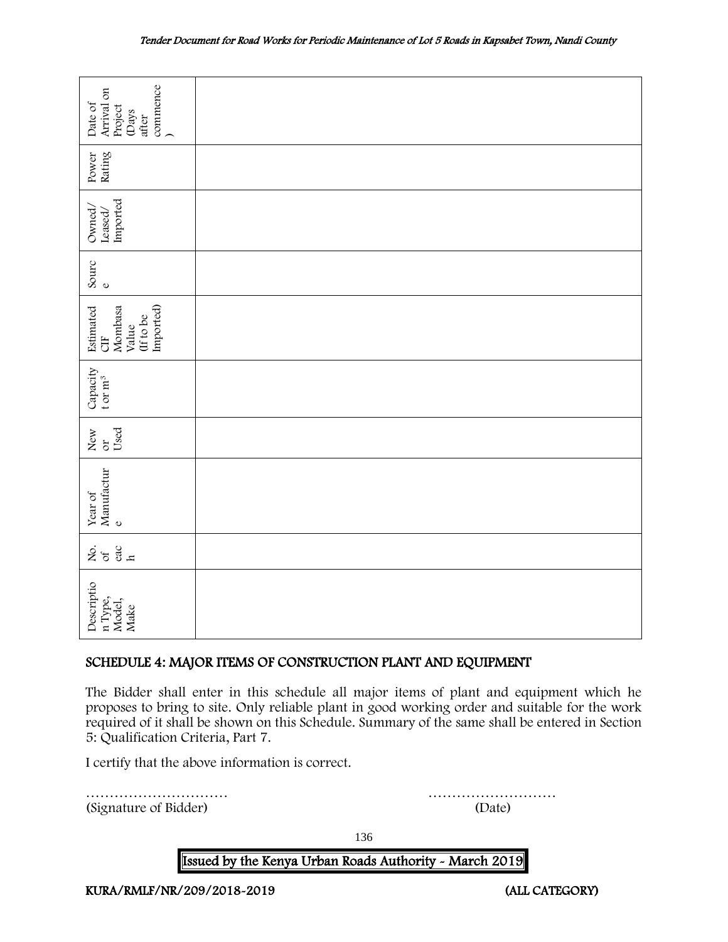| commence<br>Arrival on<br>Date of<br>Project<br><b>Days</b><br>after                                                                                                                                                                                |                                                  |                                                                                                                                                                                                                                                                                              |
|-----------------------------------------------------------------------------------------------------------------------------------------------------------------------------------------------------------------------------------------------------|--------------------------------------------------|----------------------------------------------------------------------------------------------------------------------------------------------------------------------------------------------------------------------------------------------------------------------------------------------|
| Power<br>Rating                                                                                                                                                                                                                                     |                                                  |                                                                                                                                                                                                                                                                                              |
| Imported<br>Owned,<br>Leased <sub>/</sub>                                                                                                                                                                                                           |                                                  |                                                                                                                                                                                                                                                                                              |
| Sourc<br>$\circ$                                                                                                                                                                                                                                    |                                                  |                                                                                                                                                                                                                                                                                              |
| Imported)<br>Estimated<br>Mombasa<br>(If to be<br>Value<br><b>UE</b>                                                                                                                                                                                |                                                  |                                                                                                                                                                                                                                                                                              |
| Capacity<br>t or $m^3$                                                                                                                                                                                                                              |                                                  |                                                                                                                                                                                                                                                                                              |
| Used<br>New<br>$\sigma$                                                                                                                                                                                                                             |                                                  |                                                                                                                                                                                                                                                                                              |
| Manufactur<br>Year of<br>$\mathbf 0$                                                                                                                                                                                                                |                                                  |                                                                                                                                                                                                                                                                                              |
| Lo de de la competa de la competa de la competa de la competa de la competa de la competa de la competa de la<br>Localidad de la competa de la competa de la competa de la competa de la competa de la competa de la competa de<br><br>$rac{ac}{h}$ |                                                  |                                                                                                                                                                                                                                                                                              |
| Descriptio<br>n Type,<br>Model,<br>Make                                                                                                                                                                                                             |                                                  |                                                                                                                                                                                                                                                                                              |
|                                                                                                                                                                                                                                                     |                                                  | SCHEDULE 4: MAJOR ITEMS OF CONSTRUCTION PLANT AND EQUIPMENT                                                                                                                                                                                                                                  |
| 5: Qualification Criteria, Part 7.                                                                                                                                                                                                                  |                                                  | The Bidder shall enter in this schedule all major items of plant and equipment which he<br>proposes to bring to site. Only reliable plant in good working order and suitable for the work<br>required of it shall be shown on this Schedule. Summary of the same shall be entered in Section |
|                                                                                                                                                                                                                                                     | I certify that the above information is correct. |                                                                                                                                                                                                                                                                                              |
| (Signature of Bidder)                                                                                                                                                                                                                               |                                                  | (Date)                                                                                                                                                                                                                                                                                       |

# <span id="page-136-0"></span>SCHEDULE 4: MAJOR ITEMS OF CONSTRUCTION PLANT AND EQUIPMENT

136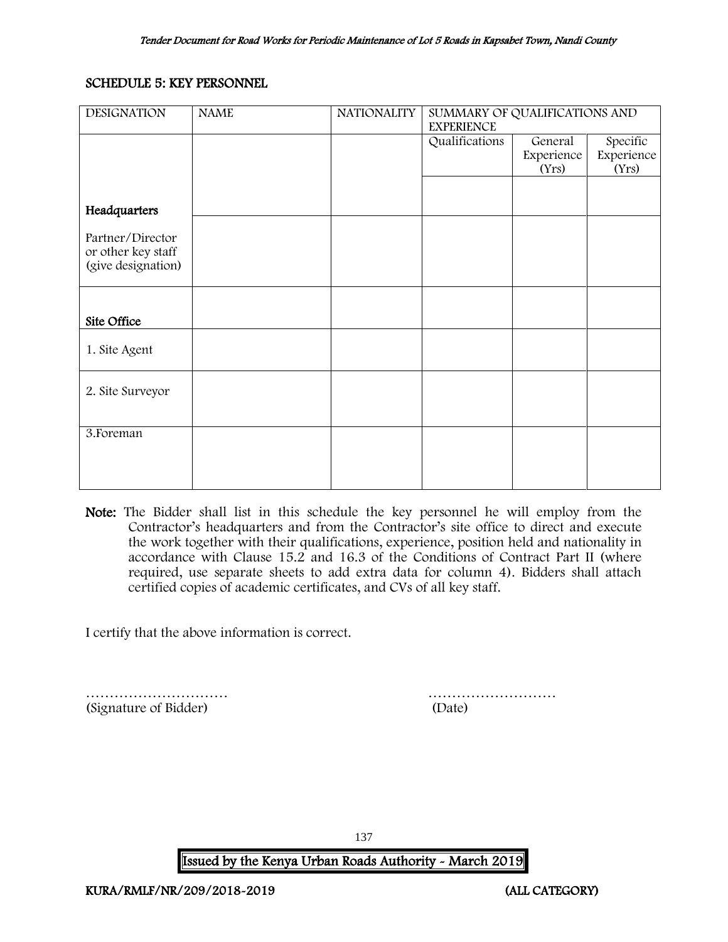# <span id="page-137-0"></span>SCHEDULE 5: KEY PERSONNEL

| <b>DESIGNATION</b>                       | <b>NAME</b> | <b>NATIONALITY</b> | SUMMARY OF QUALIFICATIONS AND<br><b>EXPERIENCE</b> |            |            |
|------------------------------------------|-------------|--------------------|----------------------------------------------------|------------|------------|
|                                          |             |                    | Qualifications                                     | General    | Specific   |
|                                          |             |                    |                                                    | Experience | Experience |
|                                          |             |                    |                                                    | (Yrs)      | (Yrs)      |
|                                          |             |                    |                                                    |            |            |
| Headquarters                             |             |                    |                                                    |            |            |
|                                          |             |                    |                                                    |            |            |
| Partner/Director                         |             |                    |                                                    |            |            |
| or other key staff<br>(give designation) |             |                    |                                                    |            |            |
|                                          |             |                    |                                                    |            |            |
|                                          |             |                    |                                                    |            |            |
|                                          |             |                    |                                                    |            |            |
| Site Office                              |             |                    |                                                    |            |            |
|                                          |             |                    |                                                    |            |            |
| 1. Site Agent                            |             |                    |                                                    |            |            |
|                                          |             |                    |                                                    |            |            |
| 2. Site Surveyor                         |             |                    |                                                    |            |            |
|                                          |             |                    |                                                    |            |            |
|                                          |             |                    |                                                    |            |            |
| 3. Foreman                               |             |                    |                                                    |            |            |
|                                          |             |                    |                                                    |            |            |
|                                          |             |                    |                                                    |            |            |
|                                          |             |                    |                                                    |            |            |

Note: The Bidder shall list in this schedule the key personnel he will employ from the Contractor's headquarters and from the Contractor's site office to direct and execute the work together with their qualifications, experience, position held and nationality in accordance with Clause 15.2 and 16.3 of the Conditions of Contract Part II (where required, use separate sheets to add extra data for column 4). Bidders shall attach certified copies of academic certificates, and CVs of all key staff.

I certify that the above information is correct.

………………………… ……………………… (Signature of Bidder) (Date)

137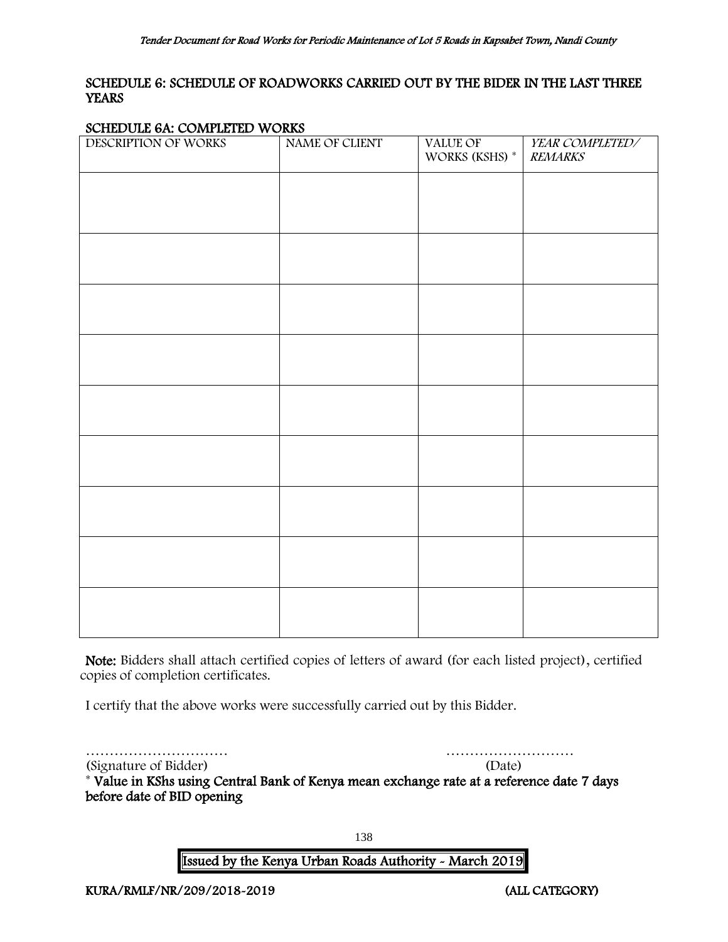# <span id="page-138-0"></span>SCHEDULE 6: SCHEDULE OF ROADWORKS CARRIED OUT BY THE BIDER IN THE LAST THREE **YEARS**

#### SCHEDULE 6A: COMPLETED WORKS

| $S_{\text{SMB}}$ $S_{\text{L}}$ $S_{\text{SMB}}$ $\text{SMB}$ $\text{SMB}$<br>DESCRIPTION OF WORKS | NAME OF CLIENT | VALUE OF<br>WORKS (KSHS) * | YEAR COMPLETED/<br><b>REMARKS</b> |
|----------------------------------------------------------------------------------------------------|----------------|----------------------------|-----------------------------------|
|                                                                                                    |                |                            |                                   |
|                                                                                                    |                |                            |                                   |
|                                                                                                    |                |                            |                                   |
|                                                                                                    |                |                            |                                   |
|                                                                                                    |                |                            |                                   |
|                                                                                                    |                |                            |                                   |
|                                                                                                    |                |                            |                                   |
|                                                                                                    |                |                            |                                   |
|                                                                                                    |                |                            |                                   |
|                                                                                                    |                |                            |                                   |

Note: Bidders shall attach certified copies of letters of award (for each listed project), certified copies of completion certificates.

I certify that the above works were successfully carried out by this Bidder.

………………………… ………………………

(Signature of Bidder) (Date)

\* Value in KShs using Central Bank of Kenya mean exchange rate at a reference date 7 days before date of BID opening

138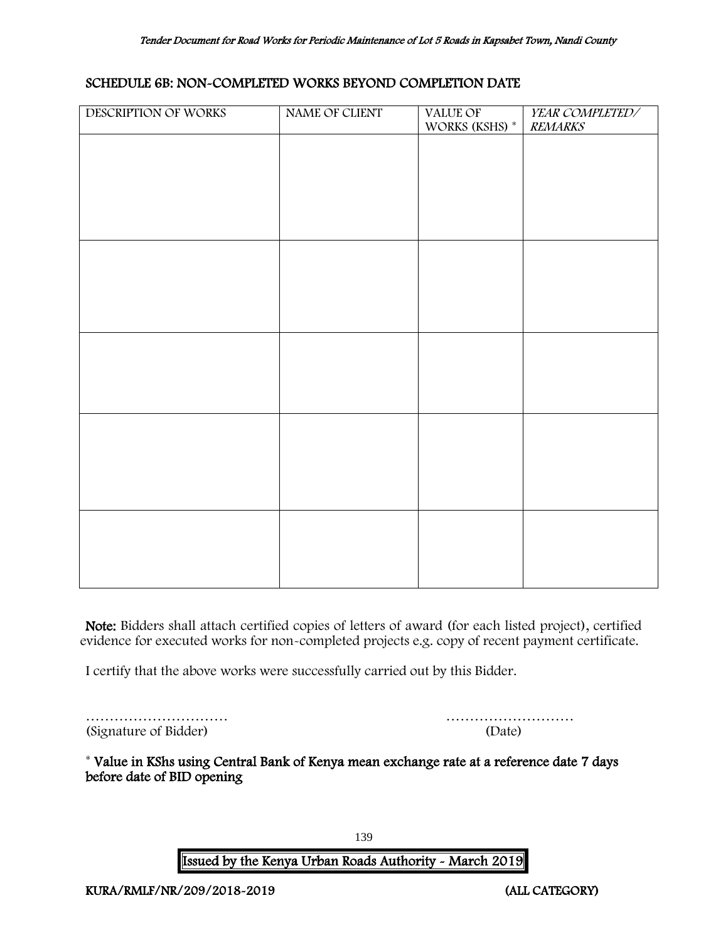#### SCHEDULE 6B: NON-COMPLETED WORKS BEYOND COMPLETION DATE

| DESCRIPTION OF WORKS | NAME OF CLIENT | VALUE OF<br>WORKS (KSHS) * | YEAR COMPLETED/<br><b>REMARKS</b> |
|----------------------|----------------|----------------------------|-----------------------------------|
|                      |                |                            |                                   |
|                      |                |                            |                                   |
|                      |                |                            |                                   |
|                      |                |                            |                                   |
|                      |                |                            |                                   |
|                      |                |                            |                                   |
|                      |                |                            |                                   |
|                      |                |                            |                                   |
|                      |                |                            |                                   |
|                      |                |                            |                                   |
|                      |                |                            |                                   |
|                      |                |                            |                                   |
|                      |                |                            |                                   |
|                      |                |                            |                                   |
|                      |                |                            |                                   |
|                      |                |                            |                                   |

Note: Bidders shall attach certified copies of letters of award (for each listed project), certified evidence for executed works for non-completed projects e.g. copy of recent payment certificate.

I certify that the above works were successfully carried out by this Bidder.

|                       | .      |
|-----------------------|--------|
| (Signature of Bidder) | (Date) |

| (Signature of Bidder) | (Date) |
|-----------------------|--------|

\* Value in KShs using Central Bank of Kenya mean exchange rate at a reference date 7 days before date of BID opening

139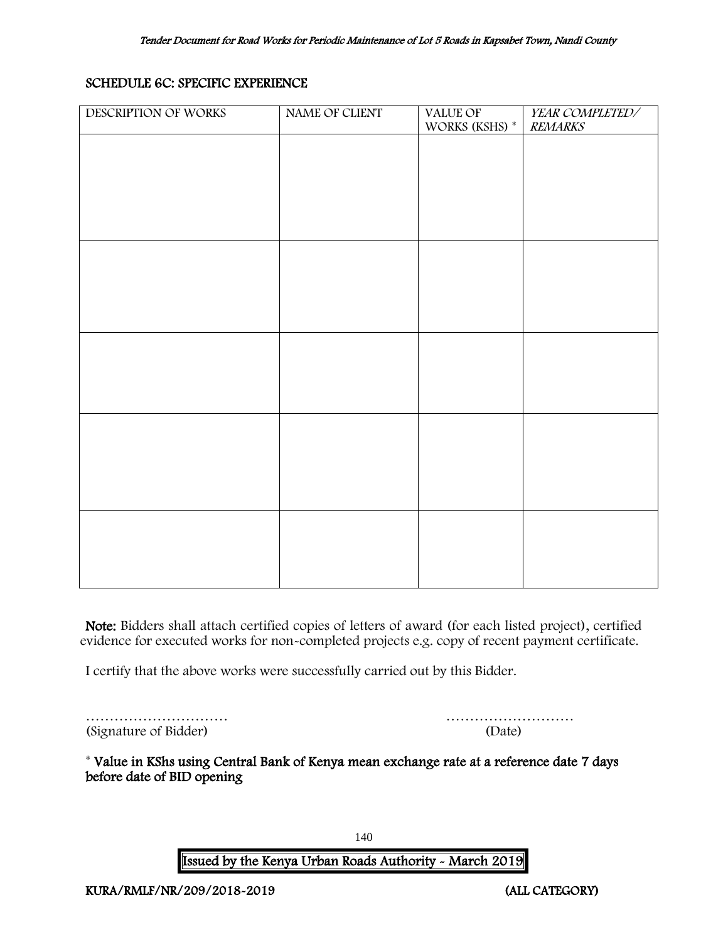# SCHEDULE 6C: SPECIFIC EXPERIENCE

| DESCRIPTION OF WORKS | NAME OF CLIENT | <b>VALUE OF</b><br>WORKS (KSHS) $^\ast$ | YEAR COMPLETED/<br><b>REMARKS</b> |
|----------------------|----------------|-----------------------------------------|-----------------------------------|
|                      |                |                                         |                                   |
|                      |                |                                         |                                   |
|                      |                |                                         |                                   |
|                      |                |                                         |                                   |
|                      |                |                                         |                                   |
|                      |                |                                         |                                   |
|                      |                |                                         |                                   |
|                      |                |                                         |                                   |
|                      |                |                                         |                                   |
|                      |                |                                         |                                   |
|                      |                |                                         |                                   |
|                      |                |                                         |                                   |
|                      |                |                                         |                                   |
|                      |                |                                         |                                   |
|                      |                |                                         |                                   |
|                      |                |                                         |                                   |
|                      |                |                                         |                                   |

Note: Bidders shall attach certified copies of letters of award (for each listed project), certified evidence for executed works for non-completed projects e.g. copy of recent payment certificate.

I certify that the above works were successfully carried out by this Bidder.

|                       | .      |
|-----------------------|--------|
| (Signature of Bidder) | (Date) |

| (Signature of Bidder) | (Date) |
|-----------------------|--------|

<span id="page-140-0"></span>\* Value in KShs using Central Bank of Kenya mean exchange rate at a reference date 7 days before date of BID opening

140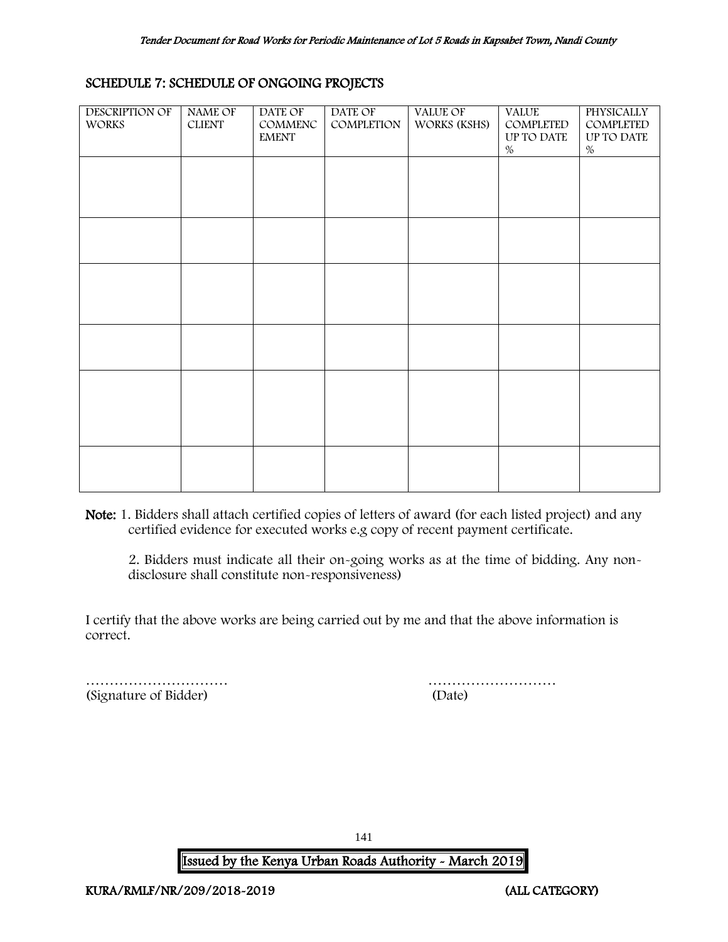## SCHEDULE 7: SCHEDULE OF ONGOING PROJECTS

| DESCRIPTION OF<br><b>WORKS</b> | NAME OF<br><b>CLIENT</b> | DATE OF<br>COMMENC<br><b>EMENT</b> | DATE OF<br>COMPLETION | <b>VALUE OF</b><br>WORKS (KSHS) | <b>VALUE</b><br>COMPLETED<br>UP TO DATE<br>$\%$ | <b>PHYSICALLY</b><br>COMPLETED<br>UP TO DATE<br>% |
|--------------------------------|--------------------------|------------------------------------|-----------------------|---------------------------------|-------------------------------------------------|---------------------------------------------------|
|                                |                          |                                    |                       |                                 |                                                 |                                                   |
|                                |                          |                                    |                       |                                 |                                                 |                                                   |
|                                |                          |                                    |                       |                                 |                                                 |                                                   |
|                                |                          |                                    |                       |                                 |                                                 |                                                   |
|                                |                          |                                    |                       |                                 |                                                 |                                                   |
|                                |                          |                                    |                       |                                 |                                                 |                                                   |

Note: 1. Bidders shall attach certified copies of letters of award (for each listed project) and any certified evidence for executed works e.g copy of recent payment certificate.

2. Bidders must indicate all their on-going works as at the time of bidding. Any nondisclosure shall constitute non-responsiveness)

I certify that the above works are being carried out by me and that the above information is correct.

<span id="page-141-0"></span>(Signature of Bidder) (Date)

………………………… ………………………

141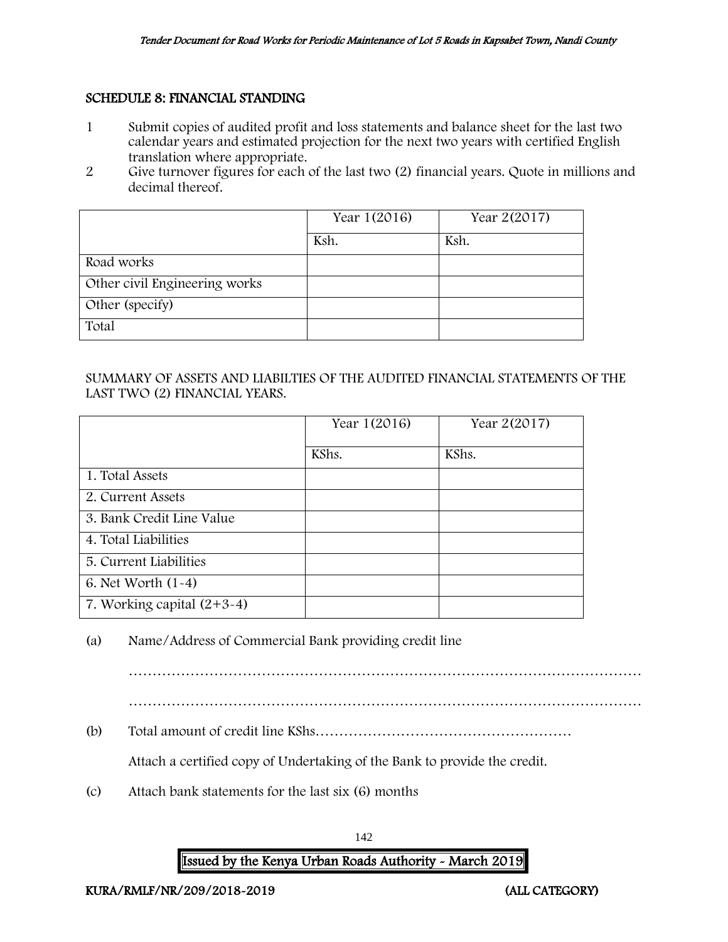## SCHEDULE 8: FINANCIAL STANDING

- 1 Submit copies of audited profit and loss statements and balance sheet for the last two calendar years and estimated projection for the next two years with certified English translation where appropriate.
- 2 Give turnover figures for each of the last two (2) financial years. Quote in millions and decimal thereof.

|                               | Year 1(2016) | Year 2(2017) |
|-------------------------------|--------------|--------------|
|                               | Ksh.         | Ksh.         |
| Road works                    |              |              |
| Other civil Engineering works |              |              |
| Other (specify)               |              |              |
| Total                         |              |              |

## SUMMARY OF ASSETS AND LIABILTIES OF THE AUDITED FINANCIAL STATEMENTS OF THE LAST TWO (2) FINANCIAL YEARS.

|                              | Year 1(2016) | Year 2(2017) |
|------------------------------|--------------|--------------|
|                              | KShs.        | KShs.        |
| 1. Total Assets              |              |              |
| 2. Current Assets            |              |              |
| 3. Bank Credit Line Value    |              |              |
| 4. Total Liabilities         |              |              |
| 5. Current Liabilities       |              |              |
| 6. Net Worth $(1-4)$         |              |              |
| 7. Working capital $(2+3-4)$ |              |              |

(a) Name/Address of Commercial Bank providing credit line

……………………………………………………………………………………………… ………………………………………………………………………………………………

(b) Total amount of credit line KShs………………………………………………

Attach a certified copy of Undertaking of the Bank to provide the credit.

(c) Attach bank statements for the last six (6) months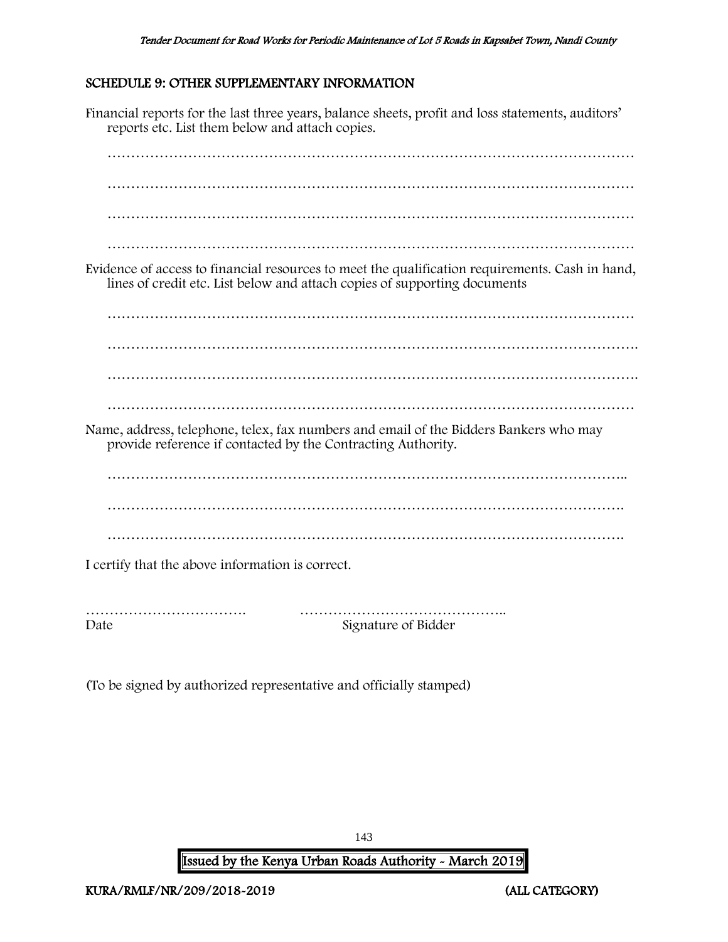# <span id="page-143-0"></span>SCHEDULE 9: OTHER SUPPLEMENTARY INFORMATION

Financial reports for the last three years, balance sheets, profit and loss statements, auditors' reports etc. List them below and attach copies. ………………………………………………………………………………………………… ………………………………………………………………………………………………… ………………………………………………………………………………………………… Evidence of access to financial resources to meet the qualification requirements. Cash in hand, lines of credit etc. List below and attach copies of supporting documents ………………………………………………………………………………………………… …………………………………………………………………………………………………. …………………………………………………………………………………………………. ………………………………………………………………………………………………… Name, address, telephone, telex, fax numbers and email of the Bidders Bankers who may provide reference if contacted by the Contracting Authority. ………………………………………………………………………………………………. ………………………………………………………………………………………………. I certify that the above information is correct. ……………………………. …………………………………….. Date Signature of Bidder

(To be signed by authorized representative and officially stamped)

143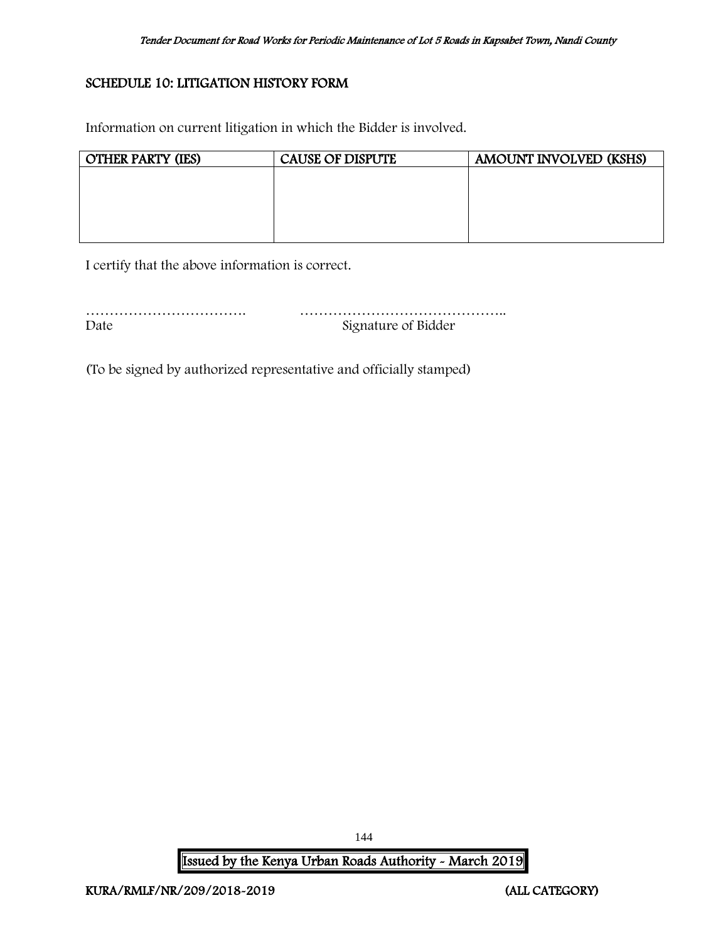# SCHEDULE 10: LITIGATION HISTORY FORM

Information on current litigation in which the Bidder is involved.

| <b>OTHER PARTY (IES)</b> | <b>CAUSE OF DISPUTE</b> | AMOUNT INVOLVED (KSHS) |
|--------------------------|-------------------------|------------------------|
|                          |                         |                        |
|                          |                         |                        |
|                          |                         |                        |
|                          |                         |                        |
|                          |                         |                        |

I certify that the above information is correct.

| Date | Signature of Bidder |
|------|---------------------|

(To be signed by authorized representative and officially stamped)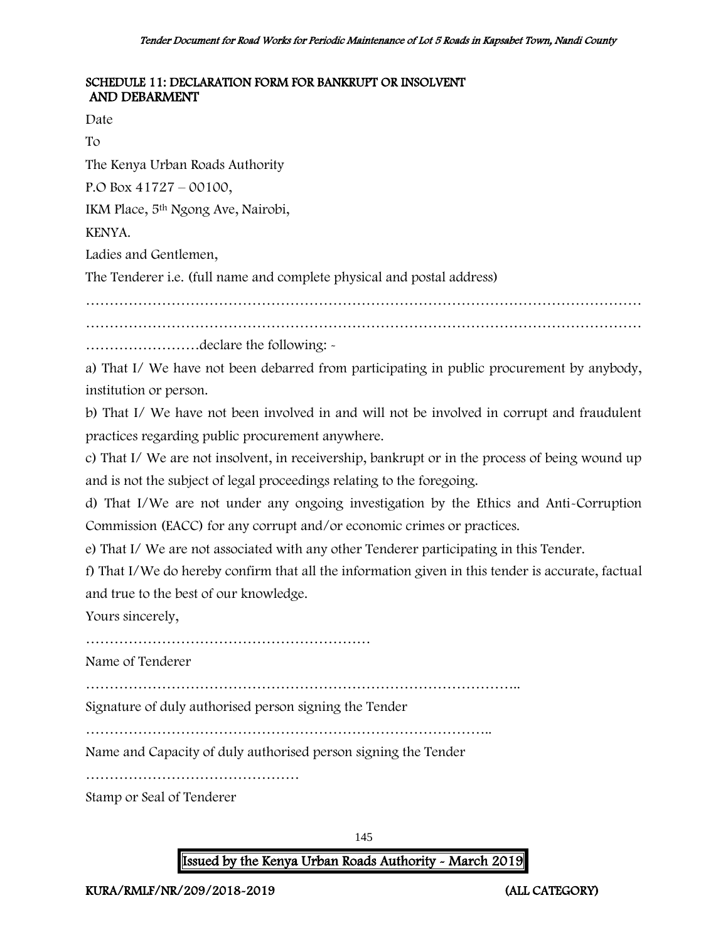### SCHEDULE 11: DECLARATION FORM FOR BANKRUPT OR INSOLVENT AND DEBARMENT

Date

To

The Kenya Urban Roads Authority

P.O Box 41727 – 00100,

IKM Place, 5th Ngong Ave, Nairobi,

KENYA.

Ladies and Gentlemen,

The Tenderer i.e. (full name and complete physical and postal address)

………………………………………………………………………………………………………

………………………………………………………………………………………………………

……………………declare the following: -

a) That I/ We have not been debarred from participating in public procurement by anybody, institution or person.

b) That I/ We have not been involved in and will not be involved in corrupt and fraudulent practices regarding public procurement anywhere.

c) That I/ We are not insolvent, in receivership, bankrupt or in the process of being wound up and is not the subject of legal proceedings relating to the foregoing.

d) That I/We are not under any ongoing investigation by the Ethics and Anti-Corruption Commission (EACC) for any corrupt and/or economic crimes or practices.

e) That I/ We are not associated with any other Tenderer participating in this Tender.

f) That I/We do hereby confirm that all the information given in this tender is accurate, factual and true to the best of our knowledge.

Yours sincerely,

……………………………………………………

Name of Tenderer

………………………………………………………………………………..

Signature of duly authorised person signing the Tender

…………………………………………………………………………..

Name and Capacity of duly authorised person signing the Tender

………………………………………

Stamp or Seal of Tenderer

145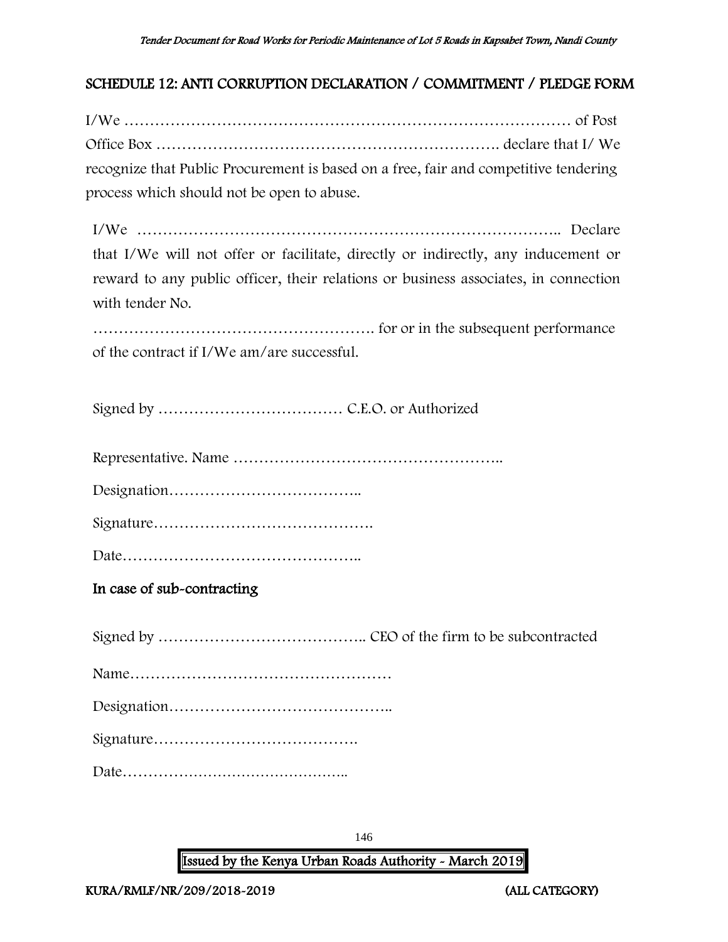# SCHEDULE 12: ANTI CORRUPTION DECLARATION / COMMITMENT / PLEDGE FORM

I/We …………………………………………………………………………… of Post Office Box …………………………………………………………. declare that I/ We recognize that Public Procurement is based on a free, fair and competitive tendering process which should not be open to abuse.

I/We ……………………………………………………………………….. Declare that I/We will not offer or facilitate, directly or indirectly, any inducement or reward to any public officer, their relations or business associates, in connection with tender No.

………………………………………………. for or in the subsequent performance of the contract if I/We am/are successful.

Signed by ……………………………… C.E.O. or Authorized

Representative. Name ……………………………………………..

Designation………………………………..

Signature…………………………………….

Date………………………………………..

In case of sub-contracting

Signed by ………………………………….. CEO of the firm to be subcontracted Name…………………………………………… Designation…………………………………….. Signature…………………………………. Date………………………………………..

146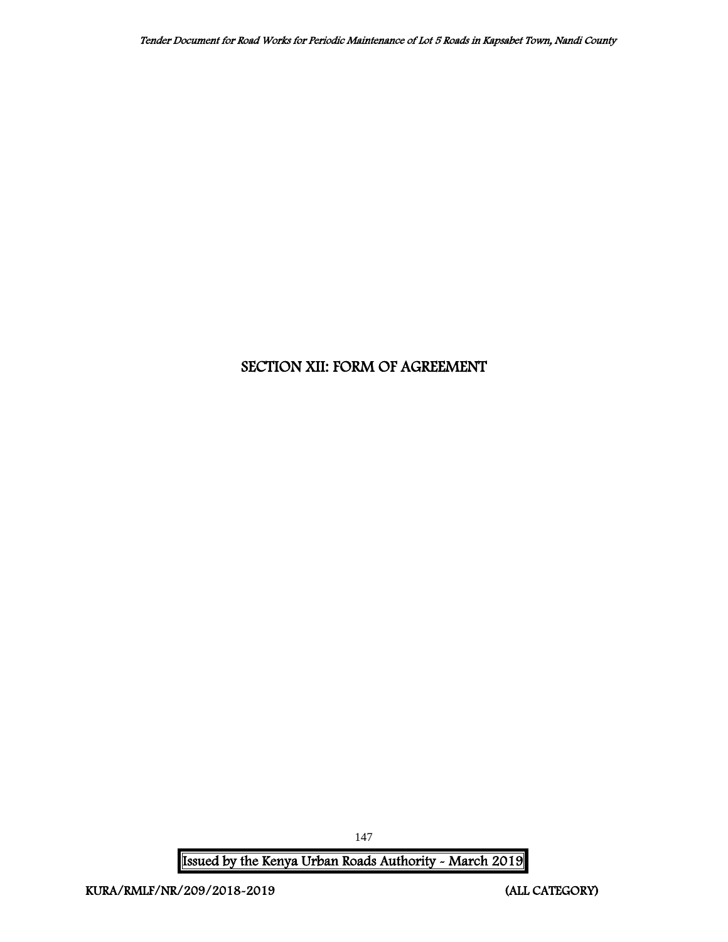# SECTION XII: FORM OF AGREEMENT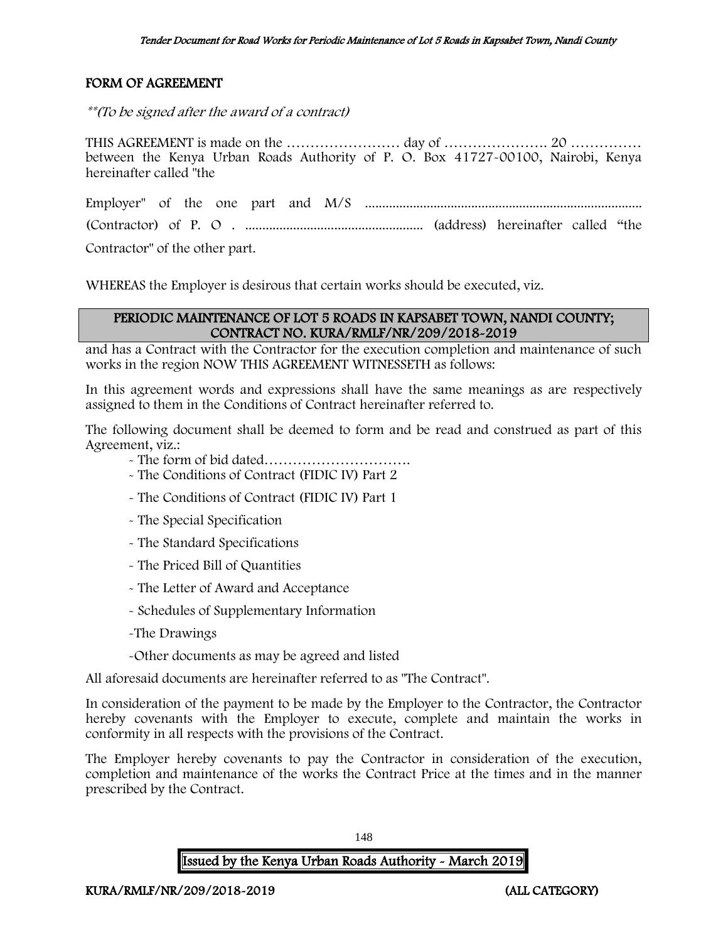# FORM OF AGREEMENT

\*\*(To be signed after the award of a contract)

THIS AGREEMENT is made on the …………………… day of …………………. 20 …………… between the Kenya Urban Roads Authority of P. O. Box 41727-00100, Nairobi, Kenya hereinafter called "the

Employer" of the one part and M/S ................................................................................. (Contractor) of P. O . .................................................... (address) hereinafter called "the Contractor" of the other part.

WHEREAS the Employer is desirous that certain works should be executed, viz.

#### PERIODIC MAINTENANCE OF LOT 5 ROADS IN KAPSABET TOWN, NANDI COUNTY; CONTRACT NO. KURA/RMLF/NR/209/2018-2019

and has a Contract with the Contractor for the execution completion and maintenance of such works in the region NOW THIS AGREEMENT WITNESSETH as follows:

In this agreement words and expressions shall have the same meanings as are respectively assigned to them in the Conditions of Contract hereinafter referred to.

The following document shall be deemed to form and be read and construed as part of this Agreement, viz.:

- The form of bid dated………………………….
- The Conditions of Contract (FIDIC IV) Part 2
- The Conditions of Contract (FIDIC IV) Part 1
- The Special Specification
- The Standard Specifications
- The Priced Bill of Quantities
- The Letter of Award and Acceptance
- Schedules of Supplementary Information
- -The Drawings
- -Other documents as may be agreed and listed

All aforesaid documents are hereinafter referred to as "The Contract".

In consideration of the payment to be made by the Employer to the Contractor, the Contractor hereby covenants with the Employer to execute, complete and maintain the works in conformity in all respects with the provisions of the Contract.

The Employer hereby covenants to pay the Contractor in consideration of the execution, completion and maintenance of the works the Contract Price at the times and in the manner prescribed by the Contract.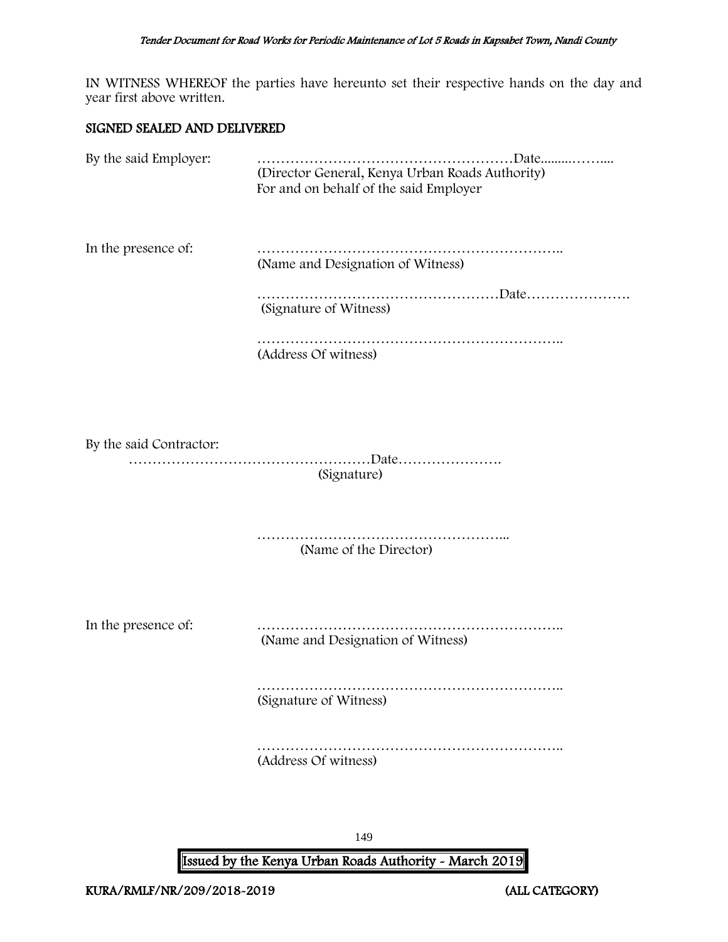IN WITNESS WHEREOF the parties have hereunto set their respective hands on the day and year first above written.

#### SIGNED SEALED AND DELIVERED

| By the said Employer:   | (Director General, Kenya Urban Roads Authority)<br>For and on behalf of the said Employer |
|-------------------------|-------------------------------------------------------------------------------------------|
| In the presence of:     | (Name and Designation of Witness)                                                         |
|                         | (Signature of Witness)                                                                    |
|                         | (Address Of witness)                                                                      |
| By the said Contractor: | (Signature)                                                                               |
|                         | (Name of the Director)                                                                    |
| In the presence of:     | (Name and Designation of Witness)                                                         |
|                         | (Signature of Witness)                                                                    |

……………………………………………………….. (Address Of witness)

149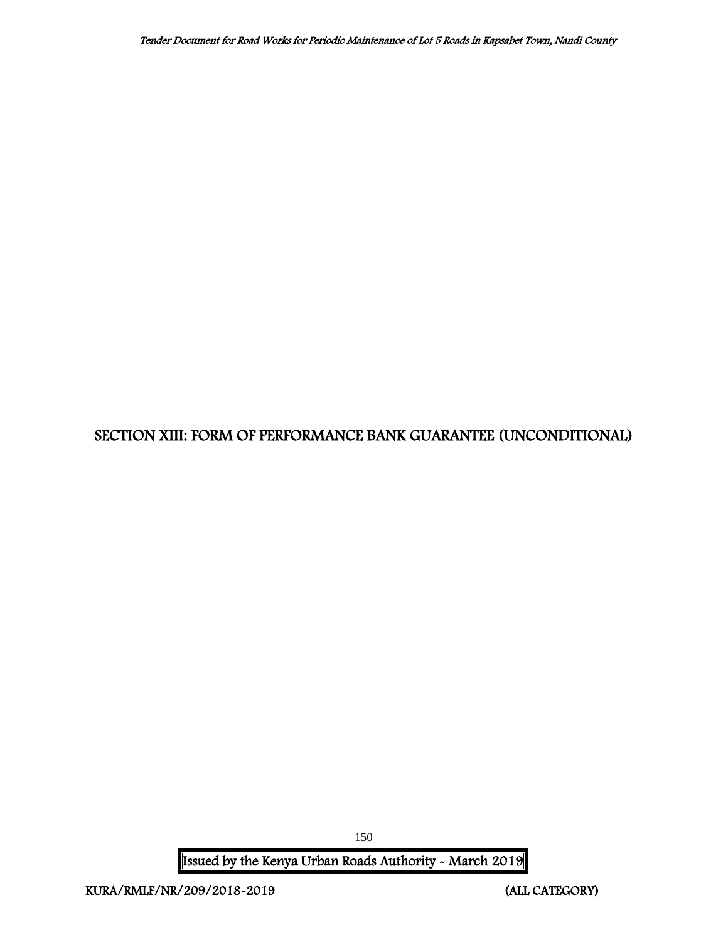# SECTION XIII: FORM OF PERFORMANCE BANK GUARANTEE (UNCONDITIONAL)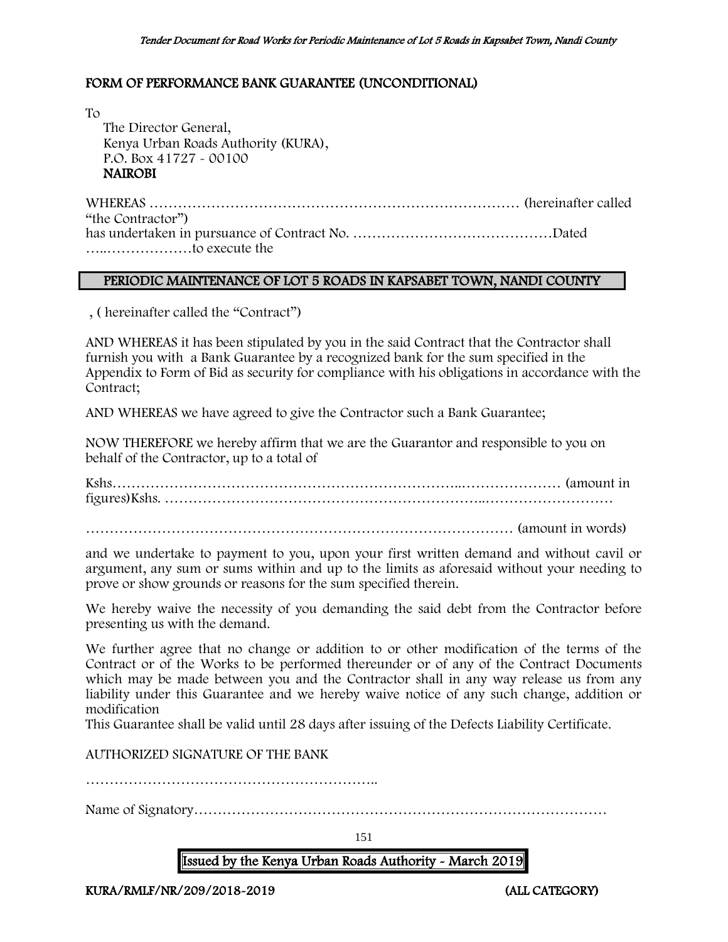### FORM OF PERFORMANCE BANK GUARANTEE (UNCONDITIONAL)

To The Director General, Kenya Urban Roads Authority (KURA), P.O. Box 41727 - 00100 NAIROBI

WHEREAS …………………………………………………………………… (hereinafter called "the Contractor") has undertaken in pursuance of Contract No. ……………………………………Dated …..………………to execute the

#### PERIODIC MAINTENANCE OF LOT 5 ROADS IN KAPSABET TOWN, NANDI COUNTY

, ( hereinafter called the "Contract")

AND WHEREAS it has been stipulated by you in the said Contract that the Contractor shall furnish you with a Bank Guarantee by a recognized bank for the sum specified in the Appendix to Form of Bid as security for compliance with his obligations in accordance with the Contract;

AND WHEREAS we have agreed to give the Contractor such a Bank Guarantee;

NOW THEREFORE we hereby affirm that we are the Guarantor and responsible to you on behalf of the Contractor, up to a total of

Kshs………………………………………………………………..………………… (amount in figures)Kshs. …………………………………………………………..………………………

……………………………………………………………………………… (amount in words)

and we undertake to payment to you, upon your first written demand and without cavil or argument, any sum or sums within and up to the limits as aforesaid without your needing to prove or show grounds or reasons for the sum specified therein.

We hereby waive the necessity of you demanding the said debt from the Contractor before presenting us with the demand.

We further agree that no change or addition to or other modification of the terms of the Contract or of the Works to be performed thereunder or of any of the Contract Documents which may be made between you and the Contractor shall in any way release us from any liability under this Guarantee and we hereby waive notice of any such change, addition or modification

This Guarantee shall be valid until 28 days after issuing of the Defects Liability Certificate.

AUTHORIZED SIGNATURE OF THE BANK

……………………………………………………..

Name of Signatory……………………………………………………………………………

151